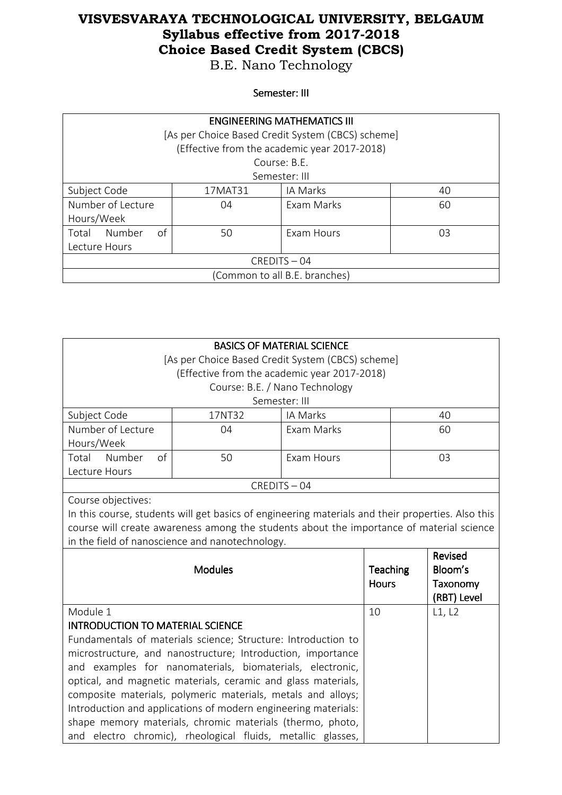B.E. Nano Technology

### Semester: III

| <b>ENGINEERING MATHEMATICS III</b> |              |                                                   |    |
|------------------------------------|--------------|---------------------------------------------------|----|
|                                    |              | [As per Choice Based Credit System (CBCS) scheme] |    |
|                                    |              | (Effective from the academic year 2017-2018)      |    |
|                                    | Course: B.F. |                                                   |    |
| Semester: III                      |              |                                                   |    |
| Subject Code                       | 17MAT31      | IA Marks                                          | 40 |
| Number of Lecture                  | 04           | Exam Marks                                        | 60 |
| Hours/Week                         |              |                                                   |    |
| of<br>Number<br>Total              | 50           | Exam Hours                                        | 03 |
| Lecture Hours                      |              |                                                   |    |
| CREDITS-04                         |              |                                                   |    |
| (Common to all B.E. branches)      |              |                                                   |    |

| <b>BASICS OF MATERIAL SCIENCE</b>                                                                 |                                                           |                                |    |          |             |
|---------------------------------------------------------------------------------------------------|-----------------------------------------------------------|--------------------------------|----|----------|-------------|
| [As per Choice Based Credit System (CBCS) scheme]                                                 |                                                           |                                |    |          |             |
|                                                                                                   | (Effective from the academic year 2017-2018)              |                                |    |          |             |
|                                                                                                   |                                                           | Course: B.E. / Nano Technology |    |          |             |
|                                                                                                   |                                                           | Semester: III                  |    |          |             |
| Subject Code                                                                                      | 17NT32                                                    | IA Marks                       |    |          | 40          |
| Number of Lecture                                                                                 | 04                                                        | Exam Marks                     |    |          | 60          |
| Hours/Week                                                                                        |                                                           |                                |    |          |             |
| Total Number<br>of                                                                                | 50                                                        | Exam Hours                     |    |          | 03          |
| Lecture Hours                                                                                     |                                                           |                                |    |          |             |
|                                                                                                   |                                                           | CREDITS-04                     |    |          |             |
| Course objectives:                                                                                |                                                           |                                |    |          |             |
| In this course, students will get basics of engineering materials and their properties. Also this |                                                           |                                |    |          |             |
| course will create awareness among the students about the importance of material science          |                                                           |                                |    |          |             |
| in the field of nanoscience and nanotechnology.                                                   |                                                           |                                |    |          |             |
|                                                                                                   |                                                           |                                |    |          | Revised     |
| <b>Modules</b>                                                                                    |                                                           | Teaching                       |    | Bloom's  |             |
|                                                                                                   |                                                           | <b>Hours</b>                   |    | Taxonomy |             |
|                                                                                                   |                                                           |                                |    |          | (RBT) Level |
| Module 1                                                                                          |                                                           |                                | 10 |          | L1, L2      |
| <b>INTRODUCTION TO MATERIAL SCIENCE</b>                                                           |                                                           |                                |    |          |             |
| Fundamentals of materials science; Structure: Introduction to                                     |                                                           |                                |    |          |             |
| microstructure, and nanostructure; Introduction, importance                                       |                                                           |                                |    |          |             |
| and examples for nanomaterials, biomaterials, electronic,                                         |                                                           |                                |    |          |             |
| optical, and magnetic materials, ceramic and glass materials,                                     |                                                           |                                |    |          |             |
| composite materials, polymeric materials, metals and alloys;                                      |                                                           |                                |    |          |             |
| Introduction and applications of modern engineering materials:                                    |                                                           |                                |    |          |             |
|                                                                                                   | shape memory materials, chromic materials (thermo, photo, |                                |    |          |             |
| and electro chromic), rheological fluids, metallic glasses,                                       |                                                           |                                |    |          |             |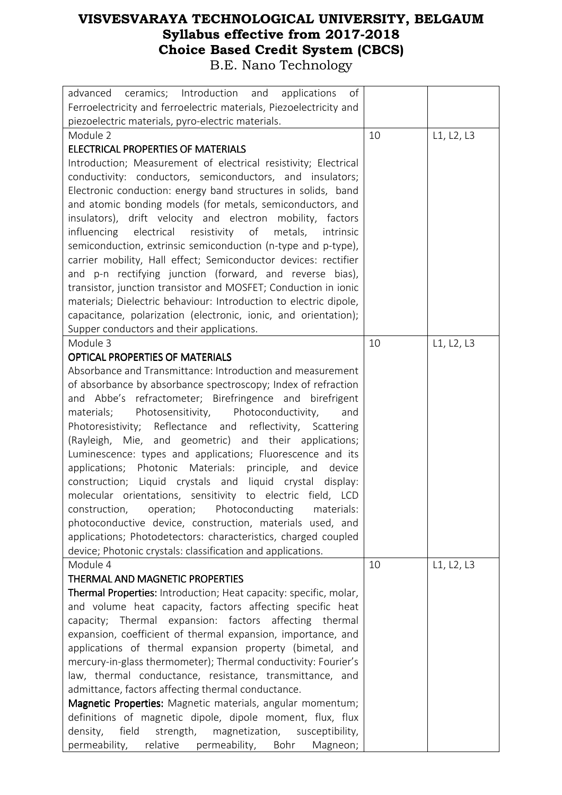| of<br>ceramics; Introduction and<br>applications<br>advanced       |    |            |
|--------------------------------------------------------------------|----|------------|
| Ferroelectricity and ferroelectric materials, Piezoelectricity and |    |            |
| piezoelectric materials, pyro-electric materials.                  |    |            |
| Module 2                                                           | 10 | L1, L2, L3 |
| <b>ELECTRICAL PROPERTIES OF MATERIALS</b>                          |    |            |
| Introduction; Measurement of electrical resistivity; Electrical    |    |            |
| conductivity: conductors, semiconductors, and insulators;          |    |            |
| Electronic conduction: energy band structures in solids, band      |    |            |
| and atomic bonding models (for metals, semiconductors, and         |    |            |
| insulators), drift velocity and electron mobility, factors         |    |            |
| influencing electrical resistivity of metals,<br>intrinsic         |    |            |
| semiconduction, extrinsic semiconduction (n-type and p-type),      |    |            |
| carrier mobility, Hall effect; Semiconductor devices: rectifier    |    |            |
| and p-n rectifying junction (forward, and reverse bias),           |    |            |
| transistor, junction transistor and MOSFET; Conduction in ionic    |    |            |
| materials; Dielectric behaviour: Introduction to electric dipole,  |    |            |
| capacitance, polarization (electronic, ionic, and orientation);    |    |            |
| Supper conductors and their applications.                          |    |            |
| Module 3                                                           | 10 | L1, L2, L3 |
| <b>OPTICAL PROPERTIES OF MATERIALS</b>                             |    |            |
| Absorbance and Transmittance: Introduction and measurement         |    |            |
| of absorbance by absorbance spectroscopy; Index of refraction      |    |            |
| and Abbe's refractometer; Birefringence and birefrigent            |    |            |
| materials; Photosensitivity, Photoconductivity,<br>and             |    |            |
| Photoresistivity; Reflectance and reflectivity, Scattering         |    |            |
| (Rayleigh, Mie, and geometric) and their applications;             |    |            |
| Luminescence: types and applications; Fluorescence and its         |    |            |
| applications; Photonic Materials: principle,<br>and device         |    |            |
| construction; Liquid crystals and liquid crystal display:          |    |            |
| molecular orientations, sensitivity to electric field, LCD         |    |            |
| operation; Photoconducting<br>construction,<br>materials:          |    |            |
| photoconductive device, construction, materials used, and          |    |            |
| applications; Photodetectors: characteristics, charged coupled     |    |            |
| device; Photonic crystals: classification and applications.        |    |            |
| Module 4                                                           | 10 | L1, L2, L3 |
| THERMAL AND MAGNETIC PROPERTIES                                    |    |            |
| Thermal Properties: Introduction; Heat capacity: specific, molar,  |    |            |
| and volume heat capacity, factors affecting specific heat          |    |            |
| capacity; Thermal expansion: factors affecting thermal             |    |            |
| expansion, coefficient of thermal expansion, importance, and       |    |            |
| applications of thermal expansion property (bimetal, and           |    |            |
| mercury-in-glass thermometer); Thermal conductivity: Fourier's     |    |            |
|                                                                    |    |            |
| law, thermal conductance, resistance, transmittance, and           |    |            |
| admittance, factors affecting thermal conductance.                 |    |            |
| Magnetic Properties: Magnetic materials, angular momentum;         |    |            |
| definitions of magnetic dipole, dipole moment, flux, flux          |    |            |
| field<br>density,<br>strength, magnetization,<br>susceptibility,   |    |            |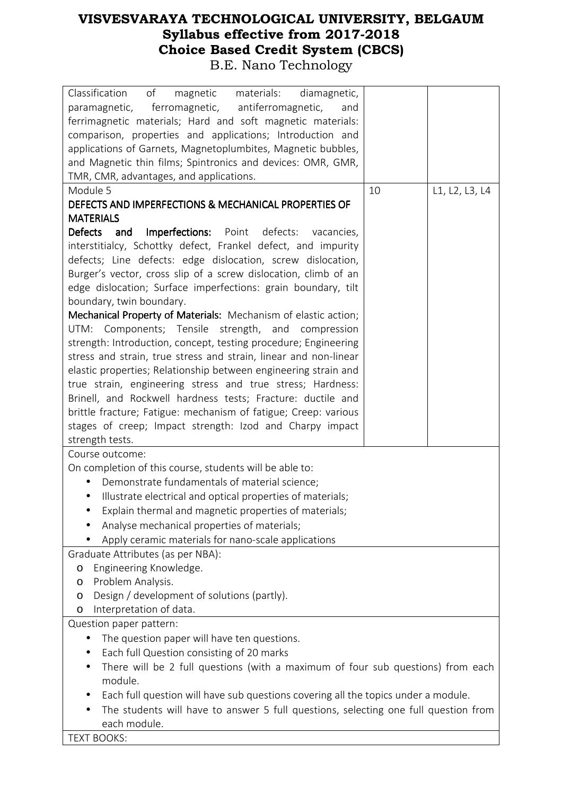| Classification<br>of<br>magnetic<br>materials:<br>diamagnetic,<br>paramagnetic, ferromagnetic, antiferromagnetic,<br>and |    |                |
|--------------------------------------------------------------------------------------------------------------------------|----|----------------|
| ferrimagnetic materials; Hard and soft magnetic materials:                                                               |    |                |
| comparison, properties and applications; Introduction and                                                                |    |                |
| applications of Garnets, Magnetoplumbites, Magnetic bubbles,                                                             |    |                |
| and Magnetic thin films; Spintronics and devices: OMR, GMR,                                                              |    |                |
| TMR, CMR, advantages, and applications.                                                                                  |    |                |
| Module 5                                                                                                                 | 10 | L1, L2, L3, L4 |
| DEFECTS AND IMPERFECTIONS & MECHANICAL PROPERTIES OF                                                                     |    |                |
| <b>MATERIALS</b>                                                                                                         |    |                |
| <b>Defects</b><br><b>Imperfections:</b> Point defects:<br>and<br>vacancies,                                              |    |                |
| interstitialcy, Schottky defect, Frankel defect, and impurity                                                            |    |                |
| defects; Line defects: edge dislocation, screw dislocation,                                                              |    |                |
| Burger's vector, cross slip of a screw dislocation, climb of an                                                          |    |                |
| edge dislocation; Surface imperfections: grain boundary, tilt                                                            |    |                |
| boundary, twin boundary.                                                                                                 |    |                |
| Mechanical Property of Materials: Mechanism of elastic action;<br>UTM: Components; Tensile strength, and compression     |    |                |
| strength: Introduction, concept, testing procedure; Engineering                                                          |    |                |
| stress and strain, true stress and strain, linear and non-linear                                                         |    |                |
| elastic properties; Relationship between engineering strain and                                                          |    |                |
| true strain, engineering stress and true stress; Hardness:                                                               |    |                |
| Brinell, and Rockwell hardness tests; Fracture: ductile and                                                              |    |                |
| brittle fracture; Fatigue: mechanism of fatigue; Creep: various                                                          |    |                |
| stages of creep; Impact strength: Izod and Charpy impact                                                                 |    |                |
| strength tests.                                                                                                          |    |                |
| Course outcome:                                                                                                          |    |                |
| On completion of this course, students will be able to:                                                                  |    |                |
| Demonstrate fundamentals of material science;                                                                            |    |                |
| Illustrate electrical and optical properties of materials;<br>$\bullet$                                                  |    |                |
| Explain thermal and magnetic properties of materials;                                                                    |    |                |
| Analyse mechanical properties of materials;                                                                              |    |                |
| Apply ceramic materials for nano-scale applications                                                                      |    |                |
| Graduate Attributes (as per NBA):                                                                                        |    |                |
| Engineering Knowledge.<br>$\circ$                                                                                        |    |                |
| Problem Analysis.<br>O                                                                                                   |    |                |
| Design / development of solutions (partly).<br>O                                                                         |    |                |
| Interpretation of data.<br>O                                                                                             |    |                |
| Question paper pattern:                                                                                                  |    |                |
| The question paper will have ten questions.<br>$\bullet$                                                                 |    |                |
| Each full Question consisting of 20 marks                                                                                |    |                |
| There will be 2 full questions (with a maximum of four sub questions) from each<br>module.                               |    |                |
| Each full question will have sub questions covering all the topics under a module.                                       |    |                |
| The students will have to answer 5 full questions, selecting one full question from                                      |    |                |
| each module.                                                                                                             |    |                |
| <b>TEXT BOOKS:</b>                                                                                                       |    |                |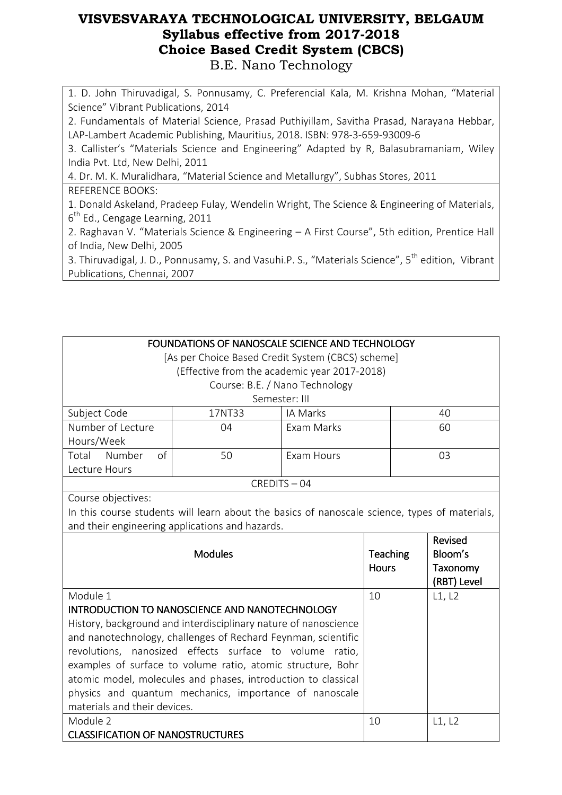1. D. John Thiruvadigal, S. Ponnusamy, C. Preferencial Kala, M. Krishna Mohan, "Material Science" Vibrant Publications, 2014

2. Fundamentals of Material Science, Prasad Puthiyillam, Savitha Prasad, Narayana Hebbar, LAP-Lambert Academic Publishing, Mauritius, 2018. ISBN: 978-3-659-93009-6

3. Callister's "Materials Science and Engineering" Adapted by R, Balasubramaniam, Wiley India Pvt. Ltd, New Delhi, 2011

4. Dr. M. K. Muralidhara, "Material Science and Metallurgy", Subhas Stores, 2011 REFERENCE BOOKS:

1. Donald Askeland, Pradeep Fulay, Wendelin Wright, The Science & Engineering of Materials,  $6^{\text{th}}$  Ed., Cengage Learning, 2011

2. Raghavan V. "Materials Science & Engineering – A First Course", 5th edition, Prentice Hall of India, New Delhi, 2005

3. Thiruvadigal, J. D., Ponnusamy, S. and Vasuhi.P. S., "Materials Science", 5<sup>th</sup> edition, Vibrant Publications, Chennai, 2007

| FOUNDATIONS OF NANOSCALE SCIENCE AND TECHNOLOGY                 |                                                                                               |                                |                 |             |
|-----------------------------------------------------------------|-----------------------------------------------------------------------------------------------|--------------------------------|-----------------|-------------|
| [As per Choice Based Credit System (CBCS) scheme]               |                                                                                               |                                |                 |             |
|                                                                 | (Effective from the academic year 2017-2018)                                                  |                                |                 |             |
|                                                                 |                                                                                               | Course: B.E. / Nano Technology |                 |             |
|                                                                 |                                                                                               | Semester: III                  |                 |             |
| Subject Code                                                    | 17NT33                                                                                        | IA Marks                       |                 | 40          |
| Number of Lecture                                               | 04                                                                                            | Exam Marks                     |                 | 60          |
| Hours/Week                                                      |                                                                                               |                                |                 |             |
| of<br>Total<br>Number                                           | 50                                                                                            | Exam Hours                     |                 | 03          |
| Lecture Hours                                                   |                                                                                               |                                |                 |             |
|                                                                 |                                                                                               | CREDITS-04                     |                 |             |
| Course objectives:                                              |                                                                                               |                                |                 |             |
|                                                                 | In this course students will learn about the basics of nanoscale science, types of materials, |                                |                 |             |
|                                                                 | and their engineering applications and hazards.                                               |                                |                 |             |
|                                                                 |                                                                                               |                                |                 | Revised     |
|                                                                 | <b>Modules</b>                                                                                |                                | <b>Teaching</b> | Bloom's     |
|                                                                 |                                                                                               |                                | <b>Hours</b>    | Taxonomy    |
|                                                                 |                                                                                               |                                |                 | (RBT) Level |
| Module 1                                                        |                                                                                               | 10                             | L1, L2          |             |
| INTRODUCTION TO NANOSCIENCE AND NANOTECHNOLOGY                  |                                                                                               |                                |                 |             |
| History, background and interdisciplinary nature of nanoscience |                                                                                               |                                |                 |             |
|                                                                 | and nanotechnology, challenges of Rechard Feynman, scientific                                 |                                |                 |             |
| revolutions, nanosized effects surface to volume                |                                                                                               | ratio,                         |                 |             |
|                                                                 | examples of surface to volume ratio, atomic structure, Bohr                                   |                                |                 |             |
| atomic model, molecules and phases, introduction to classical   |                                                                                               |                                |                 |             |
| physics and quantum mechanics, importance of nanoscale          |                                                                                               |                                |                 |             |
| materials and their devices.                                    |                                                                                               |                                |                 |             |
| Module 2                                                        |                                                                                               |                                | 10              | L1, L2      |
| <b>CLASSIFICATION OF NANOSTRUCTURES</b>                         |                                                                                               |                                |                 |             |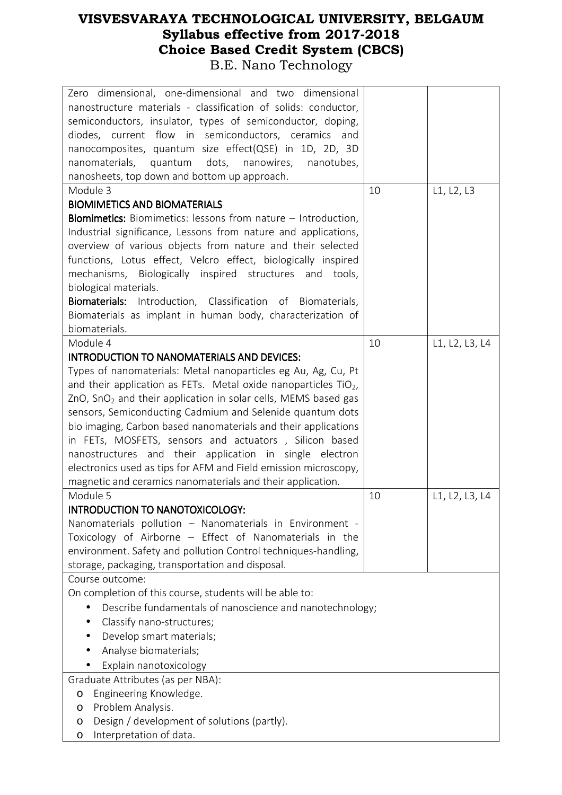| Zero dimensional, one-dimensional and two dimensional                         |    |                |
|-------------------------------------------------------------------------------|----|----------------|
| nanostructure materials - classification of solids: conductor,                |    |                |
| semiconductors, insulator, types of semiconductor, doping,                    |    |                |
| diodes, current flow in semiconductors, ceramics and                          |    |                |
| nanocomposites, quantum size effect(QSE) in 1D, 2D, 3D                        |    |                |
| quantum<br>dots,<br>nanomaterials,<br>nanowires,<br>nanotubes,                |    |                |
| nanosheets, top down and bottom up approach.                                  |    |                |
| Module 3                                                                      | 10 | L1, L2, L3     |
| <b>BIOMIMETICS AND BIOMATERIALS</b>                                           |    |                |
| <b>Biomimetics:</b> Biomimetics: lessons from nature - Introduction,          |    |                |
| Industrial significance, Lessons from nature and applications,                |    |                |
| overview of various objects from nature and their selected                    |    |                |
| functions, Lotus effect, Velcro effect, biologically inspired                 |    |                |
|                                                                               |    |                |
| mechanisms, Biologically inspired structures and tools,                       |    |                |
| biological materials.                                                         |    |                |
| Biomaterials: Introduction, Classification of Biomaterials,                   |    |                |
| Biomaterials as implant in human body, characterization of                    |    |                |
| biomaterials.                                                                 |    |                |
| Module 4                                                                      | 10 | L1, L2, L3, L4 |
| INTRODUCTION TO NANOMATERIALS AND DEVICES:                                    |    |                |
| Types of nanomaterials: Metal nanoparticles eg Au, Ag, Cu, Pt                 |    |                |
| and their application as FETs. Metal oxide nanoparticles $TiO2$ ,             |    |                |
| $ZnO$ , SnO <sub>2</sub> and their application in solar cells, MEMS based gas |    |                |
| sensors, Semiconducting Cadmium and Selenide quantum dots                     |    |                |
| bio imaging, Carbon based nanomaterials and their applications                |    |                |
| in FETs, MOSFETS, sensors and actuators, Silicon based                        |    |                |
| nanostructures and their application in single electron                       |    |                |
| electronics used as tips for AFM and Field emission microscopy,               |    |                |
| magnetic and ceramics nanomaterials and their application.                    |    |                |
| Module 5                                                                      | 10 | L1, L2, L3, L4 |
| <b>INTRODUCTION TO NANOTOXICOLOGY:</b>                                        |    |                |
|                                                                               |    |                |
| Nanomaterials pollution - Nanomaterials in Environment -                      |    |                |
| Toxicology of Airborne - Effect of Nanomaterials in the                       |    |                |
| environment. Safety and pollution Control techniques-handling,                |    |                |
| storage, packaging, transportation and disposal.                              |    |                |
| Course outcome:                                                               |    |                |
| On completion of this course, students will be able to:                       |    |                |
| Describe fundamentals of nanoscience and nanotechnology;                      |    |                |
| Classify nano-structures;<br>$\bullet$                                        |    |                |
| Develop smart materials;                                                      |    |                |
| Analyse biomaterials;                                                         |    |                |
| Explain nanotoxicology                                                        |    |                |
| Graduate Attributes (as per NBA):                                             |    |                |
| Engineering Knowledge.<br>O                                                   |    |                |
| Problem Analysis.                                                             |    |                |
| O<br>Design / development of solutions (partly).                              |    |                |
| O                                                                             |    |                |
| Interpretation of data.<br>O                                                  |    |                |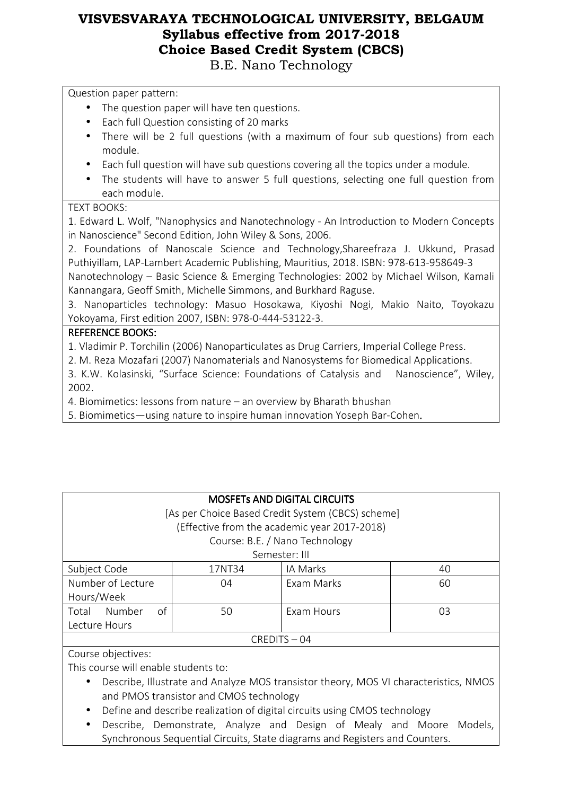Question paper pattern:

- The question paper will have ten questions.
- Each full Question consisting of 20 marks
- There will be 2 full questions (with a maximum of four sub questions) from each module.
- Each full question will have sub questions covering all the topics under a module.
- The students will have to answer 5 full questions, selecting one full question from each module.

#### TEXT BOOKS:

1. Edward L. Wolf, "Nanophysics and Nanotechnology - An Introduction to Modern Concepts in Nanoscience" Second Edition, John Wiley & Sons, 2006.

2. Foundations of Nanoscale Science and Technology,Shareefraza J. Ukkund, Prasad Puthiyillam, LAP-Lambert Academic Publishing, Mauritius, 2018. ISBN: 978-613-958649-3

Nanotechnology – Basic Science & Emerging Technologies: 2002 by Michael Wilson, Kamali Kannangara, Geoff Smith, Michelle Simmons, and Burkhard Raguse.

3. Nanoparticles technology: Masuo Hosokawa, Kiyoshi Nogi, Makio Naito, Toyokazu Yokoyama, First edition 2007, ISBN: 978-0-444-53122-3.

#### **REFERENCE BOOKS:**

1. Vladimir P. Torchilin (2006) Nanoparticulates as Drug Carriers, Imperial College Press.

2. M. Reza Mozafari (2007) Nanomaterials and Nanosystems for Biomedical Applications.

3. K.W. Kolasinski, "Surface Science: Foundations of Catalysis and Nanoscience", Wiley, 2002.

4. Biomimetics: lessons from nature – an overview by Bharath bhushan

5. Biomimetics—using nature to inspire human innovation Yoseph Bar-Cohen.

#### **MOSFETS AND DIGITAL CIRCUITS**

 [As per Choice Based Credit System (CBCS) scheme] (Effective from the academic year 2017-2018)

### Course: B.E. / Nano Technology

|                       |        | Semester: III |    |
|-----------------------|--------|---------------|----|
| Subject Code          | 17NT34 | IA Marks      | 40 |
| Number of Lecture     | 04     | Exam Marks    | 60 |
| Hours/Week            |        |               |    |
| Number<br>Total<br>οt | 50     | Exam Hours    | 03 |
| Lecture Hours         |        |               |    |
| CREDITS-04            |        |               |    |

#### Course objectives:

This course will enable students to:

- Describe, Illustrate and Analyze MOS transistor theory, MOS VI characteristics, NMOS and PMOS transistor and CMOS technology
- Define and describe realization of digital circuits using CMOS technology
- Describe, Demonstrate, Analyze and Design of Mealy and Moore Models, Synchronous Sequential Circuits, State diagrams and Registers and Counters.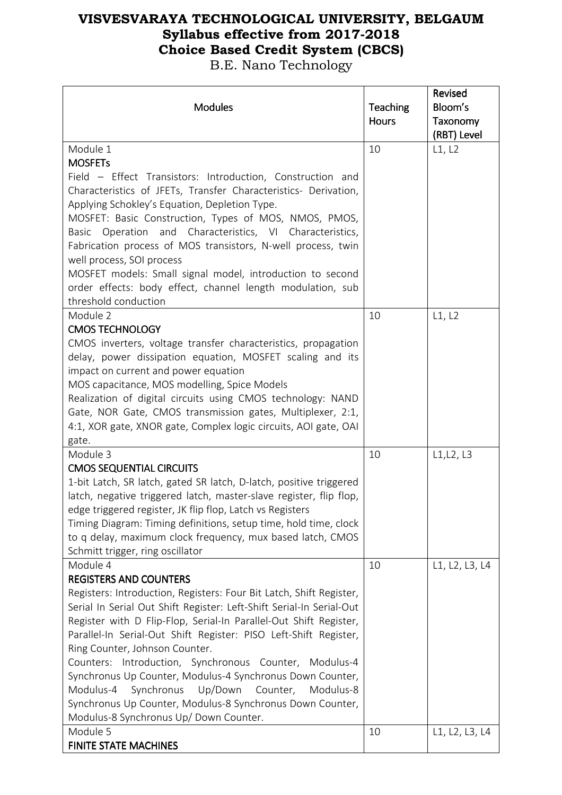| <b>Modules</b>                                                                                                                            | Teaching     | Revised<br>Bloom's |
|-------------------------------------------------------------------------------------------------------------------------------------------|--------------|--------------------|
|                                                                                                                                           | <b>Hours</b> | Taxonomy           |
|                                                                                                                                           |              | (RBT) Level        |
| Module 1                                                                                                                                  | 10           | L1, L2             |
| <b>MOSFETs</b>                                                                                                                            |              |                    |
| Field - Effect Transistors: Introduction, Construction and                                                                                |              |                    |
| Characteristics of JFETs, Transfer Characteristics- Derivation,                                                                           |              |                    |
| Applying Schokley's Equation, Depletion Type.<br>MOSFET: Basic Construction, Types of MOS, NMOS, PMOS,                                    |              |                    |
| Operation and Characteristics, VI Characteristics,<br>Basic                                                                               |              |                    |
| Fabrication process of MOS transistors, N-well process, twin                                                                              |              |                    |
| well process, SOI process                                                                                                                 |              |                    |
| MOSFET models: Small signal model, introduction to second                                                                                 |              |                    |
| order effects: body effect, channel length modulation, sub                                                                                |              |                    |
| threshold conduction                                                                                                                      |              |                    |
| Module 2                                                                                                                                  | 10           | L1, L2             |
| <b>CMOS TECHNOLOGY</b>                                                                                                                    |              |                    |
| CMOS inverters, voltage transfer characteristics, propagation                                                                             |              |                    |
| delay, power dissipation equation, MOSFET scaling and its                                                                                 |              |                    |
| impact on current and power equation                                                                                                      |              |                    |
| MOS capacitance, MOS modelling, Spice Models                                                                                              |              |                    |
| Realization of digital circuits using CMOS technology: NAND                                                                               |              |                    |
| Gate, NOR Gate, CMOS transmission gates, Multiplexer, 2:1,<br>4:1, XOR gate, XNOR gate, Complex logic circuits, AOI gate, OAI             |              |                    |
| gate.                                                                                                                                     |              |                    |
| Module 3                                                                                                                                  | 10           | L1, L2, L3         |
| <b>CMOS SEQUENTIAL CIRCUITS</b>                                                                                                           |              |                    |
| 1-bit Latch, SR latch, gated SR latch, D-latch, positive triggered                                                                        |              |                    |
| latch, negative triggered latch, master-slave register, flip flop,                                                                        |              |                    |
| edge triggered register, JK flip flop, Latch vs Registers                                                                                 |              |                    |
| Timing Diagram: Timing definitions, setup time, hold time, clock                                                                          |              |                    |
| to q delay, maximum clock frequency, mux based latch, CMOS                                                                                |              |                    |
| Schmitt trigger, ring oscillator                                                                                                          |              |                    |
| Module 4                                                                                                                                  | 10           | L1, L2, L3, L4     |
| <b>REGISTERS AND COUNTERS</b>                                                                                                             |              |                    |
| Registers: Introduction, Registers: Four Bit Latch, Shift Register,                                                                       |              |                    |
| Serial In Serial Out Shift Register: Left-Shift Serial-In Serial-Out<br>Register with D Flip-Flop, Serial-In Parallel-Out Shift Register, |              |                    |
| Parallel-In Serial-Out Shift Register: PISO Left-Shift Register,                                                                          |              |                    |
| Ring Counter, Johnson Counter.                                                                                                            |              |                    |
| Counters: Introduction, Synchronous Counter, Modulus-4                                                                                    |              |                    |
| Synchronus Up Counter, Modulus-4 Synchronus Down Counter,                                                                                 |              |                    |
| Synchronus<br>Up/Down<br>Counter,<br>Modulus-4<br>Modulus-8                                                                               |              |                    |
| Synchronus Up Counter, Modulus-8 Synchronus Down Counter,                                                                                 |              |                    |
| Modulus-8 Synchronus Up/ Down Counter.                                                                                                    |              |                    |
| Module 5                                                                                                                                  | 10           | L1, L2, L3, L4     |
| <b>FINITE STATE MACHINES</b>                                                                                                              |              |                    |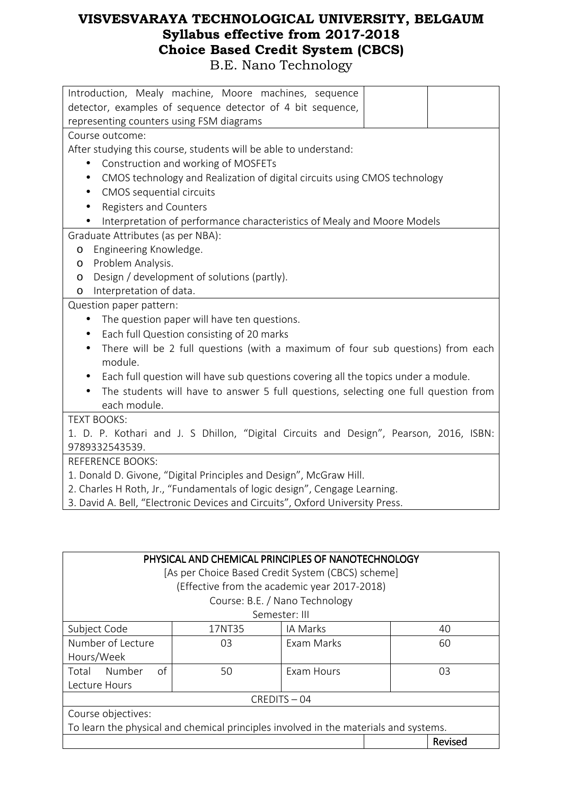| Introduction, Mealy machine, Moore machines, sequence                                           |
|-------------------------------------------------------------------------------------------------|
| detector, examples of sequence detector of 4 bit sequence,                                      |
| representing counters using FSM diagrams                                                        |
| Course outcome:                                                                                 |
| After studying this course, students will be able to understand:                                |
| Construction and working of MOSFETs<br>$\bullet$                                                |
| CMOS technology and Realization of digital circuits using CMOS technology<br>$\bullet$          |
| CMOS sequential circuits<br>$\bullet$                                                           |
| Registers and Counters<br>$\bullet$                                                             |
| Interpretation of performance characteristics of Mealy and Moore Models                         |
| Graduate Attributes (as per NBA):                                                               |
| Engineering Knowledge.<br>$\circ$                                                               |
| Problem Analysis.<br>$\circ$                                                                    |
| Design / development of solutions (partly).<br>$\circ$                                          |
| Interpretation of data.<br>$\circ$                                                              |
| Question paper pattern:                                                                         |
| The question paper will have ten questions.<br>$\bullet$                                        |
| Each full Question consisting of 20 marks<br>$\bullet$                                          |
| There will be 2 full questions (with a maximum of four sub questions) from each<br>$\bullet$    |
| module.                                                                                         |
| Each full question will have sub questions covering all the topics under a module.<br>$\bullet$ |
| The students will have to answer 5 full questions, selecting one full question from             |
| each module.                                                                                    |
| <b>TEXT BOOKS:</b>                                                                              |
| 1. D. P. Kothari and J. S Dhillon, "Digital Circuits and Design", Pearson, 2016, ISBN:          |
| 9789332543539.                                                                                  |
| <b>REFERENCE BOOKS:</b>                                                                         |
| 1. Donald D. Givone, "Digital Principles and Design", McGraw Hill.                              |
| 2. Charles H Roth, Jr., "Fundamentals of logic design", Cengage Learning.                       |
| 3. David A. Bell, "Electronic Devices and Circuits", Oxford University Press.                   |

| PHYSICAL AND CHEMICAL PRINCIPLES OF NANOTECHNOLOGY<br>[As per Choice Based Credit System (CBCS) scheme] |        |                                                                                |         |
|---------------------------------------------------------------------------------------------------------|--------|--------------------------------------------------------------------------------|---------|
|                                                                                                         |        | (Effective from the academic year 2017-2018)<br>Course: B.E. / Nano Technology |         |
|                                                                                                         |        | Semester: III                                                                  |         |
| Subject Code                                                                                            | 17NT35 | IA Marks                                                                       | 40      |
| Number of Lecture                                                                                       | 03     | Exam Marks                                                                     | 60      |
| Hours/Week                                                                                              |        |                                                                                |         |
| of<br>Number<br>Total                                                                                   | 50     | <b>Fxam Hours</b>                                                              | 03      |
| Lecture Hours                                                                                           |        |                                                                                |         |
| CREDITS-04                                                                                              |        |                                                                                |         |
| Course objectives:                                                                                      |        |                                                                                |         |
| To learn the physical and chemical principles involved in the materials and systems.                    |        |                                                                                |         |
|                                                                                                         |        |                                                                                | Revised |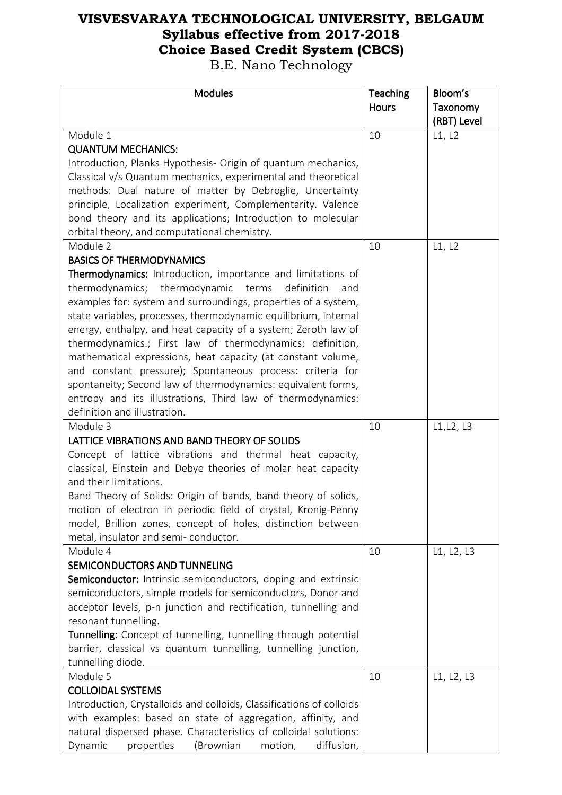| <b>Modules</b>                                                       | Teaching     | Bloom's     |
|----------------------------------------------------------------------|--------------|-------------|
|                                                                      | <b>Hours</b> | Taxonomy    |
|                                                                      |              | (RBT) Level |
| Module 1                                                             | 10           | L1, L2      |
| <b>QUANTUM MECHANICS:</b>                                            |              |             |
| Introduction, Planks Hypothesis- Origin of quantum mechanics,        |              |             |
| Classical v/s Quantum mechanics, experimental and theoretical        |              |             |
| methods: Dual nature of matter by Debroglie, Uncertainty             |              |             |
| principle, Localization experiment, Complementarity. Valence         |              |             |
| bond theory and its applications; Introduction to molecular          |              |             |
| orbital theory, and computational chemistry.                         |              |             |
| Module 2                                                             | 10           | L1, L2      |
| <b>BASICS OF THERMODYNAMICS</b>                                      |              |             |
| Thermodynamics: Introduction, importance and limitations of          |              |             |
| thermodynamics; thermodynamic terms<br>definition<br>and             |              |             |
| examples for: system and surroundings, properties of a system,       |              |             |
| state variables, processes, thermodynamic equilibrium, internal      |              |             |
| energy, enthalpy, and heat capacity of a system; Zeroth law of       |              |             |
| thermodynamics.; First law of thermodynamics: definition,            |              |             |
| mathematical expressions, heat capacity (at constant volume,         |              |             |
| and constant pressure); Spontaneous process: criteria for            |              |             |
| spontaneity; Second law of thermodynamics: equivalent forms,         |              |             |
| entropy and its illustrations, Third law of thermodynamics:          |              |             |
| definition and illustration.                                         |              |             |
| Module 3                                                             | 10           | L1, L2, L3  |
| LATTICE VIBRATIONS AND BAND THEORY OF SOLIDS                         |              |             |
| Concept of lattice vibrations and thermal heat capacity,             |              |             |
| classical, Einstein and Debye theories of molar heat capacity        |              |             |
| and their limitations.                                               |              |             |
| Band Theory of Solids: Origin of bands, band theory of solids,       |              |             |
| motion of electron in periodic field of crystal, Kronig-Penny        |              |             |
| model, Brillion zones, concept of holes, distinction between         |              |             |
| metal, insulator and semi- conductor.                                |              |             |
| Module 4                                                             | 10           | L1, L2, L3  |
| SEMICONDUCTORS AND TUNNELING                                         |              |             |
| Semiconductor: Intrinsic semiconductors, doping and extrinsic        |              |             |
| semiconductors, simple models for semiconductors, Donor and          |              |             |
| acceptor levels, p-n junction and rectification, tunnelling and      |              |             |
| resonant tunnelling.                                                 |              |             |
| Tunnelling: Concept of tunnelling, tunnelling through potential      |              |             |
| barrier, classical vs quantum tunnelling, tunnelling junction,       |              |             |
| tunnelling diode.                                                    |              |             |
| Module 5                                                             | 10           | L1, L2, L3  |
| <b>COLLOIDAL SYSTEMS</b>                                             |              |             |
| Introduction, Crystalloids and colloids, Classifications of colloids |              |             |
| with examples: based on state of aggregation, affinity, and          |              |             |
| natural dispersed phase. Characteristics of colloidal solutions:     |              |             |
| diffusion,<br>Dynamic<br>properties<br>(Brownian<br>motion,          |              |             |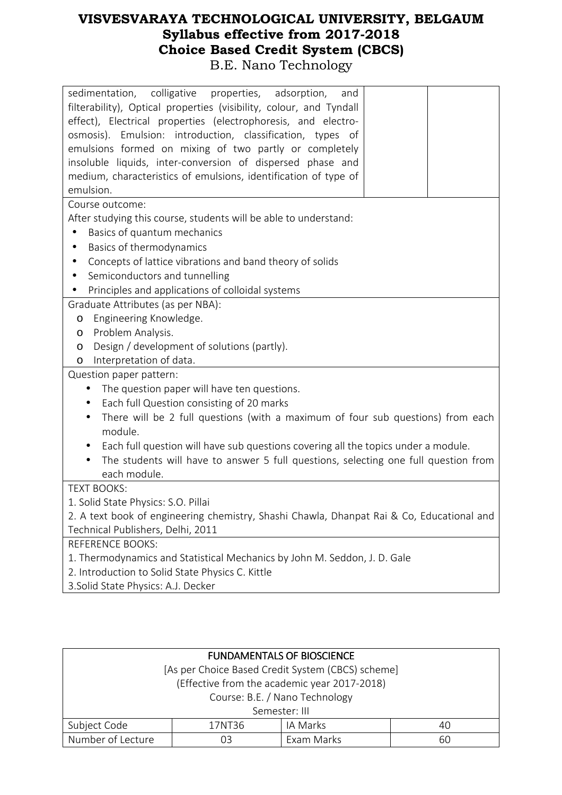| colligative<br>properties,<br>sedimentation,<br>adsorption,<br>and<br>filterability), Optical properties (visibility, colour, and Tyndall<br>effect), Electrical properties (electrophoresis, and electro-<br>osmosis). Emulsion: introduction, classification, types of<br>emulsions formed on mixing of two partly or completely<br>insoluble liquids, inter-conversion of dispersed phase and<br>medium, characteristics of emulsions, identification of type of<br>emulsion. |
|----------------------------------------------------------------------------------------------------------------------------------------------------------------------------------------------------------------------------------------------------------------------------------------------------------------------------------------------------------------------------------------------------------------------------------------------------------------------------------|
| Course outcome:                                                                                                                                                                                                                                                                                                                                                                                                                                                                  |
| After studying this course, students will be able to understand:                                                                                                                                                                                                                                                                                                                                                                                                                 |
| Basics of quantum mechanics                                                                                                                                                                                                                                                                                                                                                                                                                                                      |
| Basics of thermodynamics<br>$\bullet$                                                                                                                                                                                                                                                                                                                                                                                                                                            |
| Concepts of lattice vibrations and band theory of solids<br>$\bullet$                                                                                                                                                                                                                                                                                                                                                                                                            |
| Semiconductors and tunnelling<br>$\bullet$                                                                                                                                                                                                                                                                                                                                                                                                                                       |
| Principles and applications of colloidal systems                                                                                                                                                                                                                                                                                                                                                                                                                                 |
| Graduate Attributes (as per NBA):                                                                                                                                                                                                                                                                                                                                                                                                                                                |
| Engineering Knowledge.<br>O                                                                                                                                                                                                                                                                                                                                                                                                                                                      |
| Problem Analysis.<br>O                                                                                                                                                                                                                                                                                                                                                                                                                                                           |
| Design / development of solutions (partly).<br>O                                                                                                                                                                                                                                                                                                                                                                                                                                 |
| Interpretation of data.<br>O                                                                                                                                                                                                                                                                                                                                                                                                                                                     |
| Question paper pattern:                                                                                                                                                                                                                                                                                                                                                                                                                                                          |
| The question paper will have ten questions.<br>$\bullet$                                                                                                                                                                                                                                                                                                                                                                                                                         |
| Each full Question consisting of 20 marks<br>$\bullet$                                                                                                                                                                                                                                                                                                                                                                                                                           |
| There will be 2 full questions (with a maximum of four sub questions) from each<br>$\bullet$                                                                                                                                                                                                                                                                                                                                                                                     |
| module.                                                                                                                                                                                                                                                                                                                                                                                                                                                                          |
| Each full question will have sub questions covering all the topics under a module.<br>$\bullet$                                                                                                                                                                                                                                                                                                                                                                                  |
| The students will have to answer 5 full questions, selecting one full question from                                                                                                                                                                                                                                                                                                                                                                                              |
| each module.                                                                                                                                                                                                                                                                                                                                                                                                                                                                     |
| <b>TEXT BOOKS:</b>                                                                                                                                                                                                                                                                                                                                                                                                                                                               |
| 1. Solid State Physics: S.O. Pillai                                                                                                                                                                                                                                                                                                                                                                                                                                              |
| 2. A text book of engineering chemistry, Shashi Chawla, Dhanpat Rai & Co, Educational and                                                                                                                                                                                                                                                                                                                                                                                        |
| Technical Publishers, Delhi, 2011                                                                                                                                                                                                                                                                                                                                                                                                                                                |
| <b>REFERENCE BOOKS:</b>                                                                                                                                                                                                                                                                                                                                                                                                                                                          |
| 1. Thermodynamics and Statistical Mechanics by John M. Seddon, J. D. Gale                                                                                                                                                                                                                                                                                                                                                                                                        |
| 2. Introduction to Solid State Physics C. Kittle                                                                                                                                                                                                                                                                                                                                                                                                                                 |
| 3. Solid State Physics: A.J. Decker                                                                                                                                                                                                                                                                                                                                                                                                                                              |

| <b>FUNDAMENTALS OF BIOSCIENCE</b>                 |    |            |    |  |  |
|---------------------------------------------------|----|------------|----|--|--|
| [As per Choice Based Credit System (CBCS) scheme] |    |            |    |  |  |
| (Effective from the academic year 2017-2018)      |    |            |    |  |  |
| Course: B.E. / Nano Technology                    |    |            |    |  |  |
| Semester: III                                     |    |            |    |  |  |
| Subject Code<br>IA Marks<br>17NT36<br>40          |    |            |    |  |  |
| Number of Lecture                                 | 03 | Exam Marks | 60 |  |  |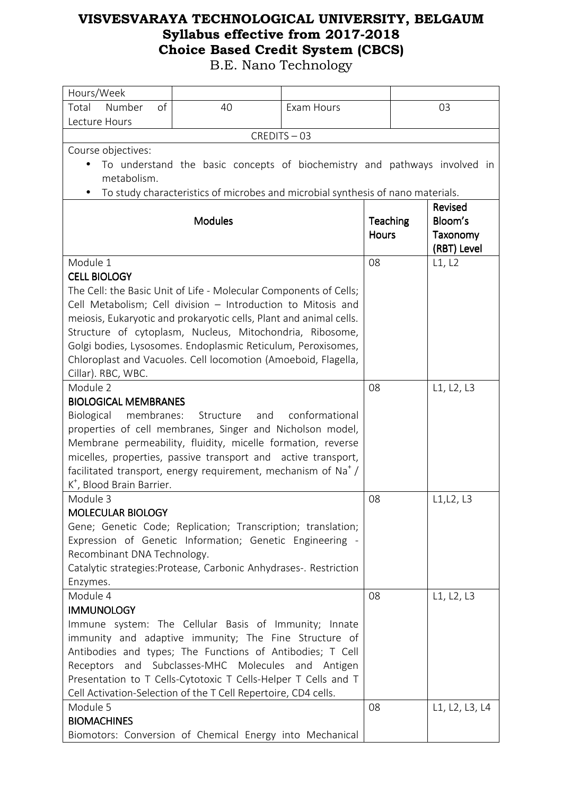| Hours/Week                                                                                                               |                                                                                 |            |              |                |  |
|--------------------------------------------------------------------------------------------------------------------------|---------------------------------------------------------------------------------|------------|--------------|----------------|--|
| Total Number<br>of                                                                                                       | 40                                                                              | Exam Hours |              | 03             |  |
| Lecture Hours                                                                                                            |                                                                                 |            |              |                |  |
| CREDITS-03                                                                                                               |                                                                                 |            |              |                |  |
| Course objectives:                                                                                                       |                                                                                 |            |              |                |  |
|                                                                                                                          | To understand the basic concepts of biochemistry and pathways involved in       |            |              |                |  |
| metabolism.                                                                                                              |                                                                                 |            |              |                |  |
|                                                                                                                          | To study characteristics of microbes and microbial synthesis of nano materials. |            |              |                |  |
|                                                                                                                          |                                                                                 |            |              | Revised        |  |
|                                                                                                                          | <b>Modules</b>                                                                  |            | Teaching     | Bloom's        |  |
|                                                                                                                          |                                                                                 |            | <b>Hours</b> | Taxonomy       |  |
|                                                                                                                          |                                                                                 |            |              | (RBT) Level    |  |
| Module 1                                                                                                                 |                                                                                 |            | 08           | L1, L2         |  |
| <b>CELL BIOLOGY</b>                                                                                                      |                                                                                 |            |              |                |  |
|                                                                                                                          | The Cell: the Basic Unit of Life - Molecular Components of Cells;               |            |              |                |  |
|                                                                                                                          | Cell Metabolism; Cell division - Introduction to Mitosis and                    |            |              |                |  |
|                                                                                                                          | meiosis, Eukaryotic and prokaryotic cells, Plant and animal cells.              |            |              |                |  |
|                                                                                                                          | Structure of cytoplasm, Nucleus, Mitochondria, Ribosome,                        |            |              |                |  |
|                                                                                                                          | Golgi bodies, Lysosomes. Endoplasmic Reticulum, Peroxisomes,                    |            |              |                |  |
|                                                                                                                          | Chloroplast and Vacuoles. Cell locomotion (Amoeboid, Flagella,                  |            |              |                |  |
| Cillar). RBC, WBC.                                                                                                       |                                                                                 |            |              |                |  |
| Module 2                                                                                                                 |                                                                                 |            | 08           | L1, L2, L3     |  |
| <b>BIOLOGICAL MEMBRANES</b>                                                                                              | Structure<br>and                                                                |            |              |                |  |
| Biological<br>membranes:                                                                                                 | conformational                                                                  |            |              |                |  |
| properties of cell membranes, Singer and Nicholson model,<br>Membrane permeability, fluidity, micelle formation, reverse |                                                                                 |            |              |                |  |
| micelles, properties, passive transport and active transport,                                                            |                                                                                 |            |              |                |  |
| facilitated transport, energy requirement, mechanism of $Na+$ /                                                          |                                                                                 |            |              |                |  |
| K <sup>+</sup> , Blood Brain Barrier.                                                                                    |                                                                                 |            |              |                |  |
| Module 3                                                                                                                 |                                                                                 |            | 08           | L1, L2, L3     |  |
| <b>MOLECULAR BIOLOGY</b>                                                                                                 |                                                                                 |            |              |                |  |
|                                                                                                                          | Gene; Genetic Code; Replication; Transcription; translation;                    |            |              |                |  |
|                                                                                                                          | Expression of Genetic Information; Genetic Engineering -                        |            |              |                |  |
| Recombinant DNA Technology.                                                                                              |                                                                                 |            |              |                |  |
|                                                                                                                          | Catalytic strategies: Protease, Carbonic Anhydrases-. Restriction               |            |              |                |  |
| Enzymes.                                                                                                                 |                                                                                 |            |              |                |  |
| Module 4                                                                                                                 |                                                                                 |            | 08           | L1, L2, L3     |  |
| <b>IMMUNOLOGY</b>                                                                                                        |                                                                                 |            |              |                |  |
| Immune system: The Cellular Basis of Immunity; Innate                                                                    |                                                                                 |            |              |                |  |
| immunity and adaptive immunity; The Fine Structure of                                                                    |                                                                                 |            |              |                |  |
| Antibodies and types; The Functions of Antibodies; T Cell                                                                |                                                                                 |            |              |                |  |
| Receptors                                                                                                                | and Subclasses-MHC Molecules and Antigen                                        |            |              |                |  |
| Presentation to T Cells-Cytotoxic T Cells-Helper T Cells and T                                                           |                                                                                 |            |              |                |  |
|                                                                                                                          | Cell Activation-Selection of the T Cell Repertoire, CD4 cells.                  |            |              |                |  |
| Module 5                                                                                                                 |                                                                                 |            | 08           | L1, L2, L3, L4 |  |
| <b>BIOMACHINES</b>                                                                                                       |                                                                                 |            |              |                |  |
| Biomotors: Conversion of Chemical Energy into Mechanical                                                                 |                                                                                 |            |              |                |  |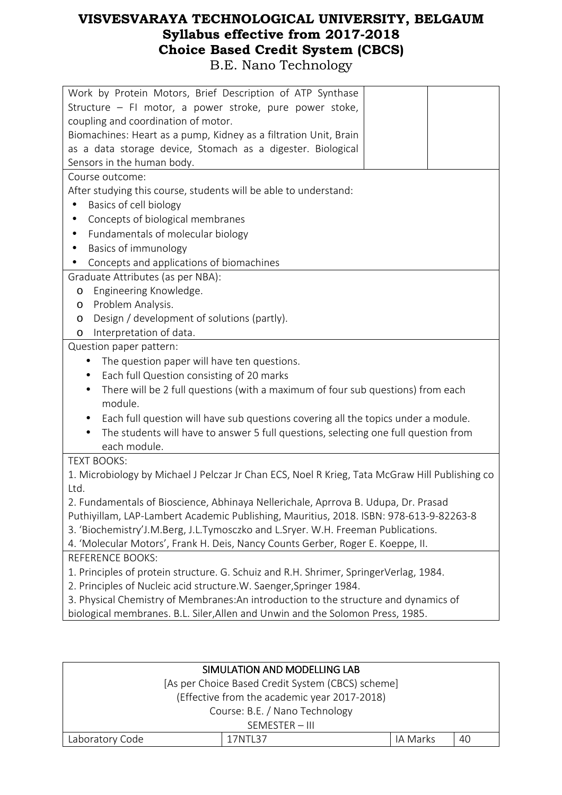| Work by Protein Motors, Brief Description of ATP Synthase                                      |  |  |  |  |
|------------------------------------------------------------------------------------------------|--|--|--|--|
| Structure - FI motor, a power stroke, pure power stoke,                                        |  |  |  |  |
| coupling and coordination of motor.                                                            |  |  |  |  |
| Biomachines: Heart as a pump, Kidney as a filtration Unit, Brain                               |  |  |  |  |
| as a data storage device, Stomach as a digester. Biological                                    |  |  |  |  |
| Sensors in the human body.                                                                     |  |  |  |  |
| Course outcome:                                                                                |  |  |  |  |
| After studying this course, students will be able to understand:                               |  |  |  |  |
| Basics of cell biology<br>$\bullet$                                                            |  |  |  |  |
| Concepts of biological membranes                                                               |  |  |  |  |
| Fundamentals of molecular biology<br>$\bullet$                                                 |  |  |  |  |
| Basics of immunology<br>$\bullet$                                                              |  |  |  |  |
| Concepts and applications of biomachines                                                       |  |  |  |  |
| Graduate Attributes (as per NBA):                                                              |  |  |  |  |
| Engineering Knowledge.<br>O                                                                    |  |  |  |  |
| Problem Analysis.<br>O                                                                         |  |  |  |  |
| Design / development of solutions (partly).<br>O                                               |  |  |  |  |
| Interpretation of data.<br>O                                                                   |  |  |  |  |
| Question paper pattern:                                                                        |  |  |  |  |
| The question paper will have ten questions.<br>$\bullet$                                       |  |  |  |  |
| Each full Question consisting of 20 marks<br>$\bullet$                                         |  |  |  |  |
| There will be 2 full questions (with a maximum of four sub questions) from each<br>$\bullet$   |  |  |  |  |
| module.                                                                                        |  |  |  |  |
| Each full question will have sub questions covering all the topics under a module.             |  |  |  |  |
| The students will have to answer 5 full questions, selecting one full question from            |  |  |  |  |
| each module.                                                                                   |  |  |  |  |
| <b>TEXT BOOKS:</b>                                                                             |  |  |  |  |
| 1. Microbiology by Michael J Pelczar Jr Chan ECS, Noel R Krieg, Tata McGraw Hill Publishing co |  |  |  |  |
| Ltd.                                                                                           |  |  |  |  |
| 2. Fundamentals of Bioscience, Abhinaya Nellerichale, Aprrova B. Udupa, Dr. Prasad             |  |  |  |  |
| Puthiyillam, LAP-Lambert Academic Publishing, Mauritius, 2018. ISBN: 978-613-9-82263-8         |  |  |  |  |
| 3. 'Biochemistry'J.M.Berg, J.L.Tymosczko and L.Sryer. W.H. Freeman Publications.               |  |  |  |  |
| 4. 'Molecular Motors', Frank H. Deis, Nancy Counts Gerber, Roger E. Koeppe, II.                |  |  |  |  |
| <b>REFERENCE BOOKS:</b>                                                                        |  |  |  |  |
| 1. Principles of protein structure. G. Schuiz and R.H. Shrimer, SpringerVerlag, 1984.          |  |  |  |  |
| 2. Principles of Nucleic acid structure.W. Saenger, Springer 1984.                             |  |  |  |  |
| 3. Physical Chemistry of Membranes: An introduction to the structure and dynamics of           |  |  |  |  |
| biological membranes. B.L. Siler, Allen and Unwin and the Solomon Press, 1985.                 |  |  |  |  |
|                                                                                                |  |  |  |  |
|                                                                                                |  |  |  |  |

| SIMULATION AND MODELLING LAB                      |                                              |  |  |  |
|---------------------------------------------------|----------------------------------------------|--|--|--|
| [As per Choice Based Credit System (CBCS) scheme] |                                              |  |  |  |
|                                                   | (Effective from the academic year 2017-2018) |  |  |  |
| Course: B.E. / Nano Technology                    |                                              |  |  |  |
| SEMESTER - III                                    |                                              |  |  |  |
| Laboratory Code<br>IA Marks<br>40<br>17NTL37      |                                              |  |  |  |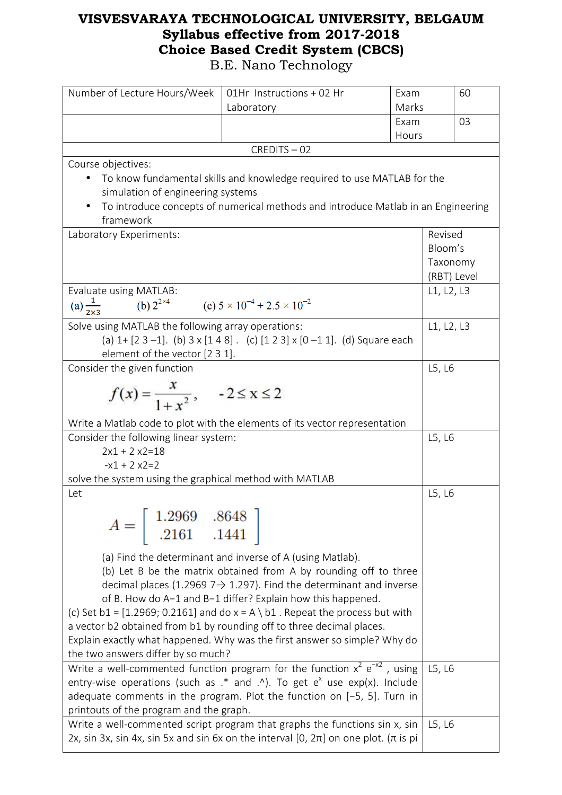| Number of Lecture Hours/Week                                        | 01Hr Instructions + 02 Hr                                                                                 | Exam  |            | 60          |
|---------------------------------------------------------------------|-----------------------------------------------------------------------------------------------------------|-------|------------|-------------|
|                                                                     | Laboratory                                                                                                | Marks |            |             |
|                                                                     |                                                                                                           | Exam  |            | 03          |
|                                                                     |                                                                                                           | Hours |            |             |
|                                                                     | CREDITS-02                                                                                                |       |            |             |
| Course objectives:                                                  |                                                                                                           |       |            |             |
|                                                                     | To know fundamental skills and knowledge required to use MATLAB for the                                   |       |            |             |
| simulation of engineering systems                                   |                                                                                                           |       |            |             |
| framework                                                           | To introduce concepts of numerical methods and introduce Matlab in an Engineering                         |       |            |             |
| Laboratory Experiments:                                             |                                                                                                           |       | Revised    |             |
|                                                                     |                                                                                                           |       | Bloom's    |             |
|                                                                     |                                                                                                           |       | Taxonomy   |             |
|                                                                     |                                                                                                           |       |            | (RBT) Level |
| Evaluate using MATLAB:                                              |                                                                                                           |       | L1, L2, L3 |             |
| (a) $\frac{1}{2\times 3}$                                           | (b) $2^{2 \times 4}$ (c) $5 \times 10^{-4} + 2.5 \times 10^{-2}$                                          |       |            |             |
| Solve using MATLAB the following array operations:                  |                                                                                                           |       | L1, L2, L3 |             |
|                                                                     | (a) $1 + [2 \ 3 -1]$ . (b) $3 \times [1 \ 4 \ 8]$ . (c) $[1 \ 2 \ 3] \times [0 -1 \ 1]$ . (d) Square each |       |            |             |
| element of the vector [2 3 1].                                      |                                                                                                           |       |            |             |
| Consider the given function                                         |                                                                                                           |       | L5, L6     |             |
|                                                                     |                                                                                                           |       |            |             |
| $f(x) = \frac{x}{1+x^2},$ $-2 \le x \le 2$                          |                                                                                                           |       |            |             |
|                                                                     | Write a Matlab code to plot with the elements of its vector representation                                |       |            |             |
| Consider the following linear system:                               |                                                                                                           |       | L5, L6     |             |
| $2x1 + 2x2 = 18$                                                    |                                                                                                           |       |            |             |
| $-x1 + 2x2 = 2$                                                     |                                                                                                           |       |            |             |
| solve the system using the graphical method with MATLAB             |                                                                                                           |       |            |             |
| Let                                                                 |                                                                                                           |       | L5, L6     |             |
|                                                                     |                                                                                                           |       |            |             |
|                                                                     |                                                                                                           |       |            |             |
| $A = \begin{bmatrix} 1.2969 & .8648 \\ .2161 & .1441 \end{bmatrix}$ |                                                                                                           |       |            |             |
|                                                                     |                                                                                                           |       |            |             |
|                                                                     | (a) Find the determinant and inverse of A (using Matlab).                                                 |       |            |             |
|                                                                     | (b) Let B be the matrix obtained from A by rounding off to three                                          |       |            |             |
|                                                                     | decimal places (1.2969 7 $\rightarrow$ 1.297). Find the determinant and inverse                           |       |            |             |
|                                                                     | of B. How do A-1 and B-1 differ? Explain how this happened.                                               |       |            |             |
|                                                                     | (c) Set $b1 = [1.2969; 0.2161]$ and do $x = A \ b1$ . Repeat the process but with                         |       |            |             |
|                                                                     | a vector b2 obtained from b1 by rounding off to three decimal places.                                     |       |            |             |
|                                                                     | Explain exactly what happened. Why was the first answer so simple? Why do                                 |       |            |             |
| the two answers differ by so much?                                  | Write a well-commented function program for the function $x^2 e^{-x^2}$ , using                           |       | L5, L6     |             |
|                                                                     | entry-wise operations (such as $.*$ and $.\prime$ ). To get e <sup>x</sup> use exp(x). Include            |       |            |             |
|                                                                     | adequate comments in the program. Plot the function on [-5, 5]. Turn in                                   |       |            |             |
| printouts of the program and the graph.                             |                                                                                                           |       |            |             |
|                                                                     | Write a well-commented script program that graphs the functions sin x, sin                                |       | L5, L6     |             |
|                                                                     | 2x, sin 3x, sin 4x, sin 5x and sin 6x on the interval $[0, 2\pi]$ on one plot. ( $\pi$ is pi              |       |            |             |
|                                                                     |                                                                                                           |       |            |             |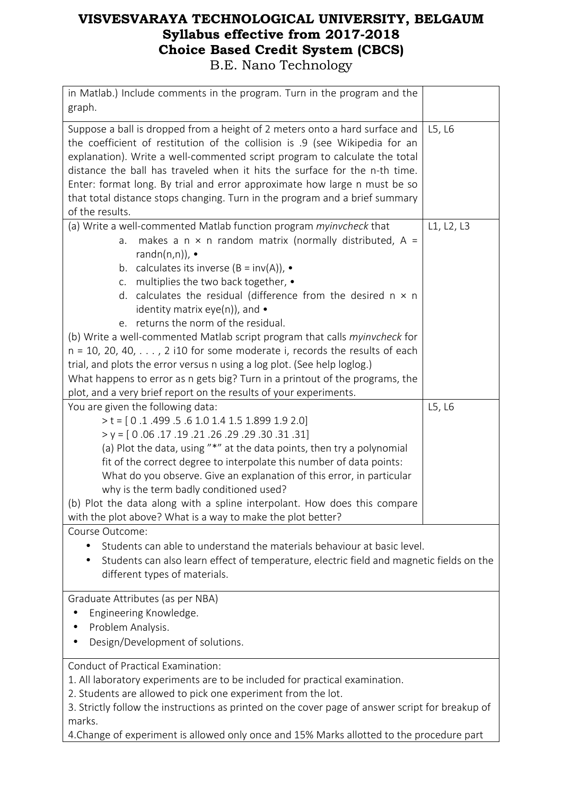| in Matlab.) Include comments in the program. Turn in the program and the                                                                                                                                                                                                                                                                                                                                                                                                                                                                                                                                                                                                       |            |  |  |  |
|--------------------------------------------------------------------------------------------------------------------------------------------------------------------------------------------------------------------------------------------------------------------------------------------------------------------------------------------------------------------------------------------------------------------------------------------------------------------------------------------------------------------------------------------------------------------------------------------------------------------------------------------------------------------------------|------------|--|--|--|
| graph.                                                                                                                                                                                                                                                                                                                                                                                                                                                                                                                                                                                                                                                                         |            |  |  |  |
| Suppose a ball is dropped from a height of 2 meters onto a hard surface and<br>L5, L6<br>the coefficient of restitution of the collision is .9 (see Wikipedia for an<br>explanation). Write a well-commented script program to calculate the total<br>distance the ball has traveled when it hits the surface for the n-th time.<br>Enter: format long. By trial and error approximate how large n must be so                                                                                                                                                                                                                                                                  |            |  |  |  |
| that total distance stops changing. Turn in the program and a brief summary<br>of the results.                                                                                                                                                                                                                                                                                                                                                                                                                                                                                                                                                                                 |            |  |  |  |
| (a) Write a well-commented Matlab function program myinvcheck that<br>makes a $n \times n$ random matrix (normally distributed, A =<br>a.<br>randn(n,n)), $\bullet$<br>calculates its inverse $(B = inv(A))$ , •<br>b.<br>multiplies the two back together, •<br>C.<br>d. calculates the residual (difference from the desired $n \times n$<br>identity matrix eye(n)), and $\bullet$<br>e. returns the norm of the residual.<br>(b) Write a well-commented Matlab script program that calls myinvcheck for<br>$n = 10$ , 20, 40, $\dots$ , 2 i10 for some moderate i, records the results of each<br>trial, and plots the error versus n using a log plot. (See help loglog.) | L1, L2, L3 |  |  |  |
| What happens to error as n gets big? Turn in a printout of the programs, the                                                                                                                                                                                                                                                                                                                                                                                                                                                                                                                                                                                                   |            |  |  |  |
| plot, and a very brief report on the results of your experiments.                                                                                                                                                                                                                                                                                                                                                                                                                                                                                                                                                                                                              |            |  |  |  |
| You are given the following data:<br>$> t = [0.1.499.5.61.01.41.51.8991.92.0]$<br>$y = [0.06.17.19.21.26.29.30.31.31]$<br>(a) Plot the data, using "*" at the data points, then try a polynomial<br>fit of the correct degree to interpolate this number of data points:<br>What do you observe. Give an explanation of this error, in particular<br>why is the term badly conditioned used?<br>(b) Plot the data along with a spline interpolant. How does this compare<br>with the plot above? What is a way to make the plot better?                                                                                                                                        | L5, L6     |  |  |  |
| Course Outcome:                                                                                                                                                                                                                                                                                                                                                                                                                                                                                                                                                                                                                                                                |            |  |  |  |
| Students can able to understand the materials behaviour at basic level.<br>Students can also learn effect of temperature, electric field and magnetic fields on the<br>different types of materials.                                                                                                                                                                                                                                                                                                                                                                                                                                                                           |            |  |  |  |
| Graduate Attributes (as per NBA)<br>Engineering Knowledge.<br>Problem Analysis.<br>Design/Development of solutions.                                                                                                                                                                                                                                                                                                                                                                                                                                                                                                                                                            |            |  |  |  |
| Conduct of Practical Examination:<br>1. All laboratory experiments are to be included for practical examination.<br>2. Students are allowed to pick one experiment from the lot.<br>3. Strictly follow the instructions as printed on the cover page of answer script for breakup of<br>marks.                                                                                                                                                                                                                                                                                                                                                                                 |            |  |  |  |

4.Change of experiment is allowed only once and 15% Marks allotted to the procedure part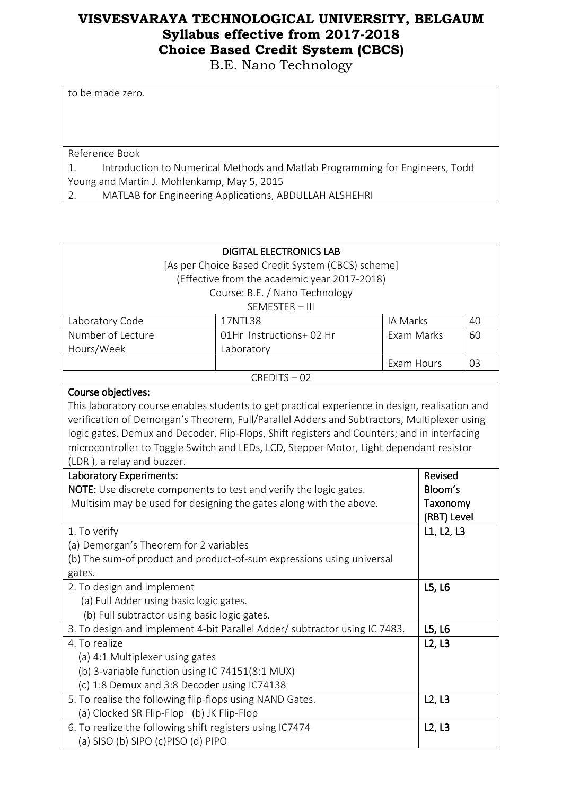B.E. Nano Technology

to be made zero.

Reference Book

1. Introduction to Numerical Methods and Matlab Programming for Engineers, Todd Young and Martin J. Mohlenkamp, May 5, 2015

2. MATLAB for Engineering Applications, ABDULLAH ALSHEHRI

| <b>DIGITAL ELECTRONICS LAB</b>                                             |                                                                                                |            |             |    |
|----------------------------------------------------------------------------|------------------------------------------------------------------------------------------------|------------|-------------|----|
| [As per Choice Based Credit System (CBCS) scheme]                          |                                                                                                |            |             |    |
|                                                                            | (Effective from the academic year 2017-2018)                                                   |            |             |    |
|                                                                            | Course: B.E. / Nano Technology                                                                 |            |             |    |
|                                                                            | SEMESTER-III                                                                                   |            |             |    |
| Laboratory Code                                                            | 17NTL38                                                                                        | IA Marks   |             | 40 |
| Number of Lecture                                                          | 01Hr Instructions+02 Hr                                                                        | Exam Marks |             | 60 |
| Hours/Week                                                                 | Laboratory                                                                                     |            |             |    |
|                                                                            |                                                                                                | Exam Hours |             | 03 |
|                                                                            | CREDITS-02                                                                                     |            |             |    |
| Course objectives:                                                         |                                                                                                |            |             |    |
|                                                                            | This laboratory course enables students to get practical experience in design, realisation and |            |             |    |
|                                                                            | verification of Demorgan's Theorem, Full/Parallel Adders and Subtractors, Multiplexer using    |            |             |    |
|                                                                            | logic gates, Demux and Decoder, Flip-Flops, Shift registers and Counters; and in interfacing   |            |             |    |
|                                                                            | microcontroller to Toggle Switch and LEDs, LCD, Stepper Motor, Light dependant resistor        |            |             |    |
| (LDR), a relay and buzzer.                                                 |                                                                                                |            |             |    |
|                                                                            | <b>Revised</b><br>Laboratory Experiments:                                                      |            |             |    |
| <b>NOTE:</b> Use discrete components to test and verify the logic gates.   |                                                                                                |            | Bloom's     |    |
| Multisim may be used for designing the gates along with the above.         |                                                                                                |            | Taxonomy    |    |
|                                                                            |                                                                                                |            | (RBT) Level |    |
| 1. To verify                                                               |                                                                                                |            | L1, L2, L3  |    |
| (a) Demorgan's Theorem for 2 variables                                     |                                                                                                |            |             |    |
| (b) The sum-of product and product-of-sum expressions using universal      |                                                                                                |            |             |    |
|                                                                            | gates.                                                                                         |            |             |    |
| 2. To design and implement                                                 |                                                                                                |            | L5, L6      |    |
| (a) Full Adder using basic logic gates.                                    |                                                                                                |            |             |    |
|                                                                            | (b) Full subtractor using basic logic gates.                                                   |            |             |    |
| 3. To design and implement 4-bit Parallel Adder/ subtractor using IC 7483. |                                                                                                |            | L5, L6      |    |
| 4. To realize                                                              |                                                                                                |            | L2, L3      |    |
| (a) 4:1 Multiplexer using gates                                            |                                                                                                |            |             |    |
| (b) 3-variable function using IC 74151(8:1 MUX)                            |                                                                                                |            |             |    |
| (c) 1:8 Demux and 3:8 Decoder using IC74138                                |                                                                                                |            |             |    |
| 5. To realise the following flip-flops using NAND Gates.                   |                                                                                                |            | L2, L3      |    |
| (a) Clocked SR Flip-Flop (b) JK Flip-Flop                                  |                                                                                                |            |             |    |
| 6. To realize the following shift registers using IC7474                   |                                                                                                |            | L2, L3      |    |
| (a) SISO (b) SIPO (c)PISO (d) PIPO                                         |                                                                                                |            |             |    |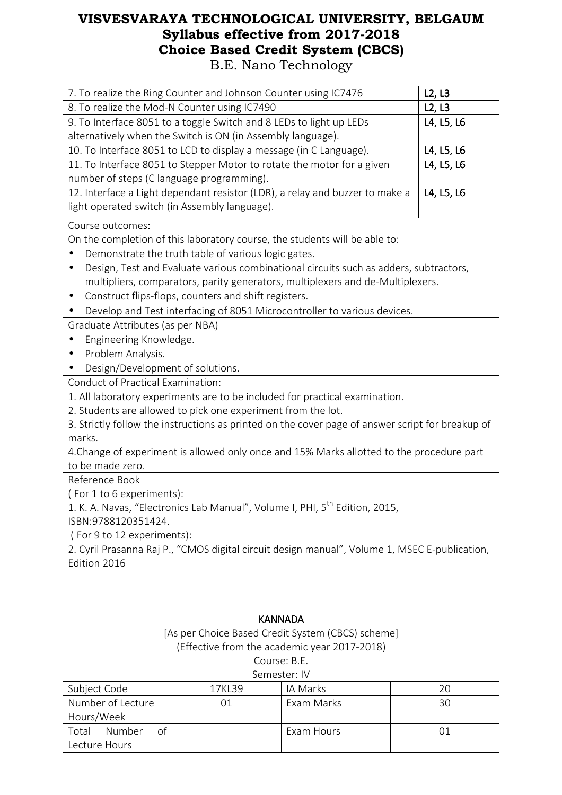| 7. To realize the Ring Counter and Johnson Counter using IC7476                                    | L2, L3     |  |  |
|----------------------------------------------------------------------------------------------------|------------|--|--|
| 8. To realize the Mod-N Counter using IC7490                                                       | L2, L3     |  |  |
| 9. To Interface 8051 to a toggle Switch and 8 LEDs to light up LEDs                                | L4, L5, L6 |  |  |
| alternatively when the Switch is ON (in Assembly language).                                        |            |  |  |
| 10. To Interface 8051 to LCD to display a message (in C Language).                                 | L4, L5, L6 |  |  |
| 11. To Interface 8051 to Stepper Motor to rotate the motor for a given                             | L4, L5, L6 |  |  |
| number of steps (C language programming).                                                          |            |  |  |
| 12. Interface a Light dependant resistor (LDR), a relay and buzzer to make a                       | L4, L5, L6 |  |  |
| light operated switch (in Assembly language).                                                      |            |  |  |
| Course outcomes:                                                                                   |            |  |  |
| On the completion of this laboratory course, the students will be able to:                         |            |  |  |
| Demonstrate the truth table of various logic gates.                                                |            |  |  |
| Design, Test and Evaluate various combinational circuits such as adders, subtractors,<br>$\bullet$ |            |  |  |
| multipliers, comparators, parity generators, multiplexers and de-Multiplexers.                     |            |  |  |
| Construct flips-flops, counters and shift registers.                                               |            |  |  |
| Develop and Test interfacing of 8051 Microcontroller to various devices.                           |            |  |  |
| Graduate Attributes (as per NBA)                                                                   |            |  |  |
| Engineering Knowledge.                                                                             |            |  |  |
| Problem Analysis.                                                                                  |            |  |  |
| Design/Development of solutions.                                                                   |            |  |  |
| Conduct of Practical Examination:                                                                  |            |  |  |
| 1. All laboratory experiments are to be included for practical examination.                        |            |  |  |
| 2. Students are allowed to pick one experiment from the lot.                                       |            |  |  |
| 3. Strictly follow the instructions as printed on the cover page of answer script for breakup of   |            |  |  |
| marks.                                                                                             |            |  |  |
| 4. Change of experiment is allowed only once and 15% Marks allotted to the procedure part          |            |  |  |
| to be made zero.                                                                                   |            |  |  |
| Reference Book                                                                                     |            |  |  |
| (For 1 to 6 experiments):                                                                          |            |  |  |
| 1. K. A. Navas, "Electronics Lab Manual", Volume I, PHI, 5 <sup>th</sup> Edition, 2015,            |            |  |  |
| ISBN:9788120351424.                                                                                |            |  |  |
| (For 9 to 12 experiments):                                                                         |            |  |  |
| 2. Cyril Prasanna Raj P., "CMOS digital circuit design manual", Volume 1, MSEC E-publication,      |            |  |  |
| Edition 2016                                                                                       |            |  |  |
|                                                                                                    |            |  |  |

| <b>KANNADA</b><br>[As per Choice Based Credit System (CBCS) scheme]<br>(Effective from the academic year 2017-2018) |                          |  |  |  |  |
|---------------------------------------------------------------------------------------------------------------------|--------------------------|--|--|--|--|
| Course: B.E.<br>Semester: IV                                                                                        |                          |  |  |  |  |
| Subject Code                                                                                                        | IA Marks<br>17KL39<br>20 |  |  |  |  |
| Number of Lecture<br>Exam Marks<br>30<br>01<br>Hours/Week                                                           |                          |  |  |  |  |
| of<br>Number<br>Total<br>Exam Hours<br>01<br>Lecture Hours                                                          |                          |  |  |  |  |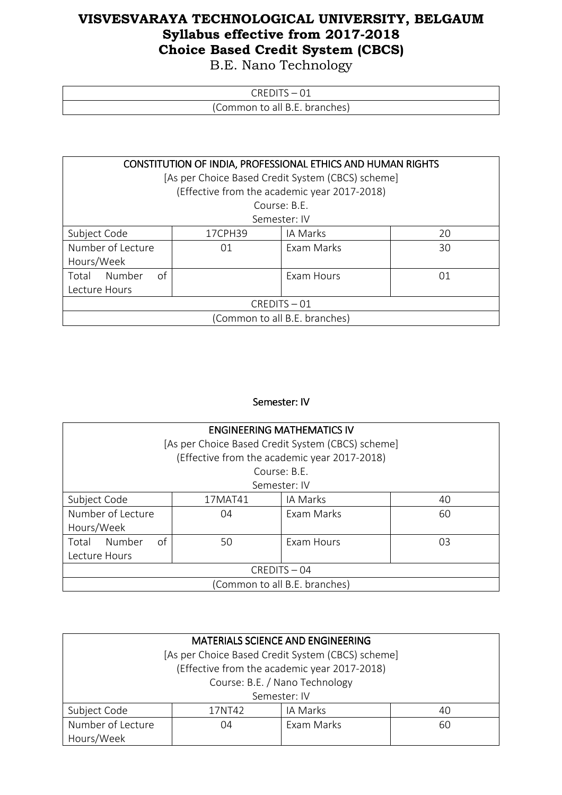B.E. Nano Technology

| $\sim$<br>ิน⊢<br>$\mathbf{H}$ |
|-------------------------------|
| Common to all B.E. branches)  |

| CONSTITUTION OF INDIA, PROFESSIONAL ETHICS AND HUMAN RIGHTS |                           |                                                   |    |  |  |  |
|-------------------------------------------------------------|---------------------------|---------------------------------------------------|----|--|--|--|
|                                                             |                           | [As per Choice Based Credit System (CBCS) scheme] |    |  |  |  |
|                                                             |                           | (Effective from the academic year 2017-2018)      |    |  |  |  |
|                                                             |                           | Course: B.F.                                      |    |  |  |  |
|                                                             |                           | Semester: IV                                      |    |  |  |  |
| Subject Code                                                | IA Marks<br>17CPH39<br>20 |                                                   |    |  |  |  |
| Number of Lecture<br>Exam Marks<br>30<br>01                 |                           |                                                   |    |  |  |  |
| Hours/Week                                                  |                           |                                                   |    |  |  |  |
| of<br>Number<br>Total                                       |                           | Exam Hours                                        | 01 |  |  |  |
| Lecture Hours                                               |                           |                                                   |    |  |  |  |
| $CREDITS - 01$                                              |                           |                                                   |    |  |  |  |
| (Common to all B.E. branches)                               |                           |                                                   |    |  |  |  |

#### Semester: IV

| <b>ENGINEERING MATHEMATICS IV</b>           |                           |                                                   |    |  |  |  |
|---------------------------------------------|---------------------------|---------------------------------------------------|----|--|--|--|
|                                             |                           | [As per Choice Based Credit System (CBCS) scheme] |    |  |  |  |
|                                             |                           | (Effective from the academic year 2017-2018)      |    |  |  |  |
|                                             |                           | Course: B.F.                                      |    |  |  |  |
|                                             |                           | Semester: IV                                      |    |  |  |  |
| Subject Code                                | IA Marks<br>17MAT41<br>40 |                                                   |    |  |  |  |
| Number of Lecture<br>Exam Marks<br>60<br>04 |                           |                                                   |    |  |  |  |
| Hours/Week                                  |                           |                                                   |    |  |  |  |
| of<br>Number<br>Total                       | 50                        | <b>Fxam Hours</b>                                 | 03 |  |  |  |
| Lecture Hours                               |                           |                                                   |    |  |  |  |
| $CREDITS - 04$                              |                           |                                                   |    |  |  |  |
| (Common to all B.E. branches)               |                           |                                                   |    |  |  |  |

| MATERIALS SCIENCE AND ENGINEERING                 |              |  |  |  |  |
|---------------------------------------------------|--------------|--|--|--|--|
| [As per Choice Based Credit System (CBCS) scheme] |              |  |  |  |  |
| (Effective from the academic year 2017-2018)      |              |  |  |  |  |
| Course: B.E. / Nano Technology                    |              |  |  |  |  |
|                                                   | Semester: IV |  |  |  |  |
| Subject Code<br>IA Marks<br>17NT42<br>40          |              |  |  |  |  |
| Number of Lecture<br>Exam Marks<br>04<br>60       |              |  |  |  |  |
| Hours/Week                                        |              |  |  |  |  |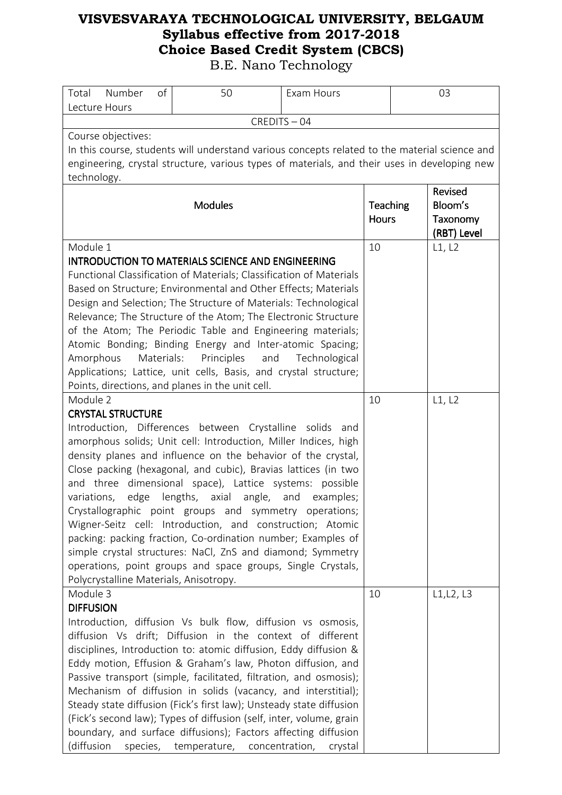| Number<br>Total<br>Lecture Hours                                                                                                                                                                                    | of         | 50                                                                                                                                                                                                                                                                                                                                                                                                                                                                                                                                                                                                                                                                         | Exam Hours       |                          | 03 |                                               |
|---------------------------------------------------------------------------------------------------------------------------------------------------------------------------------------------------------------------|------------|----------------------------------------------------------------------------------------------------------------------------------------------------------------------------------------------------------------------------------------------------------------------------------------------------------------------------------------------------------------------------------------------------------------------------------------------------------------------------------------------------------------------------------------------------------------------------------------------------------------------------------------------------------------------------|------------------|--------------------------|----|-----------------------------------------------|
| CREDITS-04                                                                                                                                                                                                          |            |                                                                                                                                                                                                                                                                                                                                                                                                                                                                                                                                                                                                                                                                            |                  |                          |    |                                               |
| Course objectives:<br>In this course, students will understand various concepts related to the material science and<br>engineering, crystal structure, various types of materials, and their uses in developing new |            |                                                                                                                                                                                                                                                                                                                                                                                                                                                                                                                                                                                                                                                                            |                  |                          |    |                                               |
| technology.                                                                                                                                                                                                         |            | <b>Modules</b>                                                                                                                                                                                                                                                                                                                                                                                                                                                                                                                                                                                                                                                             |                  | Teaching<br><b>Hours</b> |    | Revised<br>Bloom's<br>Taxonomy<br>(RBT) Level |
| Module 1<br>Amorphous<br>Module 2                                                                                                                                                                                   | Materials: | <b>INTRODUCTION TO MATERIALS SCIENCE AND ENGINEERING</b><br>Functional Classification of Materials; Classification of Materials<br>Based on Structure; Environmental and Other Effects; Materials<br>Design and Selection; The Structure of Materials: Technological<br>Relevance; The Structure of the Atom; The Electronic Structure<br>of the Atom; The Periodic Table and Engineering materials;<br>Atomic Bonding; Binding Energy and Inter-atomic Spacing;<br>Principles<br>and<br>Applications; Lattice, unit cells, Basis, and crystal structure;<br>Points, directions, and planes in the unit cell.                                                              | Technological    | 10<br>10                 |    | L1, L2<br>L1, L2                              |
| <b>CRYSTAL STRUCTURE</b><br>variations,<br>Polycrystalline Materials, Anisotropy.                                                                                                                                   |            | Introduction, Differences between Crystalline solids and<br>amorphous solids; Unit cell: Introduction, Miller Indices, high<br>density planes and influence on the behavior of the crystal,<br>Close packing (hexagonal, and cubic), Bravias lattices (in two<br>and three dimensional space), Lattice systems: possible<br>edge lengths, axial angle,<br>Crystallographic point groups and symmetry operations;<br>Wigner-Seitz cell: Introduction, and construction; Atomic<br>packing: packing fraction, Co-ordination number; Examples of<br>simple crystal structures: NaCl, ZnS and diamond; Symmetry<br>operations, point groups and space groups, Single Crystals, | and<br>examples; |                          |    |                                               |
| Module 3<br><b>DIFFUSION</b><br>(diffusion                                                                                                                                                                          |            | Introduction, diffusion Vs bulk flow, diffusion vs osmosis,<br>diffusion Vs drift; Diffusion in the context of different<br>disciplines, Introduction to: atomic diffusion, Eddy diffusion &<br>Eddy motion, Effusion & Graham's law, Photon diffusion, and<br>Passive transport (simple, facilitated, filtration, and osmosis);<br>Mechanism of diffusion in solids (vacancy, and interstitial);<br>Steady state diffusion (Fick's first law); Unsteady state diffusion<br>(Fick's second law); Types of diffusion (self, inter, volume, grain<br>boundary, and surface diffusions); Factors affecting diffusion<br>species, temperature, concentration,                  | crystal          | 10                       |    | L1, L2, L3                                    |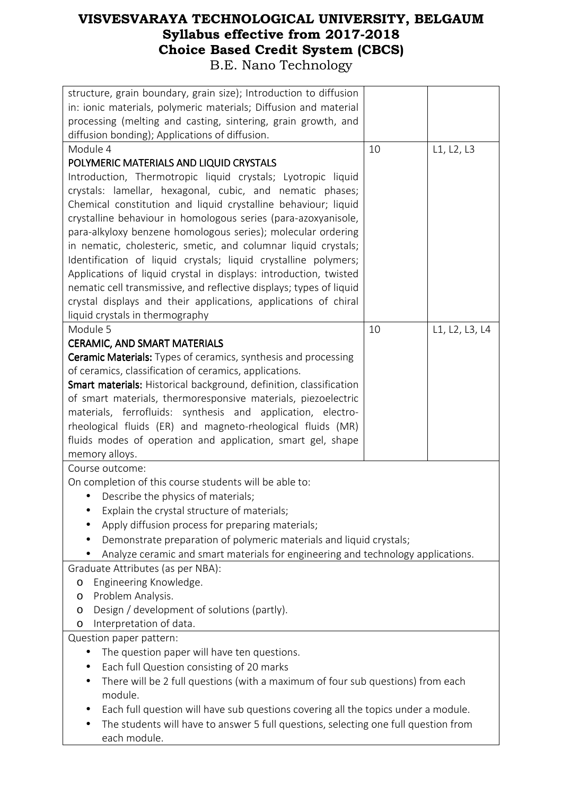| structure, grain boundary, grain size); Introduction to diffusion<br>in: ionic materials, polymeric materials; Diffusion and material<br>processing (melting and casting, sintering, grain growth, and<br>diffusion bonding); Applications of diffusion. |    |                |  |
|----------------------------------------------------------------------------------------------------------------------------------------------------------------------------------------------------------------------------------------------------------|----|----------------|--|
| Module 4                                                                                                                                                                                                                                                 | 10 | L1, L2, L3     |  |
| POLYMERIC MATERIALS AND LIQUID CRYSTALS                                                                                                                                                                                                                  |    |                |  |
| Introduction, Thermotropic liquid crystals; Lyotropic liquid                                                                                                                                                                                             |    |                |  |
| crystals: lamellar, hexagonal, cubic, and nematic phases;                                                                                                                                                                                                |    |                |  |
| Chemical constitution and liquid crystalline behaviour; liquid                                                                                                                                                                                           |    |                |  |
| crystalline behaviour in homologous series (para-azoxyanisole,                                                                                                                                                                                           |    |                |  |
| para-alkyloxy benzene homologous series); molecular ordering                                                                                                                                                                                             |    |                |  |
| in nematic, cholesteric, smetic, and columnar liquid crystals;                                                                                                                                                                                           |    |                |  |
| Identification of liquid crystals; liquid crystalline polymers;                                                                                                                                                                                          |    |                |  |
| Applications of liquid crystal in displays: introduction, twisted                                                                                                                                                                                        |    |                |  |
| nematic cell transmissive, and reflective displays; types of liquid                                                                                                                                                                                      |    |                |  |
| crystal displays and their applications, applications of chiral                                                                                                                                                                                          |    |                |  |
| liquid crystals in thermography                                                                                                                                                                                                                          |    |                |  |
| Module 5                                                                                                                                                                                                                                                 | 10 | L1, L2, L3, L4 |  |
| <b>CERAMIC, AND SMART MATERIALS</b>                                                                                                                                                                                                                      |    |                |  |
| <b>Ceramic Materials:</b> Types of ceramics, synthesis and processing                                                                                                                                                                                    |    |                |  |
| of ceramics, classification of ceramics, applications.                                                                                                                                                                                                   |    |                |  |
| Smart materials: Historical background, definition, classification                                                                                                                                                                                       |    |                |  |
| of smart materials, thermoresponsive materials, piezoelectric                                                                                                                                                                                            |    |                |  |
| materials, ferrofluids: synthesis and application, electro-                                                                                                                                                                                              |    |                |  |
| rheological fluids (ER) and magneto-rheological fluids (MR)                                                                                                                                                                                              |    |                |  |
| fluids modes of operation and application, smart gel, shape                                                                                                                                                                                              |    |                |  |
| memory alloys.<br>Course outcome:                                                                                                                                                                                                                        |    |                |  |
| On completion of this course students will be able to:                                                                                                                                                                                                   |    |                |  |
| Describe the physics of materials;<br>$\bullet$                                                                                                                                                                                                          |    |                |  |
| Explain the crystal structure of materials;                                                                                                                                                                                                              |    |                |  |
| Apply diffusion process for preparing materials;<br>٠                                                                                                                                                                                                    |    |                |  |
| Demonstrate preparation of polymeric materials and liquid crystals;                                                                                                                                                                                      |    |                |  |
| Analyze ceramic and smart materials for engineering and technology applications.                                                                                                                                                                         |    |                |  |
| Graduate Attributes (as per NBA):                                                                                                                                                                                                                        |    |                |  |
| Engineering Knowledge.<br>$\circ$                                                                                                                                                                                                                        |    |                |  |
| Problem Analysis.<br>O                                                                                                                                                                                                                                   |    |                |  |
| Design / development of solutions (partly).<br>O                                                                                                                                                                                                         |    |                |  |
| Interpretation of data.<br>O                                                                                                                                                                                                                             |    |                |  |
| Question paper pattern:                                                                                                                                                                                                                                  |    |                |  |
| The question paper will have ten questions.                                                                                                                                                                                                              |    |                |  |
| Each full Question consisting of 20 marks<br>$\bullet$                                                                                                                                                                                                   |    |                |  |
| There will be 2 full questions (with a maximum of four sub questions) from each<br>$\bullet$                                                                                                                                                             |    |                |  |
| module.                                                                                                                                                                                                                                                  |    |                |  |
| Each full question will have sub questions covering all the topics under a module.                                                                                                                                                                       |    |                |  |
| The students will have to answer 5 full questions, selecting one full question from<br>$\bullet$                                                                                                                                                         |    |                |  |
| each module.                                                                                                                                                                                                                                             |    |                |  |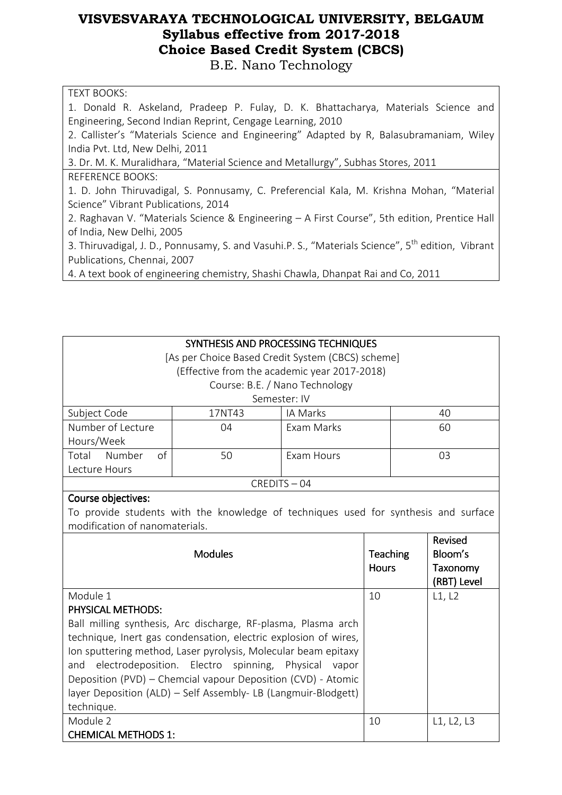B.E. Nano Technology

#### TEXT BOOKS:

1. Donald R. Askeland, Pradeep P. Fulay, D. K. Bhattacharya, Materials Science and Engineering, Second Indian Reprint, Cengage Learning, 2010

2. Callister's "Materials Science and Engineering" Adapted by R, Balasubramaniam, Wiley India Pvt. Ltd, New Delhi, 2011

3. Dr. M. K. Muralidhara, "Material Science and Metallurgy", Subhas Stores, 2011 REFERENCE BOOKS:

1. D. John Thiruvadigal, S. Ponnusamy, C. Preferencial Kala, M. Krishna Mohan, "Material Science" Vibrant Publications, 2014

2. Raghavan V. "Materials Science & Engineering – A First Course", 5th edition, Prentice Hall of India, New Delhi, 2005

3. Thiruvadigal, J. D., Ponnusamy, S. and Vasuhi.P. S., "Materials Science", 5<sup>th</sup> edition, Vibrant Publications, Chennai, 2007

4. A text book of engineering chemistry, Shashi Chawla, Dhanpat Rai and Co, 2011

| SYNTHESIS AND PROCESSING TECHNIQUES               |    |                                              |    |  |  |
|---------------------------------------------------|----|----------------------------------------------|----|--|--|
| [As per Choice Based Credit System (CBCS) scheme] |    |                                              |    |  |  |
|                                                   |    | (Effective from the academic year 2017-2018) |    |  |  |
|                                                   |    | Course: B.E. / Nano Technology               |    |  |  |
| Semester: IV                                      |    |                                              |    |  |  |
| Subject Code<br>IA Marks<br>17NT43<br>40          |    |                                              |    |  |  |
| Number of Lecture                                 | 04 | Exam Marks                                   | 60 |  |  |
| Hours/Week                                        |    |                                              |    |  |  |
| Number<br>Total<br>οf                             | 50 | <b>Fxam Hours</b>                            | 03 |  |  |
| Lecture Hours                                     |    |                                              |    |  |  |
| $CREDITS - 04$                                    |    |                                              |    |  |  |

#### Course objectives:

To provide students with the knowledge of techniques used for synthesis and surface modification of nanomaterials.

| <b>Modules</b>                                                  | <b>Teaching</b><br><b>Hours</b> | Revised<br>Bloom's<br>Taxonomy |
|-----------------------------------------------------------------|---------------------------------|--------------------------------|
|                                                                 |                                 | (RBT) Level                    |
| Module 1                                                        | 10                              | L1, L2                         |
| <b>PHYSICAL METHODS:</b>                                        |                                 |                                |
| Ball milling synthesis, Arc discharge, RF-plasma, Plasma arch   |                                 |                                |
| technique, Inert gas condensation, electric explosion of wires, |                                 |                                |
| Ion sputtering method, Laser pyrolysis, Molecular beam epitaxy  |                                 |                                |
| electrodeposition. Electro spinning, Physical<br>and<br>vapor   |                                 |                                |
| Deposition (PVD) - Chemcial vapour Deposition (CVD) - Atomic    |                                 |                                |
| layer Deposition (ALD) - Self Assembly- LB (Langmuir-Blodgett)  |                                 |                                |
| technique.                                                      |                                 |                                |
| Module 2                                                        | 10                              | L1, L2, L3                     |
| <b>CHEMICAL METHODS 1:</b>                                      |                                 |                                |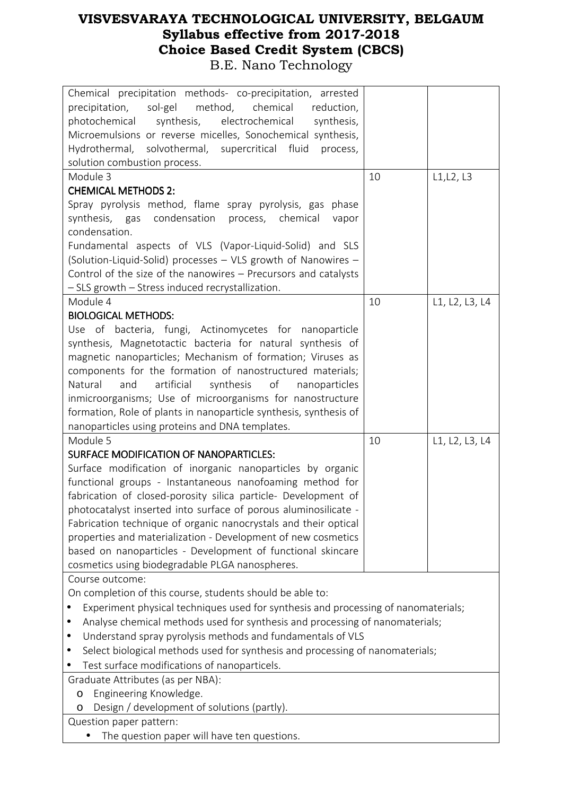| Chemical precipitation methods- co-precipitation, arrested<br>sol-gel<br>method,<br>precipitation,<br>chemical<br>reduction,<br>photochemical synthesis, electrochemical<br>synthesis, |    |                |  |
|----------------------------------------------------------------------------------------------------------------------------------------------------------------------------------------|----|----------------|--|
| Microemulsions or reverse micelles, Sonochemical synthesis,                                                                                                                            |    |                |  |
| Hydrothermal, solvothermal, supercritical fluid                                                                                                                                        |    |                |  |
| process,                                                                                                                                                                               |    |                |  |
| solution combustion process.                                                                                                                                                           |    |                |  |
| Module 3                                                                                                                                                                               | 10 | L1, L2, L3     |  |
| <b>CHEMICAL METHODS 2:</b>                                                                                                                                                             |    |                |  |
| Spray pyrolysis method, flame spray pyrolysis, gas phase                                                                                                                               |    |                |  |
| synthesis, gas condensation<br>chemical<br>process,<br>vapor                                                                                                                           |    |                |  |
| condensation.                                                                                                                                                                          |    |                |  |
| Fundamental aspects of VLS (Vapor-Liquid-Solid) and SLS                                                                                                                                |    |                |  |
| (Solution-Liquid-Solid) processes - VLS growth of Nanowires -                                                                                                                          |    |                |  |
| Control of the size of the nanowires - Precursors and catalysts                                                                                                                        |    |                |  |
| - SLS growth - Stress induced recrystallization.                                                                                                                                       |    |                |  |
| Module 4                                                                                                                                                                               | 10 | L1, L2, L3, L4 |  |
| <b>BIOLOGICAL METHODS:</b>                                                                                                                                                             |    |                |  |
| Use of bacteria, fungi, Actinomycetes for nanoparticle                                                                                                                                 |    |                |  |
| synthesis, Magnetotactic bacteria for natural synthesis of                                                                                                                             |    |                |  |
| magnetic nanoparticles; Mechanism of formation; Viruses as                                                                                                                             |    |                |  |
| components for the formation of nanostructured materials;                                                                                                                              |    |                |  |
| artificial<br>synthesis<br>of<br>Natural<br>and<br>nanoparticles                                                                                                                       |    |                |  |
| inmicroorganisms; Use of microorganisms for nanostructure                                                                                                                              |    |                |  |
| formation, Role of plants in nanoparticle synthesis, synthesis of                                                                                                                      |    |                |  |
| nanoparticles using proteins and DNA templates.                                                                                                                                        |    |                |  |
| Module 5                                                                                                                                                                               | 10 | L1, L2, L3, L4 |  |
| SURFACE MODIFICATION OF NANOPARTICLES:                                                                                                                                                 |    |                |  |
| Surface modification of inorganic nanoparticles by organic                                                                                                                             |    |                |  |
| functional groups - Instantaneous nanofoaming method for                                                                                                                               |    |                |  |
| fabrication of closed-porosity silica particle- Development of                                                                                                                         |    |                |  |
| photocatalyst inserted into surface of porous aluminosilicate -                                                                                                                        |    |                |  |
| Fabrication technique of organic nanocrystals and their optical                                                                                                                        |    |                |  |
| properties and materialization - Development of new cosmetics                                                                                                                          |    |                |  |
| based on nanoparticles - Development of functional skincare                                                                                                                            |    |                |  |
| cosmetics using biodegradable PLGA nanospheres.                                                                                                                                        |    |                |  |
| Course outcome:                                                                                                                                                                        |    |                |  |
| On completion of this course, students should be able to:                                                                                                                              |    |                |  |
| Experiment physical techniques used for synthesis and processing of nanomaterials;<br>٠                                                                                                |    |                |  |
|                                                                                                                                                                                        |    |                |  |
| Analyse chemical methods used for synthesis and processing of nanomaterials;<br>٠                                                                                                      |    |                |  |
| Understand spray pyrolysis methods and fundamentals of VLS<br>٠                                                                                                                        |    |                |  |
| Select biological methods used for synthesis and processing of nanomaterials;<br>$\bullet$                                                                                             |    |                |  |
| Test surface modifications of nanoparticels.                                                                                                                                           |    |                |  |
|                                                                                                                                                                                        |    |                |  |
| Graduate Attributes (as per NBA):                                                                                                                                                      |    |                |  |
| Engineering Knowledge.<br>O                                                                                                                                                            |    |                |  |
| Design / development of solutions (partly).<br>O<br>Question paper pattern:                                                                                                            |    |                |  |

• The question paper will have ten questions.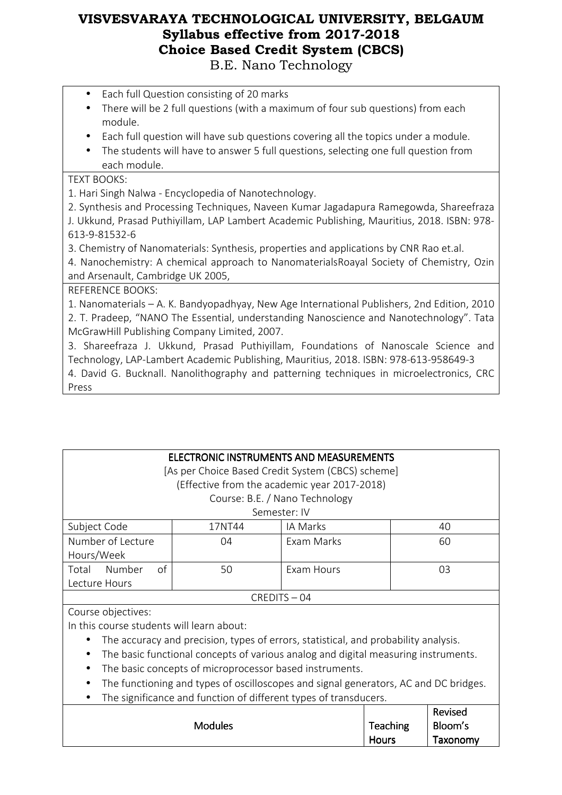- Each full Question consisting of 20 marks
- There will be 2 full questions (with a maximum of four sub questions) from each module.
- Each full question will have sub questions covering all the topics under a module.
- The students will have to answer 5 full questions, selecting one full question from each module.

### TEXT BOOKS:

1. Hari Singh Nalwa - Encyclopedia of Nanotechnology.

2. Synthesis and Processing Techniques, Naveen Kumar Jagadapura Ramegowda, Shareefraza J. Ukkund, Prasad Puthiyillam, LAP Lambert Academic Publishing, Mauritius, 2018. ISBN: 978- 613-9-81532-6

3. Chemistry of Nanomaterials: Synthesis, properties and applications by CNR Rao et.al.

4. Nanochemistry: A chemical approach to NanomaterialsRoayal Society of Chemistry, Ozin and Arsenault, Cambridge UK 2005,

REFERENCE BOOKS:

1. Nanomaterials – A. K. Bandyopadhyay, New Age International Publishers, 2nd Edition, 2010 2. T. Pradeep, "NANO The Essential, understanding Nanoscience and Nanotechnology". Tata McGrawHill Publishing Company Limited, 2007.

3. Shareefraza J. Ukkund, Prasad Puthiyillam, Foundations of Nanoscale Science and Technology, LAP-Lambert Academic Publishing, Mauritius, 2018. ISBN: 978-613-958649-3

4. David G. Bucknall. Nanolithography and patterning techniques in microelectronics, CRC Press

| ELECTRONIC INSTRUMENTS AND MEASUREMENTS<br>[As per Choice Based Credit System (CBCS) scheme]<br>(Effective from the academic year 2017-2018) |        |                                |    |  |  |
|----------------------------------------------------------------------------------------------------------------------------------------------|--------|--------------------------------|----|--|--|
|                                                                                                                                              |        | Course: B.E. / Nano Technology |    |  |  |
| Semester: IV                                                                                                                                 |        |                                |    |  |  |
| Subject Code                                                                                                                                 | 17NT44 | IA Marks                       | 40 |  |  |
| Number of Lecture<br><b>Fxam Marks</b><br>60<br>04                                                                                           |        |                                |    |  |  |
| Hours/Week                                                                                                                                   |        |                                |    |  |  |
| of<br>Number<br>Total                                                                                                                        | 50     | Exam Hours                     | 03 |  |  |
| Lecture Hours                                                                                                                                |        |                                |    |  |  |
| $CREDITS - 04$                                                                                                                               |        |                                |    |  |  |
| Course objectives                                                                                                                            |        |                                |    |  |  |

Course objectives: In this course students will learn about:

- The accuracy and precision, types of errors, statistical, and probability analysis.
- The basic functional concepts of various analog and digital measuring instruments.
- The basic concepts of microprocessor based instruments.
- The functioning and types of oscilloscopes and signal generators, AC and DC bridges.
- The significance and function of different types of transducers.

|                |          | Revised  |
|----------------|----------|----------|
| <b>Modules</b> | Teaching | Bloom's  |
|                | Hours    | Taxonomy |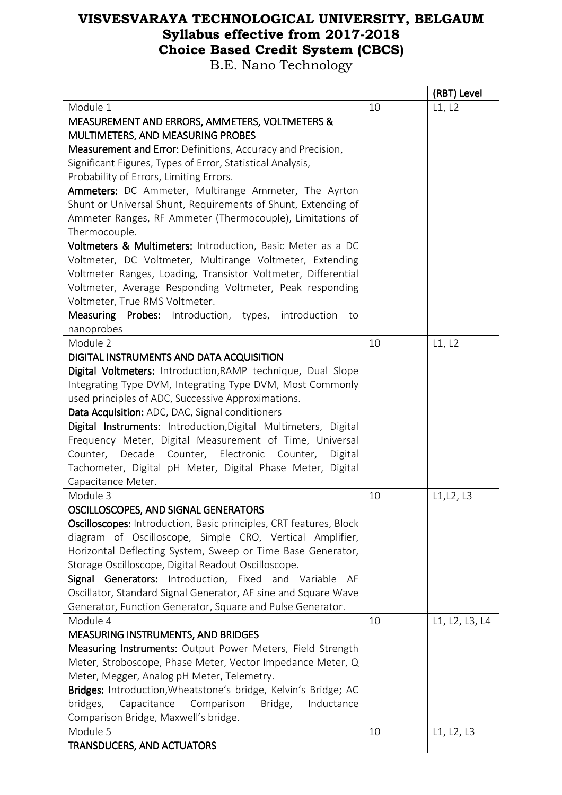|                                                                            |    | (RBT) Level    |
|----------------------------------------------------------------------------|----|----------------|
| Module 1                                                                   | 10 | L1, L2         |
| MEASUREMENT AND ERRORS, AMMETERS, VOLTMETERS &                             |    |                |
| MULTIMETERS, AND MEASURING PROBES                                          |    |                |
| Measurement and Error: Definitions, Accuracy and Precision,                |    |                |
| Significant Figures, Types of Error, Statistical Analysis,                 |    |                |
| Probability of Errors, Limiting Errors.                                    |    |                |
| Ammeters: DC Ammeter, Multirange Ammeter, The Ayrton                       |    |                |
| Shunt or Universal Shunt, Requirements of Shunt, Extending of              |    |                |
| Ammeter Ranges, RF Ammeter (Thermocouple), Limitations of                  |    |                |
| Thermocouple.                                                              |    |                |
| Voltmeters & Multimeters: Introduction, Basic Meter as a DC                |    |                |
| Voltmeter, DC Voltmeter, Multirange Voltmeter, Extending                   |    |                |
| Voltmeter Ranges, Loading, Transistor Voltmeter, Differential              |    |                |
| Voltmeter, Average Responding Voltmeter, Peak responding                   |    |                |
| Voltmeter, True RMS Voltmeter.                                             |    |                |
| <b>Measuring</b><br><b>Probes:</b> Introduction, types, introduction<br>to |    |                |
| nanoprobes                                                                 |    |                |
| Module 2                                                                   | 10 | L1, L2         |
| DIGITAL INSTRUMENTS AND DATA ACQUISITION                                   |    |                |
| Digital Voltmeters: Introduction, RAMP technique, Dual Slope               |    |                |
| Integrating Type DVM, Integrating Type DVM, Most Commonly                  |    |                |
| used principles of ADC, Successive Approximations.                         |    |                |
| Data Acquisition: ADC, DAC, Signal conditioners                            |    |                |
|                                                                            |    |                |
| Digital Instruments: Introduction, Digital Multimeters, Digital            |    |                |
| Frequency Meter, Digital Measurement of Time, Universal                    |    |                |
| Counter, Decade Counter, Electronic Counter,<br>Digital                    |    |                |
| Tachometer, Digital pH Meter, Digital Phase Meter, Digital                 |    |                |
| Capacitance Meter.                                                         |    |                |
| Module 3                                                                   | 10 | L1, L2, L3     |
| OSCILLOSCOPES, AND SIGNAL GENERATORS                                       |    |                |
| <b>Oscilloscopes:</b> Introduction, Basic principles, CRT features, Block  |    |                |
| diagram of Oscilloscope, Simple CRO, Vertical Amplifier,                   |    |                |
| Horizontal Deflecting System, Sweep or Time Base Generator,                |    |                |
| Storage Oscilloscope, Digital Readout Oscilloscope.                        |    |                |
| Signal Generators: Introduction, Fixed and Variable AF                     |    |                |
| Oscillator, Standard Signal Generator, AF sine and Square Wave             |    |                |
| Generator, Function Generator, Square and Pulse Generator.                 |    |                |
| Module 4                                                                   | 10 | L1, L2, L3, L4 |
| <b>MEASURING INSTRUMENTS, AND BRIDGES</b>                                  |    |                |
| Measuring Instruments: Output Power Meters, Field Strength                 |    |                |
| Meter, Stroboscope, Phase Meter, Vector Impedance Meter, Q                 |    |                |
| Meter, Megger, Analog pH Meter, Telemetry.                                 |    |                |
| Bridges: Introduction, Wheatstone's bridge, Kelvin's Bridge; AC            |    |                |
| Capacitance<br>Comparison Bridge,<br>bridges,<br>Inductance                |    |                |
| Comparison Bridge, Maxwell's bridge.                                       |    |                |
| Module 5                                                                   | 10 | L1, L2, L3     |
| <b>TRANSDUCERS, AND ACTUATORS</b>                                          |    |                |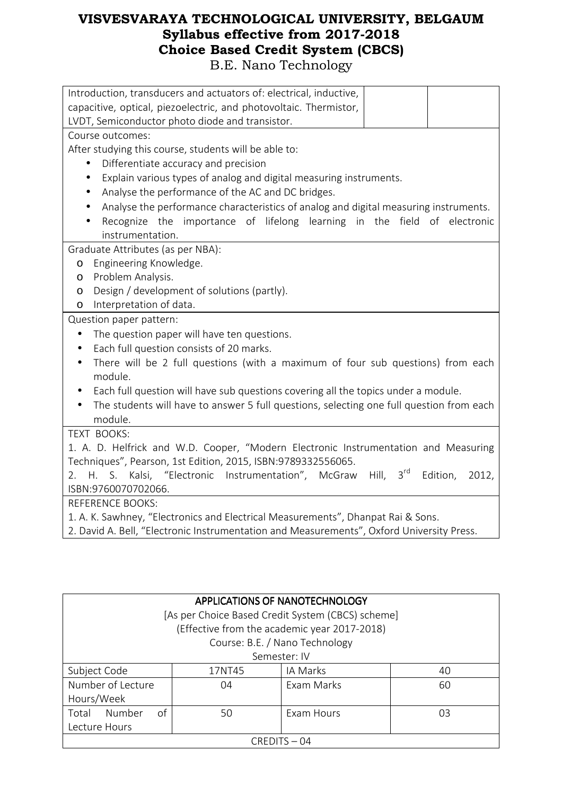| Introduction, transducers and actuators of: electrical, inductive,                                    |
|-------------------------------------------------------------------------------------------------------|
| capacitive, optical, piezoelectric, and photovoltaic. Thermistor,                                     |
| LVDT, Semiconductor photo diode and transistor.                                                       |
| Course outcomes:                                                                                      |
| After studying this course, students will be able to:                                                 |
| Differentiate accuracy and precision<br>$\bullet$                                                     |
| Explain various types of analog and digital measuring instruments.<br>$\bullet$                       |
| Analyse the performance of the AC and DC bridges.<br>$\bullet$                                        |
| Analyse the performance characteristics of analog and digital measuring instruments.<br>$\bullet$     |
| Recognize the importance of lifelong learning in the field of electronic                              |
| instrumentation.                                                                                      |
| Graduate Attributes (as per NBA):                                                                     |
| Engineering Knowledge.<br>$\circ$                                                                     |
| Problem Analysis.<br>O                                                                                |
| Design / development of solutions (partly).<br>$\circ$                                                |
| Interpretation of data.<br>$\circ$                                                                    |
| Question paper pattern:                                                                               |
| The question paper will have ten questions.<br>$\bullet$                                              |
| Each full question consists of 20 marks.<br>$\bullet$                                                 |
| There will be 2 full questions (with a maximum of four sub questions) from each<br>$\bullet$          |
| module.                                                                                               |
| Each full question will have sub questions covering all the topics under a module.<br>$\bullet$       |
| The students will have to answer 5 full questions, selecting one full question from each<br>$\bullet$ |
| module.                                                                                               |
| TEXT BOOKS:                                                                                           |
| 1. A. D. Helfrick and W.D. Cooper, "Modern Electronic Instrumentation and Measuring                   |
| Techniques", Pearson, 1st Edition, 2015, ISBN:9789332556065.                                          |
| 2. H. S. Kalsi, "Electronic Instrumentation", McGraw Hill, 3rd<br>Edition,<br>2012,                   |
| ISBN:9760070702066.                                                                                   |
| <b>REFERENCE BOOKS:</b>                                                                               |
| 1. A. K. Sawhney, "Electronics and Electrical Measurements", Dhanpat Rai & Sons.                      |
| 2. David A. Bell, "Electronic Instrumentation and Measurements", Oxford University Press.             |

| <b>APPLICATIONS OF NANOTECHNOLOGY</b>             |              |                                              |    |  |  |
|---------------------------------------------------|--------------|----------------------------------------------|----|--|--|
| [As per Choice Based Credit System (CBCS) scheme] |              |                                              |    |  |  |
|                                                   |              | (Effective from the academic year 2017-2018) |    |  |  |
|                                                   |              | Course: B.E. / Nano Technology               |    |  |  |
|                                                   | Semester: IV |                                              |    |  |  |
| Subject Code                                      | 17NT45       | IA Marks                                     | 40 |  |  |
| Number of Lecture                                 | 04           | Exam Marks                                   | 60 |  |  |
| Hours/Week                                        |              |                                              |    |  |  |
| Number<br>Total<br>of                             | 50           | Exam Hours                                   | O3 |  |  |
| Lecture Hours                                     |              |                                              |    |  |  |
| $CREDITS - 04$                                    |              |                                              |    |  |  |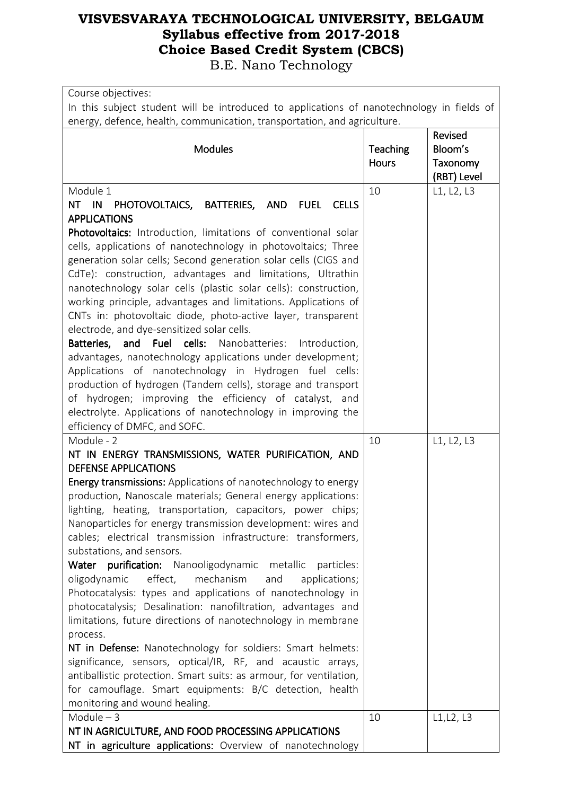| Course objectives:<br>In this subject student will be introduced to applications of nanotechnology in fields of<br>energy, defence, health, communication, transportation, and agriculture.                                                                                                                                                                                                                                                                                                                                                                                                                                                                                                                                                                                                                                                                                                                                                                                                                                                                                                                      |                                 |                                                      |
|------------------------------------------------------------------------------------------------------------------------------------------------------------------------------------------------------------------------------------------------------------------------------------------------------------------------------------------------------------------------------------------------------------------------------------------------------------------------------------------------------------------------------------------------------------------------------------------------------------------------------------------------------------------------------------------------------------------------------------------------------------------------------------------------------------------------------------------------------------------------------------------------------------------------------------------------------------------------------------------------------------------------------------------------------------------------------------------------------------------|---------------------------------|------------------------------------------------------|
| <b>Modules</b>                                                                                                                                                                                                                                                                                                                                                                                                                                                                                                                                                                                                                                                                                                                                                                                                                                                                                                                                                                                                                                                                                                   | <b>Teaching</b><br><b>Hours</b> | <b>Revised</b><br>Bloom's<br>Taxonomy<br>(RBT) Level |
| Module 1<br>NT IN<br>PHOTOVOLTAICS, BATTERIES, AND<br><b>FUEL</b><br><b>CELLS</b><br><b>APPLICATIONS</b><br>Photovoltaics: Introduction, limitations of conventional solar<br>cells, applications of nanotechnology in photovoltaics; Three<br>generation solar cells; Second generation solar cells (CIGS and<br>CdTe): construction, advantages and limitations, Ultrathin<br>nanotechnology solar cells (plastic solar cells): construction,<br>working principle, advantages and limitations. Applications of<br>CNTs in: photovoltaic diode, photo-active layer, transparent<br>electrode, and dye-sensitized solar cells.<br>and Fuel cells:<br>Batteries,<br>Nanobatteries:<br>Introduction,<br>advantages, nanotechnology applications under development;<br>Applications of nanotechnology in Hydrogen fuel cells:<br>production of hydrogen (Tandem cells), storage and transport<br>of hydrogen; improving the efficiency of catalyst, and<br>electrolyte. Applications of nanotechnology in improving the<br>efficiency of DMFC, and SOFC.                                                           | 10                              | L1, L2, L3                                           |
| Module - 2<br>NT IN ENERGY TRANSMISSIONS, WATER PURIFICATION, AND<br><b>DEFENSE APPLICATIONS</b><br><b>Energy transmissions:</b> Applications of nanotechnology to energy<br>production, Nanoscale materials; General energy applications:<br>lighting, heating, transportation, capacitors, power chips;<br>Nanoparticles for energy transmission development: wires and<br>cables; electrical transmission infrastructure: transformers,<br>substations, and sensors.<br>Water purification: Nanooligodynamic metallic<br>particles:<br>effect,<br>oligodynamic<br>mechanism<br>and<br>applications;<br>Photocatalysis: types and applications of nanotechnology in<br>photocatalysis; Desalination: nanofiltration, advantages and<br>limitations, future directions of nanotechnology in membrane<br>process.<br>NT in Defense: Nanotechnology for soldiers: Smart helmets:<br>significance, sensors, optical/IR, RF, and acaustic arrays,<br>antiballistic protection. Smart suits: as armour, for ventilation,<br>for camouflage. Smart equipments: B/C detection, health<br>monitoring and wound healing. | 10                              | L1, L2, L3                                           |
| Module $-3$<br>NT IN AGRICULTURE, AND FOOD PROCESSING APPLICATIONS<br>NT in agriculture applications: Overview of nanotechnology                                                                                                                                                                                                                                                                                                                                                                                                                                                                                                                                                                                                                                                                                                                                                                                                                                                                                                                                                                                 | 10                              | L1, L2, L3                                           |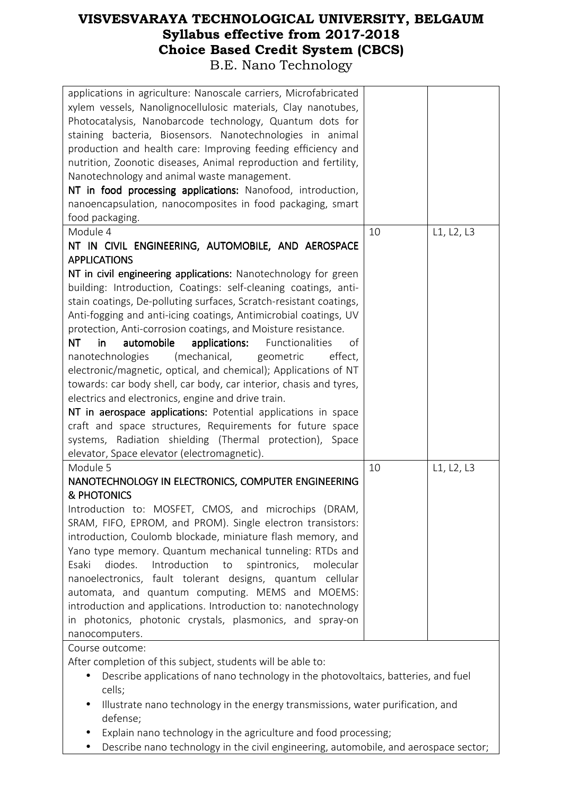| applications in agriculture: Nanoscale carriers, Microfabricated<br>xylem vessels, Nanolignocellulosic materials, Clay nanotubes,<br>Photocatalysis, Nanobarcode technology, Quantum dots for<br>staining bacteria, Biosensors. Nanotechnologies in animal<br>production and health care: Improving feeding efficiency and<br>nutrition, Zoonotic diseases, Animal reproduction and fertility,<br>Nanotechnology and animal waste management.<br>NT in food processing applications: Nanofood, introduction,<br>nanoencapsulation, nanocomposites in food packaging, smart<br>food packaging. |    |            |
|-----------------------------------------------------------------------------------------------------------------------------------------------------------------------------------------------------------------------------------------------------------------------------------------------------------------------------------------------------------------------------------------------------------------------------------------------------------------------------------------------------------------------------------------------------------------------------------------------|----|------------|
| Module 4                                                                                                                                                                                                                                                                                                                                                                                                                                                                                                                                                                                      | 10 | L1, L2, L3 |
| NT IN CIVIL ENGINEERING, AUTOMOBILE, AND AEROSPACE                                                                                                                                                                                                                                                                                                                                                                                                                                                                                                                                            |    |            |
| <b>APPLICATIONS</b>                                                                                                                                                                                                                                                                                                                                                                                                                                                                                                                                                                           |    |            |
| NT in civil engineering applications: Nanotechnology for green<br>building: Introduction, Coatings: self-cleaning coatings, anti-                                                                                                                                                                                                                                                                                                                                                                                                                                                             |    |            |
| stain coatings, De-polluting surfaces, Scratch-resistant coatings,                                                                                                                                                                                                                                                                                                                                                                                                                                                                                                                            |    |            |
| Anti-fogging and anti-icing coatings, Antimicrobial coatings, UV                                                                                                                                                                                                                                                                                                                                                                                                                                                                                                                              |    |            |
| protection, Anti-corrosion coatings, and Moisture resistance.                                                                                                                                                                                                                                                                                                                                                                                                                                                                                                                                 |    |            |
| automobile<br>applications:<br>Functionalities<br><b>NT</b><br>in.<br>οf                                                                                                                                                                                                                                                                                                                                                                                                                                                                                                                      |    |            |
|                                                                                                                                                                                                                                                                                                                                                                                                                                                                                                                                                                                               |    |            |
| (mechanical,<br>nanotechnologies<br>geometric<br>effect,                                                                                                                                                                                                                                                                                                                                                                                                                                                                                                                                      |    |            |
| electronic/magnetic, optical, and chemical); Applications of NT                                                                                                                                                                                                                                                                                                                                                                                                                                                                                                                               |    |            |
| towards: car body shell, car body, car interior, chasis and tyres,                                                                                                                                                                                                                                                                                                                                                                                                                                                                                                                            |    |            |
| electrics and electronics, engine and drive train.                                                                                                                                                                                                                                                                                                                                                                                                                                                                                                                                            |    |            |
| NT in aerospace applications: Potential applications in space                                                                                                                                                                                                                                                                                                                                                                                                                                                                                                                                 |    |            |
| craft and space structures, Requirements for future space                                                                                                                                                                                                                                                                                                                                                                                                                                                                                                                                     |    |            |
| systems, Radiation shielding (Thermal protection), Space                                                                                                                                                                                                                                                                                                                                                                                                                                                                                                                                      |    |            |
| elevator, Space elevator (electromagnetic).                                                                                                                                                                                                                                                                                                                                                                                                                                                                                                                                                   |    |            |
| Module 5                                                                                                                                                                                                                                                                                                                                                                                                                                                                                                                                                                                      | 10 | L1, L2, L3 |
| NANOTECHNOLOGY IN ELECTRONICS, COMPUTER ENGINEERING                                                                                                                                                                                                                                                                                                                                                                                                                                                                                                                                           |    |            |
| & PHOTONICS                                                                                                                                                                                                                                                                                                                                                                                                                                                                                                                                                                                   |    |            |
| Introduction to: MOSFET, CMOS, and microchips (DRAM,                                                                                                                                                                                                                                                                                                                                                                                                                                                                                                                                          |    |            |
| SRAM, FIFO, EPROM, and PROM). Single electron transistors:                                                                                                                                                                                                                                                                                                                                                                                                                                                                                                                                    |    |            |
| introduction, Coulomb blockade, miniature flash memory, and                                                                                                                                                                                                                                                                                                                                                                                                                                                                                                                                   |    |            |
| Yano type memory. Quantum mechanical tunneling: RTDs and                                                                                                                                                                                                                                                                                                                                                                                                                                                                                                                                      |    |            |
| diodes.<br>Introduction<br>Esaki<br>spintronics,<br>molecular<br>to                                                                                                                                                                                                                                                                                                                                                                                                                                                                                                                           |    |            |
| nanoelectronics, fault tolerant designs, quantum cellular                                                                                                                                                                                                                                                                                                                                                                                                                                                                                                                                     |    |            |
| automata, and quantum computing. MEMS and MOEMS:                                                                                                                                                                                                                                                                                                                                                                                                                                                                                                                                              |    |            |
| introduction and applications. Introduction to: nanotechnology                                                                                                                                                                                                                                                                                                                                                                                                                                                                                                                                |    |            |
| in photonics, photonic crystals, plasmonics, and spray-on                                                                                                                                                                                                                                                                                                                                                                                                                                                                                                                                     |    |            |
| nanocomputers.                                                                                                                                                                                                                                                                                                                                                                                                                                                                                                                                                                                |    |            |
| Course outcome:                                                                                                                                                                                                                                                                                                                                                                                                                                                                                                                                                                               |    |            |
| After completion of this subject, students will be able to:                                                                                                                                                                                                                                                                                                                                                                                                                                                                                                                                   |    |            |
| Describe applications of nano technology in the photovoltaics, batteries, and fuel                                                                                                                                                                                                                                                                                                                                                                                                                                                                                                            |    |            |
| cells;                                                                                                                                                                                                                                                                                                                                                                                                                                                                                                                                                                                        |    |            |
|                                                                                                                                                                                                                                                                                                                                                                                                                                                                                                                                                                                               |    |            |

- Illustrate nano technology in the energy transmissions, water purification, and defense;
- Explain nano technology in the agriculture and food processing;
- Describe nano technology in the civil engineering, automobile, and aerospace sector;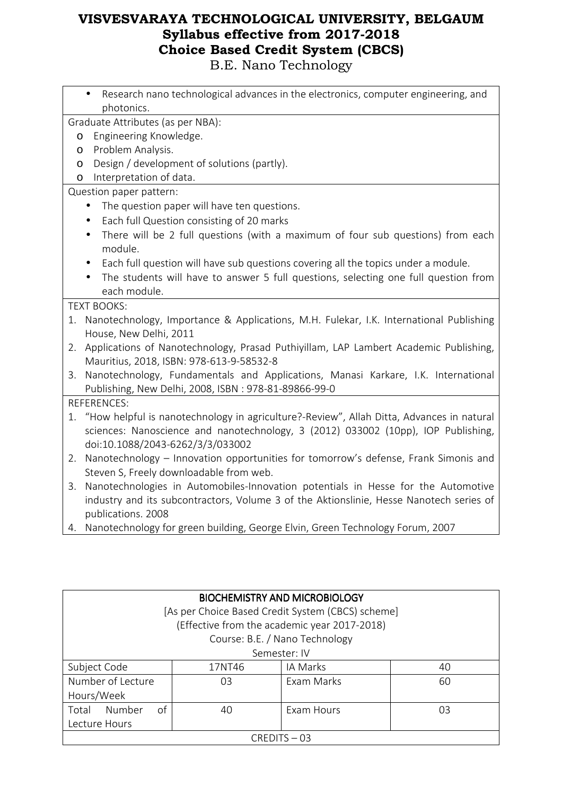|         | Research nano technological advances in the electronics, computer engineering, and           |
|---------|----------------------------------------------------------------------------------------------|
|         | photonics.                                                                                   |
|         | Graduate Attributes (as per NBA):                                                            |
| $\circ$ | Engineering Knowledge.                                                                       |
| O       | Problem Analysis.                                                                            |
| $\circ$ | Design / development of solutions (partly).                                                  |
| $\circ$ | Interpretation of data.                                                                      |
|         | Question paper pattern:                                                                      |
|         | The question paper will have ten questions.                                                  |
|         | Each full Question consisting of 20 marks<br>$\bullet$                                       |
|         | There will be 2 full questions (with a maximum of four sub questions) from each<br>$\bullet$ |
|         | module.                                                                                      |
|         | Each full question will have sub questions covering all the topics under a module.           |
|         | The students will have to answer 5 full questions, selecting one full question from          |
|         | each module.                                                                                 |
|         | <b>TEXT BOOKS:</b>                                                                           |
|         | 1. Nanotechnology, Importance & Applications, M.H. Fulekar, I.K. International Publishing    |
|         | House, New Delhi, 2011                                                                       |
| 2.      | Applications of Nanotechnology, Prasad Puthiyillam, LAP Lambert Academic Publishing,         |
|         | Mauritius, 2018, ISBN: 978-613-9-58532-8                                                     |
| 3.      | Nanotechnology, Fundamentals and Applications, Manasi Karkare, I.K. International            |
|         | Publishing, New Delhi, 2008, ISBN : 978-81-89866-99-0                                        |
|         | <b>REFERENCES:</b>                                                                           |
|         | 1. "How helpful is nanotechnology in agriculture?-Review", Allah Ditta, Advances in natural  |
|         | sciences: Nanoscience and nanotechnology, 3 (2012) 033002 (10pp), IOP Publishing,            |
|         | doi:10.1088/2043-6262/3/3/033002                                                             |
| 2.      | Nanotechnology - Innovation opportunities for tomorrow's defense, Frank Simonis and          |
|         | Steven S, Freely downloadable from web.                                                      |
| 3.      | Nanotechnologies in Automobiles-Innovation potentials in Hesse for the Automotive            |
|         | industry and its subcontractors, Volume 3 of the Aktionslinie, Hesse Nanotech series of      |
|         | publications. 2008                                                                           |
|         | 4. Nanotechnology for green building, George Elvin, Green Technology Forum, 2007             |
|         |                                                                                              |

| <b>BIOCHEMISTRY AND MICROBIOLOGY</b>     |                                                   |                                              |    |  |
|------------------------------------------|---------------------------------------------------|----------------------------------------------|----|--|
|                                          | [As per Choice Based Credit System (CBCS) scheme] |                                              |    |  |
|                                          |                                                   | (Effective from the academic year 2017-2018) |    |  |
|                                          |                                                   | Course: B.E. / Nano Technology               |    |  |
|                                          |                                                   | Semester: IV                                 |    |  |
| Subject Code<br>IA Marks<br>17NT46<br>40 |                                                   |                                              |    |  |
| Number of Lecture                        | 03                                                | Exam Marks                                   | 60 |  |
| Hours/Week                               |                                                   |                                              |    |  |
| Number<br>of<br>Total                    | 40                                                | Exam Hours                                   | 03 |  |
| Lecture Hours                            |                                                   |                                              |    |  |
| $CRFDITS - 03$                           |                                                   |                                              |    |  |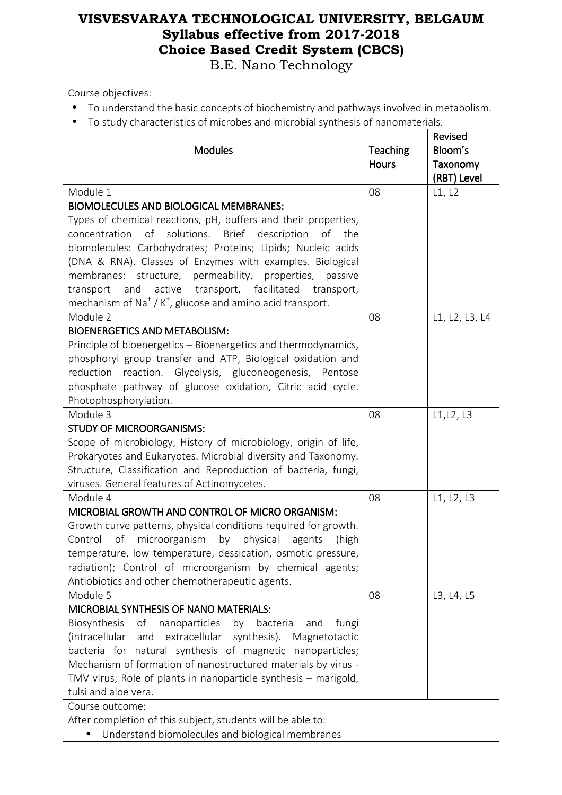| Course objectives:                                                                                                      |                          |                                               |
|-------------------------------------------------------------------------------------------------------------------------|--------------------------|-----------------------------------------------|
| To understand the basic concepts of biochemistry and pathways involved in metabolism.                                   |                          |                                               |
| To study characteristics of microbes and microbial synthesis of nanomaterials.                                          |                          |                                               |
| <b>Modules</b>                                                                                                          | Teaching<br><b>Hours</b> | Revised<br>Bloom's<br>Taxonomy<br>(RBT) Level |
| Module 1                                                                                                                | 08                       | L1, L2                                        |
| <b>BIOMOLECULES AND BIOLOGICAL MEMBRANES:</b>                                                                           |                          |                                               |
| Types of chemical reactions, pH, buffers and their properties,                                                          |                          |                                               |
| solutions. Brief description<br>concentration<br>of<br>of the                                                           |                          |                                               |
| biomolecules: Carbohydrates; Proteins; Lipids; Nucleic acids                                                            |                          |                                               |
| (DNA & RNA). Classes of Enzymes with examples. Biological<br>membranes: structure, permeability, properties,<br>passive |                          |                                               |
| transport, facilitated<br>active<br>and<br>transport<br>transport,                                                      |                          |                                               |
| mechanism of Na <sup>+</sup> / K <sup>+</sup> , glucose and amino acid transport.                                       |                          |                                               |
| Module 2                                                                                                                | 08                       | L1, L2, L3, L4                                |
| <b>BIOENERGETICS AND METABOLISM:</b>                                                                                    |                          |                                               |
| Principle of bioenergetics – Bioenergetics and thermodynamics,                                                          |                          |                                               |
| phosphoryl group transfer and ATP, Biological oxidation and                                                             |                          |                                               |
| reaction. Glycolysis, gluconeogenesis, Pentose<br>reduction                                                             |                          |                                               |
| phosphate pathway of glucose oxidation, Citric acid cycle.                                                              |                          |                                               |
| Photophosphorylation.                                                                                                   |                          |                                               |
| Module 3                                                                                                                | 08                       | L1, L2, L3                                    |
| <b>STUDY OF MICROORGANISMS:</b>                                                                                         |                          |                                               |
| Scope of microbiology, History of microbiology, origin of life,                                                         |                          |                                               |
| Prokaryotes and Eukaryotes. Microbial diversity and Taxonomy.                                                           |                          |                                               |
| Structure, Classification and Reproduction of bacteria, fungi,<br>viruses. General features of Actinomycetes.           |                          |                                               |
| Module 4                                                                                                                | 08                       | L1, L2, L3                                    |
| MICROBIAL GROWTH AND CONTROL OF MICRO ORGANISM:                                                                         |                          |                                               |
| Growth curve patterns, physical conditions required for growth.                                                         |                          |                                               |
| Control<br>of<br>microorganism<br>by<br>physical<br>agents<br>(high                                                     |                          |                                               |
| temperature, low temperature, dessication, osmotic pressure,                                                            |                          |                                               |
| radiation); Control of microorganism by chemical agents;                                                                |                          |                                               |
| Antiobiotics and other chemotherapeutic agents.                                                                         |                          |                                               |
| Module 5                                                                                                                | 08                       | L3, L4, L5                                    |
| MICROBIAL SYNTHESIS OF NANO MATERIALS:                                                                                  |                          |                                               |
| Biosynthesis<br>of<br>nanoparticles<br>bacteria<br>by<br>and<br>fungi                                                   |                          |                                               |
| and extracellular synthesis). Magnetotactic<br>(intracellular                                                           |                          |                                               |
| bacteria for natural synthesis of magnetic nanoparticles;                                                               |                          |                                               |
| Mechanism of formation of nanostructured materials by virus -                                                           |                          |                                               |
| TMV virus; Role of plants in nanoparticle synthesis - marigold,                                                         |                          |                                               |
| tulsi and aloe vera.                                                                                                    |                          |                                               |
| Course outcome:                                                                                                         |                          |                                               |
| After completion of this subject, students will be able to:<br>Understand biomolecules and biological membranes         |                          |                                               |
|                                                                                                                         |                          |                                               |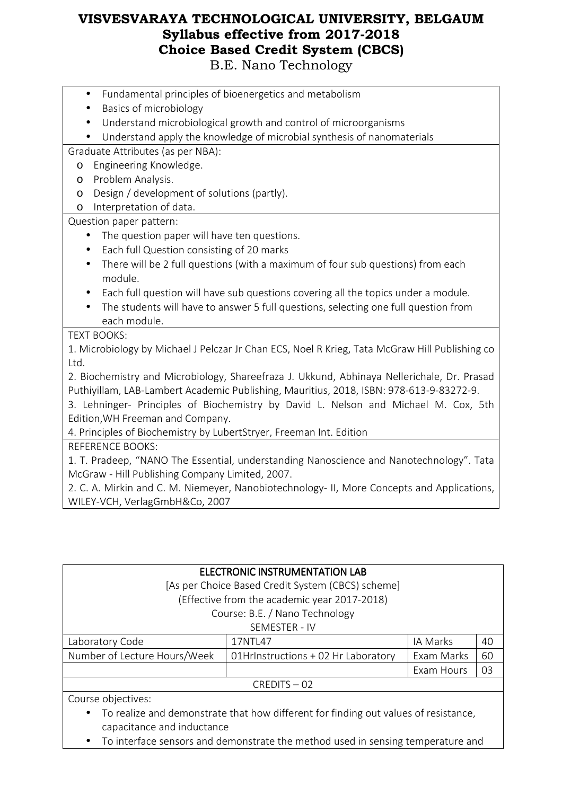- Fundamental principles of bioenergetics and metabolism
- Basics of microbiology
- Understand microbiological growth and control of microorganisms
- Understand apply the knowledge of microbial synthesis of nanomaterials

Graduate Attributes (as per NBA):

- o Engineering Knowledge.
- o Problem Analysis.
- o Design / development of solutions (partly).
- o Interpretation of data.

Question paper pattern:

- The question paper will have ten questions.
- Each full Question consisting of 20 marks
- There will be 2 full questions (with a maximum of four sub questions) from each module.
- Each full question will have sub questions covering all the topics under a module.
- The students will have to answer 5 full questions, selecting one full question from each module.

#### TEXT BOOKS:

1. Microbiology by Michael J Pelczar Jr Chan ECS, Noel R Krieg, Tata McGraw Hill Publishing co Ltd.

2. Biochemistry and Microbiology, Shareefraza J. Ukkund, Abhinaya Nellerichale, Dr. Prasad Puthiyillam, LAB-Lambert Academic Publishing, Mauritius, 2018, ISBN: 978-613-9-83272-9.

3. Lehninger- Principles of Biochemistry by David L. Nelson and Michael M. Cox, 5th Edition,WH Freeman and Company.

4. Principles of Biochemistry by LubertStryer, Freeman Int. Edition

REFERENCE BOOKS:

1. T. Pradeep, "NANO The Essential, understanding Nanoscience and Nanotechnology". Tata McGraw - Hill Publishing Company Limited, 2007.

2. C. A. Mirkin and C. M. Niemeyer, Nanobiotechnology- II, More Concepts and Applications, WILEY-VCH, VerlagGmbH&Co, 2007

| ELECTRONIC INSTRUMENTATION LAB |                                                   |            |    |  |
|--------------------------------|---------------------------------------------------|------------|----|--|
|                                | [As per Choice Based Credit System (CBCS) scheme] |            |    |  |
|                                | (Effective from the academic year 2017-2018)      |            |    |  |
|                                | Course: B.E. / Nano Technology                    |            |    |  |
|                                | SEMESTER - IV                                     |            |    |  |
| Laboratory Code                | 17NTL47                                           | IA Marks   | 40 |  |
| Number of Lecture Hours/Week   | 01HrInstructions + 02 Hr Laboratory               | Exam Marks | 60 |  |
| 03<br>Exam Hours               |                                                   |            |    |  |
|                                | $CREDITS - 02$                                    |            |    |  |
| Course objectives:             |                                                   |            |    |  |

- To realize and demonstrate that how different for finding out values of resistance, capacitance and inductance
- To interface sensors and demonstrate the method used in sensing temperature and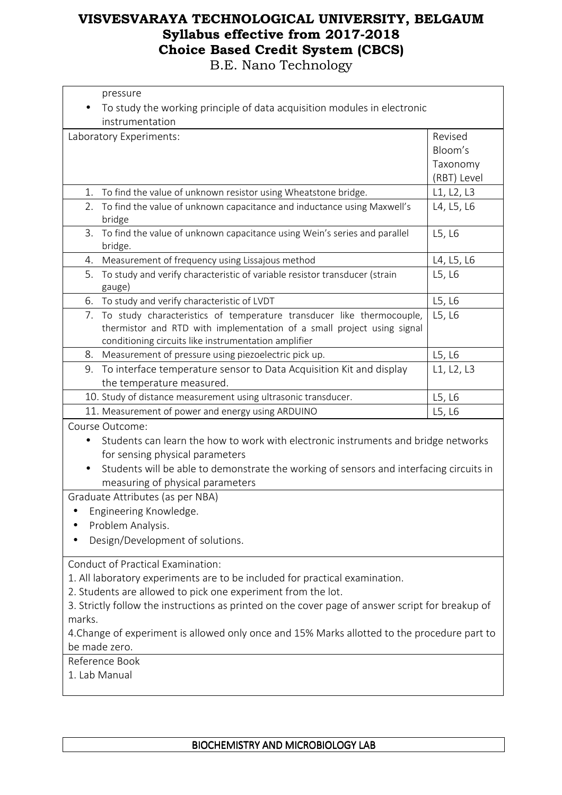| pressure                                                                                               |             |
|--------------------------------------------------------------------------------------------------------|-------------|
| To study the working principle of data acquisition modules in electronic                               |             |
| instrumentation                                                                                        |             |
| Laboratory Experiments:                                                                                | Revised     |
|                                                                                                        | Bloom's     |
|                                                                                                        | Taxonomy    |
|                                                                                                        | (RBT) Level |
| To find the value of unknown resistor using Wheatstone bridge.<br>1.                                   | L1, L2, L3  |
| To find the value of unknown capacitance and inductance using Maxwell's<br>2.<br>bridge                | L4, L5, L6  |
| To find the value of unknown capacitance using Wein's series and parallel<br>3.<br>bridge.             | L5, L6      |
| Measurement of frequency using Lissajous method<br>4.                                                  | L4, L5, L6  |
| To study and verify characteristic of variable resistor transducer (strain<br>5.<br>gauge)             | L5, L6      |
| To study and verify characteristic of LVDT<br>6.                                                       | L5, L6      |
| 7. To study characteristics of temperature transducer like thermocouple,                               | L5, L6      |
| thermistor and RTD with implementation of a small project using signal                                 |             |
| conditioning circuits like instrumentation amplifier                                                   |             |
| Measurement of pressure using piezoelectric pick up.<br>8.                                             | L5, L6      |
| To interface temperature sensor to Data Acquisition Kit and display<br>9.<br>the temperature measured. | L1, L2, L3  |
| 10. Study of distance measurement using ultrasonic transducer.                                         | L5, L6      |
| 11. Measurement of power and energy using ARDUINO                                                      | L5, L6      |
| Course Outcome:                                                                                        |             |
| Students can learn the how to work with electronic instruments and bridge networks<br>$\bullet$        |             |
| for sensing physical parameters                                                                        |             |
| Students will be able to demonstrate the working of sensors and interfacing circuits in                |             |
| measuring of physical parameters                                                                       |             |
| Graduate Attributes (as per NBA)                                                                       |             |
| Engineering Knowledge.                                                                                 |             |
| Problem Analysis.                                                                                      |             |
| Design/Development of solutions.                                                                       |             |
| <b>Conduct of Practical Examination:</b>                                                               |             |
| 1. All laboratory experiments are to be included for practical examination.                            |             |
| 2. Students are allowed to pick one experiment from the lot.                                           |             |
| 3. Strictly follow the instructions as printed on the cover page of answer script for breakup of       |             |
| marks.                                                                                                 |             |
| 4. Change of experiment is allowed only once and 15% Marks allotted to the procedure part to           |             |
| be made zero.                                                                                          |             |
| Reference Book                                                                                         |             |
| 1. Lab Manual                                                                                          |             |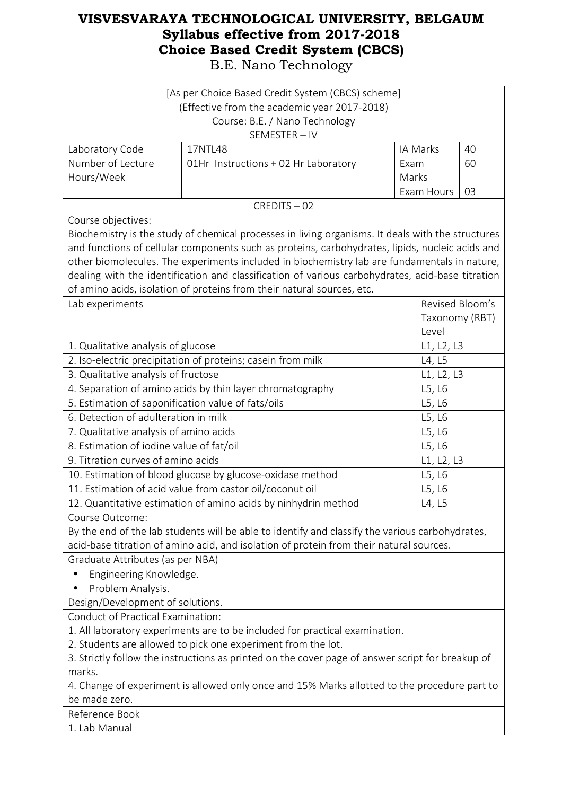|                                                              | [As per Choice Based Credit System (CBCS) scheme]<br>(Effective from the academic year 2017-2018)<br>Course: B.E. / Nano Technology<br>SEMESTER-IV                                                                                                                                                                                                                                                                                                                                 |               |                         |    |
|--------------------------------------------------------------|------------------------------------------------------------------------------------------------------------------------------------------------------------------------------------------------------------------------------------------------------------------------------------------------------------------------------------------------------------------------------------------------------------------------------------------------------------------------------------|---------------|-------------------------|----|
| Laboratory Code                                              | 17NTL48                                                                                                                                                                                                                                                                                                                                                                                                                                                                            |               | IA Marks                | 40 |
| Number of Lecture<br>Hours/Week                              | 01Hr Instructions + 02 Hr Laboratory                                                                                                                                                                                                                                                                                                                                                                                                                                               | Exam<br>Marks |                         | 60 |
|                                                              |                                                                                                                                                                                                                                                                                                                                                                                                                                                                                    |               | Exam Hours              | 03 |
|                                                              | CREDITS-02                                                                                                                                                                                                                                                                                                                                                                                                                                                                         |               |                         |    |
| Course objectives:                                           | Biochemistry is the study of chemical processes in living organisms. It deals with the structures<br>and functions of cellular components such as proteins, carbohydrates, lipids, nucleic acids and<br>other biomolecules. The experiments included in biochemistry lab are fundamentals in nature,<br>dealing with the identification and classification of various carbohydrates, acid-base titration<br>of amino acids, isolation of proteins from their natural sources, etc. |               |                         |    |
| Lab experiments                                              |                                                                                                                                                                                                                                                                                                                                                                                                                                                                                    |               | Revised Bloom's         |    |
|                                                              |                                                                                                                                                                                                                                                                                                                                                                                                                                                                                    |               | Taxonomy (RBT)<br>Level |    |
| 1. Qualitative analysis of glucose                           |                                                                                                                                                                                                                                                                                                                                                                                                                                                                                    |               | L1, L2, L3              |    |
|                                                              | 2. Iso-electric precipitation of proteins; casein from milk                                                                                                                                                                                                                                                                                                                                                                                                                        |               | L4, L5                  |    |
| 3. Qualitative analysis of fructose                          |                                                                                                                                                                                                                                                                                                                                                                                                                                                                                    |               | L1, L2, L3              |    |
|                                                              | 4. Separation of amino acids by thin layer chromatography                                                                                                                                                                                                                                                                                                                                                                                                                          |               | L5, L6                  |    |
| 5. Estimation of saponification value of fats/oils<br>L5, L6 |                                                                                                                                                                                                                                                                                                                                                                                                                                                                                    |               |                         |    |
| 6. Detection of adulteration in milk<br>L5, L6               |                                                                                                                                                                                                                                                                                                                                                                                                                                                                                    |               |                         |    |
| 7. Qualitative analysis of amino acids<br>L5, L6             |                                                                                                                                                                                                                                                                                                                                                                                                                                                                                    |               |                         |    |
| 8. Estimation of iodine value of fat/oil                     |                                                                                                                                                                                                                                                                                                                                                                                                                                                                                    |               | L5, L6                  |    |
| 9. Titration curves of amino acids                           |                                                                                                                                                                                                                                                                                                                                                                                                                                                                                    |               | L1, L2, L3              |    |
|                                                              | 10. Estimation of blood glucose by glucose-oxidase method                                                                                                                                                                                                                                                                                                                                                                                                                          |               | L5, L6                  |    |
|                                                              | 11. Estimation of acid value from castor oil/coconut oil                                                                                                                                                                                                                                                                                                                                                                                                                           |               | L5, L6                  |    |
|                                                              | 12. Quantitative estimation of amino acids by ninhydrin method                                                                                                                                                                                                                                                                                                                                                                                                                     |               | L4, L5                  |    |
| Course Outcome:                                              | By the end of the lab students will be able to identify and classify the various carbohydrates,<br>acid-base titration of amino acid, and isolation of protein from their natural sources.                                                                                                                                                                                                                                                                                         |               |                         |    |
| Graduate Attributes (as per NBA)                             |                                                                                                                                                                                                                                                                                                                                                                                                                                                                                    |               |                         |    |
| Engineering Knowledge.                                       |                                                                                                                                                                                                                                                                                                                                                                                                                                                                                    |               |                         |    |
| Problem Analysis.<br>$\bullet$                               |                                                                                                                                                                                                                                                                                                                                                                                                                                                                                    |               |                         |    |
| Design/Development of solutions.                             |                                                                                                                                                                                                                                                                                                                                                                                                                                                                                    |               |                         |    |
| Conduct of Practical Examination:                            |                                                                                                                                                                                                                                                                                                                                                                                                                                                                                    |               |                         |    |
|                                                              | 1. All laboratory experiments are to be included for practical examination.                                                                                                                                                                                                                                                                                                                                                                                                        |               |                         |    |
|                                                              | 2. Students are allowed to pick one experiment from the lot.                                                                                                                                                                                                                                                                                                                                                                                                                       |               |                         |    |
| marks.                                                       | 3. Strictly follow the instructions as printed on the cover page of answer script for breakup of                                                                                                                                                                                                                                                                                                                                                                                   |               |                         |    |
|                                                              | 4. Change of experiment is allowed only once and 15% Marks allotted to the procedure part to                                                                                                                                                                                                                                                                                                                                                                                       |               |                         |    |
| be made zero.                                                |                                                                                                                                                                                                                                                                                                                                                                                                                                                                                    |               |                         |    |
| Reference Book                                               |                                                                                                                                                                                                                                                                                                                                                                                                                                                                                    |               |                         |    |
| 1. Lab Manual                                                |                                                                                                                                                                                                                                                                                                                                                                                                                                                                                    |               |                         |    |
|                                                              |                                                                                                                                                                                                                                                                                                                                                                                                                                                                                    |               |                         |    |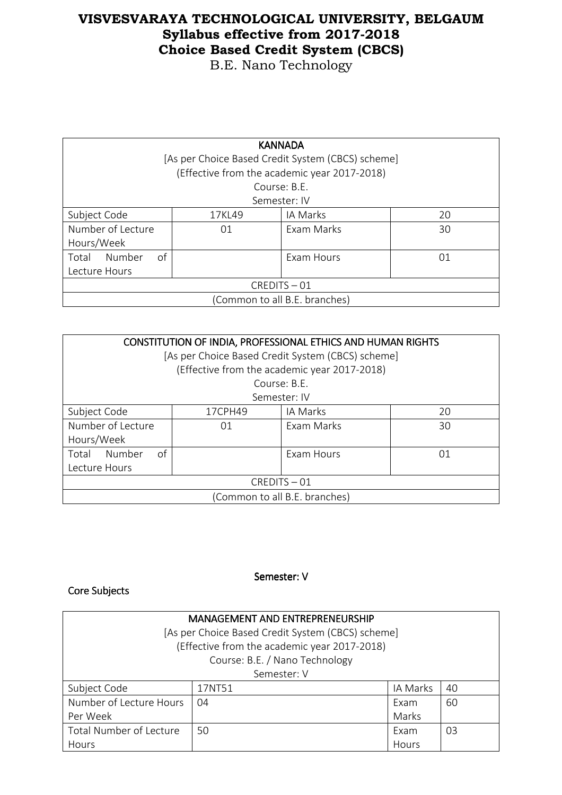B.E. Nano Technology

| <b>KANNADA</b><br>[As per Choice Based Credit System (CBCS) scheme] |  |                                              |  |  |
|---------------------------------------------------------------------|--|----------------------------------------------|--|--|
|                                                                     |  | (Effective from the academic year 2017-2018) |  |  |
|                                                                     |  | Course: B.E.                                 |  |  |
|                                                                     |  | Semester: IV                                 |  |  |
| Subject Code<br>IA Marks<br>20<br>17KL49                            |  |                                              |  |  |
| Number of Lecture<br>Exam Marks<br>30<br>01                         |  |                                              |  |  |
| Hours/Week                                                          |  |                                              |  |  |
| Number<br>οf<br>Exam Hours<br>Total<br>01                           |  |                                              |  |  |
| Lecture Hours                                                       |  |                                              |  |  |
| CREDITS-01                                                          |  |                                              |  |  |
| (Common to all B.E. branches)                                       |  |                                              |  |  |

| CONSTITUTION OF INDIA, PROFESSIONAL ETHICS AND HUMAN RIGHTS<br>[As per Choice Based Credit System (CBCS) scheme] |                           |                                              |    |  |
|------------------------------------------------------------------------------------------------------------------|---------------------------|----------------------------------------------|----|--|
|                                                                                                                  |                           | (Effective from the academic year 2017-2018) |    |  |
|                                                                                                                  |                           | Course: B.F.                                 |    |  |
|                                                                                                                  |                           | Semester: IV                                 |    |  |
| Subject Code                                                                                                     | IA Marks<br>17CPH49<br>20 |                                              |    |  |
| Number of Lecture<br>Hours/Week                                                                                  | 01                        | Exam Marks                                   | 30 |  |
| of<br>Number<br>Exam Hours<br>Total<br>01<br>Lecture Hours                                                       |                           |                                              |    |  |
| CREDITS-01                                                                                                       |                           |                                              |    |  |
| (Common to all B.E. branches)                                                                                    |                           |                                              |    |  |

#### Semester: V

### Core Subjects

| <b>MANAGEMENT AND ENTREPRENEURSHIP</b><br>[As per Choice Based Credit System (CBCS) scheme]<br>(Effective from the academic year 2017-2018) |                                |          |    |
|---------------------------------------------------------------------------------------------------------------------------------------------|--------------------------------|----------|----|
|                                                                                                                                             | Course: B.E. / Nano Technology |          |    |
|                                                                                                                                             | Semester: V                    |          |    |
| Subject Code                                                                                                                                | 17NT51                         | IA Marks | 40 |
| Number of Lecture Hours                                                                                                                     | 04                             | Exam     | 60 |
| Per Week                                                                                                                                    |                                | Marks    |    |
| Total Number of Lecture                                                                                                                     | 50                             | Exam     | 03 |
| Hours                                                                                                                                       |                                | Hours    |    |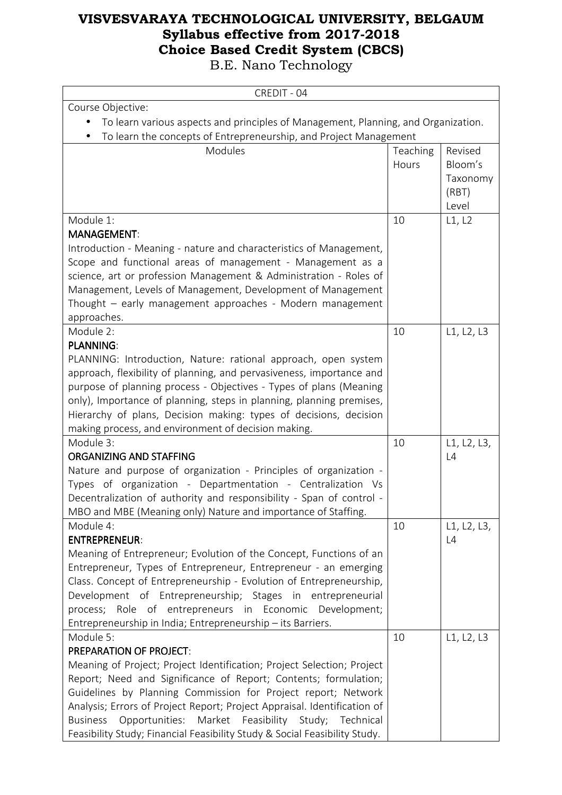| CREDIT - 04                                                                                                                               |                   |                                |
|-------------------------------------------------------------------------------------------------------------------------------------------|-------------------|--------------------------------|
| Course Objective:                                                                                                                         |                   |                                |
| To learn various aspects and principles of Management, Planning, and Organization.                                                        |                   |                                |
| To learn the concepts of Entrepreneurship, and Project Management                                                                         |                   |                                |
| Modules                                                                                                                                   | Teaching<br>Hours | Revised<br>Bloom's<br>Taxonomy |
|                                                                                                                                           |                   | (RBT)<br>Level                 |
| Module 1:                                                                                                                                 | 10                | L1, L2                         |
| <b>MANAGEMENT:</b>                                                                                                                        |                   |                                |
| Introduction - Meaning - nature and characteristics of Management,                                                                        |                   |                                |
| Scope and functional areas of management - Management as a                                                                                |                   |                                |
| science, art or profession Management & Administration - Roles of                                                                         |                   |                                |
| Management, Levels of Management, Development of Management                                                                               |                   |                                |
| Thought - early management approaches - Modern management                                                                                 |                   |                                |
| approaches.                                                                                                                               |                   |                                |
| Module 2:                                                                                                                                 | 10                | L1, L2, L3                     |
| <b>PLANNING:</b><br>PLANNING: Introduction, Nature: rational approach, open system                                                        |                   |                                |
| approach, flexibility of planning, and pervasiveness, importance and                                                                      |                   |                                |
| purpose of planning process - Objectives - Types of plans (Meaning                                                                        |                   |                                |
| only), Importance of planning, steps in planning, planning premises,                                                                      |                   |                                |
| Hierarchy of plans, Decision making: types of decisions, decision                                                                         |                   |                                |
| making process, and environment of decision making.                                                                                       |                   |                                |
| Module 3:                                                                                                                                 | 10                | L1, L2, L3,                    |
| <b>ORGANIZING AND STAFFING</b>                                                                                                            |                   | L4                             |
| Nature and purpose of organization - Principles of organization -                                                                         |                   |                                |
| Types of organization - Departmentation - Centralization Vs                                                                               |                   |                                |
| Decentralization of authority and responsibility - Span of control -                                                                      |                   |                                |
| MBO and MBE (Meaning only) Nature and importance of Staffing.                                                                             |                   |                                |
| Module 4:                                                                                                                                 | 10                | L1, L2, L3,                    |
| <b>ENTREPRENEUR:</b>                                                                                                                      |                   | L4                             |
| Meaning of Entrepreneur; Evolution of the Concept, Functions of an                                                                        |                   |                                |
| Entrepreneur, Types of Entrepreneur, Entrepreneur - an emerging                                                                           |                   |                                |
| Class. Concept of Entrepreneurship - Evolution of Entrepreneurship,                                                                       |                   |                                |
| Development of Entrepreneurship; Stages in entrepreneurial                                                                                |                   |                                |
| process; Role of entrepreneurs in Economic Development;                                                                                   |                   |                                |
| Entrepreneurship in India; Entrepreneurship - its Barriers.                                                                               |                   |                                |
| Module 5:                                                                                                                                 | 10                | L1, L2, L3                     |
| <b>PREPARATION OF PROJECT:</b>                                                                                                            |                   |                                |
| Meaning of Project; Project Identification; Project Selection; Project<br>Report; Need and Significance of Report; Contents; formulation; |                   |                                |
| Guidelines by Planning Commission for Project report; Network                                                                             |                   |                                |
| Analysis; Errors of Project Report; Project Appraisal. Identification of                                                                  |                   |                                |
| <b>Business</b><br>Opportunities: Market Feasibility Study; Technical                                                                     |                   |                                |
| Feasibility Study; Financial Feasibility Study & Social Feasibility Study.                                                                |                   |                                |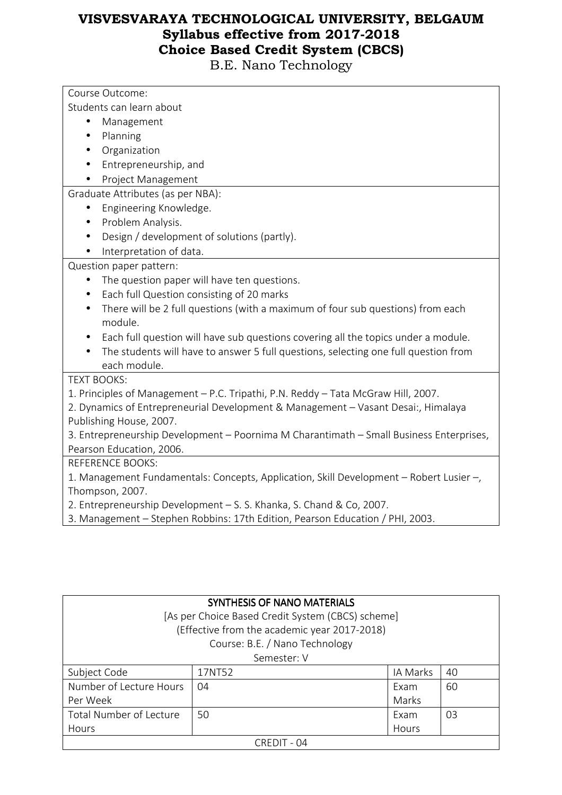| Course Outcome:                                                                              |
|----------------------------------------------------------------------------------------------|
| Students can learn about                                                                     |
| Management<br>$\bullet$                                                                      |
| Planning                                                                                     |
| Organization                                                                                 |
| Entrepreneurship, and                                                                        |
| Project Management                                                                           |
| Graduate Attributes (as per NBA):                                                            |
| Engineering Knowledge.                                                                       |
| Problem Analysis.                                                                            |
| Design / development of solutions (partly).                                                  |
| Interpretation of data.                                                                      |
| Question paper pattern:                                                                      |
| The question paper will have ten questions.                                                  |
| Each full Question consisting of 20 marks                                                    |
| There will be 2 full questions (with a maximum of four sub questions) from each<br>$\bullet$ |
| module.                                                                                      |
| Each full question will have sub questions covering all the topics under a module.           |
| The students will have to answer 5 full questions, selecting one full question from          |
| each module.                                                                                 |
| <b>TEXT BOOKS:</b>                                                                           |
| 1. Principles of Management - P.C. Tripathi, P.N. Reddy - Tata McGraw Hill, 2007.            |
| 2. Dynamics of Entrepreneurial Development & Management - Vasant Desai:, Himalaya            |
| Publishing House, 2007.                                                                      |
| 3. Entrepreneurship Development - Poornima M Charantimath - Small Business Enterprises,      |
| Pearson Education, 2006.                                                                     |
| <b>REFERENCE BOOKS:</b>                                                                      |
| 1. Management Fundamentals: Concepts, Application, Skill Development - Robert Lusier -,      |
| Thompson, 2007.                                                                              |
| 2. Entrepreneurship Development - S. S. Khanka, S. Chand & Co, 2007.                         |
| 3. Management - Stephen Robbins: 17th Edition, Pearson Education / PHI, 2003.                |

| SYNTHESIS OF NANO MATERIALS                       |        |          |    |  |  |
|---------------------------------------------------|--------|----------|----|--|--|
| [As per Choice Based Credit System (CBCS) scheme] |        |          |    |  |  |
| (Effective from the academic year 2017-2018)      |        |          |    |  |  |
| Course: B.E. / Nano Technology                    |        |          |    |  |  |
| Semester: V                                       |        |          |    |  |  |
| Subject Code                                      | 17NT52 | IA Marks | 40 |  |  |
| Number of Lecture Hours                           | 04     | Exam     | 60 |  |  |
| Per Week                                          |        | Marks    |    |  |  |
| Total Number of Lecture                           | 50     | Fxam     | 03 |  |  |
| Hours                                             |        | Hours    |    |  |  |
| CREDIT - 04                                       |        |          |    |  |  |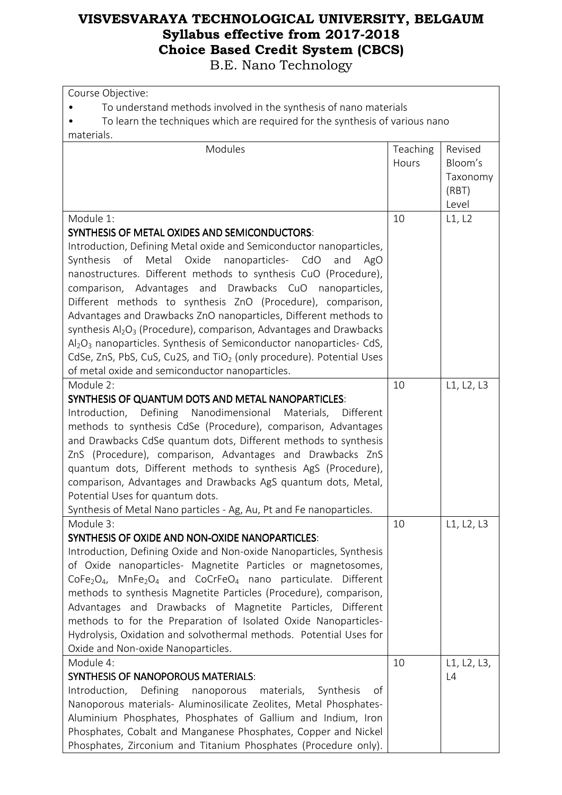| Course Objective:                                                                                                                             |          |             |  |  |
|-----------------------------------------------------------------------------------------------------------------------------------------------|----------|-------------|--|--|
| To understand methods involved in the synthesis of nano materials                                                                             |          |             |  |  |
| To learn the techniques which are required for the synthesis of various nano                                                                  |          |             |  |  |
| materials.                                                                                                                                    |          |             |  |  |
| Modules                                                                                                                                       | Teaching | Revised     |  |  |
|                                                                                                                                               | Hours    | Bloom's     |  |  |
|                                                                                                                                               |          | Taxonomy    |  |  |
|                                                                                                                                               |          | (RBT)       |  |  |
|                                                                                                                                               |          | Level       |  |  |
| Module 1:                                                                                                                                     | 10       | L1, L2      |  |  |
| <b>SYNTHESIS OF METAL OXIDES AND SEMICONDUCTORS:</b>                                                                                          |          |             |  |  |
| Introduction, Defining Metal oxide and Semiconductor nanoparticles,                                                                           |          |             |  |  |
| Synthesis of Metal Oxide nanoparticles- CdO<br>and<br>AgO                                                                                     |          |             |  |  |
| nanostructures. Different methods to synthesis CuO (Procedure),                                                                               |          |             |  |  |
| comparison, Advantages and Drawbacks CuO nanoparticles,<br>Different methods to synthesis ZnO (Procedure), comparison,                        |          |             |  |  |
| Advantages and Drawbacks ZnO nanoparticles, Different methods to                                                                              |          |             |  |  |
| synthesis Al <sub>2</sub> O <sub>3</sub> (Procedure), comparison, Advantages and Drawbacks                                                    |          |             |  |  |
| $Al_2O_3$ nanoparticles. Synthesis of Semiconductor nanoparticles- CdS,                                                                       |          |             |  |  |
| CdSe, ZnS, PbS, CuS, Cu2S, and TiO <sub>2</sub> (only procedure). Potential Uses                                                              |          |             |  |  |
| of metal oxide and semiconductor nanoparticles.                                                                                               |          |             |  |  |
| Module 2:                                                                                                                                     | 10       | L1, L2, L3  |  |  |
| SYNTHESIS OF QUANTUM DOTS AND METAL NANOPARTICLES:                                                                                            |          |             |  |  |
| Introduction,<br>Defining Nanodimensional Materials, Different                                                                                |          |             |  |  |
| methods to synthesis CdSe (Procedure), comparison, Advantages                                                                                 |          |             |  |  |
| and Drawbacks CdSe quantum dots, Different methods to synthesis                                                                               |          |             |  |  |
| ZnS (Procedure), comparison, Advantages and Drawbacks ZnS                                                                                     |          |             |  |  |
| quantum dots, Different methods to synthesis AgS (Procedure),                                                                                 |          |             |  |  |
| comparison, Advantages and Drawbacks AgS quantum dots, Metal,                                                                                 |          |             |  |  |
| Potential Uses for quantum dots.                                                                                                              |          |             |  |  |
| Synthesis of Metal Nano particles - Ag, Au, Pt and Fe nanoparticles.                                                                          |          |             |  |  |
| Module 3:                                                                                                                                     | 10       | L1, L2, L3  |  |  |
| SYNTHESIS OF OXIDE AND NON-OXIDE NANOPARTICLES:                                                                                               |          |             |  |  |
| Introduction, Defining Oxide and Non-oxide Nanoparticles, Synthesis                                                                           |          |             |  |  |
| of Oxide nanoparticles- Magnetite Particles or magnetosomes,                                                                                  |          |             |  |  |
| $CoFe2O4$ , MnFe <sub>2</sub> O <sub>4</sub> and CoCrFeO <sub>4</sub> nano particulate. Different                                             |          |             |  |  |
| methods to synthesis Magnetite Particles (Procedure), comparison,                                                                             |          |             |  |  |
| Advantages and Drawbacks of Magnetite Particles, Different                                                                                    |          |             |  |  |
| methods to for the Preparation of Isolated Oxide Nanoparticles-                                                                               |          |             |  |  |
| Hydrolysis, Oxidation and solvothermal methods. Potential Uses for                                                                            |          |             |  |  |
| Oxide and Non-oxide Nanoparticles.                                                                                                            |          |             |  |  |
| Module 4:                                                                                                                                     | 10       | L1, L2, L3, |  |  |
| <b>SYNTHESIS OF NANOPOROUS MATERIALS:</b>                                                                                                     |          | L4          |  |  |
| Introduction,<br>Defining<br>materials,<br>nanoporous<br>Synthesis<br>of<br>Nanoporous materials- Aluminosilicate Zeolites, Metal Phosphates- |          |             |  |  |
| Aluminium Phosphates, Phosphates of Gallium and Indium, Iron                                                                                  |          |             |  |  |
| Phosphates, Cobalt and Manganese Phosphates, Copper and Nickel                                                                                |          |             |  |  |
| Phosphates, Zirconium and Titanium Phosphates (Procedure only).                                                                               |          |             |  |  |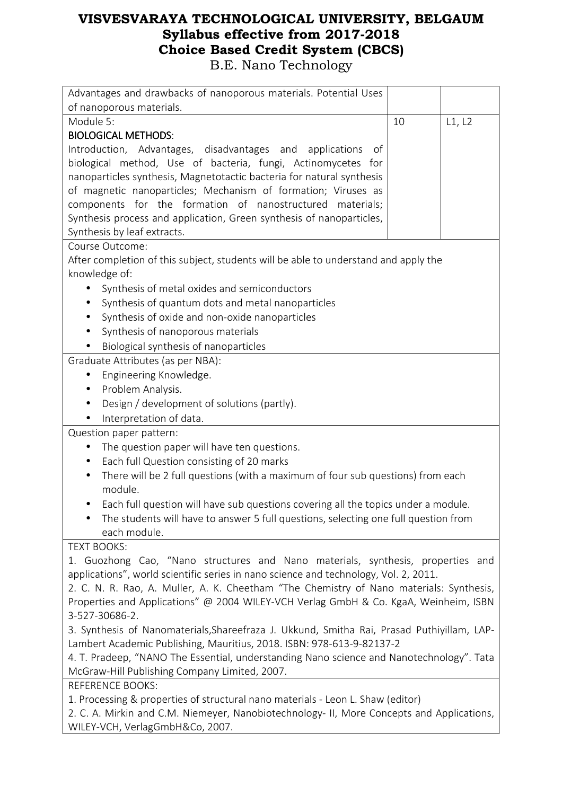| Advantages and drawbacks of nanoporous materials. Potential Uses                             |    |        |  |  |
|----------------------------------------------------------------------------------------------|----|--------|--|--|
| of nanoporous materials.                                                                     |    |        |  |  |
| Module 5:                                                                                    | 10 | L1, L2 |  |  |
| <b>BIOLOGICAL METHODS:</b>                                                                   |    |        |  |  |
| Introduction, Advantages, disadvantages and applications<br>0t                               |    |        |  |  |
| biological method, Use of bacteria, fungi, Actinomycetes for                                 |    |        |  |  |
| nanoparticles synthesis, Magnetotactic bacteria for natural synthesis                        |    |        |  |  |
| of magnetic nanoparticles; Mechanism of formation; Viruses as                                |    |        |  |  |
| components for the formation of nanostructured<br>materials;                                 |    |        |  |  |
| Synthesis process and application, Green synthesis of nanoparticles,                         |    |        |  |  |
| Synthesis by leaf extracts.                                                                  |    |        |  |  |
| Course Outcome:                                                                              |    |        |  |  |
| After completion of this subject, students will be able to understand and apply the          |    |        |  |  |
| knowledge of:                                                                                |    |        |  |  |
| Synthesis of metal oxides and semiconductors                                                 |    |        |  |  |
| Synthesis of quantum dots and metal nanoparticles<br>$\bullet$                               |    |        |  |  |
| Synthesis of oxide and non-oxide nanoparticles<br>$\bullet$                                  |    |        |  |  |
| Synthesis of nanoporous materials<br>$\bullet$                                               |    |        |  |  |
| Biological synthesis of nanoparticles                                                        |    |        |  |  |
| Graduate Attributes (as per NBA):                                                            |    |        |  |  |
| Engineering Knowledge.<br>$\bullet$                                                          |    |        |  |  |
| Problem Analysis.<br>$\bullet$                                                               |    |        |  |  |
| Design / development of solutions (partly).<br>$\bullet$                                     |    |        |  |  |
| Interpretation of data.                                                                      |    |        |  |  |
| Question paper pattern:                                                                      |    |        |  |  |
| The question paper will have ten questions.<br>$\bullet$                                     |    |        |  |  |
| Each full Question consisting of 20 marks<br>$\bullet$                                       |    |        |  |  |
| There will be 2 full questions (with a maximum of four sub questions) from each<br>$\bullet$ |    |        |  |  |
| module.                                                                                      |    |        |  |  |
| Each full question will have sub questions covering all the topics under a module.           |    |        |  |  |
| The students will have to answer 5 full questions, selecting one full question from          |    |        |  |  |
| each module.                                                                                 |    |        |  |  |
| <b>TEXT BOOKS:</b>                                                                           |    |        |  |  |
| 1. Guozhong Cao, "Nano structures and Nano materials, synthesis, properties and              |    |        |  |  |
| applications", world scientific series in nano science and technology, Vol. 2, 2011.         |    |        |  |  |
| 2. C. N. R. Rao, A. Muller, A. K. Cheetham "The Chemistry of Nano materials: Synthesis,      |    |        |  |  |
| Properties and Applications" @ 2004 WILEY-VCH Verlag GmbH & Co. KgaA, Weinheim, ISBN         |    |        |  |  |
| 3-527-30686-2.                                                                               |    |        |  |  |
| 3. Synthesis of Nanomaterials, Shareefraza J. Ukkund, Smitha Rai, Prasad Puthiyillam, LAP-   |    |        |  |  |
| Lambert Academic Publishing, Mauritius, 2018. ISBN: 978-613-9-82137-2                        |    |        |  |  |
| 4. T. Pradeep, "NANO The Essential, understanding Nano science and Nanotechnology". Tata     |    |        |  |  |
| McGraw-Hill Publishing Company Limited, 2007.                                                |    |        |  |  |
| <b>REFERENCE BOOKS:</b>                                                                      |    |        |  |  |
| 1. Processing & properties of structural nano materials - Leon L. Shaw (editor)              |    |        |  |  |
| 2. C. A. Mirkin and C.M. Niemeyer, Nanobiotechnology- II, More Concepts and Applications,    |    |        |  |  |

WILEY-VCH, VerlagGmbH&Co, 2007.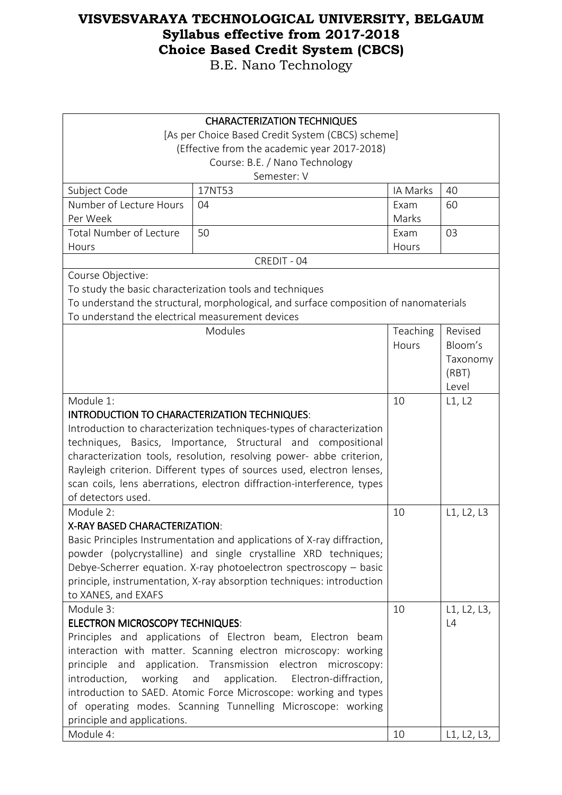| <b>CHARACTERIZATION TECHNIQUES</b>                                     |                                                                                                                                 |               |             |
|------------------------------------------------------------------------|---------------------------------------------------------------------------------------------------------------------------------|---------------|-------------|
| [As per Choice Based Credit System (CBCS) scheme]                      |                                                                                                                                 |               |             |
| (Effective from the academic year 2017-2018)                           |                                                                                                                                 |               |             |
|                                                                        | Course: B.E. / Nano Technology                                                                                                  |               |             |
|                                                                        | Semester: V                                                                                                                     |               |             |
| Subject Code                                                           | 17NT53                                                                                                                          | IA Marks      | 40          |
| Number of Lecture Hours<br>Per Week                                    | 04                                                                                                                              | Exam<br>Marks | 60          |
| <b>Total Number of Lecture</b><br>Hours                                | 50                                                                                                                              | Exam<br>Hours | 03          |
|                                                                        | CREDIT - 04                                                                                                                     |               |             |
| Course Objective:                                                      |                                                                                                                                 |               |             |
|                                                                        | To study the basic characterization tools and techniques                                                                        |               |             |
|                                                                        | To understand the structural, morphological, and surface composition of nanomaterials                                           |               |             |
| To understand the electrical measurement devices                       |                                                                                                                                 |               |             |
|                                                                        | Modules                                                                                                                         | Teaching      | Revised     |
|                                                                        |                                                                                                                                 | Hours         | Bloom's     |
|                                                                        |                                                                                                                                 |               | Taxonomy    |
|                                                                        |                                                                                                                                 |               | (RBT)       |
|                                                                        |                                                                                                                                 |               | Level       |
| Module 1:                                                              |                                                                                                                                 |               | L1, L2      |
| INTRODUCTION TO CHARACTERIZATION TECHNIQUES:                           |                                                                                                                                 |               |             |
| Introduction to characterization techniques-types of characterization  |                                                                                                                                 |               |             |
|                                                                        | techniques, Basics, Importance, Structural and compositional                                                                    |               |             |
|                                                                        | characterization tools, resolution, resolving power- abbe criterion,                                                            |               |             |
|                                                                        | Rayleigh criterion. Different types of sources used, electron lenses,                                                           |               |             |
| scan coils, lens aberrations, electron diffraction-interference, types |                                                                                                                                 |               |             |
| of detectors used.                                                     |                                                                                                                                 |               |             |
| Module 2:                                                              |                                                                                                                                 | 10            | L1, L2, L3  |
| X-RAY BASED CHARACTERIZATION:                                          |                                                                                                                                 |               |             |
|                                                                        | Basic Principles Instrumentation and applications of X-ray diffraction,                                                         |               |             |
|                                                                        | powder (polycrystalline) and single crystalline XRD techniques;                                                                 |               |             |
|                                                                        | Debye-Scherrer equation. X-ray photoelectron spectroscopy - basic                                                               |               |             |
|                                                                        | principle, instrumentation, X-ray absorption techniques: introduction                                                           |               |             |
| to XANES, and EXAFS                                                    |                                                                                                                                 |               |             |
| Module 3:                                                              |                                                                                                                                 | 10            | L1, L2, L3, |
| <b>ELECTRON MICROSCOPY TECHNIQUES:</b>                                 |                                                                                                                                 |               | L4          |
|                                                                        | Principles and applications of Electron beam, Electron beam                                                                     |               |             |
|                                                                        | interaction with matter. Scanning electron microscopy: working                                                                  |               |             |
|                                                                        | principle and application. Transmission electron microscopy:                                                                    |               |             |
| introduction,<br>working                                               | and<br>application.<br>Electron-diffraction,                                                                                    |               |             |
|                                                                        | introduction to SAED. Atomic Force Microscope: working and types<br>of operating modes. Scanning Tunnelling Microscope: working |               |             |
| principle and applications.                                            |                                                                                                                                 |               |             |
| Module 4:                                                              |                                                                                                                                 | 10            | L1, L2, L3, |
|                                                                        |                                                                                                                                 |               |             |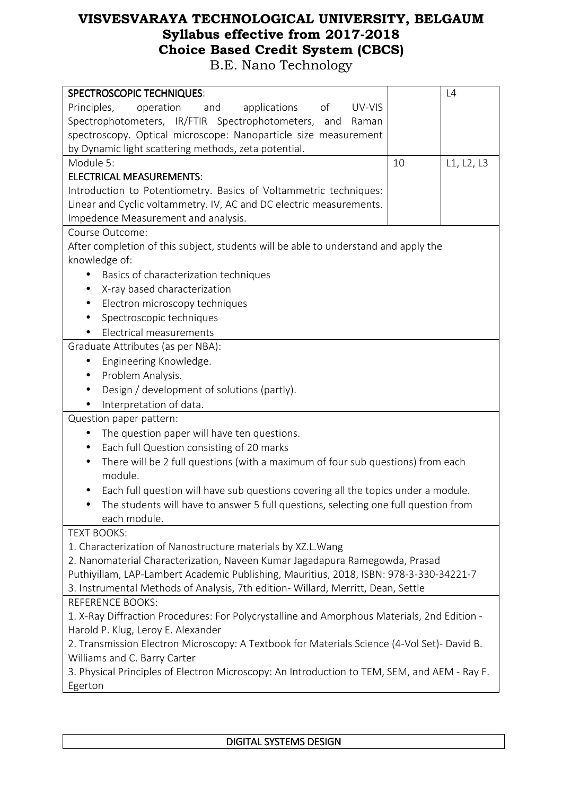| <b>SPECTROSCOPIC TECHNIQUES:</b>                                                             |    | L4         |
|----------------------------------------------------------------------------------------------|----|------------|
| of<br>Principles,<br>operation<br>applications<br>UV-VIS<br>and                              |    |            |
| Spectrophotometers, IR/FTIR Spectrophotometers,<br>and<br>Raman                              |    |            |
| spectroscopy. Optical microscope: Nanoparticle size measurement                              |    |            |
| by Dynamic light scattering methods, zeta potential.                                         |    |            |
| Module 5:                                                                                    | 10 | L1, L2, L3 |
| <b>ELECTRICAL MEASUREMENTS:</b>                                                              |    |            |
| Introduction to Potentiometry. Basics of Voltammetric techniques:                            |    |            |
| Linear and Cyclic voltammetry. IV, AC and DC electric measurements.                          |    |            |
| Impedence Measurement and analysis.                                                          |    |            |
| Course Outcome:                                                                              |    |            |
| After completion of this subject, students will be able to understand and apply the          |    |            |
| knowledge of:                                                                                |    |            |
| Basics of characterization techniques                                                        |    |            |
| X-ray based characterization<br>$\bullet$                                                    |    |            |
| Electron microscopy techniques<br>$\bullet$                                                  |    |            |
| Spectroscopic techniques<br>$\bullet$                                                        |    |            |
| Electrical measurements<br>$\bullet$                                                         |    |            |
| Graduate Attributes (as per NBA):                                                            |    |            |
| Engineering Knowledge.<br>$\bullet$                                                          |    |            |
| Problem Analysis.<br>٠                                                                       |    |            |
| Design / development of solutions (partly).<br>$\bullet$                                     |    |            |
| Interpretation of data.                                                                      |    |            |
| Question paper pattern:                                                                      |    |            |
| The question paper will have ten questions.<br>$\bullet$                                     |    |            |
| Each full Question consisting of 20 marks<br>٠                                               |    |            |
| There will be 2 full questions (with a maximum of four sub questions) from each<br>$\bullet$ |    |            |
| module.                                                                                      |    |            |
| Each full question will have sub questions covering all the topics under a module.<br>٠      |    |            |
| The students will have to answer 5 full questions, selecting one full question from          |    |            |
| each module.                                                                                 |    |            |
| <b>TEXT BOOKS:</b>                                                                           |    |            |
| 1. Characterization of Nanostructure materials by XZ.L. Wang                                 |    |            |
| 2. Nanomaterial Characterization, Naveen Kumar Jagadapura Ramegowda, Prasad                  |    |            |
| Puthiyillam, LAP-Lambert Academic Publishing, Mauritius, 2018, ISBN: 978-3-330-34221-7       |    |            |
| 3. Instrumental Methods of Analysis, 7th edition- Willard, Merritt, Dean, Settle             |    |            |
| <b>REFERENCE BOOKS:</b>                                                                      |    |            |
| 1. X-Ray Diffraction Procedures: For Polycrystalline and Amorphous Materials, 2nd Edition -  |    |            |
| Harold P. Klug, Leroy E. Alexander                                                           |    |            |
| 2. Transmission Electron Microscopy: A Textbook for Materials Science (4-Vol Set)- David B.  |    |            |
| Williams and C. Barry Carter                                                                 |    |            |
| 3. Physical Principles of Electron Microscopy: An Introduction to TEM, SEM, and AEM - Ray F. |    |            |
| Egerton                                                                                      |    |            |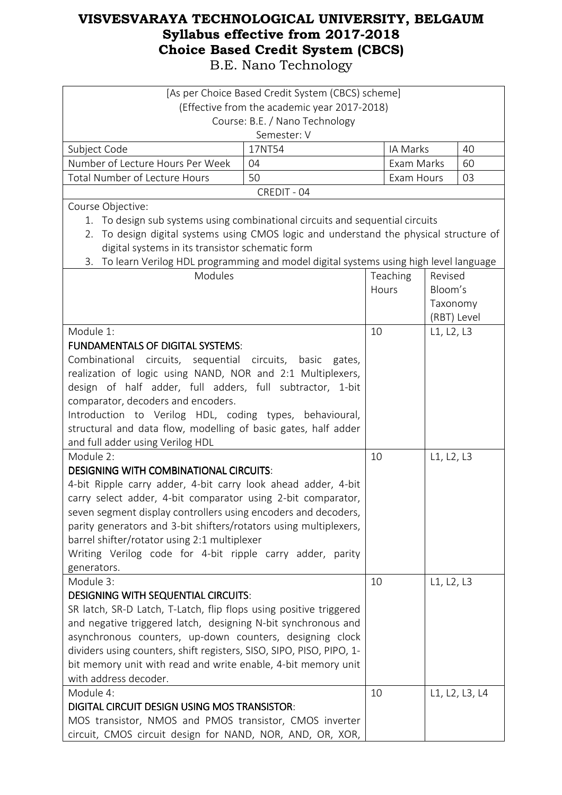|                                                                                                                                  | [As per Choice Based Credit System (CBCS) scheme] |            |             |                |
|----------------------------------------------------------------------------------------------------------------------------------|---------------------------------------------------|------------|-------------|----------------|
|                                                                                                                                  | (Effective from the academic year 2017-2018)      |            |             |                |
|                                                                                                                                  | Course: B.E. / Nano Technology                    |            |             |                |
|                                                                                                                                  | Semester: V                                       |            |             |                |
| Subject Code                                                                                                                     | 17NT54                                            | IA Marks   |             | 40             |
| Number of Lecture Hours Per Week                                                                                                 | 04                                                | Exam Marks |             | 60             |
| Total Number of Lecture Hours                                                                                                    | 50                                                | Exam Hours |             | 03             |
|                                                                                                                                  | CREDIT - 04                                       |            |             |                |
| Course Objective:                                                                                                                |                                                   |            |             |                |
| 1. To design sub systems using combinational circuits and sequential circuits                                                    |                                                   |            |             |                |
| To design digital systems using CMOS logic and understand the physical structure of<br>2.                                        |                                                   |            |             |                |
| digital systems in its transistor schematic form                                                                                 |                                                   |            |             |                |
| To learn Verilog HDL programming and model digital systems using high level language<br>3.                                       |                                                   |            |             |                |
| Modules                                                                                                                          |                                                   | Teaching   | Revised     |                |
|                                                                                                                                  |                                                   | Hours      | Bloom's     |                |
|                                                                                                                                  |                                                   |            | Taxonomy    |                |
|                                                                                                                                  |                                                   |            | (RBT) Level |                |
| Module 1:                                                                                                                        |                                                   | 10         | L1, L2, L3  |                |
| <b>FUNDAMENTALS OF DIGITAL SYSTEMS:</b>                                                                                          |                                                   |            |             |                |
| Combinational circuits, sequential circuits, basic gates,                                                                        |                                                   |            |             |                |
| realization of logic using NAND, NOR and 2:1 Multiplexers,                                                                       |                                                   |            |             |                |
| design of half adder, full adders, full subtractor, 1-bit                                                                        |                                                   |            |             |                |
| comparator, decoders and encoders.                                                                                               |                                                   |            |             |                |
| Introduction to Verilog HDL, coding types, behavioural,                                                                          |                                                   |            |             |                |
| structural and data flow, modelling of basic gates, half adder                                                                   |                                                   |            |             |                |
| and full adder using Verilog HDL                                                                                                 |                                                   |            |             |                |
| Module 2:                                                                                                                        |                                                   | 10         | L1, L2, L3  |                |
| <b>DESIGNING WITH COMBINATIONAL CIRCUITS:</b>                                                                                    |                                                   |            |             |                |
| 4-bit Ripple carry adder, 4-bit carry look ahead adder, 4-bit                                                                    |                                                   |            |             |                |
| carry select adder, 4-bit comparator using 2-bit comparator,                                                                     |                                                   |            |             |                |
| seven segment display controllers using encoders and decoders,                                                                   |                                                   |            |             |                |
| parity generators and 3-bit shifters/rotators using multiplexers,                                                                |                                                   |            |             |                |
| barrel shifter/rotator using 2:1 multiplexer                                                                                     |                                                   |            |             |                |
| Writing Verilog code for 4-bit ripple carry adder, parity                                                                        |                                                   |            |             |                |
| generators.                                                                                                                      |                                                   |            |             |                |
| Module 3:                                                                                                                        |                                                   | 10         | L1, L2, L3  |                |
| <b>DESIGNING WITH SEQUENTIAL CIRCUITS:</b>                                                                                       |                                                   |            |             |                |
| SR latch, SR-D Latch, T-Latch, flip flops using positive triggered                                                               |                                                   |            |             |                |
| and negative triggered latch, designing N-bit synchronous and                                                                    |                                                   |            |             |                |
| asynchronous counters, up-down counters, designing clock<br>dividers using counters, shift registers, SISO, SIPO, PISO, PIPO, 1- |                                                   |            |             |                |
| bit memory unit with read and write enable, 4-bit memory unit                                                                    |                                                   |            |             |                |
| with address decoder.                                                                                                            |                                                   |            |             |                |
| Module 4:                                                                                                                        |                                                   | 10         |             | L1, L2, L3, L4 |
| DIGITAL CIRCUIT DESIGN USING MOS TRANSISTOR:                                                                                     |                                                   |            |             |                |
| MOS transistor, NMOS and PMOS transistor, CMOS inverter                                                                          |                                                   |            |             |                |
| circuit, CMOS circuit design for NAND, NOR, AND, OR, XOR,                                                                        |                                                   |            |             |                |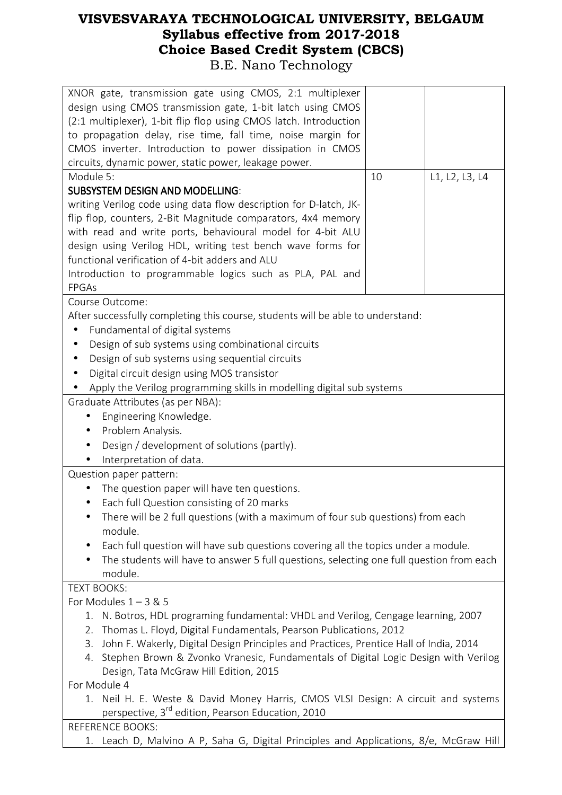| XNOR gate, transmission gate using CMOS, 2:1 multiplexer<br>design using CMOS transmission gate, 1-bit latch using CMOS<br>(2:1 multiplexer), 1-bit flip flop using CMOS latch. Introduction<br>to propagation delay, rise time, fall time, noise margin for<br>CMOS inverter. Introduction to power dissipation in CMOS<br>circuits, dynamic power, static power, leakage power. |    |                |  |
|-----------------------------------------------------------------------------------------------------------------------------------------------------------------------------------------------------------------------------------------------------------------------------------------------------------------------------------------------------------------------------------|----|----------------|--|
| Module 5:                                                                                                                                                                                                                                                                                                                                                                         | 10 | L1, L2, L3, L4 |  |
| <b>SUBSYSTEM DESIGN AND MODELLING:</b>                                                                                                                                                                                                                                                                                                                                            |    |                |  |
| writing Verilog code using data flow description for D-latch, JK-                                                                                                                                                                                                                                                                                                                 |    |                |  |
| flip flop, counters, 2-Bit Magnitude comparators, 4x4 memory                                                                                                                                                                                                                                                                                                                      |    |                |  |
| with read and write ports, behavioural model for 4-bit ALU                                                                                                                                                                                                                                                                                                                        |    |                |  |
| design using Verilog HDL, writing test bench wave forms for                                                                                                                                                                                                                                                                                                                       |    |                |  |
| functional verification of 4-bit adders and ALU                                                                                                                                                                                                                                                                                                                                   |    |                |  |
| Introduction to programmable logics such as PLA, PAL and                                                                                                                                                                                                                                                                                                                          |    |                |  |
| FPGAs                                                                                                                                                                                                                                                                                                                                                                             |    |                |  |
| Course Outcome:                                                                                                                                                                                                                                                                                                                                                                   |    |                |  |
| After successfully completing this course, students will be able to understand:                                                                                                                                                                                                                                                                                                   |    |                |  |
| Fundamental of digital systems<br>$\bullet$                                                                                                                                                                                                                                                                                                                                       |    |                |  |
| Design of sub systems using combinational circuits                                                                                                                                                                                                                                                                                                                                |    |                |  |
| Design of sub systems using sequential circuits<br>٠                                                                                                                                                                                                                                                                                                                              |    |                |  |
| Digital circuit design using MOS transistor                                                                                                                                                                                                                                                                                                                                       |    |                |  |
| Apply the Verilog programming skills in modelling digital sub systems                                                                                                                                                                                                                                                                                                             |    |                |  |
| Graduate Attributes (as per NBA):                                                                                                                                                                                                                                                                                                                                                 |    |                |  |
| Engineering Knowledge.                                                                                                                                                                                                                                                                                                                                                            |    |                |  |
| Problem Analysis.<br>$\bullet$                                                                                                                                                                                                                                                                                                                                                    |    |                |  |
| Design / development of solutions (partly).                                                                                                                                                                                                                                                                                                                                       |    |                |  |
| Interpretation of data.                                                                                                                                                                                                                                                                                                                                                           |    |                |  |
| Question paper pattern:                                                                                                                                                                                                                                                                                                                                                           |    |                |  |
| The question paper will have ten questions.                                                                                                                                                                                                                                                                                                                                       |    |                |  |
| Each full Question consisting of 20 marks                                                                                                                                                                                                                                                                                                                                         |    |                |  |
| There will be 2 full questions (with a maximum of four sub questions) from each<br>$\bullet$                                                                                                                                                                                                                                                                                      |    |                |  |
| module.                                                                                                                                                                                                                                                                                                                                                                           |    |                |  |
| Each full question will have sub questions covering all the topics under a module.<br>$\bullet$                                                                                                                                                                                                                                                                                   |    |                |  |
| The students will have to answer 5 full questions, selecting one full question from each<br>$\bullet$                                                                                                                                                                                                                                                                             |    |                |  |
| module.                                                                                                                                                                                                                                                                                                                                                                           |    |                |  |
| <b>TEXT BOOKS:</b>                                                                                                                                                                                                                                                                                                                                                                |    |                |  |
| For Modules $1 - 3$ & 5                                                                                                                                                                                                                                                                                                                                                           |    |                |  |
| N. Botros, HDL programing fundamental: VHDL and Verilog, Cengage learning, 2007<br>1.                                                                                                                                                                                                                                                                                             |    |                |  |
| Thomas L. Floyd, Digital Fundamentals, Pearson Publications, 2012<br>2.                                                                                                                                                                                                                                                                                                           |    |                |  |
| John F. Wakerly, Digital Design Principles and Practices, Prentice Hall of India, 2014<br>3.                                                                                                                                                                                                                                                                                      |    |                |  |
| Stephen Brown & Zvonko Vranesic, Fundamentals of Digital Logic Design with Verilog<br>4.                                                                                                                                                                                                                                                                                          |    |                |  |
| Design, Tata McGraw Hill Edition, 2015                                                                                                                                                                                                                                                                                                                                            |    |                |  |
| For Module 4                                                                                                                                                                                                                                                                                                                                                                      |    |                |  |
| 1. Neil H. E. Weste & David Money Harris, CMOS VLSI Design: A circuit and systems                                                                                                                                                                                                                                                                                                 |    |                |  |
| perspective, 3 <sup>rd</sup> edition, Pearson Education, 2010                                                                                                                                                                                                                                                                                                                     |    |                |  |
| <b>REFERENCE BOOKS:</b>                                                                                                                                                                                                                                                                                                                                                           |    |                |  |
| Leach D, Malvino A P, Saha G, Digital Principles and Applications, 8/e, McGraw Hill<br>1.                                                                                                                                                                                                                                                                                         |    |                |  |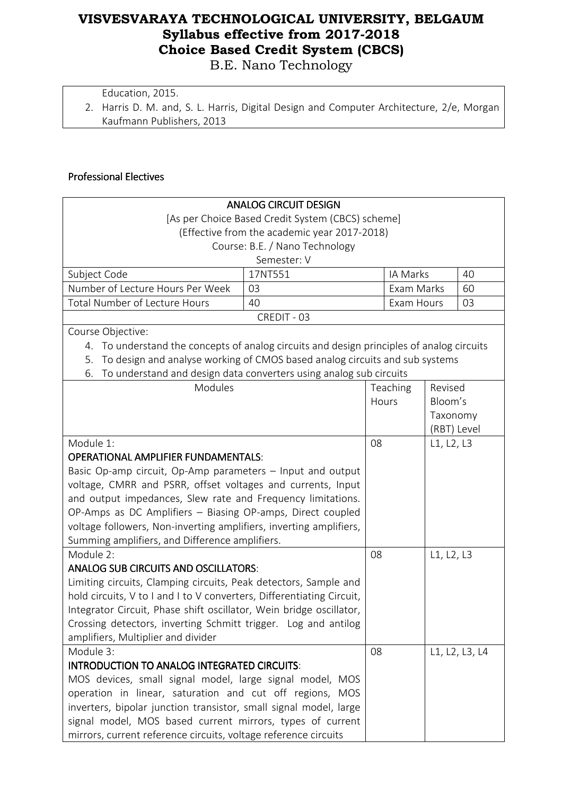B.E. Nano Technology

Education, 2015.

2. Harris D. M. and, S. L. Harris, Digital Design and Computer Architecture, 2/e, Morgan Kaufmann Publishers, 2013

#### Professional Electives Professional Electives

|                                                                                                                              | <b>ANALOG CIRCUIT DESIGN</b>   |    |            |             |                |
|------------------------------------------------------------------------------------------------------------------------------|--------------------------------|----|------------|-------------|----------------|
| [As per Choice Based Credit System (CBCS) scheme]                                                                            |                                |    |            |             |                |
| (Effective from the academic year 2017-2018)                                                                                 |                                |    |            |             |                |
|                                                                                                                              | Course: B.E. / Nano Technology |    |            |             |                |
|                                                                                                                              | Semester: V                    |    |            |             |                |
| Subject Code                                                                                                                 | 17NT551                        |    | IA Marks   |             | 40             |
| Number of Lecture Hours Per Week                                                                                             | 03                             |    | Exam Marks |             | 60             |
| Total Number of Lecture Hours                                                                                                | 40                             |    | Exam Hours |             | 03             |
|                                                                                                                              | CREDIT - 03                    |    |            |             |                |
| Course Objective:                                                                                                            |                                |    |            |             |                |
| 4. To understand the concepts of analog circuits and design principles of analog circuits                                    |                                |    |            |             |                |
| To design and analyse working of CMOS based analog circuits and sub systems<br>5.                                            |                                |    |            |             |                |
| To understand and design data converters using analog sub circuits<br>6.                                                     |                                |    |            |             |                |
| Modules                                                                                                                      |                                |    | Teaching   | Revised     |                |
|                                                                                                                              |                                |    | Hours      | Bloom's     |                |
|                                                                                                                              |                                |    |            | Taxonomy    |                |
|                                                                                                                              |                                |    |            | (RBT) Level |                |
| Module 1:                                                                                                                    |                                | 08 |            | L1, L2, L3  |                |
| <b>OPERATIONAL AMPLIFIER FUNDAMENTALS:</b>                                                                                   |                                |    |            |             |                |
| Basic Op-amp circuit, Op-Amp parameters - Input and output                                                                   |                                |    |            |             |                |
| voltage, CMRR and PSRR, offset voltages and currents, Input                                                                  |                                |    |            |             |                |
| and output impedances, Slew rate and Frequency limitations.                                                                  |                                |    |            |             |                |
| OP-Amps as DC Amplifiers - Biasing OP-amps, Direct coupled                                                                   |                                |    |            |             |                |
| voltage followers, Non-inverting amplifiers, inverting amplifiers,                                                           |                                |    |            |             |                |
| Summing amplifiers, and Difference amplifiers.                                                                               |                                |    |            |             |                |
| Module 2:                                                                                                                    |                                | 08 |            | L1, L2, L3  |                |
| <b>ANALOG SUB CIRCUITS AND OSCILLATORS:</b>                                                                                  |                                |    |            |             |                |
| Limiting circuits, Clamping circuits, Peak detectors, Sample and                                                             |                                |    |            |             |                |
| hold circuits, V to I and I to V converters, Differentiating Circuit,                                                        |                                |    |            |             |                |
| Integrator Circuit, Phase shift oscillator, Wein bridge oscillator,                                                          |                                |    |            |             |                |
| Crossing detectors, inverting Schmitt trigger. Log and antilog                                                               |                                |    |            |             |                |
| amplifiers, Multiplier and divider                                                                                           |                                |    |            |             |                |
| Module 3:                                                                                                                    |                                | 08 |            |             | L1, L2, L3, L4 |
| <b>INTRODUCTION TO ANALOG INTEGRATED CIRCUITS:</b>                                                                           |                                |    |            |             |                |
| MOS devices, small signal model, large signal model, MOS                                                                     |                                |    |            |             |                |
| operation in linear, saturation and cut off regions, MOS                                                                     |                                |    |            |             |                |
| inverters, bipolar junction transistor, small signal model, large                                                            |                                |    |            |             |                |
| signal model, MOS based current mirrors, types of current<br>mirrors, current reference circuits, voltage reference circuits |                                |    |            |             |                |
|                                                                                                                              |                                |    |            |             |                |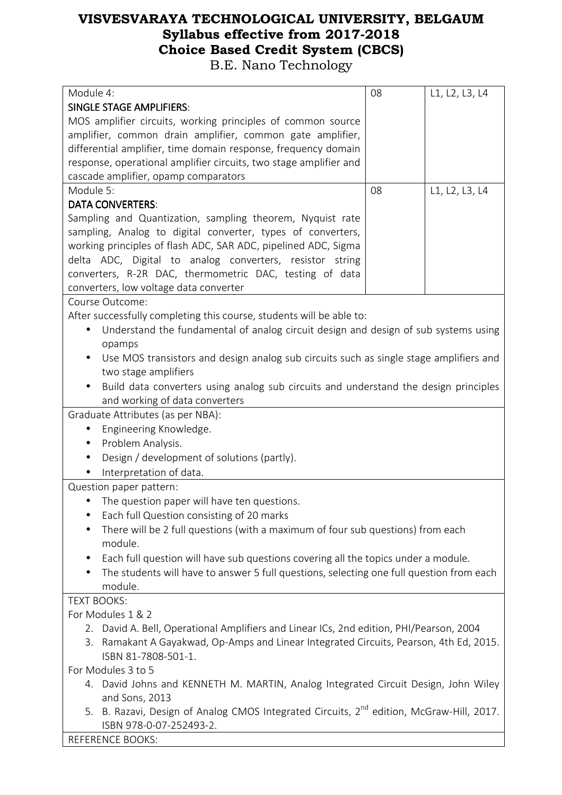B.E. Nano Technology

| Module 4:                                                                                                        | 08 | L1, L2, L3, L4 |
|------------------------------------------------------------------------------------------------------------------|----|----------------|
| <b>SINGLE STAGE AMPLIFIERS:</b>                                                                                  |    |                |
| MOS amplifier circuits, working principles of common source                                                      |    |                |
| amplifier, common drain amplifier, common gate amplifier,                                                        |    |                |
| differential amplifier, time domain response, frequency domain                                                   |    |                |
| response, operational amplifier circuits, two stage amplifier and                                                |    |                |
| cascade amplifier, opamp comparators                                                                             |    |                |
| Module 5:                                                                                                        | 08 | L1, L2, L3, L4 |
| <b>DATA CONVERTERS:</b>                                                                                          |    |                |
| Sampling and Quantization, sampling theorem, Nyquist rate                                                        |    |                |
| sampling, Analog to digital converter, types of converters,                                                      |    |                |
| working principles of flash ADC, SAR ADC, pipelined ADC, Sigma                                                   |    |                |
| delta ADC, Digital to analog converters, resistor string                                                         |    |                |
| converters, R-2R DAC, thermometric DAC, testing of data                                                          |    |                |
| converters, low voltage data converter                                                                           |    |                |
| Course Outcome:                                                                                                  |    |                |
| After successfully completing this course, students will be able to:                                             |    |                |
| Understand the fundamental of analog circuit design and design of sub systems using<br>$\bullet$                 |    |                |
| opamps                                                                                                           |    |                |
| Use MOS transistors and design analog sub circuits such as single stage amplifiers and                           |    |                |
| two stage amplifiers                                                                                             |    |                |
| Build data converters using analog sub circuits and understand the design principles                             |    |                |
| and working of data converters                                                                                   |    |                |
| Graduate Attributes (as per NBA):                                                                                |    |                |
| Engineering Knowledge.                                                                                           |    |                |
| Problem Analysis.<br>$\bullet$                                                                                   |    |                |
| Design / development of solutions (partly).<br>$\bullet$                                                         |    |                |
| Interpretation of data.                                                                                          |    |                |
| Question paper pattern:                                                                                          |    |                |
| The question paper will have ten questions.                                                                      |    |                |
| Each full Question consisting of 20 marks                                                                        |    |                |
| There will be 2 full questions (with a maximum of four sub questions) from each                                  |    |                |
| module.                                                                                                          |    |                |
| Each full question will have sub questions covering all the topics under a module.<br>$\bullet$                  |    |                |
| The students will have to answer 5 full questions, selecting one full question from each                         |    |                |
| module.                                                                                                          |    |                |
| <b>TEXT BOOKS:</b>                                                                                               |    |                |
| For Modules 1 & 2                                                                                                |    |                |
| 2. David A. Bell, Operational Amplifiers and Linear ICs, 2nd edition, PHI/Pearson, 2004                          |    |                |
| Ramakant A Gayakwad, Op-Amps and Linear Integrated Circuits, Pearson, 4th Ed, 2015.<br>3.<br>ISBN 81-7808-501-1. |    |                |
| For Modules 3 to 5                                                                                               |    |                |
| 4. David Johns and KENNETH M. MARTIN, Analog Integrated Circuit Design, John Wiley                               |    |                |
| and Sons, 2013                                                                                                   |    |                |
| 5. B. Razavi, Design of Analog CMOS Integrated Circuits, 2 <sup>nd</sup> edition, McGraw-Hill, 2017.             |    |                |
| ISBN 978-0-07-252493-2.                                                                                          |    |                |

REFERENCE BOOKS: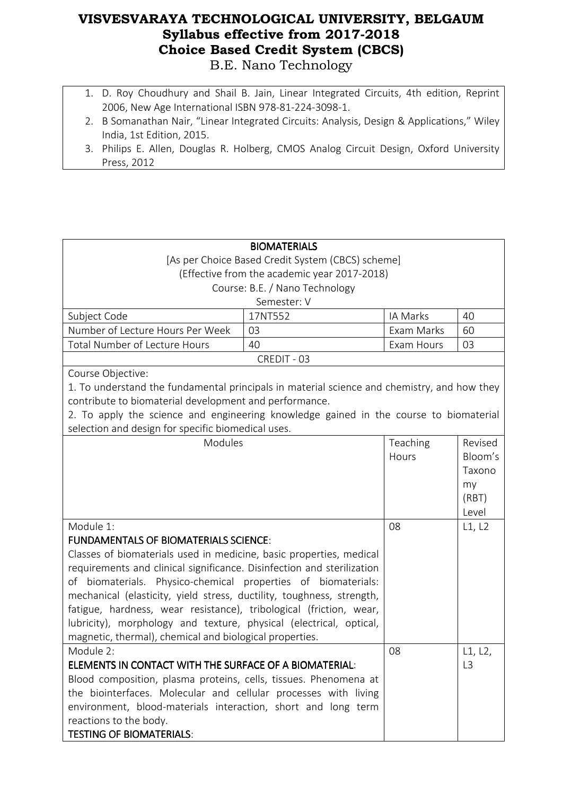- 1. D. Roy Choudhury and Shail B. Jain, Linear Integrated Circuits, 4th edition, Reprint 2006, New Age International ISBN 978-81-224-3098-1.
- 2. B Somanathan Nair, "Linear Integrated Circuits: Analysis, Design & Applications," Wiley India, 1st Edition, 2015.
- 3. Philips E. Allen, Douglas R. Holberg, CMOS Analog Circuit Design, Oxford University Press, 2012

|                                                                                             | <b>BIOMATERIALS</b>                          |            |                |
|---------------------------------------------------------------------------------------------|----------------------------------------------|------------|----------------|
| [As per Choice Based Credit System (CBCS) scheme]                                           |                                              |            |                |
|                                                                                             | (Effective from the academic year 2017-2018) |            |                |
|                                                                                             | Course: B.E. / Nano Technology               |            |                |
|                                                                                             | Semester: V                                  |            |                |
| Subject Code                                                                                | 17NT552                                      | IA Marks   | 40             |
| Number of Lecture Hours Per Week                                                            | 03                                           | Exam Marks | 60             |
| Total Number of Lecture Hours                                                               | 40                                           | Exam Hours | 03             |
|                                                                                             | CREDIT - 03                                  |            |                |
| Course Objective:                                                                           |                                              |            |                |
| 1. To understand the fundamental principals in material science and chemistry, and how they |                                              |            |                |
| contribute to biomaterial development and performance.                                      |                                              |            |                |
| 2. To apply the science and engineering knowledge gained in the course to biomaterial       |                                              |            |                |
| selection and design for specific biomedical uses.                                          |                                              |            |                |
| Modules                                                                                     |                                              | Teaching   | Revised        |
|                                                                                             |                                              | Hours      | Bloom's        |
|                                                                                             |                                              |            | Taxono         |
|                                                                                             |                                              |            | my             |
|                                                                                             |                                              |            | (RBT)          |
|                                                                                             |                                              |            | Level          |
| Module 1:                                                                                   |                                              | 08         | L1, L2         |
| <b>FUNDAMENTALS OF BIOMATERIALS SCIENCE:</b>                                                |                                              |            |                |
| Classes of biomaterials used in medicine, basic properties, medical                         |                                              |            |                |
| requirements and clinical significance. Disinfection and sterilization                      |                                              |            |                |
| of biomaterials. Physico-chemical properties of biomaterials:                               |                                              |            |                |
| mechanical (elasticity, yield stress, ductility, toughness, strength,                       |                                              |            |                |
| fatigue, hardness, wear resistance), tribological (friction, wear,                          |                                              |            |                |
| lubricity), morphology and texture, physical (electrical, optical,                          |                                              |            |                |
| magnetic, thermal), chemical and biological properties.                                     |                                              |            |                |
| Module 2:                                                                                   |                                              | 08         | L1, L2,        |
| ELEMENTS IN CONTACT WITH THE SURFACE OF A BIOMATERIAL:                                      |                                              |            | L <sub>3</sub> |
| Blood composition, plasma proteins, cells, tissues. Phenomena at                            |                                              |            |                |
| the biointerfaces. Molecular and cellular processes with living                             |                                              |            |                |
| environment, blood-materials interaction, short and long term                               |                                              |            |                |
| reactions to the body.                                                                      |                                              |            |                |
| <b>TESTING OF BIOMATERIALS:</b>                                                             |                                              |            |                |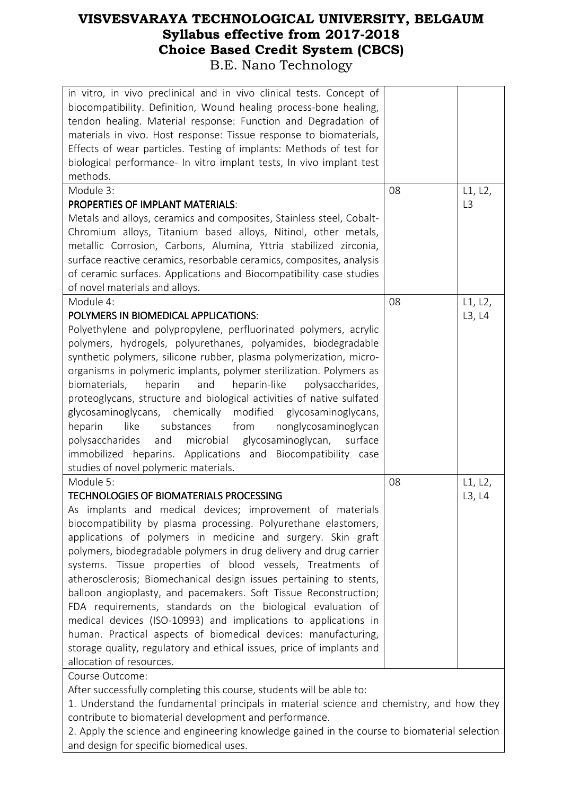| in vitro, in vivo preclinical and in vivo clinical tests. Concept of<br>biocompatibility. Definition, Wound healing process-bone healing,<br>tendon healing. Material response: Function and Degradation of<br>materials in vivo. Host response: Tissue response to biomaterials,<br>Effects of wear particles. Testing of implants: Methods of test for<br>biological performance- In vitro implant tests, In vivo implant test<br>methods. |    |                |
|----------------------------------------------------------------------------------------------------------------------------------------------------------------------------------------------------------------------------------------------------------------------------------------------------------------------------------------------------------------------------------------------------------------------------------------------|----|----------------|
| Module 3:                                                                                                                                                                                                                                                                                                                                                                                                                                    | 08 | L1, L2,        |
| <b>PROPERTIES OF IMPLANT MATERIALS:</b>                                                                                                                                                                                                                                                                                                                                                                                                      |    | L <sub>3</sub> |
| Metals and alloys, ceramics and composites, Stainless steel, Cobalt-                                                                                                                                                                                                                                                                                                                                                                         |    |                |
| Chromium alloys, Titanium based alloys, Nitinol, other metals,                                                                                                                                                                                                                                                                                                                                                                               |    |                |
|                                                                                                                                                                                                                                                                                                                                                                                                                                              |    |                |
| metallic Corrosion, Carbons, Alumina, Yttria stabilized zirconia,                                                                                                                                                                                                                                                                                                                                                                            |    |                |
| surface reactive ceramics, resorbable ceramics, composites, analysis                                                                                                                                                                                                                                                                                                                                                                         |    |                |
| of ceramic surfaces. Applications and Biocompatibility case studies                                                                                                                                                                                                                                                                                                                                                                          |    |                |
| of novel materials and alloys.                                                                                                                                                                                                                                                                                                                                                                                                               |    |                |
| Module 4:                                                                                                                                                                                                                                                                                                                                                                                                                                    | 08 | L1, L2,        |
| POLYMERS IN BIOMEDICAL APPLICATIONS:                                                                                                                                                                                                                                                                                                                                                                                                         |    | L3, L4         |
| Polyethylene and polypropylene, perfluorinated polymers, acrylic                                                                                                                                                                                                                                                                                                                                                                             |    |                |
| polymers, hydrogels, polyurethanes, polyamides, biodegradable                                                                                                                                                                                                                                                                                                                                                                                |    |                |
| synthetic polymers, silicone rubber, plasma polymerization, micro-                                                                                                                                                                                                                                                                                                                                                                           |    |                |
| organisms in polymeric implants, polymer sterilization. Polymers as                                                                                                                                                                                                                                                                                                                                                                          |    |                |
| and<br>biomaterials,<br>heparin-like<br>polysaccharides,<br>heparin                                                                                                                                                                                                                                                                                                                                                                          |    |                |
| proteoglycans, structure and biological activities of native sulfated                                                                                                                                                                                                                                                                                                                                                                        |    |                |
| glycosaminoglycans, chemically modified glycosaminoglycans,                                                                                                                                                                                                                                                                                                                                                                                  |    |                |
| heparin<br>like<br>substances<br>from<br>nonglycosaminoglycan                                                                                                                                                                                                                                                                                                                                                                                |    |                |
| and microbial glycosaminoglycan, surface<br>polysaccharides                                                                                                                                                                                                                                                                                                                                                                                  |    |                |
|                                                                                                                                                                                                                                                                                                                                                                                                                                              |    |                |
| immobilized heparins. Applications and Biocompatibility case                                                                                                                                                                                                                                                                                                                                                                                 |    |                |
| studies of novel polymeric materials.                                                                                                                                                                                                                                                                                                                                                                                                        |    |                |
| Module 5:                                                                                                                                                                                                                                                                                                                                                                                                                                    | 08 | L1, L2,        |
| <b>TECHNOLOGIES OF BIOMATERIALS PROCESSING</b>                                                                                                                                                                                                                                                                                                                                                                                               |    | L3, L4         |
| As implants and medical devices; improvement of materials                                                                                                                                                                                                                                                                                                                                                                                    |    |                |
| biocompatibility by plasma processing. Polyurethane elastomers,                                                                                                                                                                                                                                                                                                                                                                              |    |                |
| applications of polymers in medicine and surgery. Skin graft                                                                                                                                                                                                                                                                                                                                                                                 |    |                |
| polymers, biodegradable polymers in drug delivery and drug carrier                                                                                                                                                                                                                                                                                                                                                                           |    |                |
| systems. Tissue properties of blood vessels, Treatments of                                                                                                                                                                                                                                                                                                                                                                                   |    |                |
| atherosclerosis; Biomechanical design issues pertaining to stents,                                                                                                                                                                                                                                                                                                                                                                           |    |                |
| balloon angioplasty, and pacemakers. Soft Tissue Reconstruction;                                                                                                                                                                                                                                                                                                                                                                             |    |                |
| FDA requirements, standards on the biological evaluation of                                                                                                                                                                                                                                                                                                                                                                                  |    |                |
| medical devices (ISO-10993) and implications to applications in                                                                                                                                                                                                                                                                                                                                                                              |    |                |
| human. Practical aspects of biomedical devices: manufacturing,                                                                                                                                                                                                                                                                                                                                                                               |    |                |
| storage quality, regulatory and ethical issues, price of implants and                                                                                                                                                                                                                                                                                                                                                                        |    |                |
| allocation of resources.                                                                                                                                                                                                                                                                                                                                                                                                                     |    |                |
| Course Outcome:                                                                                                                                                                                                                                                                                                                                                                                                                              |    |                |

After successfully completing this course, students will be able to:

1. Understand the fundamental principals in material science and chemistry, and how they contribute to biomaterial development and performance.

2. Apply the science and engineering knowledge gained in the course to biomaterial selection and design for specific biomedical uses.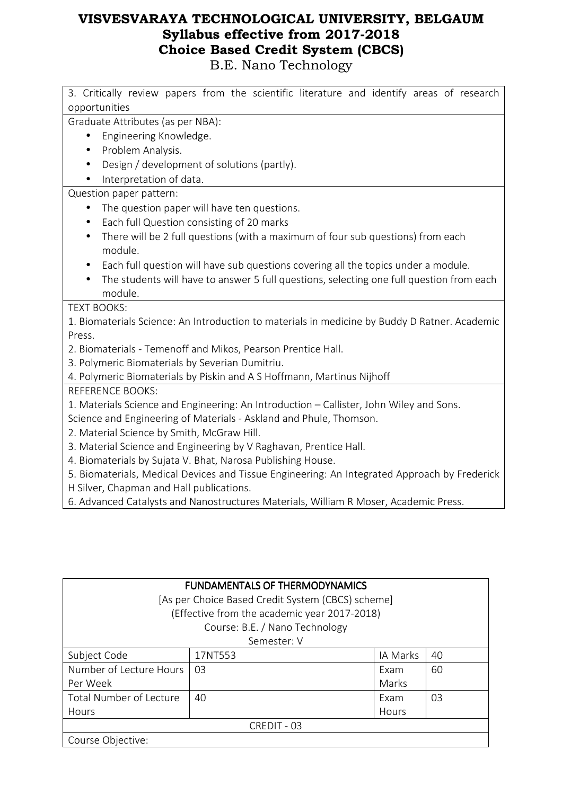| 3. Critically review papers from the scientific literature and identify areas of research<br>opportunities |
|------------------------------------------------------------------------------------------------------------|
| Graduate Attributes (as per NBA):                                                                          |
| Engineering Knowledge.                                                                                     |
| Problem Analysis.                                                                                          |
| Design / development of solutions (partly).<br>$\bullet$                                                   |
| Interpretation of data.                                                                                    |
| Question paper pattern:                                                                                    |
| The question paper will have ten questions.                                                                |
| Each full Question consisting of 20 marks<br>$\bullet$                                                     |
| There will be 2 full questions (with a maximum of four sub questions) from each<br>$\bullet$               |
| module.                                                                                                    |
| Each full question will have sub questions covering all the topics under a module.                         |
| The students will have to answer 5 full questions, selecting one full question from each                   |
| module.                                                                                                    |
| <b>TEXT BOOKS:</b>                                                                                         |
| 1. Biomaterials Science: An Introduction to materials in medicine by Buddy D Ratner. Academic              |
| Press.                                                                                                     |
| 2. Biomaterials - Temenoff and Mikos, Pearson Prentice Hall.                                               |
| 3. Polymeric Biomaterials by Severian Dumitriu.                                                            |
| 4. Polymeric Biomaterials by Piskin and A S Hoffmann, Martinus Nijhoff                                     |
| <b>REFERENCE BOOKS:</b>                                                                                    |
| 1. Materials Science and Engineering: An Introduction - Callister, John Wiley and Sons.                    |
| Science and Engineering of Materials - Askland and Phule, Thomson.                                         |
| 2. Material Science by Smith, McGraw Hill.                                                                 |
| 3. Material Science and Engineering by V Raghavan, Prentice Hall.                                          |
| 4. Biomaterials by Sujata V. Bhat, Narosa Publishing House.                                                |
| 5. Biomaterials, Medical Devices and Tissue Engineering: An Integrated Approach by Frederick               |
| H Silver, Chapman and Hall publications.                                                                   |
| 6. Advanced Catalysts and Nanostructures Materials, William R Moser, Academic Press.                       |
|                                                                                                            |

| <b>FUNDAMENTALS OF THERMODYNAMICS</b>             |                                              |       |    |  |  |
|---------------------------------------------------|----------------------------------------------|-------|----|--|--|
| [As per Choice Based Credit System (CBCS) scheme] |                                              |       |    |  |  |
|                                                   | (Effective from the academic year 2017-2018) |       |    |  |  |
| Course: B.E. / Nano Technology                    |                                              |       |    |  |  |
|                                                   | Semester: V                                  |       |    |  |  |
| Subject Code                                      | IA Marks<br>40<br>17NT553                    |       |    |  |  |
| Number of Lecture Hours                           | 03                                           | Exam  | 60 |  |  |
| Per Week                                          |                                              | Marks |    |  |  |
| Total Number of Lecture                           | 40                                           | Fxam  | 03 |  |  |
| Hours                                             |                                              | Hours |    |  |  |
| CREDIT - 03                                       |                                              |       |    |  |  |
| Course Objective:                                 |                                              |       |    |  |  |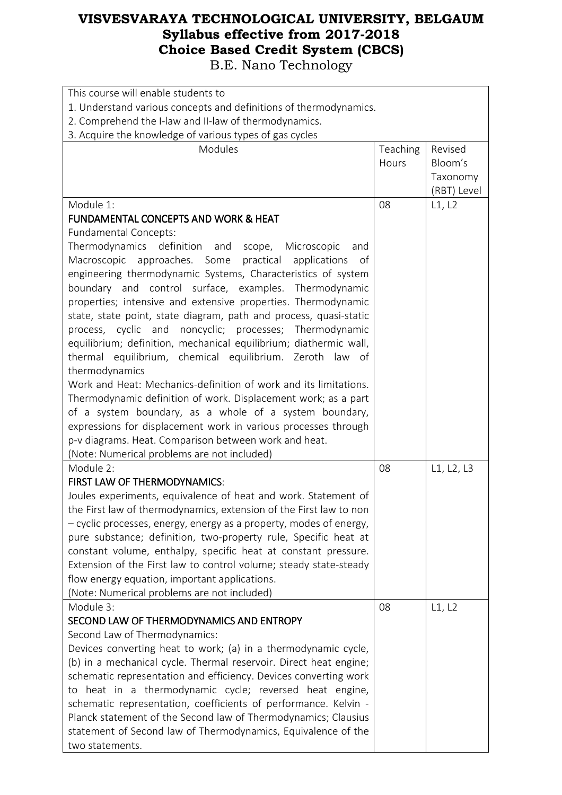| This course will enable students to                                |          |             |  |
|--------------------------------------------------------------------|----------|-------------|--|
| 1. Understand various concepts and definitions of thermodynamics.  |          |             |  |
| 2. Comprehend the I-law and II-law of thermodynamics.              |          |             |  |
| 3. Acquire the knowledge of various types of gas cycles            |          |             |  |
| Modules                                                            | Teaching | Revised     |  |
|                                                                    | Hours    | Bloom's     |  |
|                                                                    |          | Taxonomy    |  |
|                                                                    |          | (RBT) Level |  |
| Module 1:                                                          | 08       | L1, L2      |  |
| <b>FUNDAMENTAL CONCEPTS AND WORK &amp; HEAT</b>                    |          |             |  |
| Fundamental Concepts:                                              |          |             |  |
| Thermodynamics definition and<br>scope, Microscopic<br>and         |          |             |  |
| Macroscopic approaches. Some<br>practical<br>applications<br>of    |          |             |  |
| engineering thermodynamic Systems, Characteristics of system       |          |             |  |
| boundary and control surface, examples. Thermodynamic              |          |             |  |
| properties; intensive and extensive properties. Thermodynamic      |          |             |  |
| state, state point, state diagram, path and process, quasi-static  |          |             |  |
|                                                                    |          |             |  |
| process, cyclic and noncyclic; processes; Thermodynamic            |          |             |  |
| equilibrium; definition, mechanical equilibrium; diathermic wall,  |          |             |  |
| thermal equilibrium, chemical equilibrium. Zeroth law of           |          |             |  |
| thermodynamics                                                     |          |             |  |
| Work and Heat: Mechanics-definition of work and its limitations.   |          |             |  |
| Thermodynamic definition of work. Displacement work; as a part     |          |             |  |
| of a system boundary, as a whole of a system boundary,             |          |             |  |
| expressions for displacement work in various processes through     |          |             |  |
| p-v diagrams. Heat. Comparison between work and heat.              |          |             |  |
| (Note: Numerical problems are not included)                        |          |             |  |
| Module 2:                                                          | 08       | L1, L2, L3  |  |
| FIRST LAW OF THERMODYNAMICS:                                       |          |             |  |
| Joules experiments, equivalence of heat and work. Statement of     |          |             |  |
| the First law of thermodynamics, extension of the First law to non |          |             |  |
| - cyclic processes, energy, energy as a property, modes of energy, |          |             |  |
| pure substance; definition, two-property rule, Specific heat at    |          |             |  |
| constant volume, enthalpy, specific heat at constant pressure.     |          |             |  |
| Extension of the First law to control volume; steady state-steady  |          |             |  |
| flow energy equation, important applications.                      |          |             |  |
| (Note: Numerical problems are not included)                        |          |             |  |
| Module 3:                                                          | 08       | L1, L2      |  |
| SECOND LAW OF THERMODYNAMICS AND ENTROPY                           |          |             |  |
| Second Law of Thermodynamics:                                      |          |             |  |
| Devices converting heat to work; (a) in a thermodynamic cycle,     |          |             |  |
| (b) in a mechanical cycle. Thermal reservoir. Direct heat engine;  |          |             |  |
| schematic representation and efficiency. Devices converting work   |          |             |  |
| to heat in a thermodynamic cycle; reversed heat engine,            |          |             |  |
| schematic representation, coefficients of performance. Kelvin -    |          |             |  |
| Planck statement of the Second law of Thermodynamics; Clausius     |          |             |  |
| statement of Second law of Thermodynamics, Equivalence of the      |          |             |  |
| two statements.                                                    |          |             |  |
|                                                                    |          |             |  |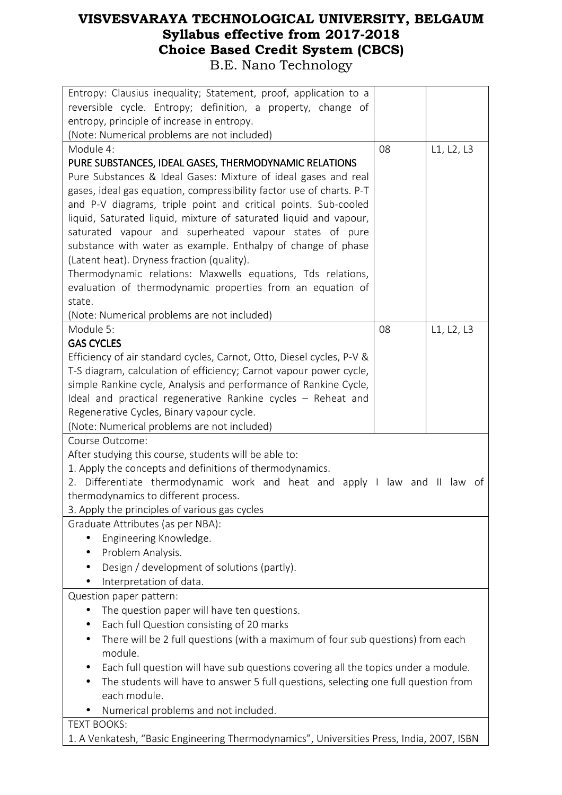| Entropy: Clausius inequality; Statement, proof, application to a<br>reversible cycle. Entropy; definition, a property, change of |    |            |  |
|----------------------------------------------------------------------------------------------------------------------------------|----|------------|--|
| entropy, principle of increase in entropy.                                                                                       |    |            |  |
| (Note: Numerical problems are not included)                                                                                      |    |            |  |
| Module 4:                                                                                                                        | 08 | L1, L2, L3 |  |
| PURE SUBSTANCES, IDEAL GASES, THERMODYNAMIC RELATIONS                                                                            |    |            |  |
| Pure Substances & Ideal Gases: Mixture of ideal gases and real                                                                   |    |            |  |
| gases, ideal gas equation, compressibility factor use of charts. P-T                                                             |    |            |  |
| and P-V diagrams, triple point and critical points. Sub-cooled                                                                   |    |            |  |
| liquid, Saturated liquid, mixture of saturated liquid and vapour,                                                                |    |            |  |
| saturated vapour and superheated vapour states of pure<br>substance with water as example. Enthalpy of change of phase           |    |            |  |
| (Latent heat). Dryness fraction (quality).                                                                                       |    |            |  |
| Thermodynamic relations: Maxwells equations, Tds relations,                                                                      |    |            |  |
| evaluation of thermodynamic properties from an equation of                                                                       |    |            |  |
| state.                                                                                                                           |    |            |  |
| (Note: Numerical problems are not included)                                                                                      |    |            |  |
| Module 5:                                                                                                                        | 08 | L1, L2, L3 |  |
| <b>GAS CYCLES</b>                                                                                                                |    |            |  |
| Efficiency of air standard cycles, Carnot, Otto, Diesel cycles, P-V &                                                            |    |            |  |
| T-S diagram, calculation of efficiency; Carnot vapour power cycle,                                                               |    |            |  |
| simple Rankine cycle, Analysis and performance of Rankine Cycle,<br>Ideal and practical regenerative Rankine cycles - Reheat and |    |            |  |
| Regenerative Cycles, Binary vapour cycle.                                                                                        |    |            |  |
| (Note: Numerical problems are not included)                                                                                      |    |            |  |
| Course Outcome:                                                                                                                  |    |            |  |
| After studying this course, students will be able to:                                                                            |    |            |  |
| 1. Apply the concepts and definitions of thermodynamics.                                                                         |    |            |  |
| 2. Differentiate thermodynamic work and heat and apply I law and II law                                                          |    | of         |  |
| thermodynamics to different process.                                                                                             |    |            |  |
| 3. Apply the principles of various gas cycles                                                                                    |    |            |  |
| Graduate Attributes (as per NBA):                                                                                                |    |            |  |
| Engineering Knowledge.                                                                                                           |    |            |  |
| Problem Analysis.<br>$\bullet$<br>Design / development of solutions (partly).                                                    |    |            |  |
| Interpretation of data.<br>$\bullet$                                                                                             |    |            |  |
| Question paper pattern:                                                                                                          |    |            |  |
| The question paper will have ten questions.<br>$\bullet$                                                                         |    |            |  |
| Each full Question consisting of 20 marks                                                                                        |    |            |  |
| There will be 2 full questions (with a maximum of four sub questions) from each<br>$\bullet$                                     |    |            |  |
| module.                                                                                                                          |    |            |  |
| Each full question will have sub questions covering all the topics under a module.                                               |    |            |  |
| The students will have to answer 5 full questions, selecting one full question from                                              |    |            |  |
| each module.                                                                                                                     |    |            |  |
| Numerical problems and not included.                                                                                             |    |            |  |
| <b>TEXT BOOKS:</b>                                                                                                               |    |            |  |
| 1. A Venkatesh, "Basic Engineering Thermodynamics", Universities Press, India, 2007, ISBN                                        |    |            |  |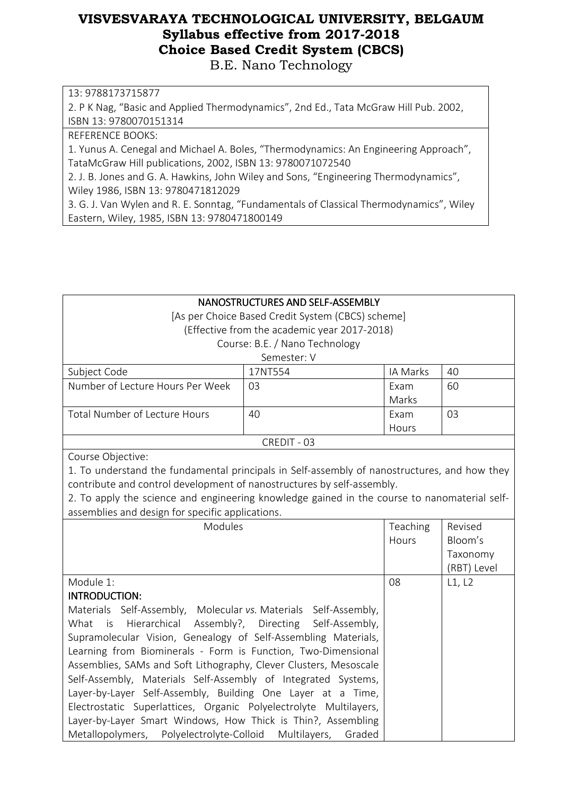B.E. Nano Technology

13: 9788173715877

2. P K Nag, "Basic and Applied Thermodynamics", 2nd Ed., Tata McGraw Hill Pub. 2002, ISBN 13: 9780070151314

REFERENCE BOOKS:

1. Yunus A. Cenegal and Michael A. Boles, "Thermodynamics: An Engineering Approach", TataMcGraw Hill publications, 2002, ISBN 13: 9780071072540

2. J. B. Jones and G. A. Hawkins, John Wiley and Sons, "Engineering Thermodynamics", Wiley 1986, ISBN 13: 9780471812029

3. G. J. Van Wylen and R. E. Sonntag, "Fundamentals of Classical Thermodynamics", Wiley Eastern, Wiley, 1985, ISBN 13: 9780471800149

| NANOSTRUCTURES AND SELF-ASSEMBLY                                                             |                                              |          |             |
|----------------------------------------------------------------------------------------------|----------------------------------------------|----------|-------------|
| [As per Choice Based Credit System (CBCS) scheme]                                            |                                              |          |             |
|                                                                                              | (Effective from the academic year 2017-2018) |          |             |
|                                                                                              | Course: B.E. / Nano Technology               |          |             |
|                                                                                              | Semester: V                                  |          |             |
| Subject Code                                                                                 | 17NT554                                      | IA Marks | 40          |
| Number of Lecture Hours Per Week                                                             | 03                                           | Exam     | 60          |
|                                                                                              |                                              | Marks    |             |
| <b>Total Number of Lecture Hours</b>                                                         | 40                                           | Exam     | 03          |
|                                                                                              |                                              | Hours    |             |
|                                                                                              | CREDIT - 03                                  |          |             |
| Course Objective:                                                                            |                                              |          |             |
| 1. To understand the fundamental principals in Self-assembly of nanostructures, and how they |                                              |          |             |
| contribute and control development of nanostructures by self-assembly.                       |                                              |          |             |
| 2. To apply the science and engineering knowledge gained in the course to nanomaterial self- |                                              |          |             |
| assemblies and design for specific applications.                                             |                                              |          |             |
| Modules                                                                                      |                                              | Teaching | Revised     |
|                                                                                              |                                              | Hours    | Bloom's     |
|                                                                                              |                                              |          | Taxonomy    |
|                                                                                              |                                              |          | (RBT) Level |
| Module 1:                                                                                    |                                              | 08       | L1, L2      |
| <b>INTRODUCTION:</b>                                                                         |                                              |          |             |
| Materials Self-Assembly, Molecular vs. Materials Self-Assembly,                              |                                              |          |             |
| Hierarchical<br>What<br>is                                                                   | Assembly?, Directing Self-Assembly,          |          |             |
| Supramolecular Vision, Genealogy of Self-Assembling Materials,                               |                                              |          |             |
| Learning from Biominerals - Form is Function, Two-Dimensional                                |                                              |          |             |
| Assemblies, SAMs and Soft Lithography, Clever Clusters, Mesoscale                            |                                              |          |             |
| Self-Assembly, Materials Self-Assembly of Integrated Systems,                                |                                              |          |             |
| Layer-by-Layer Self-Assembly, Building One Layer at a Time,                                  |                                              |          |             |
| Electrostatic Superlattices, Organic Polyelectrolyte Multilayers,                            |                                              |          |             |
| Layer-by-Layer Smart Windows, How Thick is Thin?, Assembling                                 |                                              |          |             |
| Metallopolymers, Polyelectrolyte-Colloid Multilayers,                                        | Graded                                       |          |             |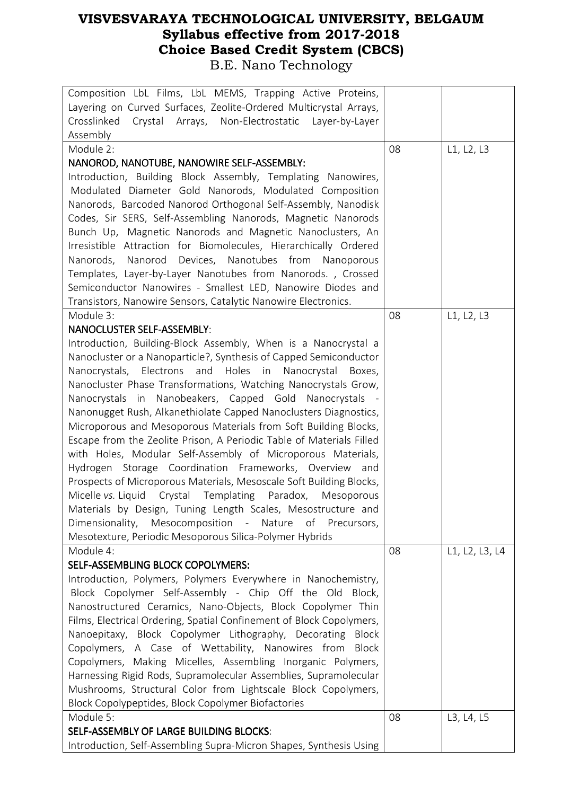| Composition LbL Films, LbL MEMS, Trapping Active Proteins,           |    |                |
|----------------------------------------------------------------------|----|----------------|
| Layering on Curved Surfaces, Zeolite-Ordered Multicrystal Arrays,    |    |                |
| Crosslinked<br>Crystal Arrays, Non-Electrostatic Layer-by-Layer      |    |                |
| Assembly                                                             |    |                |
| Module 2:                                                            | 08 | L1, L2, L3     |
| NANOROD, NANOTUBE, NANOWIRE SELF-ASSEMBLY:                           |    |                |
| Introduction, Building Block Assembly, Templating Nanowires,         |    |                |
| Modulated Diameter Gold Nanorods, Modulated Composition              |    |                |
| Nanorods, Barcoded Nanorod Orthogonal Self-Assembly, Nanodisk        |    |                |
| Codes, Sir SERS, Self-Assembling Nanorods, Magnetic Nanorods         |    |                |
| Bunch Up, Magnetic Nanorods and Magnetic Nanoclusters, An            |    |                |
| Irresistible Attraction for Biomolecules, Hierarchically Ordered     |    |                |
| Nanorod Devices, Nanotubes from Nanoporous<br>Nanorods,              |    |                |
| Templates, Layer-by-Layer Nanotubes from Nanorods., Crossed          |    |                |
| Semiconductor Nanowires - Smallest LED, Nanowire Diodes and          |    |                |
| Transistors, Nanowire Sensors, Catalytic Nanowire Electronics.       |    |                |
| Module 3:                                                            | 08 | L1, L2, L3     |
| <b>NANOCLUSTER SELF-ASSEMBLY:</b>                                    |    |                |
| Introduction, Building-Block Assembly, When is a Nanocrystal a       |    |                |
| Nanocluster or a Nanoparticle?, Synthesis of Capped Semiconductor    |    |                |
| Nanocrystals, Electrons and Holes in Nanocrystal Boxes,              |    |                |
| Nanocluster Phase Transformations, Watching Nanocrystals Grow,       |    |                |
| Nanocrystals in Nanobeakers, Capped Gold Nanocrystals -              |    |                |
| Nanonugget Rush, Alkanethiolate Capped Nanoclusters Diagnostics,     |    |                |
| Microporous and Mesoporous Materials from Soft Building Blocks,      |    |                |
| Escape from the Zeolite Prison, A Periodic Table of Materials Filled |    |                |
| with Holes, Modular Self-Assembly of Microporous Materials,          |    |                |
| Hydrogen Storage Coordination Frameworks, Overview and               |    |                |
| Prospects of Microporous Materials, Mesoscale Soft Building Blocks,  |    |                |
| Micelle vs. Liquid Crystal Templating Paradox, Mesoporous            |    |                |
| Materials by Design, Tuning Length Scales, Mesostructure and         |    |                |
| Dimensionality, Mesocomposition - Nature of Precursors,              |    |                |
| Mesotexture, Periodic Mesoporous Silica-Polymer Hybrids              |    |                |
| Module 4:                                                            | 08 | L1, L2, L3, L4 |
| SELF-ASSEMBLING BLOCK COPOLYMERS:                                    |    |                |
| Introduction, Polymers, Polymers Everywhere in Nanochemistry,        |    |                |
| Block Copolymer Self-Assembly - Chip Off the Old Block,              |    |                |
| Nanostructured Ceramics, Nano-Objects, Block Copolymer Thin          |    |                |
| Films, Electrical Ordering, Spatial Confinement of Block Copolymers, |    |                |
| Nanoepitaxy, Block Copolymer Lithography, Decorating<br>Block        |    |                |
| Copolymers, A Case of Wettability, Nanowires from<br><b>Block</b>    |    |                |
| Copolymers, Making Micelles, Assembling Inorganic Polymers,          |    |                |
| Harnessing Rigid Rods, Supramolecular Assemblies, Supramolecular     |    |                |
| Mushrooms, Structural Color from Lightscale Block Copolymers,        |    |                |
| Block Copolypeptides, Block Copolymer Biofactories                   |    |                |
| Module 5:                                                            | 08 | L3, L4, L5     |
| SELF-ASSEMBLY OF LARGE BUILDING BLOCKS:                              |    |                |
| Introduction, Self-Assembling Supra-Micron Shapes, Synthesis Using   |    |                |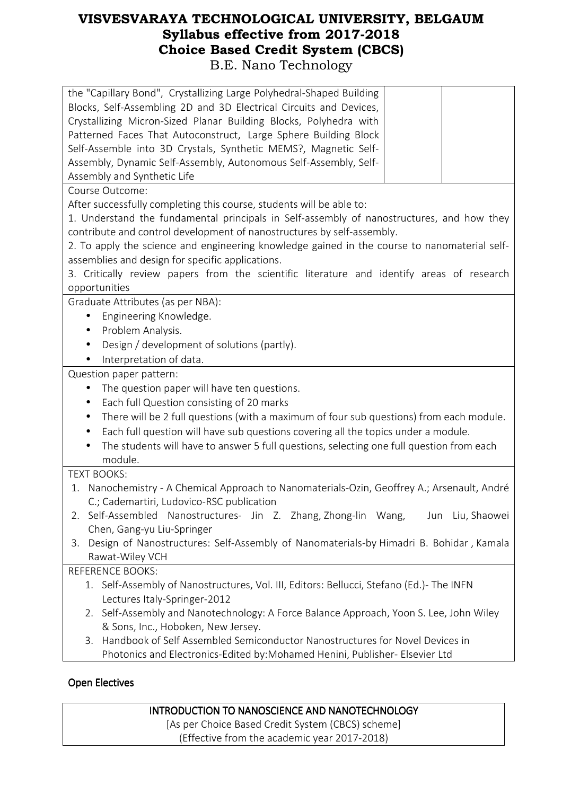| the "Capillary Bond", Crystallizing Large Polyhedral-Shaped Building<br>Blocks, Self-Assembling 2D and 3D Electrical Circuits and Devices,<br>Crystallizing Micron-Sized Planar Building Blocks, Polyhedra with<br>Patterned Faces That Autoconstruct, Large Sphere Building Block<br>Self-Assemble into 3D Crystals, Synthetic MEMS?, Magnetic Self-<br>Assembly, Dynamic Self-Assembly, Autonomous Self-Assembly, Self-<br>Assembly and Synthetic Life                                                      |  |  |  |
|---------------------------------------------------------------------------------------------------------------------------------------------------------------------------------------------------------------------------------------------------------------------------------------------------------------------------------------------------------------------------------------------------------------------------------------------------------------------------------------------------------------|--|--|--|
| Course Outcome:                                                                                                                                                                                                                                                                                                                                                                                                                                                                                               |  |  |  |
| After successfully completing this course, students will be able to:<br>1. Understand the fundamental principals in Self-assembly of nanostructures, and how they<br>contribute and control development of nanostructures by self-assembly.<br>2. To apply the science and engineering knowledge gained in the course to nanomaterial self-<br>assemblies and design for specific applications.<br>3. Critically review papers from the scientific literature and identify areas of research<br>opportunities |  |  |  |
| Graduate Attributes (as per NBA):                                                                                                                                                                                                                                                                                                                                                                                                                                                                             |  |  |  |
| Engineering Knowledge.<br>$\bullet$<br>Problem Analysis.<br>$\bullet$<br>Design / development of solutions (partly).<br>$\bullet$<br>Interpretation of data.                                                                                                                                                                                                                                                                                                                                                  |  |  |  |
| Question paper pattern:                                                                                                                                                                                                                                                                                                                                                                                                                                                                                       |  |  |  |
| The question paper will have ten questions.<br>Each full Question consisting of 20 marks<br>$\bullet$<br>There will be 2 full questions (with a maximum of four sub questions) from each module.<br>$\bullet$<br>Each full question will have sub questions covering all the topics under a module.<br>$\bullet$<br>The students will have to answer 5 full questions, selecting one full question from each<br>module.                                                                                       |  |  |  |
| <b>TEXT BOOKS:</b>                                                                                                                                                                                                                                                                                                                                                                                                                                                                                            |  |  |  |
| 1. Nanochemistry - A Chemical Approach to Nanomaterials-Ozin, Geoffrey A.; Arsenault, André<br>C.; Cademartiri, Ludovico-RSC publication                                                                                                                                                                                                                                                                                                                                                                      |  |  |  |
| Self-Assembled Nanostructures- Jin Z. Zhang, Zhong-lin Wang,<br>Jun Liu, Shaowei<br>2.<br>Chen, Gang-yu Liu-Springer                                                                                                                                                                                                                                                                                                                                                                                          |  |  |  |
| Design of Nanostructures: Self-Assembly of Nanomaterials-by Himadri B. Bohidar, Kamala<br>3.<br>Rawat-Wiley VCH                                                                                                                                                                                                                                                                                                                                                                                               |  |  |  |
| <b>REFERENCE BOOKS:</b>                                                                                                                                                                                                                                                                                                                                                                                                                                                                                       |  |  |  |
| 1. Self-Assembly of Nanostructures, Vol. III, Editors: Bellucci, Stefano (Ed.)- The INFN<br>Lectures Italy-Springer-2012<br>2. Self-Assembly and Nanotechnology: A Force Balance Approach, Yoon S. Lee, John Wiley                                                                                                                                                                                                                                                                                            |  |  |  |
| & Sons, Inc., Hoboken, New Jersey.<br>Handbook of Self Assembled Semiconductor Nanostructures for Novel Devices in<br>3.                                                                                                                                                                                                                                                                                                                                                                                      |  |  |  |

Photonics and Electronics-Edited by:Mohamed Henini, Publisher- Elsevier Ltd

#### **Open Electives**

#### INTRODUCTION TO NANOSCIENCE AND NANOTECHNOLOGY

[As per Choice Based Credit System (CBCS) scheme] (Effective from the academic year 2017-2018)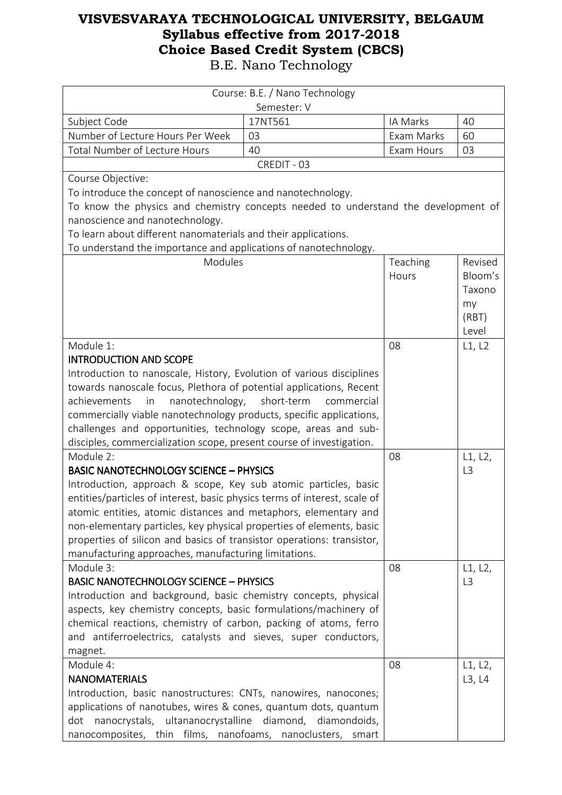| Course: B.E. / Nano Technology                                                     |             |            |                |
|------------------------------------------------------------------------------------|-------------|------------|----------------|
|                                                                                    | Semester: V |            |                |
| Subject Code                                                                       | 17NT561     | IA Marks   | 40             |
| Number of Lecture Hours Per Week                                                   | 03          | Exam Marks | 60             |
| Total Number of Lecture Hours                                                      | 40          | Exam Hours | 03             |
|                                                                                    | CREDIT - 03 |            |                |
| Course Objective:                                                                  |             |            |                |
| To introduce the concept of nanoscience and nanotechnology.                        |             |            |                |
| To know the physics and chemistry concepts needed to understand the development of |             |            |                |
| nanoscience and nanotechnology.                                                    |             |            |                |
| To learn about different nanomaterials and their applications.                     |             |            |                |
| To understand the importance and applications of nanotechnology.                   |             |            |                |
| Modules                                                                            |             | Teaching   | Revised        |
|                                                                                    |             | Hours      | Bloom's        |
|                                                                                    |             |            | Taxono         |
|                                                                                    |             |            | my             |
|                                                                                    |             |            | (RBT)<br>Level |
|                                                                                    |             |            |                |
| Module 1:<br><b>INTRODUCTION AND SCOPE</b>                                         |             | 08         | L1, L2         |
| Introduction to nanoscale, History, Evolution of various disciplines               |             |            |                |
| towards nanoscale focus, Plethora of potential applications, Recent                |             |            |                |
| nanotechnology, short-term<br>achievements<br>in                                   | commercial  |            |                |
| commercially viable nanotechnology products, specific applications,                |             |            |                |
| challenges and opportunities, technology scope, areas and sub-                     |             |            |                |
| disciples, commercialization scope, present course of investigation.               |             |            |                |
| Module 2:                                                                          |             | 08         | L1, L2,        |
| <b>BASIC NANOTECHNOLOGY SCIENCE - PHYSICS</b>                                      |             |            | L <sub>3</sub> |
| Introduction, approach & scope, Key sub atomic particles, basic                    |             |            |                |
| entities/particles of interest, basic physics terms of interest, scale of          |             |            |                |
| atomic entities, atomic distances and metaphors, elementary and                    |             |            |                |
| non-elementary particles, key physical properties of elements, basic               |             |            |                |
| properties of silicon and basics of transistor operations: transistor,             |             |            |                |
| manufacturing approaches, manufacturing limitations.                               |             |            |                |
| Module 3:                                                                          |             | 08         | L1, L2,        |
| <b>BASIC NANOTECHNOLOGY SCIENCE - PHYSICS</b>                                      |             |            | L <sub>3</sub> |
| Introduction and background, basic chemistry concepts, physical                    |             |            |                |
| aspects, key chemistry concepts, basic formulations/machinery of                   |             |            |                |
| chemical reactions, chemistry of carbon, packing of atoms, ferro                   |             |            |                |
| and antiferroelectrics, catalysts and sieves, super conductors,                    |             |            |                |
| magnet.                                                                            |             |            |                |
| Module 4:                                                                          |             | 08         | L1, L2,        |
| <b>NANOMATERIALS</b>                                                               |             |            | L3, L4         |
| Introduction, basic nanostructures: CNTs, nanowires, nanocones;                    |             |            |                |
| applications of nanotubes, wires & cones, quantum dots, quantum                    |             |            |                |
| nanocrystals, ultananocrystalline diamond, diamondoids,<br>dot                     |             |            |                |
| nanocomposites, thin films, nanofoams, nanoclusters, smart                         |             |            |                |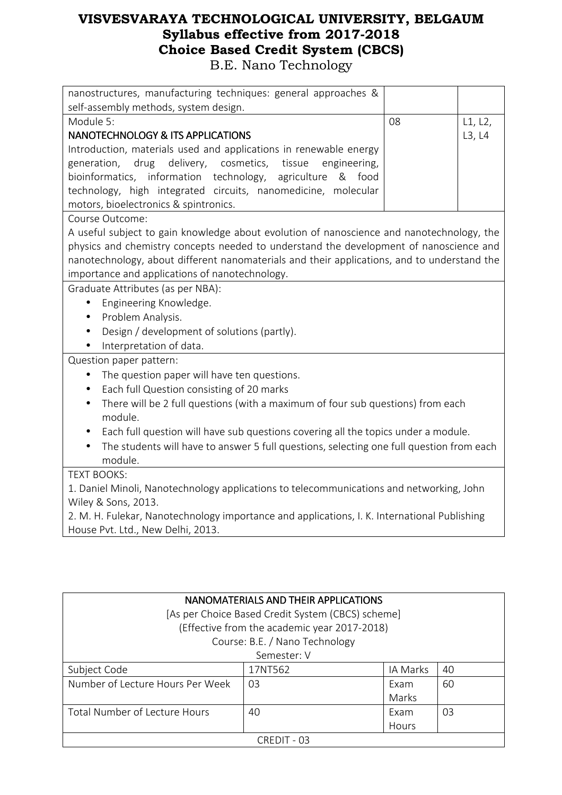| nanostructures, manufacturing techniques: general approaches &                                                                    |    |         |  |
|-----------------------------------------------------------------------------------------------------------------------------------|----|---------|--|
| self-assembly methods, system design.                                                                                             |    |         |  |
| Module 5:                                                                                                                         | 08 | L1, L2, |  |
| <b>NANOTECHNOLOGY &amp; ITS APPLICATIONS</b>                                                                                      |    | L3, L4  |  |
| Introduction, materials used and applications in renewable energy                                                                 |    |         |  |
| drug<br>delivery, cosmetics, tissue<br>engineering,<br>generation,                                                                |    |         |  |
| bioinformatics, information technology, agriculture<br>& food                                                                     |    |         |  |
| technology, high integrated circuits, nanomedicine, molecular                                                                     |    |         |  |
| motors, bioelectronics & spintronics.                                                                                             |    |         |  |
| Course Outcome:                                                                                                                   |    |         |  |
| A useful subject to gain knowledge about evolution of nanoscience and nanotechnology, the                                         |    |         |  |
| physics and chemistry concepts needed to understand the development of nanoscience and                                            |    |         |  |
| nanotechnology, about different nanomaterials and their applications, and to understand the                                       |    |         |  |
| importance and applications of nanotechnology.                                                                                    |    |         |  |
| Graduate Attributes (as per NBA):                                                                                                 |    |         |  |
| Engineering Knowledge.<br>$\bullet$                                                                                               |    |         |  |
| Problem Analysis.<br>$\bullet$                                                                                                    |    |         |  |
| Design / development of solutions (partly).                                                                                       |    |         |  |
| Interpretation of data.<br>$\bullet$                                                                                              |    |         |  |
| Question paper pattern:                                                                                                           |    |         |  |
| The question paper will have ten questions.<br>$\bullet$                                                                          |    |         |  |
| Each full Question consisting of 20 marks<br>$\bullet$                                                                            |    |         |  |
| There will be 2 full questions (with a maximum of four sub questions) from each<br>$\bullet$<br>module.                           |    |         |  |
| Each full question will have sub questions covering all the topics under a module.<br>$\bullet$                                   |    |         |  |
| The students will have to answer 5 full questions, selecting one full question from each                                          |    |         |  |
| module.                                                                                                                           |    |         |  |
| <b>TEXT BOOKS:</b>                                                                                                                |    |         |  |
| 1. Daniel Minoli, Nanotechnology applications to telecommunications and networking, John<br>Wiley & Sons, 2013.                   |    |         |  |
| 2. M. H. Fulekar, Nanotechnology importance and applications, I. K. International Publishing<br>House Pvt. Ltd., New Delhi, 2013. |    |         |  |
|                                                                                                                                   |    |         |  |

| NANOMATERIALS AND THEIR APPLICATIONS |                                                   |          |    |  |
|--------------------------------------|---------------------------------------------------|----------|----|--|
|                                      | [As per Choice Based Credit System (CBCS) scheme] |          |    |  |
|                                      | (Effective from the academic year 2017-2018)      |          |    |  |
|                                      | Course: B.E. / Nano Technology                    |          |    |  |
|                                      | Semester: V                                       |          |    |  |
| Subject Code                         | 17NT562                                           | IA Marks | 40 |  |
| Number of Lecture Hours Per Week     | 03                                                | Exam     | 60 |  |
| Marks                                |                                                   |          |    |  |
| Total Number of Lecture Hours        | 40                                                | Exam     | 03 |  |
| Hours                                |                                                   |          |    |  |
| CREDIT - 03                          |                                                   |          |    |  |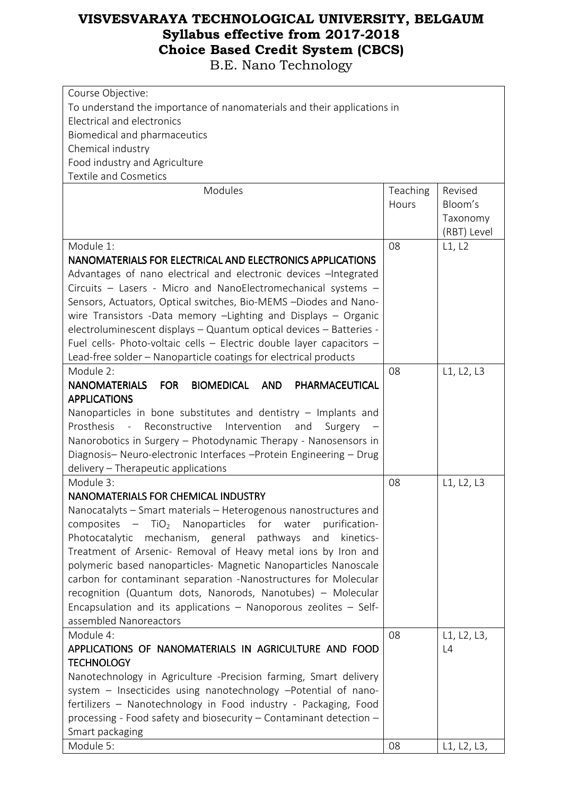| Course Objective:                                                           |          |             |  |  |
|-----------------------------------------------------------------------------|----------|-------------|--|--|
| To understand the importance of nanomaterials and their applications in     |          |             |  |  |
| Electrical and electronics                                                  |          |             |  |  |
| Biomedical and pharmaceutics                                                |          |             |  |  |
| Chemical industry                                                           |          |             |  |  |
| Food industry and Agriculture                                               |          |             |  |  |
| <b>Textile and Cosmetics</b>                                                |          |             |  |  |
| Modules                                                                     | Teaching | Revised     |  |  |
|                                                                             | Hours    | Bloom's     |  |  |
|                                                                             |          | Taxonomy    |  |  |
|                                                                             |          | (RBT) Level |  |  |
| Module 1:                                                                   | 08       | L1, L2      |  |  |
| NANOMATERIALS FOR ELECTRICAL AND ELECTRONICS APPLICATIONS                   |          |             |  |  |
| Advantages of nano electrical and electronic devices - Integrated           |          |             |  |  |
| Circuits - Lasers - Micro and NanoElectromechanical systems -               |          |             |  |  |
| Sensors, Actuators, Optical switches, Bio-MEMS -Diodes and Nano-            |          |             |  |  |
| wire Transistors -Data memory -Lighting and Displays - Organic              |          |             |  |  |
| electroluminescent displays - Quantum optical devices - Batteries -         |          |             |  |  |
| Fuel cells- Photo-voltaic cells - Electric double layer capacitors -        |          |             |  |  |
| Lead-free solder - Nanoparticle coatings for electrical products            |          |             |  |  |
| Module 2:                                                                   | 08       | L1, L2, L3  |  |  |
| <b>NANOMATERIALS</b><br><b>FOR</b><br>BIOMEDICAL AND<br>PHARMACEUTICAL      |          |             |  |  |
| <b>APPLICATIONS</b>                                                         |          |             |  |  |
| Nanoparticles in bone substitutes and dentistry $-$ Implants and            |          |             |  |  |
| Prosthesis<br>Reconstructive<br>Intervention<br>$\sim$ $-$                  |          |             |  |  |
| and<br>Surgery                                                              |          |             |  |  |
| Nanorobotics in Surgery - Photodynamic Therapy - Nanosensors in             |          |             |  |  |
| Diagnosis- Neuro-electronic Interfaces -Protein Engineering - Drug          |          |             |  |  |
| delivery - Therapeutic applications                                         |          |             |  |  |
| Module 3:                                                                   | 08       | L1, L2, L3  |  |  |
| NANOMATERIALS FOR CHEMICAL INDUSTRY                                         |          |             |  |  |
| Nanocatalyts - Smart materials - Heterogenous nanostructures and            |          |             |  |  |
| $-$ TiO <sub>2</sub> Nanoparticles for water<br>composites<br>purification- |          |             |  |  |
| Photocatalytic<br>mechanism, general pathways<br>and<br>kinetics-           |          |             |  |  |
| Treatment of Arsenic- Removal of Heavy metal ions by Iron and               |          |             |  |  |
| polymeric based nanoparticles- Magnetic Nanoparticles Nanoscale             |          |             |  |  |
| carbon for contaminant separation -Nanostructures for Molecular             |          |             |  |  |
| recognition (Quantum dots, Nanorods, Nanotubes) - Molecular                 |          |             |  |  |
| Encapsulation and its applications - Nanoporous zeolites - Self-            |          |             |  |  |
| assembled Nanoreactors                                                      |          |             |  |  |
| Module 4:                                                                   | 08       | L1, L2, L3, |  |  |
| APPLICATIONS OF NANOMATERIALS IN AGRICULTURE AND FOOD                       |          | L4          |  |  |
| <b>TECHNOLOGY</b>                                                           |          |             |  |  |
| Nanotechnology in Agriculture -Precision farming, Smart delivery            |          |             |  |  |
| system - Insecticides using nanotechnology -Potential of nano-              |          |             |  |  |
| fertilizers - Nanotechnology in Food industry - Packaging, Food             |          |             |  |  |
| processing - Food safety and biosecurity - Contaminant detection -          |          |             |  |  |
| Smart packaging                                                             |          |             |  |  |
| Module 5:                                                                   | 08       | L1, L2, L3, |  |  |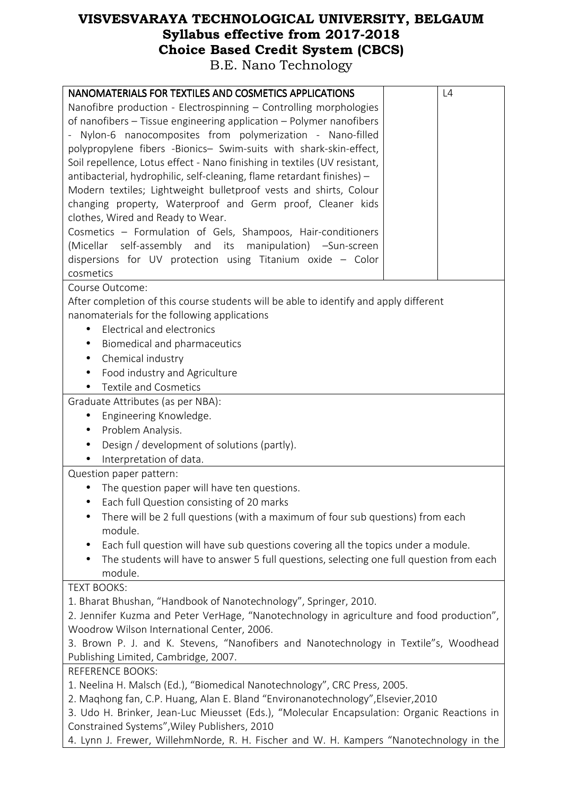| NANOMATERIALS FOR TEXTILES AND COSMETICS APPLICATIONS                                           | L4 |  |  |
|-------------------------------------------------------------------------------------------------|----|--|--|
| Nanofibre production - Electrospinning - Controlling morphologies                               |    |  |  |
| of nanofibers - Tissue engineering application - Polymer nanofibers                             |    |  |  |
| Nylon-6 nanocomposites from polymerization - Nano-filled                                        |    |  |  |
| polypropylene fibers -Bionics- Swim-suits with shark-skin-effect,                               |    |  |  |
| Soil repellence, Lotus effect - Nano finishing in textiles (UV resistant,                       |    |  |  |
| antibacterial, hydrophilic, self-cleaning, flame retardant finishes) -                          |    |  |  |
| Modern textiles; Lightweight bulletproof vests and shirts, Colour                               |    |  |  |
| changing property, Waterproof and Germ proof, Cleaner kids                                      |    |  |  |
| clothes, Wired and Ready to Wear.                                                               |    |  |  |
| Cosmetics - Formulation of Gels, Shampoos, Hair-conditioners                                    |    |  |  |
| (Micellar self-assembly and its manipulation) -Sun-screen                                       |    |  |  |
| dispersions for UV protection using Titanium oxide - Color                                      |    |  |  |
| cosmetics                                                                                       |    |  |  |
| Course Outcome:                                                                                 |    |  |  |
| After completion of this course students will be able to identify and apply different           |    |  |  |
| nanomaterials for the following applications                                                    |    |  |  |
| Electrical and electronics<br>$\bullet$                                                         |    |  |  |
| Biomedical and pharmaceutics                                                                    |    |  |  |
| Chemical industry<br>$\bullet$                                                                  |    |  |  |
| Food industry and Agriculture                                                                   |    |  |  |
| <b>Textile and Cosmetics</b>                                                                    |    |  |  |
| Graduate Attributes (as per NBA):                                                               |    |  |  |
| Engineering Knowledge.                                                                          |    |  |  |
| Problem Analysis.                                                                               |    |  |  |
| Design / development of solutions (partly).<br>$\bullet$                                        |    |  |  |
| Interpretation of data.<br>$\bullet$                                                            |    |  |  |
| Question paper pattern:                                                                         |    |  |  |
| The question paper will have ten questions.                                                     |    |  |  |
| Each full Question consisting of 20 marks                                                       |    |  |  |
| There will be 2 full questions (with a maximum of four sub questions) from each<br>$\bullet$    |    |  |  |
| module.                                                                                         |    |  |  |
| Each full question will have sub questions covering all the topics under a module.<br>$\bullet$ |    |  |  |
| The students will have to answer 5 full questions, selecting one full question from each        |    |  |  |
| module.                                                                                         |    |  |  |
| <b>TEXT BOOKS:</b>                                                                              |    |  |  |
| 1. Bharat Bhushan, "Handbook of Nanotechnology", Springer, 2010.                                |    |  |  |
| 2. Jennifer Kuzma and Peter VerHage, "Nanotechnology in agriculture and food production",       |    |  |  |
| Woodrow Wilson International Center, 2006.                                                      |    |  |  |
| 3. Brown P. J. and K. Stevens, "Nanofibers and Nanotechnology in Textile"s, Woodhead            |    |  |  |
| Publishing Limited, Cambridge, 2007.                                                            |    |  |  |
| <b>REFERENCE BOOKS:</b>                                                                         |    |  |  |
| 1. Neelina H. Malsch (Ed.), "Biomedical Nanotechnology", CRC Press, 2005.                       |    |  |  |
| 2. Maghong fan, C.P. Huang, Alan E. Bland "Environanotechnology", Elsevier, 2010                |    |  |  |
| 3. Udo H. Brinker, Jean-Luc Mieusset (Eds.), "Molecular Encapsulation: Organic Reactions in     |    |  |  |
| Constrained Systems", Wiley Publishers, 2010                                                    |    |  |  |
| 4. Lynn J. Frewer, WillehmNorde, R. H. Fischer and W. H. Kampers "Nanotechnology in the         |    |  |  |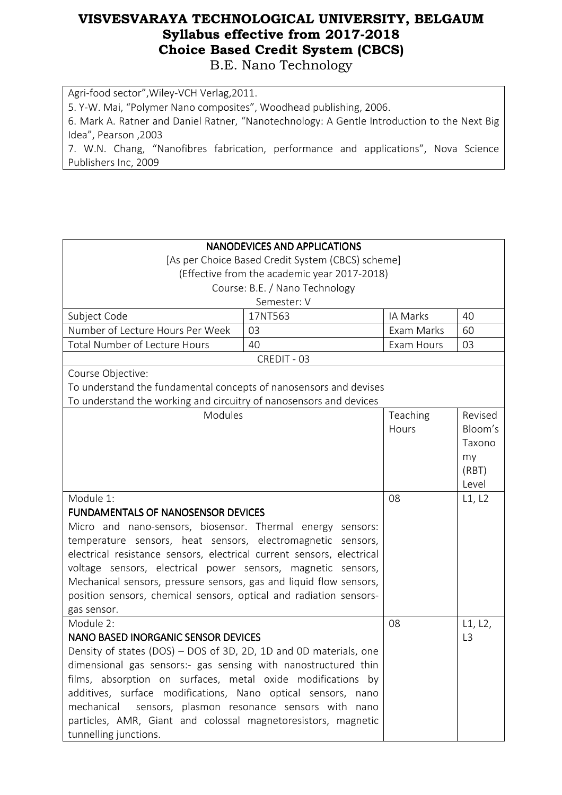Agri-food sector",Wiley-VCH Verlag,2011. 5. Y-W. Mai, "Polymer Nano composites", Woodhead publishing, 2006. 6. Mark A. Ratner and Daniel Ratner, "Nanotechnology: A Gentle Introduction to the Next Big Idea", Pearson ,2003 7. W.N. Chang, "Nanofibres fabrication, performance and applications", Nova Science Publishers Inc, 2009

|                                                                       | <b>NANODEVICES AND APPLICATIONS</b>               |            |                |
|-----------------------------------------------------------------------|---------------------------------------------------|------------|----------------|
|                                                                       | [As per Choice Based Credit System (CBCS) scheme] |            |                |
|                                                                       | (Effective from the academic year 2017-2018)      |            |                |
|                                                                       | Course: B.E. / Nano Technology                    |            |                |
|                                                                       | Semester: V                                       |            |                |
| Subject Code                                                          | 17NT563                                           | IA Marks   | 40             |
| Number of Lecture Hours Per Week                                      | 03                                                | Exam Marks | 60             |
| <b>Total Number of Lecture Hours</b>                                  | 40                                                | Exam Hours | 03             |
|                                                                       | CREDIT - 03                                       |            |                |
| Course Objective:                                                     |                                                   |            |                |
| To understand the fundamental concepts of nanosensors and devises     |                                                   |            |                |
| To understand the working and circuitry of nanosensors and devices    |                                                   |            |                |
| Modules                                                               |                                                   | Teaching   | Revised        |
|                                                                       |                                                   | Hours      | Bloom's        |
|                                                                       |                                                   |            | Taxono         |
|                                                                       |                                                   |            | my             |
|                                                                       |                                                   |            | (RBT)          |
|                                                                       |                                                   |            | Level          |
| Module 1:                                                             |                                                   | 08         | L1, L2         |
| <b>FUNDAMENTALS OF NANOSENSOR DEVICES</b>                             |                                                   |            |                |
| Micro and nano-sensors, biosensor. Thermal energy sensors:            |                                                   |            |                |
| temperature sensors, heat sensors, electromagnetic sensors,           |                                                   |            |                |
| electrical resistance sensors, electrical current sensors, electrical |                                                   |            |                |
| voltage sensors, electrical power sensors, magnetic sensors,          |                                                   |            |                |
| Mechanical sensors, pressure sensors, gas and liquid flow sensors,    |                                                   |            |                |
| position sensors, chemical sensors, optical and radiation sensors-    |                                                   |            |                |
| gas sensor.                                                           |                                                   |            |                |
| Module 2:                                                             |                                                   | 08         | L1, L2,        |
| <b>NANO BASED INORGANIC SENSOR DEVICES</b>                            |                                                   |            | L <sub>3</sub> |
| Density of states (DOS) - DOS of 3D, 2D, 1D and 0D materials, one     |                                                   |            |                |
| dimensional gas sensors:- gas sensing with nanostructured thin        |                                                   |            |                |
| films, absorption on surfaces, metal oxide modifications by           |                                                   |            |                |
| additives, surface modifications, Nano optical sensors, nano          |                                                   |            |                |
| mechanical                                                            | sensors, plasmon resonance sensors with nano      |            |                |
| particles, AMR, Giant and colossal magnetoresistors, magnetic         |                                                   |            |                |
| tunnelling junctions.                                                 |                                                   |            |                |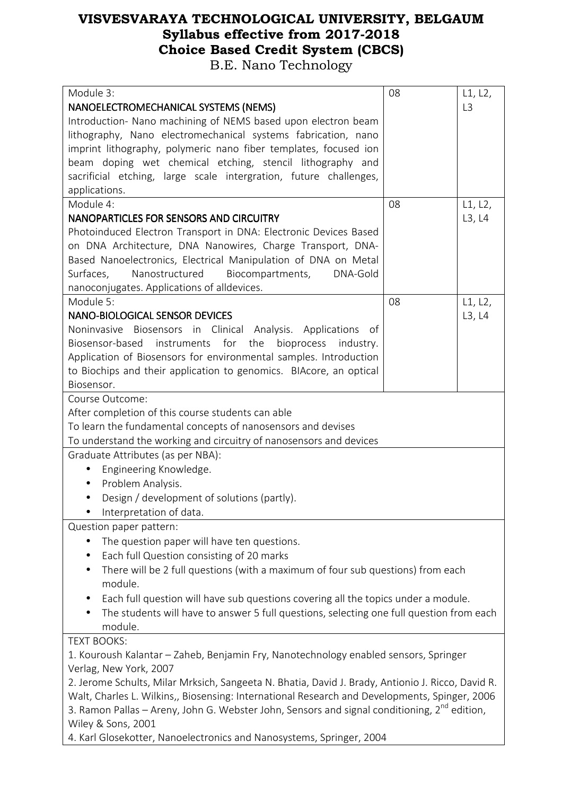| Module 3:                                                                                                | 08 | L1, L2,        |  |
|----------------------------------------------------------------------------------------------------------|----|----------------|--|
| NANOELECTROMECHANICAL SYSTEMS (NEMS)                                                                     |    | L <sub>3</sub> |  |
| Introduction- Nano machining of NEMS based upon electron beam                                            |    |                |  |
| lithography, Nano electromechanical systems fabrication, nano                                            |    |                |  |
| imprint lithography, polymeric nano fiber templates, focused ion                                         |    |                |  |
| beam doping wet chemical etching, stencil lithography and                                                |    |                |  |
| sacrificial etching, large scale intergration, future challenges,                                        |    |                |  |
| applications.                                                                                            |    |                |  |
| Module 4:                                                                                                | 08 | L1, L2,        |  |
| NANOPARTICLES FOR SENSORS AND CIRCUITRY                                                                  |    | L3, L4         |  |
| Photoinduced Electron Transport in DNA: Electronic Devices Based                                         |    |                |  |
| on DNA Architecture, DNA Nanowires, Charge Transport, DNA-                                               |    |                |  |
| Based Nanoelectronics, Electrical Manipulation of DNA on Metal                                           |    |                |  |
| Nanostructured<br>Biocompartments,<br>DNA-Gold<br>Surfaces,                                              |    |                |  |
| nanoconjugates. Applications of alldevices.                                                              |    |                |  |
| Module 5:                                                                                                | 08 | L1, L2,        |  |
| <b>NANO-BIOLOGICAL SENSOR DEVICES</b>                                                                    |    | L3, L4         |  |
| Noninvasive Biosensors in Clinical Analysis. Applications<br>_of                                         |    |                |  |
| Biosensor-based instruments for the<br>bioprocess<br>industry.                                           |    |                |  |
| Application of Biosensors for environmental samples. Introduction                                        |    |                |  |
| to Biochips and their application to genomics. BIAcore, an optical                                       |    |                |  |
| Biosensor.                                                                                               |    |                |  |
| Course Outcome:                                                                                          |    |                |  |
|                                                                                                          |    |                |  |
| After completion of this course students can able                                                        |    |                |  |
| To learn the fundamental concepts of nanosensors and devises                                             |    |                |  |
| To understand the working and circuitry of nanosensors and devices<br>Graduate Attributes (as per NBA):  |    |                |  |
|                                                                                                          |    |                |  |
| Engineering Knowledge.<br>$\bullet$                                                                      |    |                |  |
| Problem Analysis.<br>$\bullet$                                                                           |    |                |  |
| Design / development of solutions (partly).                                                              |    |                |  |
| Interpretation of data.                                                                                  |    |                |  |
| Question paper pattern:                                                                                  |    |                |  |
| The question paper will have ten questions.                                                              |    |                |  |
| Each full Question consisting of 20 marks<br>$\bullet$                                                   |    |                |  |
| There will be 2 full questions (with a maximum of four sub questions) from each                          |    |                |  |
| module.                                                                                                  |    |                |  |
| Each full question will have sub questions covering all the topics under a module.                       |    |                |  |
| The students will have to answer 5 full questions, selecting one full question from each                 |    |                |  |
| module.                                                                                                  |    |                |  |
| <b>TEXT BOOKS:</b>                                                                                       |    |                |  |
| 1. Kouroush Kalantar - Zaheb, Benjamin Fry, Nanotechnology enabled sensors, Springer                     |    |                |  |
| Verlag, New York, 2007                                                                                   |    |                |  |
| 2. Jerome Schults, Milar Mrksich, Sangeeta N. Bhatia, David J. Brady, Antionio J. Ricco, David R.        |    |                |  |
| Walt, Charles L. Wilkins,, Biosensing: International Research and Developments, Spinger, 2006            |    |                |  |
| 3. Ramon Pallas – Areny, John G. Webster John, Sensors and signal conditioning, 2 <sup>nd</sup> edition, |    |                |  |
| Wiley & Sons, 2001                                                                                       |    |                |  |
| 4. Karl Glosekotter, Nanoelectronics and Nanosystems, Springer, 2004                                     |    |                |  |
|                                                                                                          |    |                |  |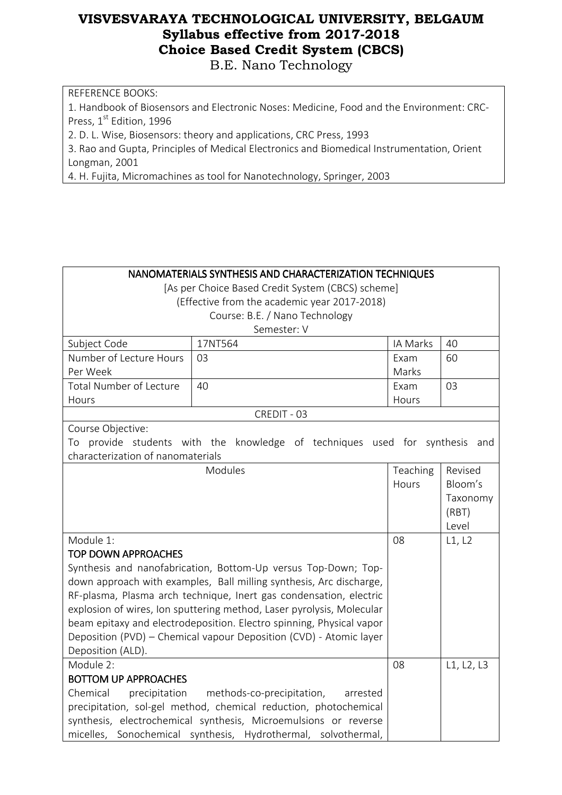B.E. Nano Technology

REFERENCE BOOKS:

1. Handbook of Biosensors and Electronic Noses: Medicine, Food and the Environment: CRC-Press, 1<sup>st</sup> Edition, 1996

2. D. L. Wise, Biosensors: theory and applications, CRC Press, 1993

3. Rao and Gupta, Principles of Medical Electronics and Biomedical Instrumentation, Orient Longman, 2001

4. H. Fujita, Micromachines as tool for Nanotechnology, Springer, 2003

#### NANOMATERIALS SYNTHESIS AND CHARACTERIZATION TECHNIQUES

[As per Choice Based Credit System (CBCS) scheme] (Effective from the academic year 2017-2018)

Course: B.E. / Nano Technology Semester: V

|                                                                     | Semester: v                                                                 |          |            |
|---------------------------------------------------------------------|-----------------------------------------------------------------------------|----------|------------|
| Subject Code                                                        | 17NT564                                                                     | IA Marks | 40         |
| Number of Lecture Hours                                             | 03                                                                          | Exam     | 60         |
| Per Week                                                            |                                                                             | Marks    |            |
| Total Number of Lecture                                             | 40                                                                          | Exam     | 03         |
| Hours                                                               |                                                                             | Hours    |            |
|                                                                     | CREDIT - 03                                                                 |          |            |
| Course Objective:                                                   |                                                                             |          |            |
|                                                                     | To provide students with the knowledge of techniques used for synthesis and |          |            |
| characterization of nanomaterials                                   |                                                                             |          |            |
|                                                                     | Modules                                                                     | Teaching | Revised    |
|                                                                     |                                                                             | Hours    | Bloom's    |
|                                                                     |                                                                             |          | Taxonomy   |
|                                                                     |                                                                             |          | (RBT)      |
|                                                                     |                                                                             |          | Level      |
| Module 1:                                                           |                                                                             | 08       | L1, L2     |
| <b>TOP DOWN APPROACHES</b>                                          |                                                                             |          |            |
|                                                                     | Synthesis and nanofabrication, Bottom-Up versus Top-Down; Top-              |          |            |
| down approach with examples, Ball milling synthesis, Arc discharge, |                                                                             |          |            |
| RF-plasma, Plasma arch technique, Inert gas condensation, electric  |                                                                             |          |            |
|                                                                     | explosion of wires, Ion sputtering method, Laser pyrolysis, Molecular       |          |            |
|                                                                     | beam epitaxy and electrodeposition. Electro spinning, Physical vapor        |          |            |
|                                                                     | Deposition (PVD) - Chemical vapour Deposition (CVD) - Atomic layer          |          |            |
| Deposition (ALD).                                                   |                                                                             |          |            |
| Module 2:                                                           |                                                                             | 08       | L1, L2, L3 |
| <b>BOTTOM UP APPROACHES</b>                                         |                                                                             |          |            |
| Chemical                                                            | precipitation methods-co-precipitation,<br>arrested                         |          |            |
|                                                                     | precipitation, sol-gel method, chemical reduction, photochemical            |          |            |
|                                                                     | synthesis, electrochemical synthesis, Microemulsions or reverse             |          |            |
|                                                                     | micelles, Sonochemical synthesis, Hydrothermal, solvothermal,               |          |            |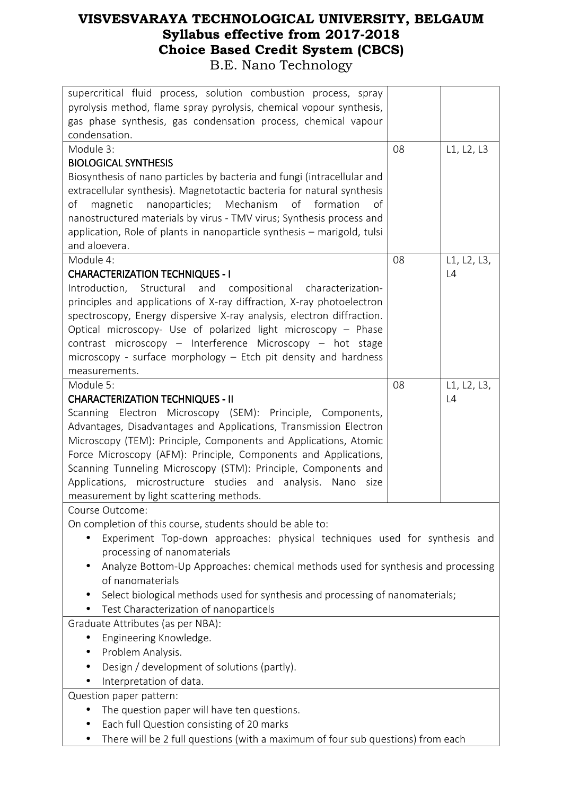| supercritical fluid process, solution combustion process, spray<br>pyrolysis method, flame spray pyrolysis, chemical vopour synthesis, |    |             |
|----------------------------------------------------------------------------------------------------------------------------------------|----|-------------|
|                                                                                                                                        |    |             |
| gas phase synthesis, gas condensation process, chemical vapour<br>condensation.                                                        |    |             |
|                                                                                                                                        |    |             |
| Module 3:                                                                                                                              | 08 | L1, L2, L3  |
| <b>BIOLOGICAL SYNTHESIS</b>                                                                                                            |    |             |
| Biosynthesis of nano particles by bacteria and fungi (intracellular and                                                                |    |             |
| extracellular synthesis). Magnetotactic bacteria for natural synthesis                                                                 |    |             |
| nanoparticles; Mechanism<br>of formation<br>οf<br>magnetic<br>of                                                                       |    |             |
| nanostructured materials by virus - TMV virus; Synthesis process and                                                                   |    |             |
| application, Role of plants in nanoparticle synthesis - marigold, tulsi                                                                |    |             |
| and aloevera.                                                                                                                          |    |             |
| Module 4:                                                                                                                              | 08 | L1, L2, L3, |
| <b>CHARACTERIZATION TECHNIQUES - I</b>                                                                                                 |    | L4          |
| Introduction,<br>Structural and compositional characterization-                                                                        |    |             |
| principles and applications of X-ray diffraction, X-ray photoelectron                                                                  |    |             |
| spectroscopy, Energy dispersive X-ray analysis, electron diffraction.                                                                  |    |             |
| Optical microscopy- Use of polarized light microscopy - Phase                                                                          |    |             |
| contrast microscopy - Interference Microscopy - hot stage                                                                              |    |             |
| microscopy - surface morphology - Etch pit density and hardness                                                                        |    |             |
| measurements.                                                                                                                          |    |             |
| Module 5:                                                                                                                              | 08 | L1, L2, L3, |
| <b>CHARACTERIZATION TECHNIQUES - II</b>                                                                                                |    | L4          |
| Scanning Electron Microscopy (SEM): Principle, Components,                                                                             |    |             |
| Advantages, Disadvantages and Applications, Transmission Electron                                                                      |    |             |
| Microscopy (TEM): Principle, Components and Applications, Atomic                                                                       |    |             |
| Force Microscopy (AFM): Principle, Components and Applications,                                                                        |    |             |
| Scanning Tunneling Microscopy (STM): Principle, Components and                                                                         |    |             |
| Applications, microstructure studies and analysis.<br>Nano<br>size                                                                     |    |             |
| measurement by light scattering methods.                                                                                               |    |             |
| Course Outcome:                                                                                                                        |    |             |
| On completion of this course, students should be able to:                                                                              |    |             |
| Experiment Top-down approaches: physical techniques used for synthesis and                                                             |    |             |
| processing of nanomaterials                                                                                                            |    |             |
| Analyze Bottom-Up Approaches: chemical methods used for synthesis and processing                                                       |    |             |
| of nanomaterials                                                                                                                       |    |             |
| Select biological methods used for synthesis and processing of nanomaterials;                                                          |    |             |
| Test Characterization of nanoparticels                                                                                                 |    |             |
| Graduate Attributes (as per NBA):                                                                                                      |    |             |
| Engineering Knowledge.                                                                                                                 |    |             |
| Problem Analysis.                                                                                                                      |    |             |
| Design / development of solutions (partly).                                                                                            |    |             |
| Interpretation of data.                                                                                                                |    |             |
|                                                                                                                                        |    |             |
| Question paper pattern:                                                                                                                |    |             |
| The question paper will have ten questions.                                                                                            |    |             |
| Each full Question consisting of 20 marks                                                                                              |    |             |
| There will be 2 full questions (with a maximum of four sub questions) from each                                                        |    |             |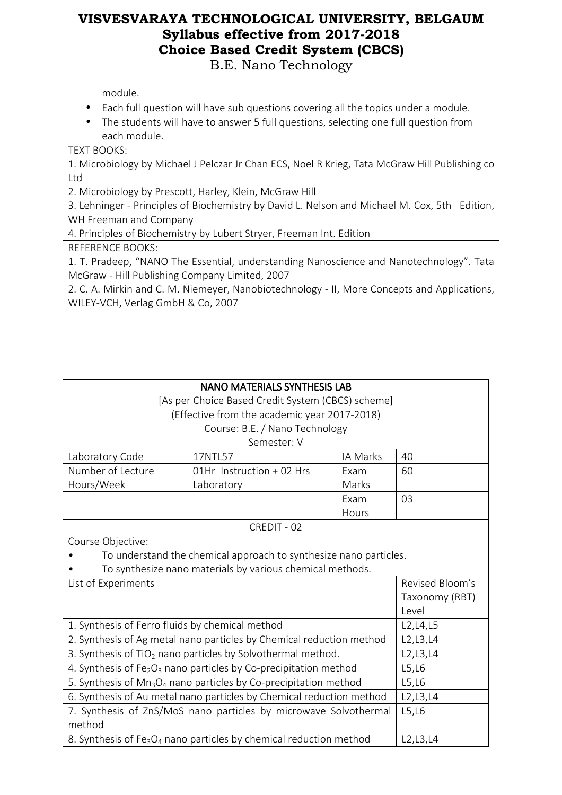module.

- Each full question will have sub questions covering all the topics under a module.
- The students will have to answer 5 full questions, selecting one full question from each module.

#### TEXT BOOKS:

1. Microbiology by Michael J Pelczar Jr Chan ECS, Noel R Krieg, Tata McGraw Hill Publishing co Ltd

2. Microbiology by Prescott, Harley, Klein, McGraw Hill

3. Lehninger - Principles of Biochemistry by David L. Nelson and Michael M. Cox, 5th Edition, WH Freeman and Company

4. Principles of Biochemistry by Lubert Stryer, Freeman Int. Edition

#### REFERENCE BOOKS:

1. T. Pradeep, "NANO The Essential, understanding Nanoscience and Nanotechnology". Tata McGraw - Hill Publishing Company Limited, 2007

2. C. A. Mirkin and C. M. Niemeyer, Nanobiotechnology - II, More Concepts and Applications, WILEY-VCH, Verlag GmbH & Co, 2007

| <b>NANO MATERIALS SYNTHESIS LAB</b>                                                        |                                                                      |                |                 |  |
|--------------------------------------------------------------------------------------------|----------------------------------------------------------------------|----------------|-----------------|--|
|                                                                                            | [As per Choice Based Credit System (CBCS) scheme]                    |                |                 |  |
|                                                                                            | (Effective from the academic year 2017-2018)                         |                |                 |  |
|                                                                                            | Course: B.E. / Nano Technology                                       |                |                 |  |
|                                                                                            | Semester: V                                                          |                |                 |  |
| Laboratory Code                                                                            | 17NTL57                                                              | IA Marks       | 40              |  |
| Number of Lecture                                                                          | 01Hr Instruction + 02 Hrs                                            | Exam           | 60              |  |
| Hours/Week                                                                                 | Laboratory                                                           | Marks          |                 |  |
|                                                                                            |                                                                      | Exam           | 03              |  |
|                                                                                            |                                                                      | Hours          |                 |  |
|                                                                                            | CREDIT - 02                                                          |                |                 |  |
| Course Objective:                                                                          |                                                                      |                |                 |  |
|                                                                                            | To understand the chemical approach to synthesize nano particles.    |                |                 |  |
| To synthesize nano materials by various chemical methods.                                  |                                                                      |                |                 |  |
| List of Experiments                                                                        |                                                                      |                | Revised Bloom's |  |
|                                                                                            |                                                                      | Taxonomy (RBT) |                 |  |
|                                                                                            |                                                                      |                | Level           |  |
| 1. Synthesis of Ferro fluids by chemical method                                            |                                                                      |                | L2, L4, L5      |  |
|                                                                                            | 2. Synthesis of Ag metal nano particles by Chemical reduction method |                | L2, L3, L4      |  |
| 3. Synthesis of TiO <sub>2</sub> nano particles by Solvothermal method.                    |                                                                      |                | L2, L3, L4      |  |
| 4. Synthesis of Fe <sub>2</sub> O <sub>3</sub> nano particles by Co-precipitation method   |                                                                      |                | L5,L6           |  |
| 5. Synthesis of Mn <sub>3</sub> O <sub>4</sub> nano particles by Co-precipitation method   |                                                                      |                | L5,L6           |  |
| 6. Synthesis of Au metal nano particles by Chemical reduction method                       |                                                                      |                | L2, L3, L4      |  |
| 7. Synthesis of ZnS/MoS nano particles by microwave Solvothermal                           |                                                                      |                | L5,L6           |  |
| method                                                                                     |                                                                      |                |                 |  |
| 8. Synthesis of Fe <sub>3</sub> O <sub>4</sub> nano particles by chemical reduction method |                                                                      |                | L2, L3, L4      |  |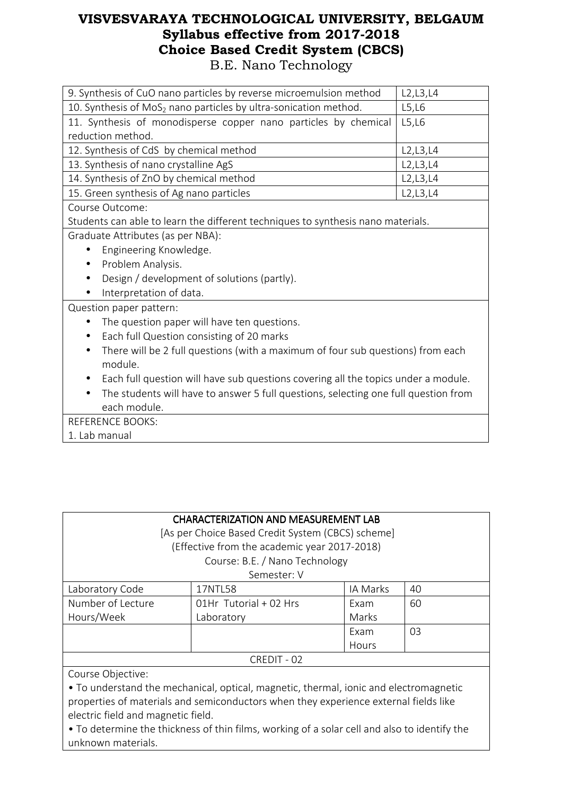| 9. Synthesis of CuO nano particles by reverse microemulsion method                   | L2, L3, L4 |  |  |
|--------------------------------------------------------------------------------------|------------|--|--|
| 10. Synthesis of MoS <sub>2</sub> nano particles by ultra-sonication method.         | L5, L6     |  |  |
| 11. Synthesis of monodisperse copper nano particles by chemical                      | L5,L6      |  |  |
| reduction method.                                                                    |            |  |  |
| 12. Synthesis of CdS by chemical method                                              | L2, L3, L4 |  |  |
| 13. Synthesis of nano crystalline AgS                                                | L2, L3, L4 |  |  |
| 14. Synthesis of ZnO by chemical method                                              | L2, L3, L4 |  |  |
| 15. Green synthesis of Ag nano particles                                             | L2, L3, L4 |  |  |
| Course Outcome:                                                                      |            |  |  |
| Students can able to learn the different techniques to synthesis nano materials.     |            |  |  |
| Graduate Attributes (as per NBA):                                                    |            |  |  |
| Engineering Knowledge.                                                               |            |  |  |
| Problem Analysis.<br>$\bullet$                                                       |            |  |  |
| Design / development of solutions (partly).                                          |            |  |  |
| Interpretation of data.                                                              |            |  |  |
| Question paper pattern:                                                              |            |  |  |
| The question paper will have ten questions.                                          |            |  |  |
| Each full Question consisting of 20 marks<br>$\bullet$                               |            |  |  |
| There will be 2 full questions (with a maximum of four sub questions) from each<br>٠ |            |  |  |
| module.                                                                              |            |  |  |
| Each full question will have sub questions covering all the topics under a module.   |            |  |  |
| The students will have to answer 5 full questions, selecting one full question from  |            |  |  |
| each module.                                                                         |            |  |  |
| <b>REFERENCE BOOKS:</b>                                                              |            |  |  |
| 1. Lab manual                                                                        |            |  |  |

| <b>CHARACTERIZATION AND MEASUREMENT LAB</b>                                           |                                              |          |    |
|---------------------------------------------------------------------------------------|----------------------------------------------|----------|----|
| [As per Choice Based Credit System (CBCS) scheme]                                     |                                              |          |    |
|                                                                                       | (Effective from the academic year 2017-2018) |          |    |
|                                                                                       | Course: B.E. / Nano Technology               |          |    |
|                                                                                       | Semester: V                                  |          |    |
| Laboratory Code                                                                       | 17NTL58                                      | IA Marks | 40 |
| Number of Lecture                                                                     | 01Hr Tutorial + 02 Hrs                       | Exam     | 60 |
| Hours/Week                                                                            | Laboratory                                   | Marks    |    |
|                                                                                       |                                              | Exam     | 03 |
|                                                                                       |                                              | Hours    |    |
| CREDIT - 02                                                                           |                                              |          |    |
| Course Objective:                                                                     |                                              |          |    |
| • To understand the mechanical, optical, magnetic, thermal, ionic and electromagnetic |                                              |          |    |
| properties of materials and semiconductors when they experience external fields like  |                                              |          |    |

electric field and magnetic field. • To determine the thickness of thin films, working of a solar cell and also to identify the

unknown materials.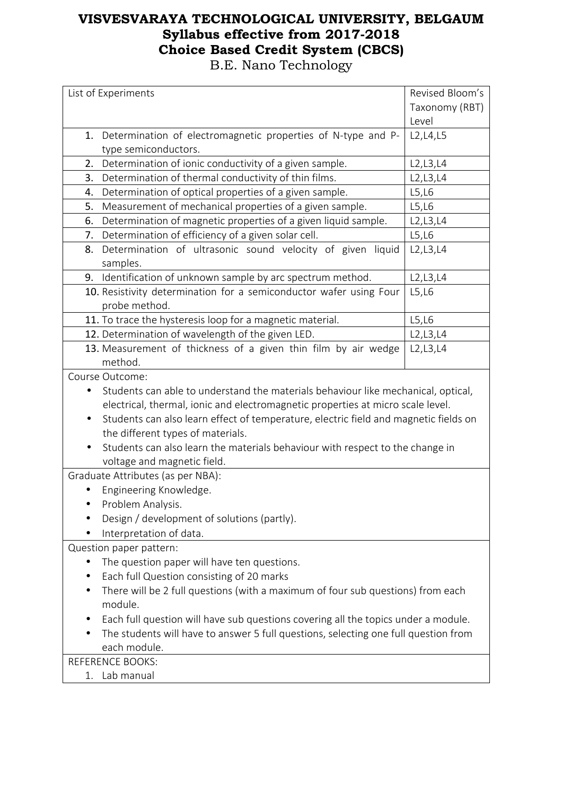| List of Experiments                                                                                                       | Revised Bloom's |  |  |
|---------------------------------------------------------------------------------------------------------------------------|-----------------|--|--|
|                                                                                                                           | Taxonomy (RBT)  |  |  |
|                                                                                                                           | Level           |  |  |
| Determination of electromagnetic properties of N-type and P-<br>1.                                                        | L2, L4, L5      |  |  |
| type semiconductors.                                                                                                      |                 |  |  |
| Determination of ionic conductivity of a given sample.<br>2.                                                              | L2, L3, L4      |  |  |
| Determination of thermal conductivity of thin films.<br>3.                                                                | L2, L3, L4      |  |  |
| Determination of optical properties of a given sample.<br>4.                                                              | L5,L6           |  |  |
| Measurement of mechanical properties of a given sample.<br>5.                                                             | L5, L6          |  |  |
| Determination of magnetic properties of a given liquid sample.<br>6.                                                      | L2, L3, L4      |  |  |
| Determination of efficiency of a given solar cell.<br>7.                                                                  | L5, L6          |  |  |
| Determination of ultrasonic sound velocity of given liquid<br>8.                                                          | L2, L3, L4      |  |  |
| samples.<br>Identification of unknown sample by arc spectrum method.<br>9.                                                | L2, L3, L4      |  |  |
| 10. Resistivity determination for a semiconductor wafer using Four                                                        | L5,L6           |  |  |
| probe method.                                                                                                             |                 |  |  |
| 11. To trace the hysteresis loop for a magnetic material.                                                                 | L5,L6           |  |  |
| 12. Determination of wavelength of the given LED.                                                                         | L2, L3, L4      |  |  |
| 13. Measurement of thickness of a given thin film by air wedge                                                            | L2, L3, L4      |  |  |
| method.                                                                                                                   |                 |  |  |
| Course Outcome:                                                                                                           |                 |  |  |
| Students can able to understand the materials behaviour like mechanical, optical,                                         |                 |  |  |
| electrical, thermal, ionic and electromagnetic properties at micro scale level.                                           |                 |  |  |
| Students can also learn effect of temperature, electric field and magnetic fields on<br>the different types of materials. |                 |  |  |
| Students can also learn the materials behaviour with respect to the change in                                             |                 |  |  |
| voltage and magnetic field.                                                                                               |                 |  |  |
| Graduate Attributes (as per NBA):                                                                                         |                 |  |  |
| Engineering Knowledge.                                                                                                    |                 |  |  |
| Problem Analysis.                                                                                                         |                 |  |  |
| Design / development of solutions (partly).                                                                               |                 |  |  |
| Interpretation of data.                                                                                                   |                 |  |  |
| Question paper pattern:                                                                                                   |                 |  |  |
| The question paper will have ten questions.                                                                               |                 |  |  |
| Each full Question consisting of 20 marks                                                                                 |                 |  |  |
| There will be 2 full questions (with a maximum of four sub questions) from each                                           |                 |  |  |
| module.                                                                                                                   |                 |  |  |
| Each full question will have sub questions covering all the topics under a module.                                        |                 |  |  |
| The students will have to answer 5 full questions, selecting one full question from                                       |                 |  |  |
| each module.                                                                                                              |                 |  |  |
| <b>REFERENCE BOOKS:</b>                                                                                                   |                 |  |  |
| Lab manual<br>1.                                                                                                          |                 |  |  |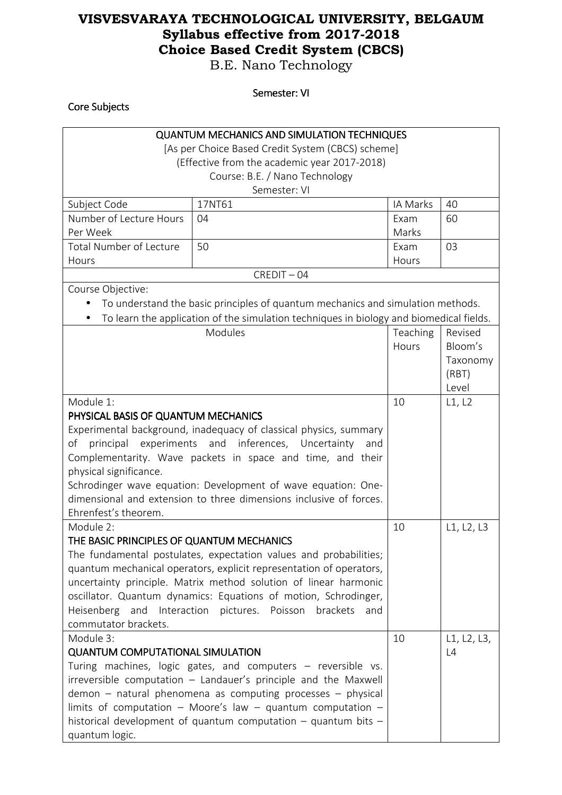B.E. Nano Technology

Semester: VI

| Core Subjects                                                      |                                                                                         |               |             |  |
|--------------------------------------------------------------------|-----------------------------------------------------------------------------------------|---------------|-------------|--|
| <b>QUANTUM MECHANICS AND SIMULATION TECHNIQUES</b>                 |                                                                                         |               |             |  |
|                                                                    | [As per Choice Based Credit System (CBCS) scheme]                                       |               |             |  |
|                                                                    | (Effective from the academic year 2017-2018)                                            |               |             |  |
|                                                                    | Course: B.E. / Nano Technology                                                          |               |             |  |
|                                                                    | Semester: VI                                                                            |               |             |  |
| Subject Code                                                       | 17NT61                                                                                  | IA Marks      | 40          |  |
| Number of Lecture Hours<br>Per Week                                | 04                                                                                      | Exam<br>Marks | 60          |  |
| <b>Total Number of Lecture</b><br>Hours                            | 50                                                                                      | Exam<br>Hours | 03          |  |
|                                                                    | $CREDIT - 04$                                                                           |               |             |  |
| Course Objective:                                                  |                                                                                         |               |             |  |
|                                                                    | To understand the basic principles of quantum mechanics and simulation methods.         |               |             |  |
|                                                                    | To learn the application of the simulation techniques in biology and biomedical fields. |               |             |  |
|                                                                    | Modules                                                                                 | Teaching      | Revised     |  |
|                                                                    |                                                                                         | Hours         | Bloom's     |  |
|                                                                    |                                                                                         |               | Taxonomy    |  |
|                                                                    |                                                                                         |               | (RBT)       |  |
|                                                                    |                                                                                         |               | Level       |  |
| Module 1:                                                          |                                                                                         | 10            | L1, L2      |  |
| PHYSICAL BASIS OF QUANTUM MECHANICS                                |                                                                                         |               |             |  |
| Experimental background, inadequacy of classical physics, summary  |                                                                                         |               |             |  |
| of<br>experiments<br>principal                                     | and inferences,<br>Uncertainty<br>and                                                   |               |             |  |
|                                                                    | Complementarity. Wave packets in space and time, and their                              |               |             |  |
| physical significance.                                             |                                                                                         |               |             |  |
| Schrodinger wave equation: Development of wave equation: One-      |                                                                                         |               |             |  |
| dimensional and extension to three dimensions inclusive of forces. |                                                                                         |               |             |  |
| Ehrenfest's theorem.                                               |                                                                                         |               |             |  |
| Module 2:                                                          |                                                                                         | 10            | L1, L2, L3  |  |
| THE BASIC PRINCIPLES OF QUANTUM MECHANICS                          |                                                                                         |               |             |  |
|                                                                    | The fundamental postulates, expectation values and probabilities;                       |               |             |  |
|                                                                    | quantum mechanical operators, explicit representation of operators,                     |               |             |  |
|                                                                    | uncertainty principle. Matrix method solution of linear harmonic                        |               |             |  |
|                                                                    | oscillator. Quantum dynamics: Equations of motion, Schrodinger,                         |               |             |  |
| Heisenberg and Interaction                                         | pictures. Poisson<br>brackets<br>and                                                    |               |             |  |
| commutator brackets.                                               |                                                                                         |               |             |  |
| Module 3:                                                          |                                                                                         |               | L1, L2, L3, |  |
| <b>QUANTUM COMPUTATIONAL SIMULATION</b>                            |                                                                                         |               | L4          |  |
| Turing machines, logic gates, and computers - reversible vs.       |                                                                                         |               |             |  |
| irreversible computation - Landauer's principle and the Maxwell    |                                                                                         |               |             |  |
| $demon - natural phenomena$ as computing processes - physical      |                                                                                         |               |             |  |
|                                                                    | limits of computation - Moore's law - quantum computation -                             |               |             |  |
|                                                                    | historical development of quantum computation $-$ quantum bits $-$                      |               |             |  |
| quantum logic.                                                     |                                                                                         |               |             |  |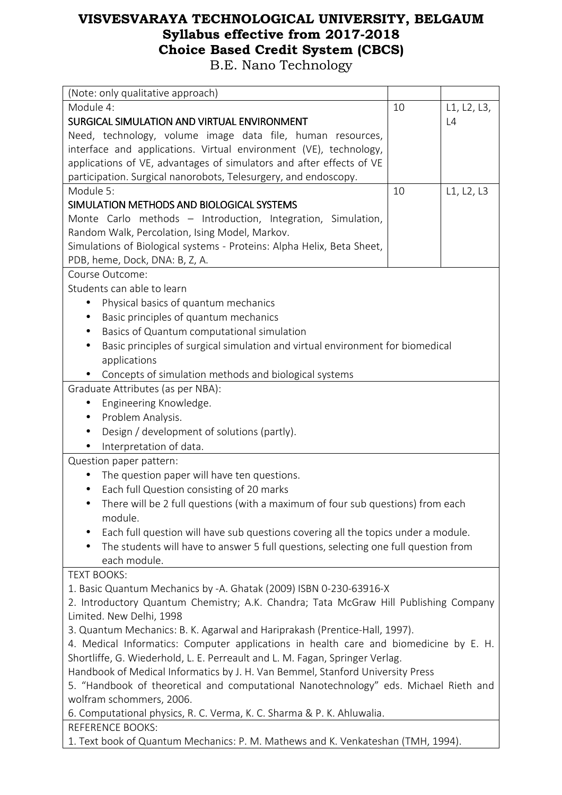| (Note: only qualitative approach)                                                                                                                                      |                                   |             |  |  |
|------------------------------------------------------------------------------------------------------------------------------------------------------------------------|-----------------------------------|-------------|--|--|
| Module 4:                                                                                                                                                              | 10                                | L1, L2, L3, |  |  |
| SURGICAL SIMULATION AND VIRTUAL ENVIRONMENT                                                                                                                            |                                   | L4          |  |  |
| Need, technology, volume image data file, human resources,                                                                                                             |                                   |             |  |  |
| interface and applications. Virtual environment (VE), technology,                                                                                                      |                                   |             |  |  |
| applications of VE, advantages of simulators and after effects of VE                                                                                                   |                                   |             |  |  |
| participation. Surgical nanorobots, Telesurgery, and endoscopy.                                                                                                        |                                   |             |  |  |
| Module 5:                                                                                                                                                              | 10                                | L1, L2, L3  |  |  |
| SIMULATION METHODS AND BIOLOGICAL SYSTEMS                                                                                                                              |                                   |             |  |  |
| Monte Carlo methods - Introduction, Integration, Simulation,                                                                                                           |                                   |             |  |  |
| Random Walk, Percolation, Ising Model, Markov.                                                                                                                         |                                   |             |  |  |
| Simulations of Biological systems - Proteins: Alpha Helix, Beta Sheet,                                                                                                 |                                   |             |  |  |
| PDB, heme, Dock, DNA: B, Z, A.                                                                                                                                         |                                   |             |  |  |
| Course Outcome:                                                                                                                                                        |                                   |             |  |  |
| Students can able to learn                                                                                                                                             |                                   |             |  |  |
| Physical basics of quantum mechanics<br>$\bullet$                                                                                                                      |                                   |             |  |  |
|                                                                                                                                                                        |                                   |             |  |  |
| Basic principles of quantum mechanics                                                                                                                                  |                                   |             |  |  |
| Basics of Quantum computational simulation                                                                                                                             |                                   |             |  |  |
| Basic principles of surgical simulation and virtual environment for biomedical                                                                                         |                                   |             |  |  |
|                                                                                                                                                                        | applications                      |             |  |  |
| Concepts of simulation methods and biological systems                                                                                                                  |                                   |             |  |  |
|                                                                                                                                                                        | Graduate Attributes (as per NBA): |             |  |  |
| Engineering Knowledge.<br>٠                                                                                                                                            |                                   |             |  |  |
| Problem Analysis.<br>$\bullet$                                                                                                                                         |                                   |             |  |  |
| Design / development of solutions (partly).                                                                                                                            |                                   |             |  |  |
| Interpretation of data.                                                                                                                                                |                                   |             |  |  |
| Question paper pattern:                                                                                                                                                |                                   |             |  |  |
| The question paper will have ten questions.                                                                                                                            |                                   |             |  |  |
| Each full Question consisting of 20 marks                                                                                                                              |                                   |             |  |  |
| There will be 2 full questions (with a maximum of four sub questions) from each<br>$\bullet$                                                                           |                                   |             |  |  |
| module.                                                                                                                                                                |                                   |             |  |  |
| Each full question will have sub questions covering all the topics under a module.                                                                                     |                                   |             |  |  |
| The students will have to answer 5 full questions, selecting one full question from                                                                                    |                                   |             |  |  |
| each module.                                                                                                                                                           |                                   |             |  |  |
| <b>TEXT BOOKS:</b>                                                                                                                                                     |                                   |             |  |  |
| 1. Basic Quantum Mechanics by -A. Ghatak (2009) ISBN 0-230-63916-X                                                                                                     |                                   |             |  |  |
| 2. Introductory Quantum Chemistry; A.K. Chandra; Tata McGraw Hill Publishing Company                                                                                   |                                   |             |  |  |
| Limited. New Delhi, 1998                                                                                                                                               |                                   |             |  |  |
| 3. Quantum Mechanics: B. K. Agarwal and Hariprakash (Prentice-Hall, 1997).                                                                                             |                                   |             |  |  |
| 4. Medical Informatics: Computer applications in health care and biomedicine by E. H.                                                                                  |                                   |             |  |  |
| Shortliffe, G. Wiederhold, L. E. Perreault and L. M. Fagan, Springer Verlag.                                                                                           |                                   |             |  |  |
|                                                                                                                                                                        |                                   |             |  |  |
| Handbook of Medical Informatics by J. H. Van Bemmel, Stanford University Press<br>5. "Handbook of theoretical and computational Nanotechnology" eds. Michael Rieth and |                                   |             |  |  |
| wolfram schommers, 2006.                                                                                                                                               |                                   |             |  |  |
|                                                                                                                                                                        |                                   |             |  |  |
| 6. Computational physics, R. C. Verma, K. C. Sharma & P. K. Ahluwalia.                                                                                                 |                                   |             |  |  |
| <b>REFERENCE BOOKS:</b>                                                                                                                                                |                                   |             |  |  |
| 1. Text book of Quantum Mechanics: P. M. Mathews and K. Venkateshan (TMH, 1994).                                                                                       |                                   |             |  |  |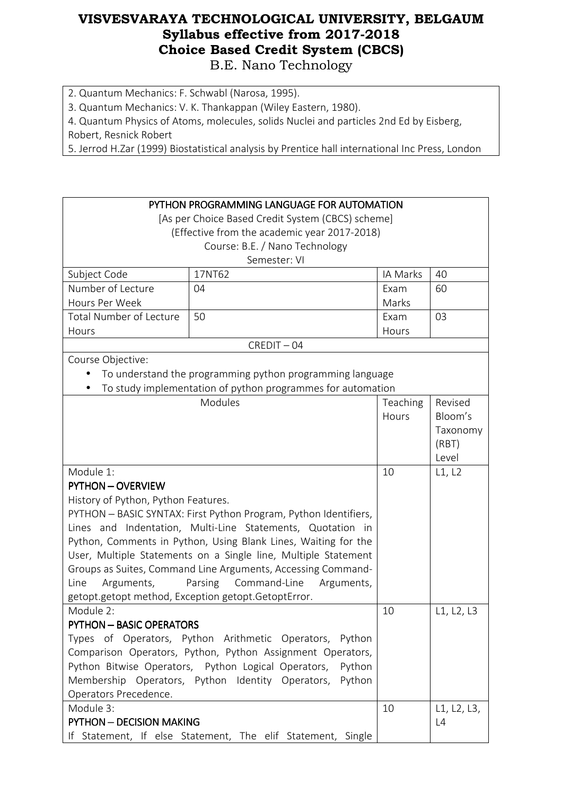2. Quantum Mechanics: F. Schwabl (Narosa, 1995).

3. Quantum Mechanics: V. K. Thankappan (Wiley Eastern, 1980).

4. Quantum Physics of Atoms, molecules, solids Nuclei and particles 2nd Ed by Eisberg,

Robert, Resnick Robert

5. Jerrod H.Zar (1999) Biostatistical analysis by Prentice hall international Inc Press, London

| PYTHON PROGRAMMING LANGUAGE FOR AUTOMATION<br>[As per Choice Based Credit System (CBCS) scheme] |                                                              |          |             |  |
|-------------------------------------------------------------------------------------------------|--------------------------------------------------------------|----------|-------------|--|
|                                                                                                 | (Effective from the academic year 2017-2018)                 |          |             |  |
|                                                                                                 | Course: B.E. / Nano Technology                               |          |             |  |
|                                                                                                 | Semester: VI                                                 |          |             |  |
| Subject Code                                                                                    | 17NT62                                                       | IA Marks | 40          |  |
| Number of Lecture                                                                               | 04                                                           | Exam     | 60          |  |
| Hours Per Week                                                                                  |                                                              | Marks    |             |  |
| <b>Total Number of Lecture</b>                                                                  | 50                                                           | Exam     | 03          |  |
| Hours                                                                                           |                                                              | Hours    |             |  |
|                                                                                                 | $CREDIT - 04$                                                |          |             |  |
| Course Objective:                                                                               |                                                              |          |             |  |
|                                                                                                 | To understand the programming python programming language    |          |             |  |
|                                                                                                 | To study implementation of python programmes for automation  |          |             |  |
|                                                                                                 | Modules                                                      | Teaching | Revised     |  |
|                                                                                                 |                                                              | Hours    | Bloom's     |  |
|                                                                                                 |                                                              |          | Taxonomy    |  |
|                                                                                                 |                                                              |          | (RBT)       |  |
|                                                                                                 | 10                                                           | Level    |             |  |
| Module 1:                                                                                       |                                                              |          | L1, L2      |  |
| <b>PYTHON - OVERVIEW</b>                                                                        |                                                              |          |             |  |
| History of Python, Python Features.                                                             |                                                              |          |             |  |
| PYTHON - BASIC SYNTAX: First Python Program, Python Identifiers,                                |                                                              |          |             |  |
| Lines and Indentation, Multi-Line Statements, Quotation in                                      |                                                              |          |             |  |
| Python, Comments in Python, Using Blank Lines, Waiting for the                                  |                                                              |          |             |  |
| User, Multiple Statements on a Single line, Multiple Statement                                  |                                                              |          |             |  |
|                                                                                                 | Groups as Suites, Command Line Arguments, Accessing Command- |          |             |  |
| Arguments,                                                                                      | Parsing<br>Command-Line<br>Line<br>Arguments,                |          |             |  |
|                                                                                                 | getopt.getopt method, Exception getopt.GetoptError.          |          |             |  |
| Module 2:                                                                                       |                                                              | 10       | L1, L2, L3  |  |
| <b>PYTHON - BASIC OPERATORS</b>                                                                 |                                                              |          |             |  |
|                                                                                                 | Types of Operators, Python Arithmetic Operators, Python      |          |             |  |
|                                                                                                 | Comparison Operators, Python, Python Assignment Operators,   |          |             |  |
| Python Bitwise Operators, Python Logical Operators, Python                                      |                                                              |          |             |  |
| Membership Operators, Python Identity Operators,<br>Python                                      |                                                              |          |             |  |
| Operators Precedence.                                                                           |                                                              |          |             |  |
| Module 3:                                                                                       |                                                              | 10       | L1, L2, L3, |  |
| <b>PYTHON - DECISION MAKING</b>                                                                 |                                                              |          | L4          |  |
|                                                                                                 | If Statement, If else Statement, The elif Statement, Single  |          |             |  |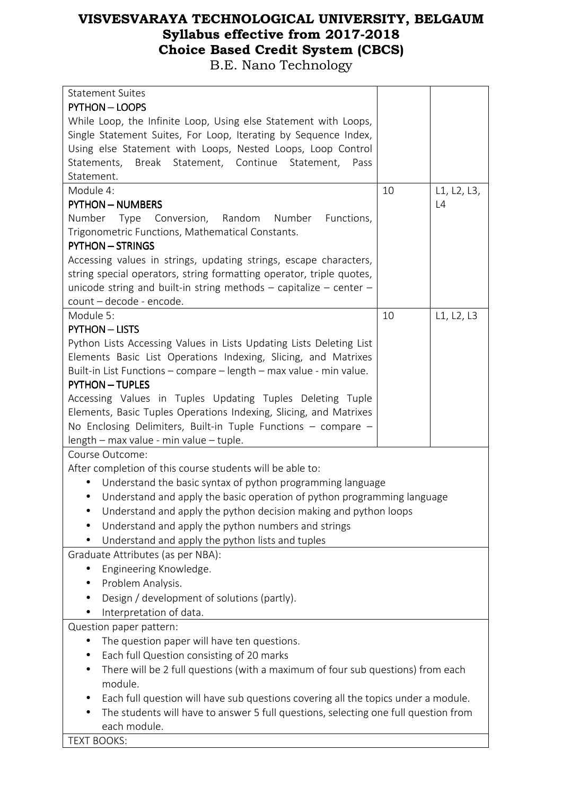| <b>Statement Suites</b>                                                              |    |             |  |
|--------------------------------------------------------------------------------------|----|-------------|--|
| <b>PYTHON - LOOPS</b>                                                                |    |             |  |
| While Loop, the Infinite Loop, Using else Statement with Loops,                      |    |             |  |
| Single Statement Suites, For Loop, Iterating by Sequence Index,                      |    |             |  |
| Using else Statement with Loops, Nested Loops, Loop Control                          |    |             |  |
| Statements, Break Statement, Continue<br>Statement,<br>Pass                          |    |             |  |
| Statement.                                                                           |    |             |  |
| Module 4:                                                                            | 10 | L1, L2, L3, |  |
| <b>PYTHON - NUMBERS</b>                                                              |    | L4          |  |
| Number<br>Type<br>Conversion,<br>Random<br>Number<br>Functions,                      |    |             |  |
| Trigonometric Functions, Mathematical Constants.                                     |    |             |  |
| <b>PYTHON - STRINGS</b>                                                              |    |             |  |
| Accessing values in strings, updating strings, escape characters,                    |    |             |  |
| string special operators, string formatting operator, triple quotes,                 |    |             |  |
| unicode string and built-in string methods $-$ capitalize $-$ center $-$             |    |             |  |
| count - decode - encode.                                                             |    |             |  |
| Module 5:                                                                            | 10 | L1, L2, L3  |  |
| <b>PYTHON - LISTS</b>                                                                |    |             |  |
| Python Lists Accessing Values in Lists Updating Lists Deleting List                  |    |             |  |
| Elements Basic List Operations Indexing, Slicing, and Matrixes                       |    |             |  |
| Built-in List Functions - compare - length - max value - min value.                  |    |             |  |
| <b>PYTHON - TUPLES</b>                                                               |    |             |  |
| Accessing Values in Tuples Updating Tuples Deleting Tuple                            |    |             |  |
| Elements, Basic Tuples Operations Indexing, Slicing, and Matrixes                    |    |             |  |
| No Enclosing Delimiters, Built-in Tuple Functions $-$ compare $-$                    |    |             |  |
| length - max value - min value - tuple.                                              |    |             |  |
| Course Outcome:                                                                      |    |             |  |
| After completion of this course students will be able to:                            |    |             |  |
| Understand the basic syntax of python programming language<br>$\bullet$              |    |             |  |
| Understand and apply the basic operation of python programming language<br>$\bullet$ |    |             |  |
| Understand and apply the python decision making and python loops                     |    |             |  |
| Understand and apply the python numbers and strings                                  |    |             |  |
| Understand and apply the python lists and tuples                                     |    |             |  |
| Graduate Attributes (as per NBA):                                                    |    |             |  |
| Engineering Knowledge.                                                               |    |             |  |
| Problem Analysis.                                                                    |    |             |  |
| Design / development of solutions (partly).                                          |    |             |  |
| Interpretation of data.                                                              |    |             |  |
| Question paper pattern:                                                              |    |             |  |
| The question paper will have ten questions.                                          |    |             |  |
| Each full Question consisting of 20 marks                                            |    |             |  |
| There will be 2 full questions (with a maximum of four sub questions) from each      |    |             |  |
| module.                                                                              |    |             |  |
| Each full question will have sub questions covering all the topics under a module.   |    |             |  |
| The students will have to answer 5 full questions, selecting one full question from  |    |             |  |
| each module.                                                                         |    |             |  |
| <b>TEXT BOOKS:</b>                                                                   |    |             |  |
|                                                                                      |    |             |  |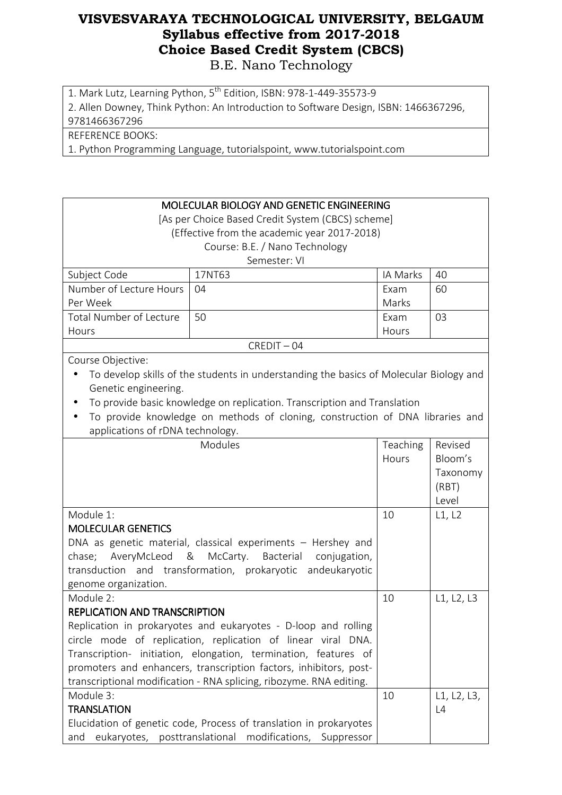1. Mark Lutz, Learning Python, 5<sup>th</sup> Edition, ISBN: 978-1-449-35573-9

2. Allen Downey, Think Python: An Introduction to Software Design, ISBN: 1466367296,

9781466367296

REFERENCE BOOKS:

1. Python Programming Language, tutorialspoint, www.tutorialspoint.com

| MOLECULAR BIOLOGY AND GENETIC ENGINEERING                         |                                                                                        |          |             |
|-------------------------------------------------------------------|----------------------------------------------------------------------------------------|----------|-------------|
| [As per Choice Based Credit System (CBCS) scheme]                 |                                                                                        |          |             |
| (Effective from the academic year 2017-2018)                      |                                                                                        |          |             |
|                                                                   | Course: B.E. / Nano Technology                                                         |          |             |
|                                                                   | Semester: VI                                                                           |          |             |
| Subject Code                                                      | 17NT63                                                                                 | IA Marks | 40          |
| Number of Lecture Hours                                           | 04                                                                                     | Exam     | 60          |
| Per Week                                                          |                                                                                        | Marks    |             |
| <b>Total Number of Lecture</b>                                    | 50                                                                                     | Exam     | 03          |
| Hours                                                             |                                                                                        | Hours    |             |
|                                                                   | $CREDIT - 04$                                                                          |          |             |
| Course Objective:                                                 |                                                                                        |          |             |
|                                                                   | To develop skills of the students in understanding the basics of Molecular Biology and |          |             |
| Genetic engineering.                                              |                                                                                        |          |             |
|                                                                   | To provide basic knowledge on replication. Transcription and Translation               |          |             |
|                                                                   | To provide knowledge on methods of cloning, construction of DNA libraries and          |          |             |
| applications of rDNA technology.                                  |                                                                                        |          |             |
|                                                                   | Modules                                                                                | Teaching | Revised     |
|                                                                   |                                                                                        | Hours    | Bloom's     |
|                                                                   |                                                                                        |          | Taxonomy    |
|                                                                   |                                                                                        |          | (RBT)       |
|                                                                   |                                                                                        |          | Level       |
| Module 1:                                                         |                                                                                        | 10       | L1, L2      |
| <b>MOLECULAR GENETICS</b>                                         |                                                                                        |          |             |
|                                                                   | DNA as genetic material, classical experiments – Hershey and                           |          |             |
| AveryMcLeod<br>_&<br>chase;                                       | McCarty.<br>Bacterial<br>conjugation,                                                  |          |             |
|                                                                   | transduction and transformation, prokaryotic andeukaryotic                             |          |             |
| genome organization.                                              |                                                                                        |          |             |
| Module 2:                                                         |                                                                                        | 10       | L1, L2, L3  |
| <b>REPLICATION AND TRANSCRIPTION</b>                              |                                                                                        |          |             |
|                                                                   | Replication in prokaryotes and eukaryotes - D-loop and rolling                         |          |             |
| circle mode of replication, replication of linear viral DNA.      |                                                                                        |          |             |
| Transcription- initiation, elongation, termination, features of   |                                                                                        |          |             |
| promoters and enhancers, transcription factors, inhibitors, post- |                                                                                        |          |             |
|                                                                   | transcriptional modification - RNA splicing, ribozyme. RNA editing.                    |          |             |
| Module 3:                                                         |                                                                                        | 10       | L1, L2, L3, |
| <b>TRANSLATION</b>                                                |                                                                                        |          | L4          |
|                                                                   | Elucidation of genetic code, Process of translation in prokaryotes                     |          |             |
| eukaryotes,<br>and                                                | posttranslational<br>modifications, Suppressor                                         |          |             |
|                                                                   |                                                                                        |          |             |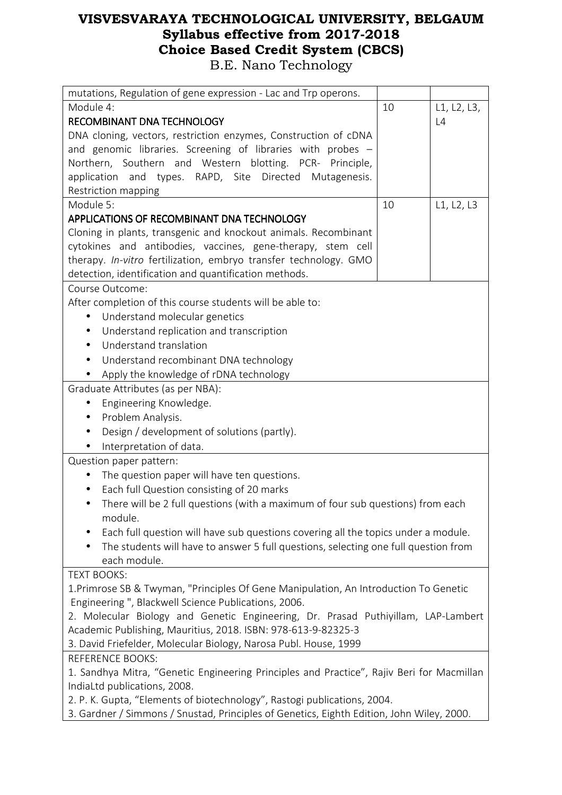| mutations, Regulation of gene expression - Lac and Trp operons.                           |                   |             |  |
|-------------------------------------------------------------------------------------------|-------------------|-------------|--|
| Module 4:                                                                                 | 10                | L1, L2, L3, |  |
| <b>RECOMBINANT DNA TECHNOLOGY</b>                                                         |                   | L4          |  |
| DNA cloning, vectors, restriction enzymes, Construction of cDNA                           |                   |             |  |
| and genomic libraries. Screening of libraries with probes -                               |                   |             |  |
| Northern, Southern and Western blotting. PCR- Principle,                                  |                   |             |  |
| application and types. RAPD, Site Directed Mutagenesis.                                   |                   |             |  |
| Restriction mapping                                                                       |                   |             |  |
| Module 5:                                                                                 | 10                | L1, L2, L3  |  |
| APPLICATIONS OF RECOMBINANT DNA TECHNOLOGY                                                |                   |             |  |
| Cloning in plants, transgenic and knockout animals. Recombinant                           |                   |             |  |
| cytokines and antibodies, vaccines, gene-therapy, stem cell                               |                   |             |  |
| therapy. In-vitro fertilization, embryo transfer technology. GMO                          |                   |             |  |
| detection, identification and quantification methods.                                     |                   |             |  |
| Course Outcome:                                                                           |                   |             |  |
| After completion of this course students will be able to:                                 |                   |             |  |
| Understand molecular genetics<br>$\bullet$                                                |                   |             |  |
| Understand replication and transcription                                                  |                   |             |  |
| Understand translation                                                                    |                   |             |  |
| Understand recombinant DNA technology                                                     |                   |             |  |
| Apply the knowledge of rDNA technology                                                    |                   |             |  |
| Graduate Attributes (as per NBA):                                                         |                   |             |  |
| Engineering Knowledge.<br>٠                                                               |                   |             |  |
| ٠                                                                                         | Problem Analysis. |             |  |
| Design / development of solutions (partly).                                               |                   |             |  |
| Interpretation of data.                                                                   |                   |             |  |
| Question paper pattern:                                                                   |                   |             |  |
| The question paper will have ten questions.                                               |                   |             |  |
| Each full Question consisting of 20 marks                                                 |                   |             |  |
| There will be 2 full questions (with a maximum of four sub questions) from each           |                   |             |  |
| module.                                                                                   |                   |             |  |
| Each full question will have sub questions covering all the topics under a module.        |                   |             |  |
| The students will have to answer 5 full questions, selecting one full question from       |                   |             |  |
| each module.                                                                              |                   |             |  |
| <b>TEXT BOOKS:</b>                                                                        |                   |             |  |
| 1. Primrose SB & Twyman, "Principles Of Gene Manipulation, An Introduction To Genetic     |                   |             |  |
| Engineering", Blackwell Science Publications, 2006.                                       |                   |             |  |
| 2. Molecular Biology and Genetic Engineering, Dr. Prasad Puthiyillam, LAP-Lambert         |                   |             |  |
| Academic Publishing, Mauritius, 2018. ISBN: 978-613-9-82325-3                             |                   |             |  |
| 3. David Friefelder, Molecular Biology, Narosa Publ. House, 1999                          |                   |             |  |
| <b>REFERENCE BOOKS:</b>                                                                   |                   |             |  |
| 1. Sandhya Mitra, "Genetic Engineering Principles and Practice", Rajiv Beri for Macmillan |                   |             |  |
| IndiaLtd publications, 2008.                                                              |                   |             |  |
| 2. P. K. Gupta, "Elements of biotechnology", Rastogi publications, 2004.                  |                   |             |  |
| 3. Gardner / Simmons / Snustad, Principles of Genetics, Eighth Edition, John Wiley, 2000. |                   |             |  |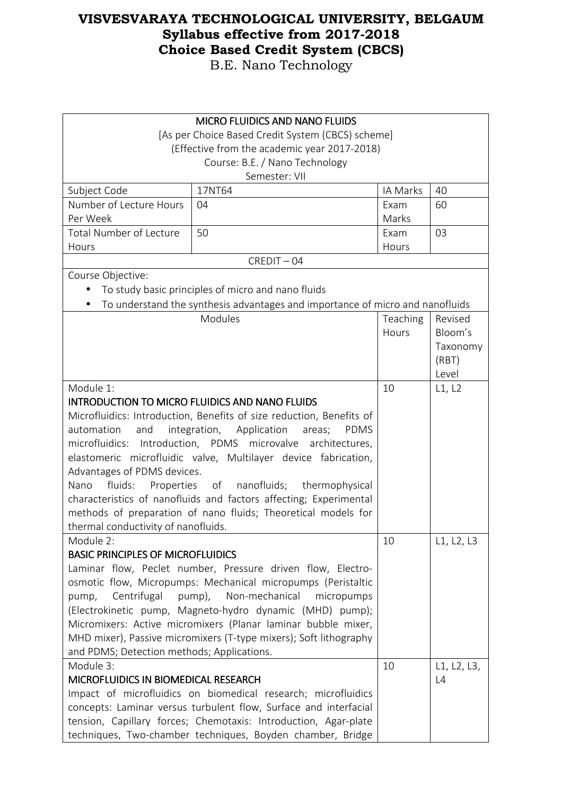| <b>MICRO FLUIDICS AND NANO FLUIDS</b>                                                                                         |                                                                               |               |                |
|-------------------------------------------------------------------------------------------------------------------------------|-------------------------------------------------------------------------------|---------------|----------------|
|                                                                                                                               | [As per Choice Based Credit System (CBCS) scheme]                             |               |                |
|                                                                                                                               | (Effective from the academic year 2017-2018)                                  |               |                |
|                                                                                                                               | Course: B.E. / Nano Technology                                                |               |                |
|                                                                                                                               | Semester: VII                                                                 |               |                |
| Subject Code                                                                                                                  | 17NT64                                                                        | IA Marks      | 40             |
| Number of Lecture Hours                                                                                                       | 04                                                                            | Exam<br>Marks | 60             |
| Per Week                                                                                                                      |                                                                               |               |                |
| <b>Total Number of Lecture</b>                                                                                                | 50                                                                            | Exam          | 03             |
| Hours                                                                                                                         |                                                                               | Hours         |                |
|                                                                                                                               | $CREDIT - 04$                                                                 |               |                |
| Course Objective:                                                                                                             |                                                                               |               |                |
|                                                                                                                               | To study basic principles of micro and nano fluids                            |               |                |
|                                                                                                                               | To understand the synthesis advantages and importance of micro and nanofluids |               |                |
|                                                                                                                               | Modules                                                                       | Teaching      | Revised        |
|                                                                                                                               |                                                                               | Hours         | Bloom's        |
|                                                                                                                               |                                                                               |               | Taxonomy       |
|                                                                                                                               |                                                                               |               | (RBT)<br>Level |
| Module 1:                                                                                                                     |                                                                               | 10            | L1, L2         |
|                                                                                                                               |                                                                               |               |                |
| <b>INTRODUCTION TO MICRO FLUIDICS AND NANO FLUIDS</b><br>Microfluidics: Introduction, Benefits of size reduction, Benefits of |                                                                               |               |                |
| automation<br>and<br>integration, Application<br>areas;<br><b>PDMS</b>                                                        |                                                                               |               |                |
|                                                                                                                               | microfluidics: Introduction, PDMS microvalve architectures,                   |               |                |
|                                                                                                                               | elastomeric microfluidic valve, Multilayer device fabrication,                |               |                |
| Advantages of PDMS devices.                                                                                                   |                                                                               |               |                |
| Nano                                                                                                                          | fluids: Properties of nanofluids; thermophysical                              |               |                |
|                                                                                                                               | characteristics of nanofluids and factors affecting; Experimental             |               |                |
| methods of preparation of nano fluids; Theoretical models for                                                                 |                                                                               |               |                |
| thermal conductivity of nanofluids.                                                                                           |                                                                               |               |                |
| Module 2:                                                                                                                     |                                                                               | 10            | L1, L2, L3     |
| <b>BASIC PRINCIPLES OF MICROFLUIDICS</b>                                                                                      |                                                                               |               |                |
|                                                                                                                               | Laminar flow, Peclet number, Pressure driven flow, Electro-                   |               |                |
|                                                                                                                               | osmotic flow, Micropumps: Mechanical micropumps (Peristaltic                  |               |                |
| Centrifugal<br>pump,                                                                                                          | pump), Non-mechanical<br>micropumps                                           |               |                |
|                                                                                                                               | (Electrokinetic pump, Magneto-hydro dynamic (MHD) pump);                      |               |                |
|                                                                                                                               | Micromixers: Active micromixers (Planar laminar bubble mixer,                 |               |                |
|                                                                                                                               | MHD mixer), Passive micromixers (T-type mixers); Soft lithography             |               |                |
| and PDMS; Detection methods; Applications.                                                                                    |                                                                               |               |                |
| Module 3:                                                                                                                     |                                                                               | 10            | L1, L2, L3,    |
|                                                                                                                               | MICROFLUIDICS IN BIOMEDICAL RESEARCH                                          |               | L4             |
| Impact of microfluidics on biomedical research; microfluidics                                                                 |                                                                               |               |                |
| concepts: Laminar versus turbulent flow, Surface and interfacial                                                              |                                                                               |               |                |
|                                                                                                                               | tension, Capillary forces; Chemotaxis: Introduction, Agar-plate               |               |                |
|                                                                                                                               | techniques, Two-chamber techniques, Boyden chamber, Bridge                    |               |                |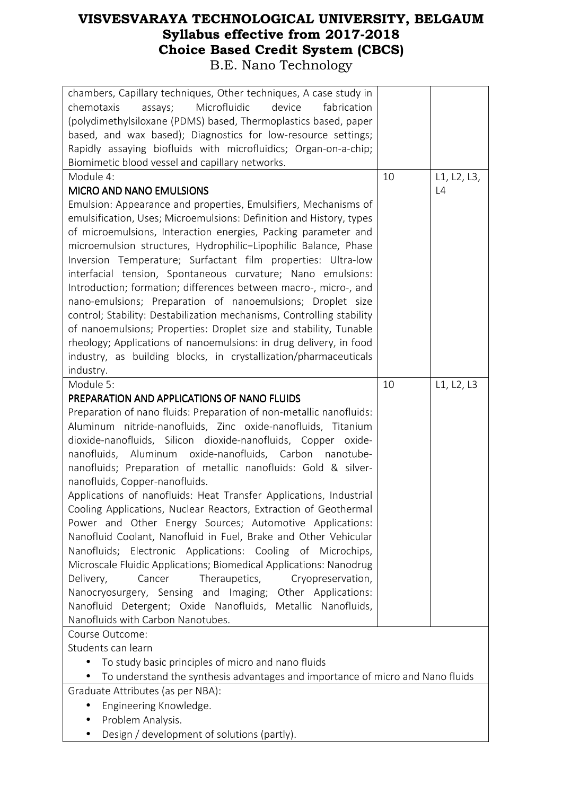| chambers, Capillary techniques, Other techniques, A case study in              |    |             |
|--------------------------------------------------------------------------------|----|-------------|
| Microfluidic<br>chemotaxis<br>device<br>fabrication<br>assays;                 |    |             |
| (polydimethylsiloxane (PDMS) based, Thermoplastics based, paper                |    |             |
| based, and wax based); Diagnostics for low-resource settings;                  |    |             |
| Rapidly assaying biofluids with microfluidics; Organ-on-a-chip;                |    |             |
| Biomimetic blood vessel and capillary networks.                                |    |             |
| Module 4:                                                                      | 10 | L1, L2, L3, |
| <b>MICRO AND NANO EMULSIONS</b>                                                |    | L4          |
| Emulsion: Appearance and properties, Emulsifiers, Mechanisms of                |    |             |
| emulsification, Uses; Microemulsions: Definition and History, types            |    |             |
| of microemulsions, Interaction energies, Packing parameter and                 |    |             |
| microemulsion structures, Hydrophilic-Lipophilic Balance, Phase                |    |             |
| Inversion Temperature; Surfactant film properties: Ultra-low                   |    |             |
| interfacial tension, Spontaneous curvature; Nano emulsions:                    |    |             |
| Introduction; formation; differences between macro-, micro-, and               |    |             |
| nano-emulsions; Preparation of nanoemulsions; Droplet size                     |    |             |
| control; Stability: Destabilization mechanisms, Controlling stability          |    |             |
| of nanoemulsions; Properties: Droplet size and stability, Tunable              |    |             |
| rheology; Applications of nanoemulsions: in drug delivery, in food             |    |             |
| industry, as building blocks, in crystallization/pharmaceuticals               |    |             |
| industry.                                                                      |    |             |
| Module 5:                                                                      | 10 | L1, L2, L3  |
| PREPARATION AND APPLICATIONS OF NANO FLUIDS                                    |    |             |
| Preparation of nano fluids: Preparation of non-metallic nanofluids:            |    |             |
| Aluminum nitride-nanofluids, Zinc oxide-nanofluids, Titanium                   |    |             |
| dioxide-nanofluids, Silicon dioxide-nanofluids, Copper oxide-                  |    |             |
| nanofluids, Aluminum oxide-nanofluids, Carbon nanotube-                        |    |             |
| nanofluids; Preparation of metallic nanofluids: Gold & silver-                 |    |             |
| nanofluids, Copper-nanofluids.                                                 |    |             |
| Applications of nanofluids: Heat Transfer Applications, Industrial             |    |             |
| Cooling Applications, Nuclear Reactors, Extraction of Geothermal               |    |             |
| Power and Other Energy Sources; Automotive Applications:                       |    |             |
| Nanofluid Coolant, Nanofluid in Fuel, Brake and Other Vehicular                |    |             |
| Nanofluids; Electronic Applications: Cooling of Microchips,                    |    |             |
| Microscale Fluidic Applications; Biomedical Applications: Nanodrug             |    |             |
| Theraupetics, Cryopreservation,<br>Delivery,<br>Cancer                         |    |             |
| Nanocryosurgery, Sensing and Imaging; Other Applications:                      |    |             |
| Nanofluid Detergent; Oxide Nanofluids, Metallic Nanofluids,                    |    |             |
| Nanofluids with Carbon Nanotubes.                                              |    |             |
| Course Outcome:                                                                |    |             |
| Students can learn                                                             |    |             |
| To study basic principles of micro and nano fluids<br>$\bullet$                |    |             |
| To understand the synthesis advantages and importance of micro and Nano fluids |    |             |
| Graduate Attributes (as per NBA):                                              |    |             |
| Engineering Knowledge.                                                         |    |             |
| Problem Analysis.<br>$\bullet$                                                 |    |             |
| Design / development of solutions (partly).                                    |    |             |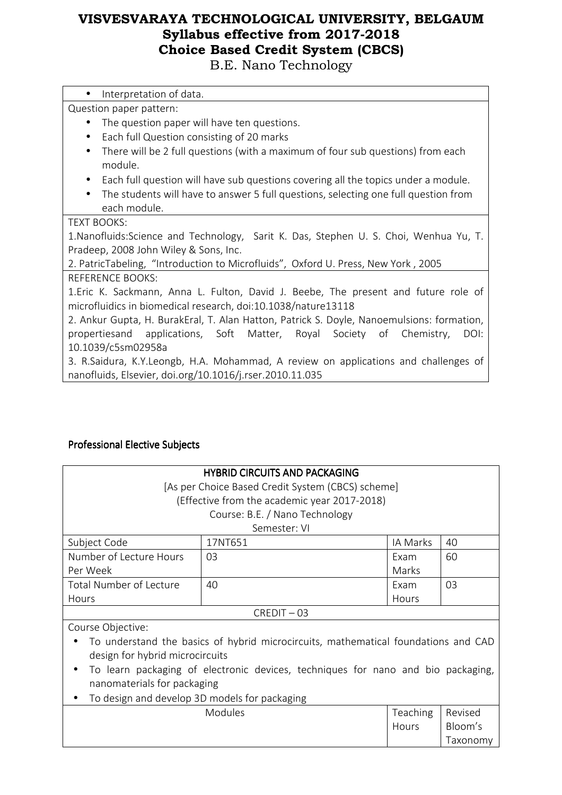B.E. Nano Technology

| Interpretation of data.<br>$\bullet$                                                             |
|--------------------------------------------------------------------------------------------------|
| Question paper pattern:                                                                          |
| The question paper will have ten questions.                                                      |
| Each full Question consisting of 20 marks<br>$\bullet$                                           |
| There will be 2 full questions (with a maximum of four sub questions) from each<br>$\bullet$     |
| module.                                                                                          |
| Each full question will have sub questions covering all the topics under a module.<br>$\bullet$  |
| The students will have to answer 5 full questions, selecting one full question from<br>$\bullet$ |
| each module.                                                                                     |
| <b>TEXT BOOKS:</b>                                                                               |
| 1. Nanofluids: Science and Technology, Sarit K. Das, Stephen U. S. Choi, Wenhua Yu, T.           |
| Pradeep, 2008 John Wiley & Sons, Inc.                                                            |
| 2. PatricTabeling, "Introduction to Microfluids", Oxford U. Press, New York, 2005                |
| REFERENCE BOOKS:                                                                                 |
| 1.Eric K. Sackmann, Anna L. Fulton, David J. Beebe, The present and future role of               |
| microfluidics in biomedical research, doi:10.1038/nature13118                                    |
| 2. Ankur Gupta, H. BurakEral, T. Alan Hatton, Patrick S. Doyle, Nanoemulsions: formation,        |
| propertiesand applications, Soft Matter, Royal Society of Chemistry,<br>DOI:                     |
| 10.1039/c5sm02958a                                                                               |
| 3. R.Saidura, K.Y.Leongb, H.A. Mohammad, A review on applications and challenges of              |
| nanofluids, Elsevier, doi.org/10.1016/j.rser.2010.11.035                                         |
|                                                                                                  |
|                                                                                                  |
|                                                                                                  |

### Professional Elective Subjects

| <b>HYBRID CIRCUITS AND PACKAGING</b><br>[As per Choice Based Credit System (CBCS) scheme] |         |                 |          |  |  |  |
|-------------------------------------------------------------------------------------------|---------|-----------------|----------|--|--|--|
| (Effective from the academic year 2017-2018)                                              |         |                 |          |  |  |  |
| Course: B.E. / Nano Technology                                                            |         |                 |          |  |  |  |
| Semester: VI                                                                              |         |                 |          |  |  |  |
| Subject Code                                                                              | 17NT651 | IA Marks        | 40       |  |  |  |
| Number of Lecture Hours                                                                   | 03      | Exam            | 60       |  |  |  |
| Per Week                                                                                  |         | Marks           |          |  |  |  |
| Total Number of Lecture                                                                   | 40      | Exam            | 03       |  |  |  |
| Hours                                                                                     |         | Hours           |          |  |  |  |
| $CREDIT - 03$                                                                             |         |                 |          |  |  |  |
| Course Objective:                                                                         |         |                 |          |  |  |  |
| To understand the basics of hybrid microcircuits, mathematical foundations and CAD        |         |                 |          |  |  |  |
| design for hybrid microcircuits                                                           |         |                 |          |  |  |  |
| To learn packaging of electronic devices, techniques for nano and bio packaging,          |         |                 |          |  |  |  |
| nanomaterials for packaging                                                               |         |                 |          |  |  |  |
| To design and develop 3D models for packaging                                             |         |                 |          |  |  |  |
|                                                                                           | Modules | <b>Teaching</b> | Revised  |  |  |  |
|                                                                                           |         | Hours           | Bloom's  |  |  |  |
|                                                                                           |         |                 | Taxonomy |  |  |  |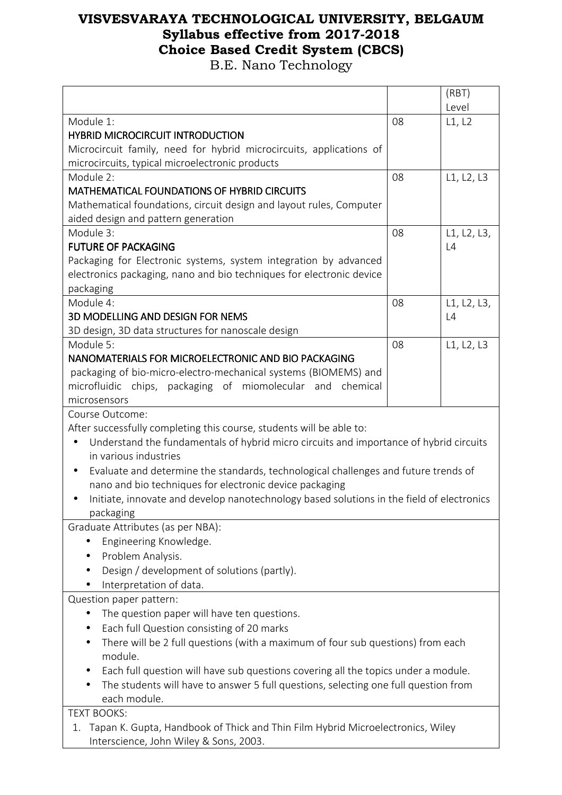|                                                                                                     |    | (RBT)       |  |  |  |
|-----------------------------------------------------------------------------------------------------|----|-------------|--|--|--|
|                                                                                                     |    | Level       |  |  |  |
| Module 1:                                                                                           | 08 | L1, L2      |  |  |  |
| <b>HYBRID MICROCIRCUIT INTRODUCTION</b>                                                             |    |             |  |  |  |
| Microcircuit family, need for hybrid microcircuits, applications of                                 |    |             |  |  |  |
| microcircuits, typical microelectronic products                                                     |    |             |  |  |  |
| Module 2:                                                                                           | 08 | L1, L2, L3  |  |  |  |
| <b>MATHEMATICAL FOUNDATIONS OF HYBRID CIRCUITS</b>                                                  |    |             |  |  |  |
| Mathematical foundations, circuit design and layout rules, Computer                                 |    |             |  |  |  |
| aided design and pattern generation                                                                 |    |             |  |  |  |
| Module 3:                                                                                           | 08 | L1, L2, L3, |  |  |  |
| <b>FUTURE OF PACKAGING</b>                                                                          |    | L4          |  |  |  |
| Packaging for Electronic systems, system integration by advanced                                    |    |             |  |  |  |
| electronics packaging, nano and bio techniques for electronic device                                |    |             |  |  |  |
| packaging                                                                                           |    |             |  |  |  |
| Module 4:                                                                                           | 08 | L1, L2, L3, |  |  |  |
| 3D MODELLING AND DESIGN FOR NEMS                                                                    |    | L4          |  |  |  |
| 3D design, 3D data structures for nanoscale design                                                  |    |             |  |  |  |
| Module 5:                                                                                           | 08 | L1, L2, L3  |  |  |  |
| NANOMATERIALS FOR MICROELECTRONIC AND BIO PACKAGING                                                 |    |             |  |  |  |
| packaging of bio-micro-electro-mechanical systems (BIOMEMS) and                                     |    |             |  |  |  |
| microfluidic chips, packaging of miomolecular and<br>chemical                                       |    |             |  |  |  |
| microsensors                                                                                        |    |             |  |  |  |
| Course Outcome:                                                                                     |    |             |  |  |  |
| After successfully completing this course, students will be able to:                                |    |             |  |  |  |
| Understand the fundamentals of hybrid micro circuits and importance of hybrid circuits<br>$\bullet$ |    |             |  |  |  |
| in various industries                                                                               |    |             |  |  |  |
| Evaluate and determine the standards, technological challenges and future trends of<br>$\bullet$    |    |             |  |  |  |
| nano and bio techniques for electronic device packaging                                             |    |             |  |  |  |
| Initiate, innovate and develop nanotechnology based solutions in the field of electronics           |    |             |  |  |  |
| packaging                                                                                           |    |             |  |  |  |
| Graduate Attributes (as per NBA):                                                                   |    |             |  |  |  |
| Engineering Knowledge.                                                                              |    |             |  |  |  |
| Problem Analysis.                                                                                   |    |             |  |  |  |
| Design / development of solutions (partly).                                                         |    |             |  |  |  |
| Interpretation of data.                                                                             |    |             |  |  |  |
| Question paper pattern:                                                                             |    |             |  |  |  |
| The question paper will have ten questions.                                                         |    |             |  |  |  |
| Each full Question consisting of 20 marks                                                           |    |             |  |  |  |
| There will be 2 full questions (with a maximum of four sub questions) from each                     |    |             |  |  |  |
| module.                                                                                             |    |             |  |  |  |
| Each full question will have sub questions covering all the topics under a module.                  |    |             |  |  |  |
| The students will have to answer 5 full questions, selecting one full question from                 |    |             |  |  |  |
| each module.                                                                                        |    |             |  |  |  |
| <b>TEXT BOOKS:</b>                                                                                  |    |             |  |  |  |
| Tapan K. Gupta, Handbook of Thick and Thin Film Hybrid Microelectronics, Wiley<br>1.                |    |             |  |  |  |
| Interscience, John Wiley & Sons, 2003.                                                              |    |             |  |  |  |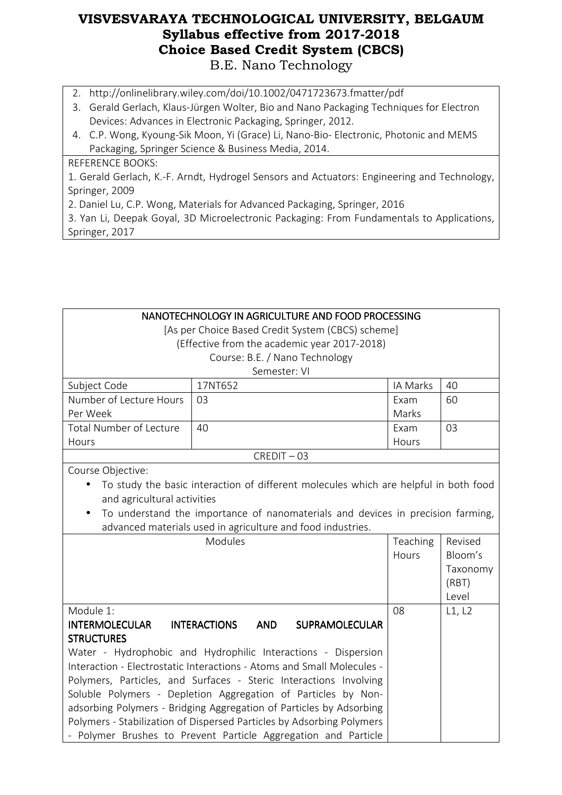- 2. http://onlinelibrary.wiley.com/doi/10.1002/0471723673.fmatter/pdf
- 3. Gerald Gerlach, Klaus-Jürgen Wolter, Bio and Nano Packaging Techniques for Electron Devices: Advances in Electronic Packaging, Springer, 2012.
- 4. C.P. Wong, Kyoung-Sik Moon, Yi (Grace) Li, Nano-Bio- Electronic, Photonic and MEMS Packaging, Springer Science & Business Media, 2014.

#### REFERENCE BOOKS:

1. Gerald Gerlach, K.-F. Arndt, Hydrogel Sensors and Actuators: Engineering and Technology, Springer, 2009

2. Daniel Lu, C.P. Wong, Materials for Advanced Packaging, Springer, 2016

3. Yan Li, Deepak Goyal, 3D Microelectronic Packaging: From Fundamentals to Applications, Springer, 2017

| NANOTECHNOLOGY IN AGRICULTURE AND FOOD PROCESSING<br>[As per Choice Based Credit System (CBCS) scheme]<br>(Effective from the academic year 2017-2018) |                                                                                      |          |          |  |  |
|--------------------------------------------------------------------------------------------------------------------------------------------------------|--------------------------------------------------------------------------------------|----------|----------|--|--|
| Course: B.E. / Nano Technology                                                                                                                         |                                                                                      |          |          |  |  |
| Semester: VI                                                                                                                                           |                                                                                      |          |          |  |  |
| Subject Code                                                                                                                                           | 17NT652                                                                              | IA Marks | 40       |  |  |
| Number of Lecture Hours                                                                                                                                | 03                                                                                   | Exam     | 60       |  |  |
| Per Week                                                                                                                                               |                                                                                      | Marks    |          |  |  |
| <b>Total Number of Lecture</b>                                                                                                                         | 40                                                                                   | Exam     | 03       |  |  |
| Hours                                                                                                                                                  |                                                                                      | Hours    |          |  |  |
|                                                                                                                                                        | $CREDIT - 03$                                                                        |          |          |  |  |
| Course Objective:                                                                                                                                      |                                                                                      |          |          |  |  |
|                                                                                                                                                        | To study the basic interaction of different molecules which are helpful in both food |          |          |  |  |
| and agricultural activities                                                                                                                            |                                                                                      |          |          |  |  |
|                                                                                                                                                        | To understand the importance of nanomaterials and devices in precision farming,      |          |          |  |  |
| advanced materials used in agriculture and food industries.                                                                                            |                                                                                      |          |          |  |  |
|                                                                                                                                                        | Modules                                                                              | Teaching | Revised  |  |  |
|                                                                                                                                                        |                                                                                      | Hours    | Bloom's  |  |  |
|                                                                                                                                                        |                                                                                      |          | Taxonomy |  |  |
|                                                                                                                                                        |                                                                                      |          | (RBT)    |  |  |
|                                                                                                                                                        |                                                                                      |          | Level    |  |  |
| Module 1:                                                                                                                                              |                                                                                      | 08       | L1, L2   |  |  |
| <b>INTERMOLECULAR</b>                                                                                                                                  | <b>INTERACTIONS</b><br><b>AND</b><br><b>SUPRAMOLECULAR</b>                           |          |          |  |  |
| <b>STRUCTURES</b>                                                                                                                                      |                                                                                      |          |          |  |  |
|                                                                                                                                                        | Water - Hydrophobic and Hydrophilic Interactions - Dispersion                        |          |          |  |  |
|                                                                                                                                                        | Interaction - Electrostatic Interactions - Atoms and Small Molecules -               |          |          |  |  |
|                                                                                                                                                        | Polymers, Particles, and Surfaces - Steric Interactions Involving                    |          |          |  |  |
|                                                                                                                                                        | Soluble Polymers - Depletion Aggregation of Particles by Non-                        |          |          |  |  |
|                                                                                                                                                        | adsorbing Polymers - Bridging Aggregation of Particles by Adsorbing                  |          |          |  |  |
|                                                                                                                                                        | Polymers - Stabilization of Dispersed Particles by Adsorbing Polymers                |          |          |  |  |
|                                                                                                                                                        | - Polymer Brushes to Prevent Particle Aggregation and Particle                       |          |          |  |  |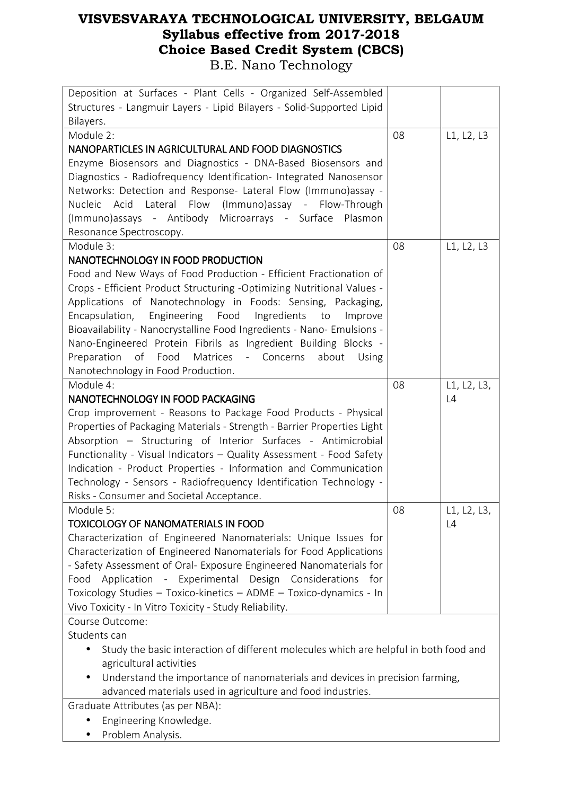| Deposition at Surfaces - Plant Cells - Organized Self-Assembled<br>Structures - Langmuir Layers - Lipid Bilayers - Solid-Supported Lipid |    |             |
|------------------------------------------------------------------------------------------------------------------------------------------|----|-------------|
| Bilayers.                                                                                                                                |    |             |
| Module 2:                                                                                                                                | 08 | L1, L2, L3  |
| NANOPARTICLES IN AGRICULTURAL AND FOOD DIAGNOSTICS                                                                                       |    |             |
| Enzyme Biosensors and Diagnostics - DNA-Based Biosensors and                                                                             |    |             |
| Diagnostics - Radiofrequency Identification- Integrated Nanosensor                                                                       |    |             |
|                                                                                                                                          |    |             |
| Networks: Detection and Response- Lateral Flow (Immuno) assay -                                                                          |    |             |
| Nucleic Acid Lateral Flow (Immuno)assay - Flow-Through                                                                                   |    |             |
| (Immuno)assays - Antibody Microarrays - Surface Plasmon                                                                                  |    |             |
| Resonance Spectroscopy.                                                                                                                  |    |             |
| Module 3:                                                                                                                                | 08 | L1, L2, L3  |
| NANOTECHNOLOGY IN FOOD PRODUCTION                                                                                                        |    |             |
| Food and New Ways of Food Production - Efficient Fractionation of                                                                        |    |             |
| Crops - Efficient Product Structuring -Optimizing Nutritional Values -                                                                   |    |             |
| Applications of Nanotechnology in Foods: Sensing, Packaging,                                                                             |    |             |
| Encapsulation, Engineering Food<br>Ingredients<br>to<br>Improve                                                                          |    |             |
| Bioavailability - Nanocrystalline Food Ingredients - Nano- Emulsions -                                                                   |    |             |
| Nano-Engineered Protein Fibrils as Ingredient Building Blocks -                                                                          |    |             |
| of Food<br>Matrices<br>Preparation<br>- Concerns<br>about<br>Using                                                                       |    |             |
| Nanotechnology in Food Production.                                                                                                       |    |             |
| Module 4:                                                                                                                                | 08 | L1, L2, L3, |
| NANOTECHNOLOGY IN FOOD PACKAGING                                                                                                         |    | L4          |
| Crop improvement - Reasons to Package Food Products - Physical                                                                           |    |             |
| Properties of Packaging Materials - Strength - Barrier Properties Light                                                                  |    |             |
| Absorption - Structuring of Interior Surfaces - Antimicrobial                                                                            |    |             |
| Functionality - Visual Indicators - Quality Assessment - Food Safety                                                                     |    |             |
| Indication - Product Properties - Information and Communication                                                                          |    |             |
| Technology - Sensors - Radiofrequency Identification Technology -                                                                        |    |             |
| Risks - Consumer and Societal Acceptance.                                                                                                |    |             |
| Module 5:                                                                                                                                | 08 | L1, L2, L3, |
| TOXICOLOGY OF NANOMATERIALS IN FOOD                                                                                                      |    | L4          |
| Characterization of Engineered Nanomaterials: Unique Issues for                                                                          |    |             |
| Characterization of Engineered Nanomaterials for Food Applications                                                                       |    |             |
| - Safety Assessment of Oral- Exposure Engineered Nanomaterials for                                                                       |    |             |
| Application - Experimental Design Considerations for<br>Food                                                                             |    |             |
| Toxicology Studies - Toxico-kinetics - ADME - Toxico-dynamics - In                                                                       |    |             |
| Vivo Toxicity - In Vitro Toxicity - Study Reliability.                                                                                   |    |             |
| Course Outcome:                                                                                                                          |    |             |
| Students can                                                                                                                             |    |             |
|                                                                                                                                          |    |             |
| Study the basic interaction of different molecules which are helpful in both food and                                                    |    |             |
| agricultural activities                                                                                                                  |    |             |
| Understand the importance of nanomaterials and devices in precision farming,                                                             |    |             |
| advanced materials used in agriculture and food industries.                                                                              |    |             |
| Graduate Attributes (as per NBA):                                                                                                        |    |             |
| Engineering Knowledge.                                                                                                                   |    |             |

• Problem Analysis.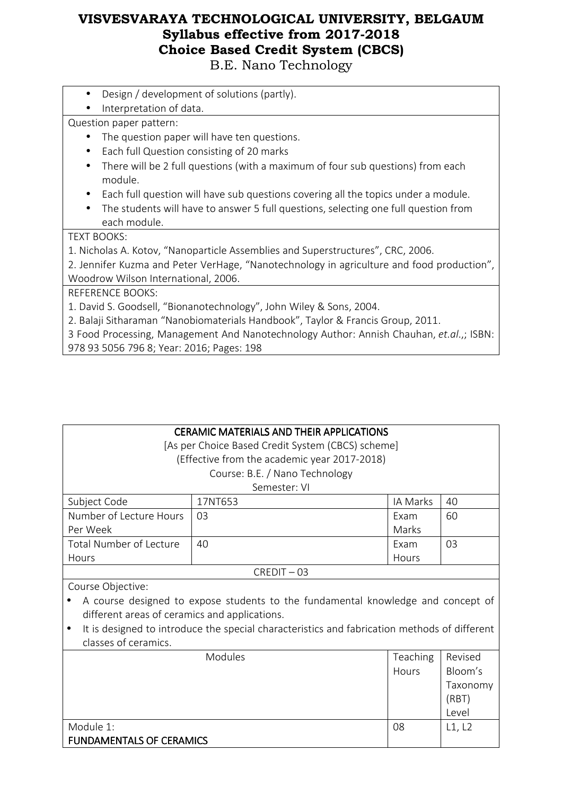B.E. Nano Technology

- Design / development of solutions (partly).
- Interpretation of data.

Question paper pattern:

- The question paper will have ten questions.
- Each full Question consisting of 20 marks
- There will be 2 full questions (with a maximum of four sub questions) from each module.
- Each full question will have sub questions covering all the topics under a module.
- The students will have to answer 5 full questions, selecting one full question from each module.

TEXT BOOKS:

1. Nicholas A. Kotov, "Nanoparticle Assemblies and Superstructures", CRC, 2006.

2. Jennifer Kuzma and Peter VerHage, "Nanotechnology in agriculture and food production", Woodrow Wilson International, 2006.

REFERENCE BOOKS:

1. David S. Goodsell, "Bionanotechnology", John Wiley & Sons, 2004.

2. Balaji Sitharaman "Nanobiomaterials Handbook", Taylor & Francis Group, 2011.

3 Food Processing, Management And Nanotechnology Author: Annish Chauhan, *et.al*.,; ISBN:

978 93 5056 796 8; Year: 2016; Pages: 198

FUNDAMENTALS OF CERAMICS

| <b>CERAMIC MATERIALS AND THEIR APPLICATIONS</b>                                              |                                                   |          |          |  |
|----------------------------------------------------------------------------------------------|---------------------------------------------------|----------|----------|--|
|                                                                                              | [As per Choice Based Credit System (CBCS) scheme] |          |          |  |
|                                                                                              | (Effective from the academic year 2017-2018)      |          |          |  |
|                                                                                              | Course: B.E. / Nano Technology                    |          |          |  |
|                                                                                              | Semester: VI                                      |          |          |  |
| Subject Code                                                                                 | 17NT653                                           | IA Marks | 40       |  |
| Number of Lecture Hours                                                                      | 03                                                | Exam     | 60       |  |
| Per Week                                                                                     |                                                   | Marks    |          |  |
| <b>Total Number of Lecture</b>                                                               | 40                                                | Exam     | 03       |  |
| Hours                                                                                        |                                                   | Hours    |          |  |
|                                                                                              | $CREDIT - 03$                                     |          |          |  |
| Course Objective:                                                                            |                                                   |          |          |  |
| A course designed to expose students to the fundamental knowledge and concept of             |                                                   |          |          |  |
| different areas of ceramics and applications.                                                |                                                   |          |          |  |
| It is designed to introduce the special characteristics and fabrication methods of different |                                                   |          |          |  |
| classes of ceramics.                                                                         |                                                   |          |          |  |
| Modules<br><b>Teaching</b><br>Revised                                                        |                                                   |          |          |  |
| Hours                                                                                        |                                                   |          | Bloom's  |  |
|                                                                                              |                                                   |          | Taxonomy |  |
| (RBT)                                                                                        |                                                   |          |          |  |
| Level                                                                                        |                                                   |          |          |  |
| Module 1:<br>08<br>L1, L2                                                                    |                                                   |          |          |  |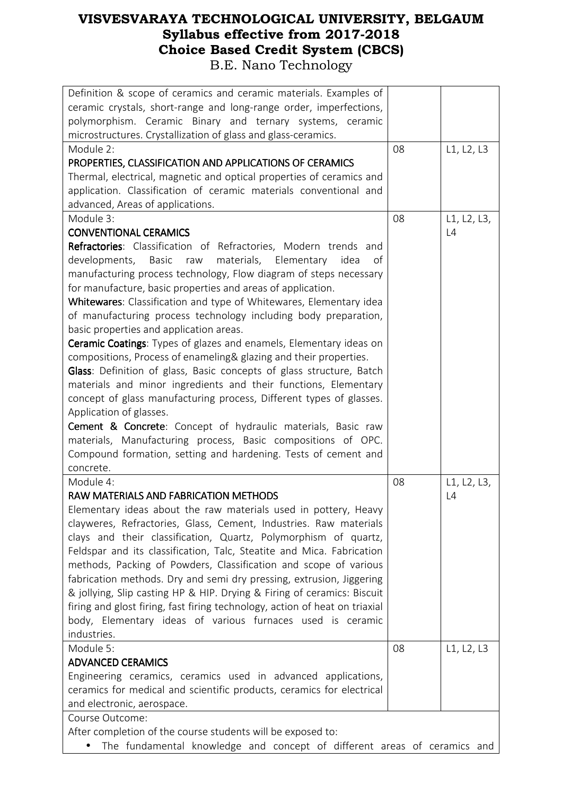| Definition & scope of ceramics and ceramic materials. Examples of           |    |             |
|-----------------------------------------------------------------------------|----|-------------|
|                                                                             |    |             |
| ceramic crystals, short-range and long-range order, imperfections,          |    |             |
| polymorphism. Ceramic Binary and ternary systems, ceramic                   |    |             |
| microstructures. Crystallization of glass and glass-ceramics.               |    |             |
| Module 2:                                                                   | 08 | L1, L2, L3  |
| PROPERTIES, CLASSIFICATION AND APPLICATIONS OF CERAMICS                     |    |             |
| Thermal, electrical, magnetic and optical properties of ceramics and        |    |             |
| application. Classification of ceramic materials conventional and           |    |             |
| advanced, Areas of applications.                                            |    |             |
| Module 3:                                                                   | 08 | L1, L2, L3, |
| <b>CONVENTIONAL CERAMICS</b>                                                |    | L4          |
| Refractories: Classification of Refractories, Modern trends and             |    |             |
| materials, Elementary idea<br>developments, Basic<br>raw<br>οf              |    |             |
| manufacturing process technology, Flow diagram of steps necessary           |    |             |
| for manufacture, basic properties and areas of application.                 |    |             |
| Whitewares: Classification and type of Whitewares, Elementary idea          |    |             |
| of manufacturing process technology including body preparation,             |    |             |
| basic properties and application areas.                                     |    |             |
| Ceramic Coatings: Types of glazes and enamels, Elementary ideas on          |    |             |
| compositions, Process of enameling& glazing and their properties.           |    |             |
| Glass: Definition of glass, Basic concepts of glass structure, Batch        |    |             |
| materials and minor ingredients and their functions, Elementary             |    |             |
| concept of glass manufacturing process, Different types of glasses.         |    |             |
| Application of glasses.                                                     |    |             |
| <b>Cement &amp; Concrete:</b> Concept of hydraulic materials, Basic raw     |    |             |
| materials, Manufacturing process, Basic compositions of OPC.                |    |             |
| Compound formation, setting and hardening. Tests of cement and              |    |             |
| concrete.                                                                   |    |             |
| Module 4:                                                                   | 08 | L1, L2, L3, |
|                                                                             |    |             |
| RAW MATERIALS AND FABRICATION METHODS                                       |    | $\lfloor 4$ |
| Elementary ideas about the raw materials used in pottery, Heavy             |    |             |
| clayweres, Refractories, Glass, Cement, Industries. Raw materials           |    |             |
| clays and their classification, Quartz, Polymorphism of quartz,             |    |             |
| Feldspar and its classification, Talc, Steatite and Mica. Fabrication       |    |             |
| methods, Packing of Powders, Classification and scope of various            |    |             |
| fabrication methods. Dry and semi dry pressing, extrusion, Jiggering        |    |             |
| & jollying, Slip casting HP & HIP. Drying & Firing of ceramics: Biscuit     |    |             |
| firing and glost firing, fast firing technology, action of heat on triaxial |    |             |
| body, Elementary ideas of various furnaces used is ceramic                  |    |             |
| industries.                                                                 |    |             |
| Module 5:                                                                   | 08 | L1, L2, L3  |
| <b>ADVANCED CERAMICS</b>                                                    |    |             |
| Engineering ceramics, ceramics used in advanced applications,               |    |             |
| ceramics for medical and scientific products, ceramics for electrical       |    |             |
| and electronic, aerospace.                                                  |    |             |
| Course Outcome:                                                             |    |             |
|                                                                             |    |             |
| After completion of the course students will be exposed to:                 |    |             |

• The fundamental knowledge and concept of different areas of ceramics and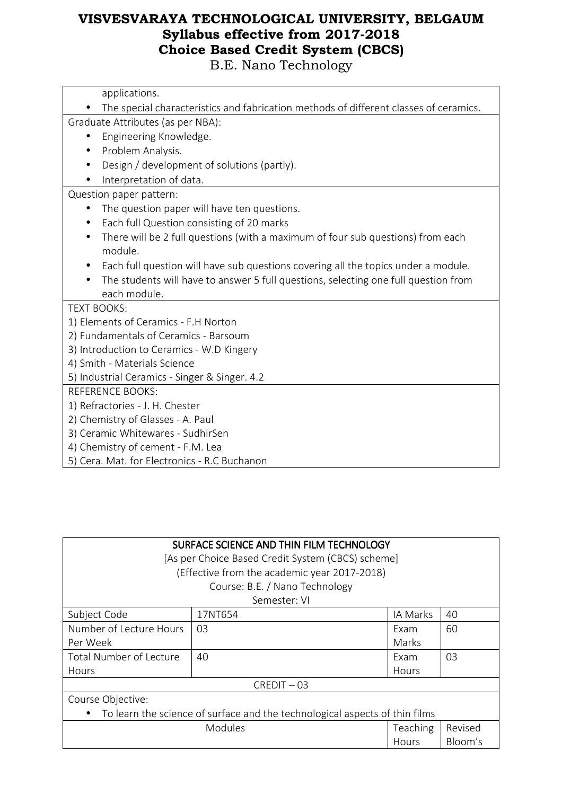| The special characteristics and fabrication methods of different classes of ceramics. |
|---------------------------------------------------------------------------------------|
| Graduate Attributes (as per NBA):                                                     |
| Engineering Knowledge.<br>$\bullet$                                                   |
| Problem Analysis.                                                                     |
| Design / development of solutions (partly).                                           |
| Interpretation of data.                                                               |
| Question paper pattern:                                                               |
| The question paper will have ten questions.<br>$\bullet$                              |
| Each full Question consisting of 20 marks                                             |
| There will be 2 full questions (with a maximum of four sub questions) from each       |
| module.                                                                               |
| Each full question will have sub questions covering all the topics under a module.    |
| The students will have to answer 5 full questions, selecting one full question from   |
| each module.                                                                          |
| <b>TEXT BOOKS:</b>                                                                    |
| 1) Elements of Ceramics - F.H Norton                                                  |
| 2) Fundamentals of Ceramics - Barsoum                                                 |
| 3) Introduction to Ceramics - W.D Kingery                                             |
| 4) Smith - Materials Science                                                          |
| 5) Industrial Ceramics - Singer & Singer. 4.2                                         |
| <b>REFERENCE BOOKS:</b>                                                               |
| 1) Refractories - J. H. Chester                                                       |
| 2) Chemistry of Glasses - A. Paul                                                     |
| 3) Ceramic Whitewares - SudhirSen                                                     |
| 4) Chemistry of cement - F.M. Lea                                                     |
| 5) Cera. Mat. for Electronics - R.C Buchanon                                          |
|                                                                                       |

| SURFACE SCIENCE AND THIN FILM TECHNOLOGY<br>[As per Choice Based Credit System (CBCS) scheme]<br>(Effective from the academic year 2017-2018) |                                |          |    |  |
|-----------------------------------------------------------------------------------------------------------------------------------------------|--------------------------------|----------|----|--|
|                                                                                                                                               | Course: B.E. / Nano Technology |          |    |  |
|                                                                                                                                               |                                |          |    |  |
|                                                                                                                                               | Semester: VI                   |          |    |  |
| Subject Code                                                                                                                                  | 17NT654                        | IA Marks | 40 |  |
| Number of Lecture Hours                                                                                                                       | 03                             | Exam     | 60 |  |
| Per Week<br>Marks                                                                                                                             |                                |          |    |  |
| Total Number of Lecture<br>40<br>Exam                                                                                                         |                                |          | 03 |  |
| Hours                                                                                                                                         |                                | Hours    |    |  |
|                                                                                                                                               | $CREDIT - 03$                  |          |    |  |
| Course Objective:                                                                                                                             |                                |          |    |  |
| To learn the science of surface and the technological aspects of thin films                                                                   |                                |          |    |  |
| <b>Modules</b><br>Revised<br>Teaching                                                                                                         |                                |          |    |  |
| Bloom's<br>Hours                                                                                                                              |                                |          |    |  |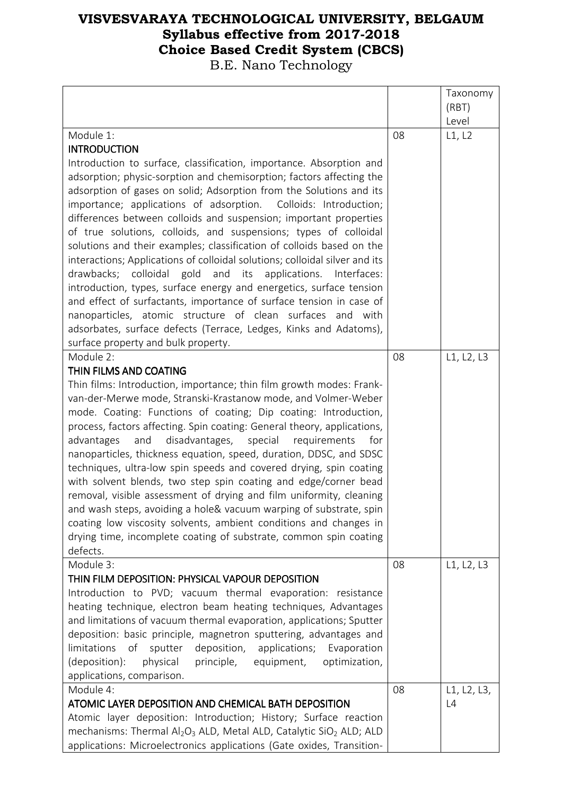|                                                                                                |    | Taxonomy    |
|------------------------------------------------------------------------------------------------|----|-------------|
|                                                                                                |    | (RBT)       |
|                                                                                                |    | Level       |
| Module 1:                                                                                      | 08 | L1, L2      |
| <b>INTRODUCTION</b>                                                                            |    |             |
| Introduction to surface, classification, importance. Absorption and                            |    |             |
| adsorption; physic-sorption and chemisorption; factors affecting the                           |    |             |
| adsorption of gases on solid; Adsorption from the Solutions and its                            |    |             |
| importance; applications of adsorption. Colloids: Introduction;                                |    |             |
| differences between colloids and suspension; important properties                              |    |             |
| of true solutions, colloids, and suspensions; types of colloidal                               |    |             |
| solutions and their examples; classification of colloids based on the                          |    |             |
| interactions; Applications of colloidal solutions; colloidal silver and its                    |    |             |
| drawbacks; colloidal gold<br>and its applications. Interfaces:                                 |    |             |
| introduction, types, surface energy and energetics, surface tension                            |    |             |
| and effect of surfactants, importance of surface tension in case of                            |    |             |
| nanoparticles, atomic structure of clean surfaces and with                                     |    |             |
| adsorbates, surface defects (Terrace, Ledges, Kinks and Adatoms),                              |    |             |
| surface property and bulk property.                                                            |    |             |
| Module 2:                                                                                      | 08 | L1, L2, L3  |
| THIN FILMS AND COATING<br>Thin films: Introduction, importance; thin film growth modes: Frank- |    |             |
| van-der-Merwe mode, Stranski-Krastanow mode, and Volmer-Weber                                  |    |             |
| mode. Coating: Functions of coating; Dip coating: Introduction,                                |    |             |
| process, factors affecting. Spin coating: General theory, applications,                        |    |             |
| advantages<br>disadvantages,<br>and<br>special<br>requirements<br>for                          |    |             |
| nanoparticles, thickness equation, speed, duration, DDSC, and SDSC                             |    |             |
| techniques, ultra-low spin speeds and covered drying, spin coating                             |    |             |
| with solvent blends, two step spin coating and edge/corner bead                                |    |             |
| removal, visible assessment of drying and film uniformity, cleaning                            |    |             |
| and wash steps, avoiding a hole& vacuum warping of substrate, spin                             |    |             |
| coating low viscosity solvents, ambient conditions and changes in                              |    |             |
| drying time, incomplete coating of substrate, common spin coating                              |    |             |
| defects.                                                                                       |    |             |
| Module 3:                                                                                      | 08 | L1, L2, L3  |
| THIN FILM DEPOSITION: PHYSICAL VAPOUR DEPOSITION                                               |    |             |
| Introduction to PVD; vacuum thermal evaporation: resistance                                    |    |             |
| heating technique, electron beam heating techniques, Advantages                                |    |             |
| and limitations of vacuum thermal evaporation, applications; Sputter                           |    |             |
| deposition: basic principle, magnetron sputtering, advantages and                              |    |             |
| deposition, applications;<br>limitations<br>of<br>sputter<br>Evaporation                       |    |             |
| (deposition):<br>physical<br>principle, equipment,<br>optimization,                            |    |             |
| applications, comparison.                                                                      |    |             |
| Module 4:                                                                                      | 08 | L1, L2, L3, |
| ATOMIC LAYER DEPOSITION AND CHEMICAL BATH DEPOSITION                                           |    | L4          |
| Atomic layer deposition: Introduction; History; Surface reaction                               |    |             |
| mechanisms: Thermal $Al_2O_3$ ALD, Metal ALD, Catalytic SiO <sub>2</sub> ALD; ALD              |    |             |
| applications: Microelectronics applications (Gate oxides, Transition-                          |    |             |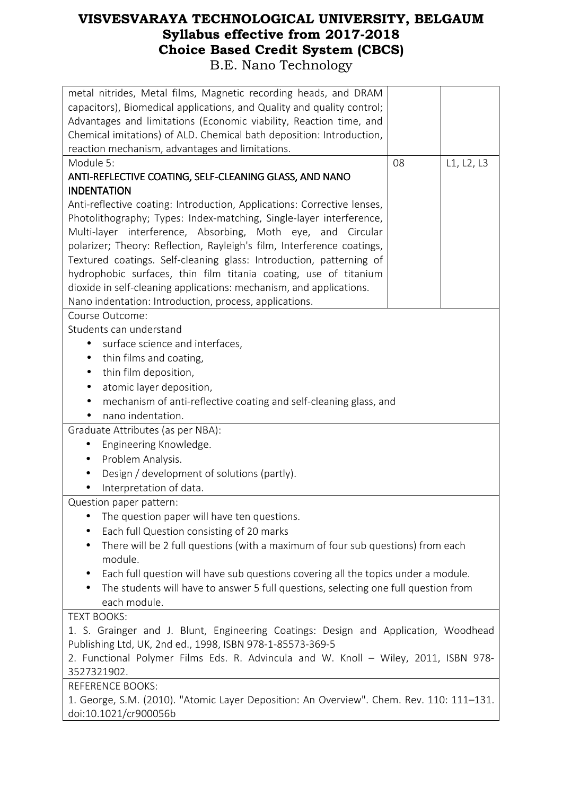| metal nitrides, Metal films, Magnetic recording heads, and DRAM<br>capacitors), Biomedical applications, and Quality and quality control;<br>Advantages and limitations (Economic viability, Reaction time, and<br>Chemical imitations) of ALD. Chemical bath deposition: Introduction,<br>reaction mechanism, advantages and limitations. |    |            |
|--------------------------------------------------------------------------------------------------------------------------------------------------------------------------------------------------------------------------------------------------------------------------------------------------------------------------------------------|----|------------|
| Module 5:                                                                                                                                                                                                                                                                                                                                  | 08 | L1, L2, L3 |
| ANTI-REFLECTIVE COATING, SELF-CLEANING GLASS, AND NANO                                                                                                                                                                                                                                                                                     |    |            |
| <b>INDENTATION</b>                                                                                                                                                                                                                                                                                                                         |    |            |
| Anti-reflective coating: Introduction, Applications: Corrective lenses,                                                                                                                                                                                                                                                                    |    |            |
| Photolithography; Types: Index-matching, Single-layer interference,                                                                                                                                                                                                                                                                        |    |            |
|                                                                                                                                                                                                                                                                                                                                            |    |            |
| Multi-layer interference, Absorbing, Moth eye, and Circular                                                                                                                                                                                                                                                                                |    |            |
| polarizer; Theory: Reflection, Rayleigh's film, Interference coatings,                                                                                                                                                                                                                                                                     |    |            |
| Textured coatings. Self-cleaning glass: Introduction, patterning of                                                                                                                                                                                                                                                                        |    |            |
| hydrophobic surfaces, thin film titania coating, use of titanium                                                                                                                                                                                                                                                                           |    |            |
| dioxide in self-cleaning applications: mechanism, and applications.                                                                                                                                                                                                                                                                        |    |            |
| Nano indentation: Introduction, process, applications.                                                                                                                                                                                                                                                                                     |    |            |
| Course Outcome:                                                                                                                                                                                                                                                                                                                            |    |            |
| Students can understand                                                                                                                                                                                                                                                                                                                    |    |            |
| surface science and interfaces,                                                                                                                                                                                                                                                                                                            |    |            |
| thin films and coating,<br>$\bullet$                                                                                                                                                                                                                                                                                                       |    |            |
| thin film deposition,<br>$\bullet$                                                                                                                                                                                                                                                                                                         |    |            |
| atomic layer deposition,<br>$\bullet$                                                                                                                                                                                                                                                                                                      |    |            |
| mechanism of anti-reflective coating and self-cleaning glass, and                                                                                                                                                                                                                                                                          |    |            |
| nano indentation.                                                                                                                                                                                                                                                                                                                          |    |            |
| Graduate Attributes (as per NBA):                                                                                                                                                                                                                                                                                                          |    |            |
| Engineering Knowledge.<br>$\bullet$                                                                                                                                                                                                                                                                                                        |    |            |
| Problem Analysis.                                                                                                                                                                                                                                                                                                                          |    |            |
| Design / development of solutions (partly).                                                                                                                                                                                                                                                                                                |    |            |
| Interpretation of data.                                                                                                                                                                                                                                                                                                                    |    |            |
| Question paper pattern:                                                                                                                                                                                                                                                                                                                    |    |            |
| The question paper will have ten questions.                                                                                                                                                                                                                                                                                                |    |            |
| Each full Question consisting of 20 marks                                                                                                                                                                                                                                                                                                  |    |            |
| There will be 2 full questions (with a maximum of four sub questions) from each<br>$\bullet$                                                                                                                                                                                                                                               |    |            |
| module.                                                                                                                                                                                                                                                                                                                                    |    |            |
| Each full question will have sub questions covering all the topics under a module.<br>$\bullet$                                                                                                                                                                                                                                            |    |            |
| The students will have to answer 5 full questions, selecting one full question from                                                                                                                                                                                                                                                        |    |            |
| each module.                                                                                                                                                                                                                                                                                                                               |    |            |
| <b>TEXT BOOKS:</b>                                                                                                                                                                                                                                                                                                                         |    |            |
| 1. S. Grainger and J. Blunt, Engineering Coatings: Design and Application, Woodhead                                                                                                                                                                                                                                                        |    |            |
| Publishing Ltd, UK, 2nd ed., 1998, ISBN 978-1-85573-369-5                                                                                                                                                                                                                                                                                  |    |            |
| 2. Functional Polymer Films Eds. R. Advincula and W. Knoll - Wiley, 2011, ISBN 978-                                                                                                                                                                                                                                                        |    |            |
| 3527321902.                                                                                                                                                                                                                                                                                                                                |    |            |
| <b>REFERENCE BOOKS:</b>                                                                                                                                                                                                                                                                                                                    |    |            |
| 1. George, S.M. (2010). "Atomic Layer Deposition: An Overview". Chem. Rev. 110: 111–131.                                                                                                                                                                                                                                                   |    |            |
| doi:10.1021/cr900056b                                                                                                                                                                                                                                                                                                                      |    |            |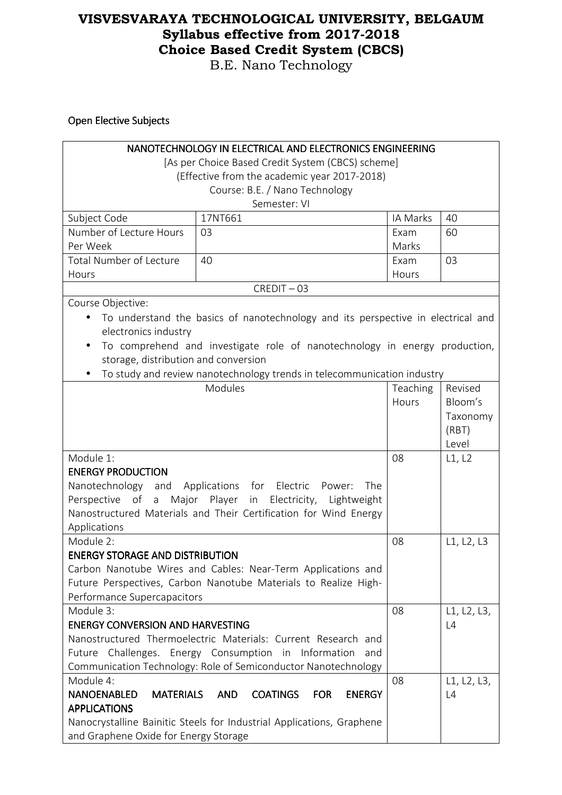B.E. Nano Technology

Open Elective Subjects

| <b>NANOTECHNOLOGY IN ELECTRICAL AND ELECTRONICS ENGINEERING</b>  |                                                                                  |          |             |  |
|------------------------------------------------------------------|----------------------------------------------------------------------------------|----------|-------------|--|
|                                                                  | [As per Choice Based Credit System (CBCS) scheme]                                |          |             |  |
|                                                                  | (Effective from the academic year 2017-2018)                                     |          |             |  |
|                                                                  | Course: B.E. / Nano Technology                                                   |          |             |  |
|                                                                  | Semester: VI                                                                     |          |             |  |
| Subject Code                                                     | 17NT661                                                                          | IA Marks | 40          |  |
| Number of Lecture Hours                                          | 03                                                                               | Exam     | 60          |  |
| Per Week                                                         |                                                                                  | Marks    |             |  |
| <b>Total Number of Lecture</b>                                   | 40                                                                               | Exam     | 03          |  |
| Hours                                                            |                                                                                  | Hours    |             |  |
|                                                                  | $CREDIT - 03$                                                                    |          |             |  |
| Course Objective:                                                |                                                                                  |          |             |  |
|                                                                  | To understand the basics of nanotechnology and its perspective in electrical and |          |             |  |
| electronics industry                                             |                                                                                  |          |             |  |
| $\bullet$                                                        | To comprehend and investigate role of nanotechnology in energy production,       |          |             |  |
| storage, distribution and conversion                             |                                                                                  |          |             |  |
|                                                                  | To study and review nanotechnology trends in telecommunication industry          |          |             |  |
|                                                                  | Modules                                                                          | Teaching | Revised     |  |
|                                                                  |                                                                                  | Hours    | Bloom's     |  |
|                                                                  |                                                                                  |          | Taxonomy    |  |
|                                                                  |                                                                                  |          | (RBT)       |  |
|                                                                  |                                                                                  | Level    |             |  |
| Module 1:                                                        |                                                                                  | 08       | L1, L2      |  |
| <b>ENERGY PRODUCTION</b>                                         |                                                                                  |          |             |  |
| Nanotechnology and Applications for Electric                     | The<br>Power:                                                                    |          |             |  |
|                                                                  | Perspective of a Major Player in Electricity, Lightweight                        |          |             |  |
| Nanostructured Materials and Their Certification for Wind Energy |                                                                                  |          |             |  |
| Applications                                                     |                                                                                  |          |             |  |
| Module 2:                                                        |                                                                                  | 08       | L1, L2, L3  |  |
| <b>ENERGY STORAGE AND DISTRIBUTION</b>                           |                                                                                  |          |             |  |
|                                                                  | Carbon Nanotube Wires and Cables: Near-Term Applications and                     |          |             |  |
|                                                                  | Future Perspectives, Carbon Nanotube Materials to Realize High-                  |          |             |  |
| Performance Supercapacitors                                      |                                                                                  |          |             |  |
| Module 3:                                                        |                                                                                  | 08       | L1, L2, L3, |  |
| <b>ENERGY CONVERSION AND HARVESTING</b>                          |                                                                                  |          | L4          |  |
|                                                                  | Nanostructured Thermoelectric Materials: Current Research and                    |          |             |  |
| Future Challenges. Energy Consumption in<br>Information<br>and   |                                                                                  |          |             |  |
|                                                                  | Communication Technology: Role of Semiconductor Nanotechnology                   |          |             |  |
| Module 4:                                                        |                                                                                  | 08       | L1, L2, L3, |  |
| <b>NANOENABLED</b><br><b>MATERIALS</b><br><b>APPLICATIONS</b>    | <b>AND</b><br><b>COATINGS</b><br><b>FOR</b><br><b>ENERGY</b>                     |          | L4          |  |
|                                                                  |                                                                                  |          |             |  |
|                                                                  | Nanocrystalline Bainitic Steels for Industrial Applications, Graphene            |          |             |  |
| and Graphene Oxide for Energy Storage                            |                                                                                  |          |             |  |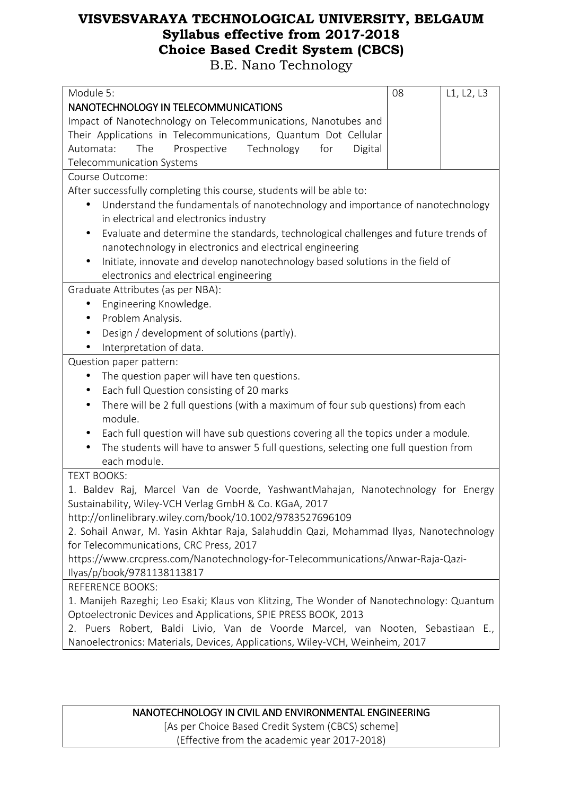B.E. Nano Technology

| Module 5:                                                                                        | 08 | L1, L2, L3 |  |
|--------------------------------------------------------------------------------------------------|----|------------|--|
| NANOTECHNOLOGY IN TELECOMMUNICATIONS                                                             |    |            |  |
| Impact of Nanotechnology on Telecommunications, Nanotubes and                                    |    |            |  |
| Their Applications in Telecommunications, Quantum Dot Cellular                                   |    |            |  |
| Automata:<br>The<br>Prospective<br>Technology<br>for<br>Digital                                  |    |            |  |
| Telecommunication Systems                                                                        |    |            |  |
| Course Outcome:                                                                                  |    |            |  |
| After successfully completing this course, students will be able to:                             |    |            |  |
| Understand the fundamentals of nanotechnology and importance of nanotechnology                   |    |            |  |
| in electrical and electronics industry                                                           |    |            |  |
| Evaluate and determine the standards, technological challenges and future trends of<br>$\bullet$ |    |            |  |
| nanotechnology in electronics and electrical engineering                                         |    |            |  |
| Initiate, innovate and develop nanotechnology based solutions in the field of<br>$\bullet$       |    |            |  |
| electronics and electrical engineering                                                           |    |            |  |
| Graduate Attributes (as per NBA):                                                                |    |            |  |
| Engineering Knowledge.                                                                           |    |            |  |
| Problem Analysis.<br>$\bullet$                                                                   |    |            |  |
| Design / development of solutions (partly).<br>$\bullet$                                         |    |            |  |
| Interpretation of data.<br>$\bullet$                                                             |    |            |  |
| Question paper pattern:                                                                          |    |            |  |
| The question paper will have ten questions.<br>$\bullet$                                         |    |            |  |
| Each full Question consisting of 20 marks<br>$\bullet$                                           |    |            |  |
| There will be 2 full questions (with a maximum of four sub questions) from each<br>$\bullet$     |    |            |  |
| module.                                                                                          |    |            |  |
| Each full question will have sub questions covering all the topics under a module.<br>$\bullet$  |    |            |  |
| The students will have to answer 5 full questions, selecting one full question from<br>$\bullet$ |    |            |  |
| each module.                                                                                     |    |            |  |
| <b>TEXT BOOKS:</b>                                                                               |    |            |  |
| 1. Baldev Raj, Marcel Van de Voorde, YashwantMahajan, Nanotechnology for Energy                  |    |            |  |
| Sustainability, Wiley-VCH Verlag GmbH & Co. KGaA, 2017                                           |    |            |  |
| http://onlinelibrary.wiley.com/book/10.1002/9783527696109                                        |    |            |  |
| 2. Sohail Anwar, M. Yasin Akhtar Raja, Salahuddin Qazi, Mohammad Ilyas, Nanotechnology           |    |            |  |
| for Telecommunications, CRC Press, 2017                                                          |    |            |  |
| https://www.crcpress.com/Nanotechnology-for-Telecommunications/Anwar-Raja-Qazi-                  |    |            |  |
| Ilyas/p/book/9781138113817                                                                       |    |            |  |
| <b>REFERENCE BOOKS:</b>                                                                          |    |            |  |
| 1. Manijeh Razeghi; Leo Esaki; Klaus von Klitzing, The Wonder of Nanotechnology: Quantum         |    |            |  |
| Optoelectronic Devices and Applications, SPIE PRESS BOOK, 2013                                   |    |            |  |
| 2. Puers Robert, Baldi Livio, Van de Voorde Marcel, van Nooten, Sebastiaan E.,                   |    |            |  |
| Nanoelectronics: Materials, Devices, Applications, Wiley-VCH, Weinheim, 2017                     |    |            |  |
|                                                                                                  |    |            |  |

NANOTECHNOLOGY IN CIVIL AND ENVIRONMENTAL ENGINEERING [As per Choice Based Credit System (CBCS) scheme] (Effective from the academic year 2017-2018)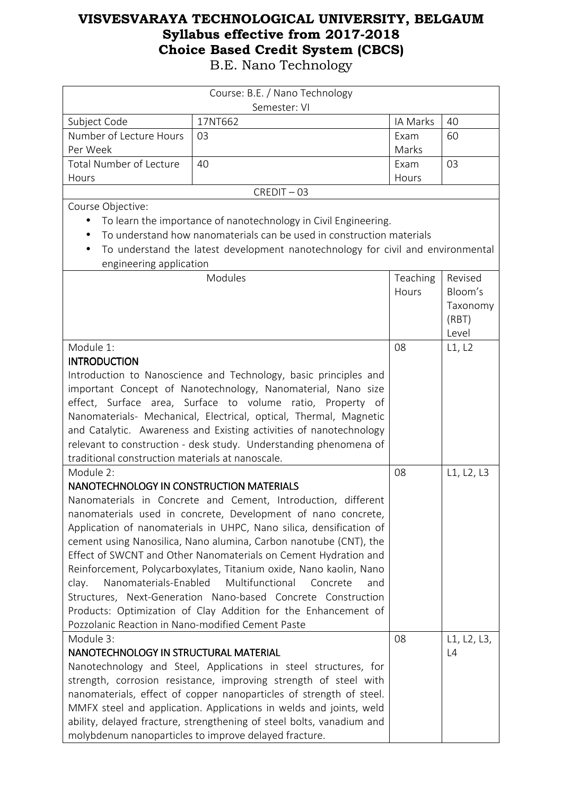| Course: B.E. / Nano Technology                                      |                                                                                 |          |             |
|---------------------------------------------------------------------|---------------------------------------------------------------------------------|----------|-------------|
|                                                                     | Semester: VI                                                                    |          |             |
| Subject Code                                                        | 17NT662                                                                         | IA Marks | 40          |
| Number of Lecture Hours                                             | 03                                                                              | Exam     | 60          |
| Per Week                                                            |                                                                                 | Marks    |             |
| <b>Total Number of Lecture</b>                                      | 40                                                                              | Exam     | 03          |
| Hours                                                               |                                                                                 | Hours    |             |
|                                                                     | $CREDIT - 03$                                                                   |          |             |
| Course Objective:                                                   |                                                                                 |          |             |
|                                                                     | To learn the importance of nanotechnology in Civil Engineering.                 |          |             |
|                                                                     | To understand how nanomaterials can be used in construction materials           |          |             |
| $\bullet$                                                           | To understand the latest development nanotechnology for civil and environmental |          |             |
| engineering application                                             |                                                                                 |          |             |
|                                                                     | Modules                                                                         | Teaching | Revised     |
|                                                                     |                                                                                 | Hours    | Bloom's     |
|                                                                     |                                                                                 |          | Taxonomy    |
|                                                                     |                                                                                 |          | (RBT)       |
|                                                                     |                                                                                 |          | Level       |
| Module 1:                                                           |                                                                                 | 08       | L1, L2      |
| <b>INTRODUCTION</b>                                                 |                                                                                 |          |             |
|                                                                     | Introduction to Nanoscience and Technology, basic principles and                |          |             |
|                                                                     | important Concept of Nanotechnology, Nanomaterial, Nano size                    |          |             |
| effect, Surface area, Surface to volume ratio, Property of          |                                                                                 |          |             |
| Nanomaterials- Mechanical, Electrical, optical, Thermal, Magnetic   |                                                                                 |          |             |
| and Catalytic. Awareness and Existing activities of nanotechnology  |                                                                                 |          |             |
| relevant to construction - desk study. Understanding phenomena of   |                                                                                 |          |             |
| traditional construction materials at nanoscale.                    |                                                                                 |          |             |
| Module 2:                                                           |                                                                                 |          | L1, L2, L3  |
| NANOTECHNOLOGY IN CONSTRUCTION MATERIALS                            |                                                                                 |          |             |
|                                                                     | Nanomaterials in Concrete and Cement, Introduction, different                   |          |             |
| nanomaterials used in concrete, Development of nano concrete,       |                                                                                 |          |             |
| Application of nanomaterials in UHPC, Nano silica, densification of |                                                                                 |          |             |
|                                                                     | cement using Nanosilica, Nano alumina, Carbon nanotube (CNT), the               |          |             |
| Effect of SWCNT and Other Nanomaterials on Cement Hydration and     |                                                                                 |          |             |
| Reinforcement, Polycarboxylates, Titanium oxide, Nano kaolin, Nano  |                                                                                 |          |             |
| Nanomaterials-Enabled<br>clay.                                      | Multifunctional<br>Concrete<br>and                                              |          |             |
|                                                                     | Structures, Next-Generation Nano-based Concrete Construction                    |          |             |
|                                                                     | Products: Optimization of Clay Addition for the Enhancement of                  |          |             |
| Pozzolanic Reaction in Nano-modified Cement Paste                   |                                                                                 |          |             |
| Module 3:                                                           |                                                                                 | 08       | L1, L2, L3, |
| NANOTECHNOLOGY IN STRUCTURAL MATERIAL                               |                                                                                 |          | L4          |
|                                                                     | Nanotechnology and Steel, Applications in steel structures, for                 |          |             |
| strength, corrosion resistance, improving strength of steel with    |                                                                                 |          |             |
| nanomaterials, effect of copper nanoparticles of strength of steel. |                                                                                 |          |             |
|                                                                     | MMFX steel and application. Applications in welds and joints, weld              |          |             |
|                                                                     | ability, delayed fracture, strengthening of steel bolts, vanadium and           |          |             |
|                                                                     | molybdenum nanoparticles to improve delayed fracture.                           |          |             |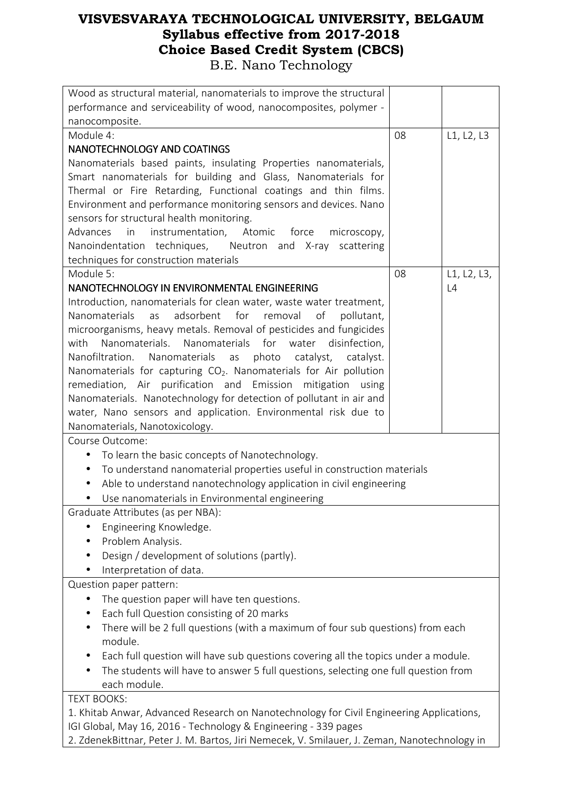| Wood as structural material, nanomaterials to improve the structural                         |    |             |
|----------------------------------------------------------------------------------------------|----|-------------|
| performance and serviceability of wood, nanocomposites, polymer -                            |    |             |
| nanocomposite.                                                                               |    |             |
| Module 4:                                                                                    | 08 | L1, L2, L3  |
| NANOTECHNOLOGY AND COATINGS                                                                  |    |             |
| Nanomaterials based paints, insulating Properties nanomaterials,                             |    |             |
| Smart nanomaterials for building and Glass, Nanomaterials for                                |    |             |
| Thermal or Fire Retarding, Functional coatings and thin films.                               |    |             |
| Environment and performance monitoring sensors and devices. Nano                             |    |             |
| sensors for structural health monitoring.                                                    |    |             |
| instrumentation, Atomic<br>Advances<br>in<br>force<br>microscopy,                            |    |             |
| Nanoindentation techniques, Neutron and X-ray<br>scattering                                  |    |             |
| techniques for construction materials                                                        |    |             |
| Module 5:                                                                                    | 08 | L1, L2, L3, |
| NANOTECHNOLOGY IN ENVIRONMENTAL ENGINEERING                                                  |    | L4          |
| Introduction, nanomaterials for clean water, waste water treatment,                          |    |             |
| adsorbent<br>for<br><b>Nanomaterials</b><br>as<br>removal<br>of<br>pollutant,                |    |             |
| microorganisms, heavy metals. Removal of pesticides and fungicides                           |    |             |
| with<br>Nanomaterials. Nanomaterials for<br>water<br>disinfection,                           |    |             |
| Nanofiltration. Nanomaterials<br>photo<br>as<br>catalyst,<br>catalyst.                       |    |             |
| Nanomaterials for capturing CO <sub>2</sub> . Nanomaterials for Air pollution                |    |             |
| remediation, Air purification and Emission mitigation using                                  |    |             |
| Nanomaterials. Nanotechnology for detection of pollutant in air and                          |    |             |
| water, Nano sensors and application. Environmental risk due to                               |    |             |
| Nanomaterials, Nanotoxicology.                                                               |    |             |
| Course Outcome:                                                                              |    |             |
| To learn the basic concepts of Nanotechnology.<br>٠                                          |    |             |
| To understand nanomaterial properties useful in construction materials<br>$\bullet$          |    |             |
| Able to understand nanotechnology application in civil engineering                           |    |             |
| Use nanomaterials in Environmental engineering                                               |    |             |
| Graduate Attributes (as per NBA):                                                            |    |             |
| Engineering Knowledge.                                                                       |    |             |
| Problem Analysis.                                                                            |    |             |
| Design / development of solutions (partly).                                                  |    |             |
| Interpretation of data.                                                                      |    |             |
| Question paper pattern:                                                                      |    |             |
| The question paper will have ten questions.<br>$\bullet$                                     |    |             |
| Each full Question consisting of 20 marks                                                    |    |             |
| There will be 2 full questions (with a maximum of four sub questions) from each<br>$\bullet$ |    |             |
| module.                                                                                      |    |             |
| Each full question will have sub questions covering all the topics under a module.           |    |             |
| The students will have to answer 5 full questions, selecting one full question from          |    |             |
| each module.                                                                                 |    |             |
| <b>TEXT BOOKS:</b>                                                                           |    |             |
| 1. Khitab Anwar, Advanced Research on Nanotechnology for Civil Engineering Applications,     |    |             |
| IGI Global, May 16, 2016 - Technology & Engineering - 339 pages                              |    |             |

2. ZdenekBittnar, Peter J. M. Bartos, Jiri Nemecek, V. Smilauer, J. Zeman, Nanotechnology in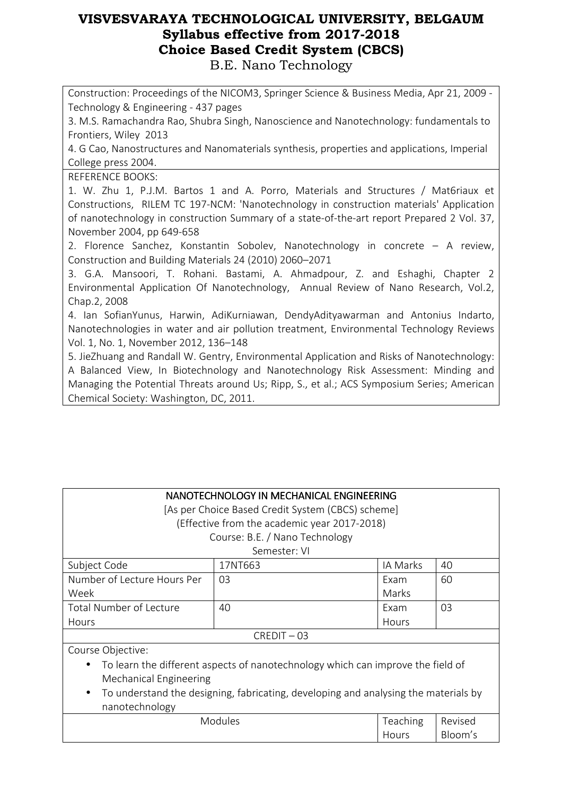Construction: Proceedings of the NICOM3, Springer Science & Business Media, Apr 21, 2009 - Technology & Engineering - 437 pages

3. M.S. Ramachandra Rao, Shubra Singh, Nanoscience and Nanotechnology: fundamentals to Frontiers, Wiley 2013

4. G Cao, Nanostructures and Nanomaterials synthesis, properties and applications, Imperial College press 2004.

REFERENCE BOOKS:

1. W. Zhu 1, P.J.M. Bartos 1 and A. Porro, Materials and Structures / Mat6riaux et Constructions, RILEM TC 197-NCM: 'Nanotechnology in construction materials' Application of nanotechnology in construction Summary of a state-of-the-art report Prepared 2 Vol. 37, November 2004, pp 649-658

2. Florence Sanchez, Konstantin Sobolev, Nanotechnology in concrete – A review, Construction and Building Materials 24 (2010) 2060–2071

3. G.A. Mansoori, T. Rohani. Bastami, A. Ahmadpour, Z. and Eshaghi, Chapter 2 Environmental Application Of Nanotechnology, Annual Review of Nano Research, Vol.2, Chap.2, 2008

4. Ian SofianYunus, Harwin, AdiKurniawan, DendyAdityawarman and Antonius Indarto, Nanotechnologies in water and air pollution treatment, Environmental Technology Reviews Vol. 1, No. 1, November 2012, 136–148

5. JieZhuang and Randall W. Gentry, Environmental Application and Risks of Nanotechnology: A Balanced View, In Biotechnology and Nanotechnology Risk Assessment: Minding and Managing the Potential Threats around Us; Ripp, S., et al.; ACS Symposium Series; American Chemical Society: Washington, DC, 2011.

|                                                                                                  | NANOTECHNOLOGY IN MECHANICAL ENGINEERING          |          |    |  |
|--------------------------------------------------------------------------------------------------|---------------------------------------------------|----------|----|--|
|                                                                                                  | [As per Choice Based Credit System (CBCS) scheme] |          |    |  |
|                                                                                                  | (Effective from the academic year 2017-2018)      |          |    |  |
|                                                                                                  |                                                   |          |    |  |
|                                                                                                  | Course: B.E. / Nano Technology                    |          |    |  |
|                                                                                                  | Semester: VI                                      |          |    |  |
| Subject Code                                                                                     | 17NT663                                           | IA Marks | 40 |  |
| Number of Lecture Hours Per                                                                      | 03                                                | Exam     | 60 |  |
| Week<br>Marks                                                                                    |                                                   |          |    |  |
| <b>Total Number of Lecture</b>                                                                   | 40                                                | Exam     | 03 |  |
| Hours<br>Hours                                                                                   |                                                   |          |    |  |
| $CREDIT - 03$                                                                                    |                                                   |          |    |  |
| Course Objective:                                                                                |                                                   |          |    |  |
| To learn the different aspects of nanotechnology which can improve the field of<br>$\bullet$     |                                                   |          |    |  |
| <b>Mechanical Engineering</b>                                                                    |                                                   |          |    |  |
| To understand the designing, fabricating, developing and analysing the materials by<br>$\bullet$ |                                                   |          |    |  |
| nanotechnology                                                                                   |                                                   |          |    |  |
| Modules<br>Teaching<br>Revised                                                                   |                                                   |          |    |  |
| Bloom's<br>Hours                                                                                 |                                                   |          |    |  |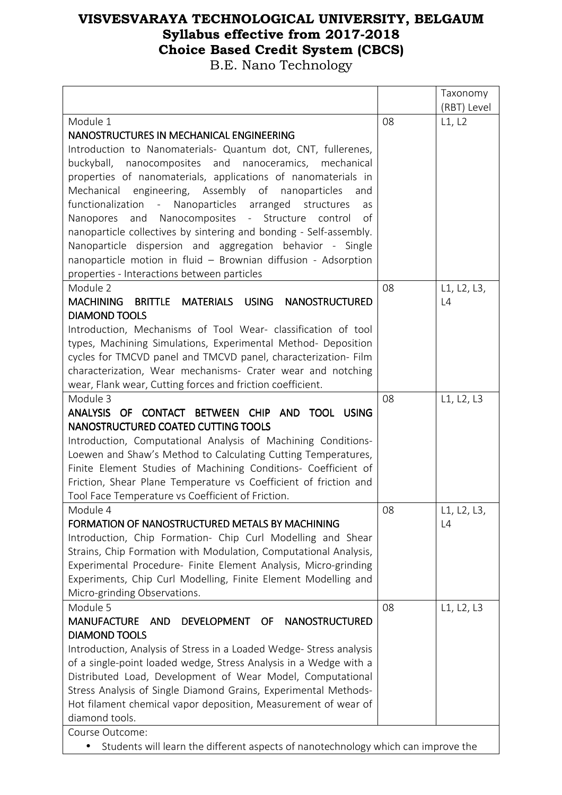|                                                                                   |    | Taxonomy    |
|-----------------------------------------------------------------------------------|----|-------------|
|                                                                                   |    | (RBT) Level |
| Module 1                                                                          | 08 | L1, L2      |
| NANOSTRUCTURES IN MECHANICAL ENGINEERING                                          |    |             |
| Introduction to Nanomaterials- Quantum dot, CNT, fullerenes,                      |    |             |
| buckyball,<br>nanocomposites and nanoceramics, mechanical                         |    |             |
| properties of nanomaterials, applications of nanomaterials in                     |    |             |
| Mechanical engineering, Assembly of nanoparticles<br>and                          |    |             |
| functionalization - Nanoparticles arranged<br>structures<br>as                    |    |             |
| Nanopores and Nanocomposites - Structure control<br>of                            |    |             |
| nanoparticle collectives by sintering and bonding - Self-assembly.                |    |             |
| Nanoparticle dispersion and aggregation behavior - Single                         |    |             |
| nanoparticle motion in fluid - Brownian diffusion - Adsorption                    |    |             |
| properties - Interactions between particles                                       |    |             |
| Module 2                                                                          | 08 | L1, L2, L3, |
| MATERIALS USING<br><b>MACHINING</b><br><b>NANOSTRUCTURED</b><br><b>BRITTLE</b>    |    | L4          |
| <b>DIAMOND TOOLS</b>                                                              |    |             |
|                                                                                   |    |             |
| Introduction, Mechanisms of Tool Wear- classification of tool                     |    |             |
| types, Machining Simulations, Experimental Method- Deposition                     |    |             |
| cycles for TMCVD panel and TMCVD panel, characterization- Film                    |    |             |
| characterization, Wear mechanisms- Crater wear and notching                       |    |             |
| wear, Flank wear, Cutting forces and friction coefficient.                        |    |             |
| Module 3                                                                          | 08 | L1, L2, L3  |
| ANALYSIS OF CONTACT BETWEEN CHIP AND TOOL USING                                   |    |             |
| NANOSTRUCTURED COATED CUTTING TOOLS                                               |    |             |
| Introduction, Computational Analysis of Machining Conditions-                     |    |             |
| Loewen and Shaw's Method to Calculating Cutting Temperatures,                     |    |             |
| Finite Element Studies of Machining Conditions- Coefficient of                    |    |             |
| Friction, Shear Plane Temperature vs Coefficient of friction and                  |    |             |
| Tool Face Temperature vs Coefficient of Friction.                                 |    |             |
| Module 4                                                                          | 08 | L1, L2, L3, |
| FORMATION OF NANOSTRUCTURED METALS BY MACHINING                                   |    | L4          |
| Introduction, Chip Formation- Chip Curl Modelling and Shear                       |    |             |
| Strains, Chip Formation with Modulation, Computational Analysis,                  |    |             |
| Experimental Procedure- Finite Element Analysis, Micro-grinding                   |    |             |
| Experiments, Chip Curl Modelling, Finite Element Modelling and                    |    |             |
| Micro-grinding Observations.                                                      |    |             |
| Module 5                                                                          | 08 | L1, L2, L3  |
| <b>MANUFACTURE</b><br><b>NANOSTRUCTURED</b><br>AND<br>DEVELOPMENT<br>OF.          |    |             |
| <b>DIAMOND TOOLS</b>                                                              |    |             |
| Introduction, Analysis of Stress in a Loaded Wedge-Stress analysis                |    |             |
| of a single-point loaded wedge, Stress Analysis in a Wedge with a                 |    |             |
| Distributed Load, Development of Wear Model, Computational                        |    |             |
| Stress Analysis of Single Diamond Grains, Experimental Methods-                   |    |             |
| Hot filament chemical vapor deposition, Measurement of wear of                    |    |             |
| diamond tools.                                                                    |    |             |
| Course Outcome:                                                                   |    |             |
| Students will learn the different aspects of nanotechnology which can improve the |    |             |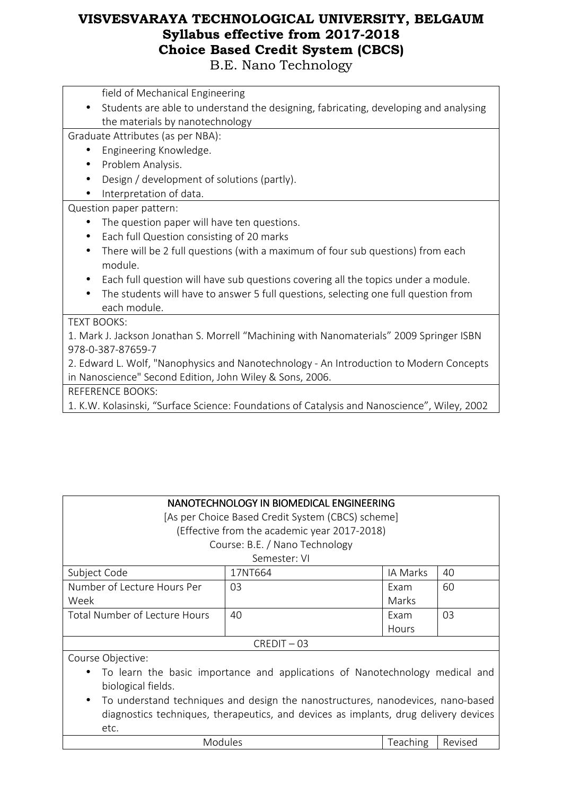B.E. Nano Technology

field of Mechanical Engineering

• Students are able to understand the designing, fabricating, developing and analysing the materials by nanotechnology

Graduate Attributes (as per NBA):

- Engineering Knowledge.
- Problem Analysis.
- Design / development of solutions (partly).
- Interpretation of data.

#### Question paper pattern:

- The question paper will have ten questions.
- Each full Question consisting of 20 marks
- There will be 2 full questions (with a maximum of four sub questions) from each module.
- Each full question will have sub questions covering all the topics under a module.
- The students will have to answer 5 full questions, selecting one full question from each module.

#### TEXT BOOKS:

1. Mark J. Jackson Jonathan S. Morrell "Machining with Nanomaterials" 2009 Springer ISBN 978-0-387-87659-7

2. Edward L. Wolf, "Nanophysics and Nanotechnology - An Introduction to Modern Concepts in Nanoscience" Second Edition, John Wiley & Sons, 2006.

REFERENCE BOOKS:

1. K.W. Kolasinski, "Surface Science: Foundations of Catalysis and Nanoscience", Wiley, 2002

[As per Choice Based Credit System (CBCS) scheme]

(Effective from the academic year 2017-2018)

Course: B.E. / Nano Technology

#### Semester: VI

| Subject Code                  | 17NT664 | IA Marks | 40 |
|-------------------------------|---------|----------|----|
| Number of Lecture Hours Per   | 03      | Exam     | 60 |
| Week                          |         | Marks    |    |
| Total Number of Lecture Hours | 40      | Exam     | 03 |
|                               |         | Hours    |    |
| $CRFDIT - 03$                 |         |          |    |

Course Objective:

- To learn the basic importance and applications of Nanotechnology medical and biological fields.
- To understand techniques and design the nanostructures, nanodevices, nano-based diagnostics techniques, therapeutics, and devices as implants, drug delivery devices etc.

| Modules | Teaching | Ð       |  |
|---------|----------|---------|--|
|         | .        | Revised |  |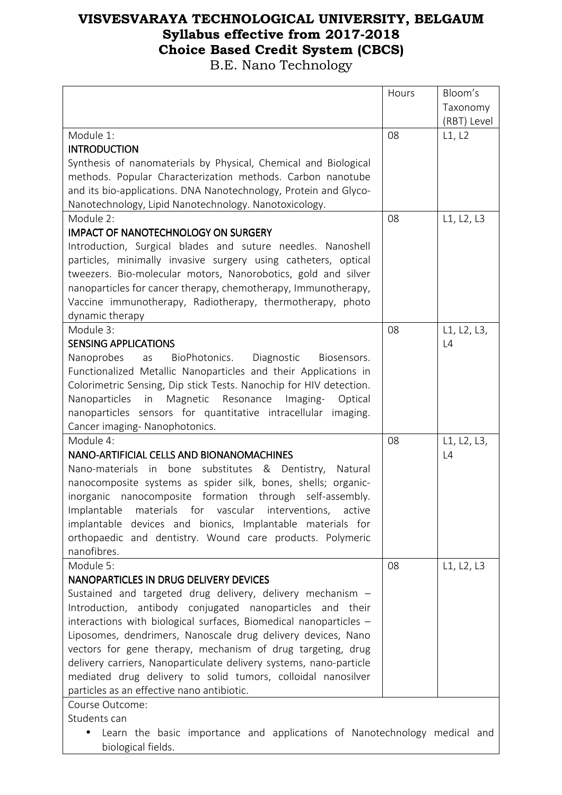|                                                                           | Hours | Bloom's     |
|---------------------------------------------------------------------------|-------|-------------|
|                                                                           |       | Taxonomy    |
|                                                                           |       | (RBT) Level |
| Module 1:                                                                 | 08    | L1, L2      |
| <b>INTRODUCTION</b>                                                       |       |             |
| Synthesis of nanomaterials by Physical, Chemical and Biological           |       |             |
| methods. Popular Characterization methods. Carbon nanotube                |       |             |
| and its bio-applications. DNA Nanotechnology, Protein and Glyco-          |       |             |
| Nanotechnology, Lipid Nanotechnology. Nanotoxicology.                     |       |             |
| Module 2:                                                                 | 08    | L1, L2, L3  |
| <b>IMPACT OF NANOTECHNOLOGY ON SURGERY</b>                                |       |             |
| Introduction, Surgical blades and suture needles. Nanoshell               |       |             |
| particles, minimally invasive surgery using catheters, optical            |       |             |
| tweezers. Bio-molecular motors, Nanorobotics, gold and silver             |       |             |
| nanoparticles for cancer therapy, chemotherapy, Immunotherapy,            |       |             |
| Vaccine immunotherapy, Radiotherapy, thermotherapy, photo                 |       |             |
|                                                                           |       |             |
| dynamic therapy<br>Module 3:                                              |       |             |
|                                                                           | 08    | L1, L2, L3, |
| <b>SENSING APPLICATIONS</b>                                               |       | L4          |
| as BioPhotonics.<br>Diagnostic<br>Nanoprobes<br>Biosensors.               |       |             |
| Functionalized Metallic Nanoparticles and their Applications in           |       |             |
| Colorimetric Sensing, Dip stick Tests. Nanochip for HIV detection.        |       |             |
| Nanoparticles in<br>Magnetic Resonance Imaging-<br>Optical                |       |             |
| nanoparticles sensors for quantitative intracellular imaging.             |       |             |
| Cancer imaging- Nanophotonics.                                            |       |             |
| Module 4:                                                                 | 08    | L1, L2, L3, |
| NANO-ARTIFICIAL CELLS AND BIONANOMACHINES                                 |       | L4          |
| Nano-materials in bone<br>substitutes & Dentistry, Natural                |       |             |
| nanocomposite systems as spider silk, bones, shells; organic-             |       |             |
| inorganic nanocomposite formation through self-assembly.                  |       |             |
| Implantable materials for vascular interventions, active                  |       |             |
| implantable devices and bionics, Implantable materials for                |       |             |
| orthopaedic and dentistry. Wound care products. Polymeric                 |       |             |
| nanofibres.                                                               |       |             |
| Module 5:                                                                 | 08    | L1, L2, L3  |
| NANOPARTICLES IN DRUG DELIVERY DEVICES                                    |       |             |
| Sustained and targeted drug delivery, delivery mechanism -                |       |             |
| Introduction, antibody conjugated nanoparticles and their                 |       |             |
| interactions with biological surfaces, Biomedical nanoparticles -         |       |             |
| Liposomes, dendrimers, Nanoscale drug delivery devices, Nano              |       |             |
| vectors for gene therapy, mechanism of drug targeting, drug               |       |             |
| delivery carriers, Nanoparticulate delivery systems, nano-particle        |       |             |
| mediated drug delivery to solid tumors, colloidal nanosilver              |       |             |
| particles as an effective nano antibiotic.                                |       |             |
| Course Outcome:                                                           |       |             |
| Students can                                                              |       |             |
| Learn the basic importance and applications of Nanotechnology medical and |       |             |
| biological fields.                                                        |       |             |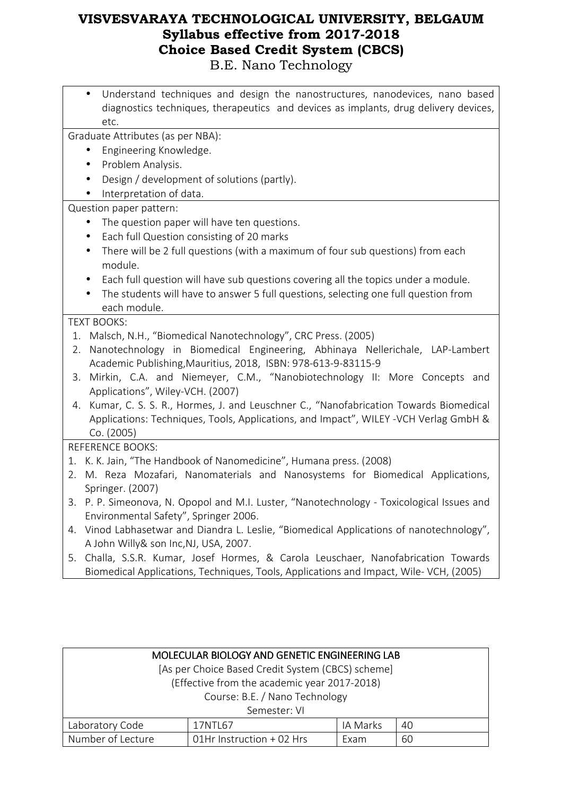Understand techniques and design the nanostructures, nanodevices, nano based diagnostics techniques, therapeutics and devices as implants, drug delivery devices, etc.

Graduate Attributes (as per NBA):

- Engineering Knowledge.
- Problem Analysis.
- Design / development of solutions (partly).
- Interpretation of data.

Question paper pattern:

- The question paper will have ten questions.
- Each full Question consisting of 20 marks
- There will be 2 full questions (with a maximum of four sub questions) from each module.
- Each full question will have sub questions covering all the topics under a module.
- The students will have to answer 5 full questions, selecting one full question from each module.

#### TEXT BOOKS:

- 1. Malsch, N.H., "Biomedical Nanotechnology", CRC Press. (2005)
- 2. Nanotechnology in Biomedical Engineering, Abhinaya Nellerichale, LAP-Lambert Academic Publishing,Mauritius, 2018, ISBN: 978-613-9-83115-9
- 3. Mirkin, C.A. and Niemeyer, C.M., "Nanobiotechnology II: More Concepts and Applications", Wiley-VCH. (2007)
- 4. Kumar, C. S. S. R., Hormes, J. and Leuschner C., "Nanofabrication Towards Biomedical Applications: Techniques, Tools, Applications, and Impact", WILEY -VCH Verlag GmbH & Co. (2005)

#### REFERENCE BOOKS:

- 1. K. K. Jain, "The Handbook of Nanomedicine", Humana press. (2008)
- 2. M. Reza Mozafari, Nanomaterials and Nanosystems for Biomedical Applications, Springer. (2007)
- 3. P. P. Simeonova, N. Opopol and M.I. Luster, "Nanotechnology Toxicological Issues and Environmental Safety", Springer 2006.
- 4. Vinod Labhasetwar and Diandra L. Leslie, "Biomedical Applications of nanotechnology", A John Willy& son Inc,NJ, USA, 2007.
- 5. Challa, S.S.R. Kumar, Josef Hormes, & Carola Leuschaer, Nanofabrication Towards Biomedical Applications, Techniques, Tools, Applications and Impact, Wile- VCH, (2005)

| MOLECULAR BIOLOGY AND GENETIC ENGINEERING LAB     |                           |      |    |  |
|---------------------------------------------------|---------------------------|------|----|--|
| [As per Choice Based Credit System (CBCS) scheme] |                           |      |    |  |
| (Effective from the academic year 2017-2018)      |                           |      |    |  |
| Course: B.E. / Nano Technology                    |                           |      |    |  |
| Semester: VI                                      |                           |      |    |  |
| Laboratory Code<br>IA Marks<br>40<br>17NTL67      |                           |      |    |  |
| Number of Lecture                                 | 01Hr Instruction + 02 Hrs | Exam | 60 |  |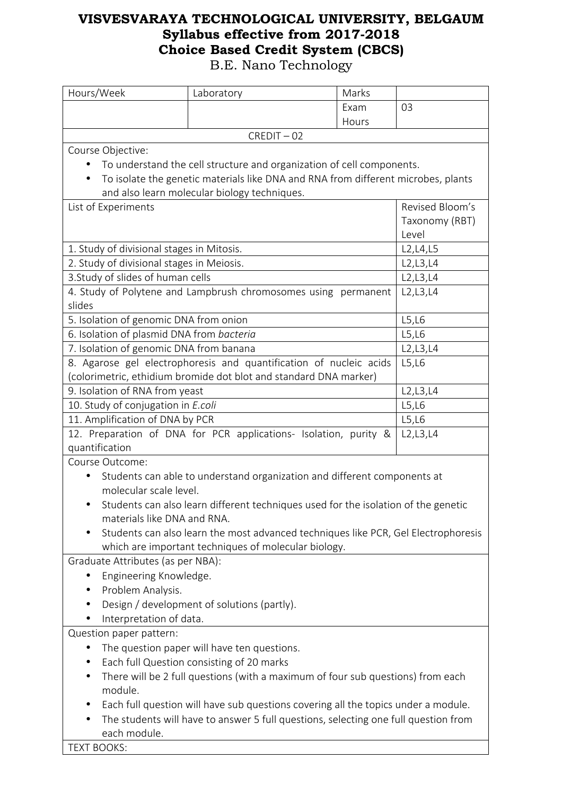| Exam<br>03<br>Hours<br>$CREDIT - 02$<br>Course Objective:<br>To understand the cell structure and organization of cell components.<br>To isolate the genetic materials like DNA and RNA from different microbes, plants<br>$\bullet$<br>and also learn molecular biology techniques.<br>Revised Bloom's<br>List of Experiments<br>Taxonomy (RBT)<br>Level<br>1. Study of divisional stages in Mitosis.<br>L <sub>2</sub> , L <sub>4</sub> , L <sub>5</sub><br>2. Study of divisional stages in Meiosis.<br>L2, L3, L4<br>3. Study of slides of human cells<br>L2, L3, L4<br>4. Study of Polytene and Lampbrush chromosomes using permanent<br>L2, L3, L4<br>slides<br>5. Isolation of genomic DNA from onion<br>L5,L6<br>6. Isolation of plasmid DNA from bacteria<br>L5,L6<br>7. Isolation of genomic DNA from banana<br>L2, L3, L4<br>8. Agarose gel electrophoresis and quantification of nucleic acids<br>L5,L6<br>(colorimetric, ethidium bromide dot blot and standard DNA marker)<br>9. Isolation of RNA from yeast<br>L2, L3, L4<br>10. Study of conjugation in E.coli<br>L5,L6<br>11. Amplification of DNA by PCR<br>L5,L6<br>12. Preparation of DNA for PCR applications- Isolation, purity &<br>L2, L3, L4<br>quantification<br>Course Outcome:<br>Students can able to understand organization and different components at<br>molecular scale level.<br>Students can also learn different techniques used for the isolation of the genetic<br>materials like DNA and RNA.<br>Students can also learn the most advanced techniques like PCR, Gel Electrophoresis<br>which are important techniques of molecular biology.<br>Graduate Attributes (as per NBA):<br>Engineering Knowledge.<br>Problem Analysis.<br>Design / development of solutions (partly).<br>Interpretation of data.<br>Question paper pattern:<br>The question paper will have ten questions.<br>Each full Question consisting of 20 marks<br>There will be 2 full questions (with a maximum of four sub questions) from each<br>module.<br>Each full question will have sub questions covering all the topics under a module.<br>The students will have to answer 5 full questions, selecting one full question from<br>each module. | Hours/Week         | Laboratory | Marks |  |
|---------------------------------------------------------------------------------------------------------------------------------------------------------------------------------------------------------------------------------------------------------------------------------------------------------------------------------------------------------------------------------------------------------------------------------------------------------------------------------------------------------------------------------------------------------------------------------------------------------------------------------------------------------------------------------------------------------------------------------------------------------------------------------------------------------------------------------------------------------------------------------------------------------------------------------------------------------------------------------------------------------------------------------------------------------------------------------------------------------------------------------------------------------------------------------------------------------------------------------------------------------------------------------------------------------------------------------------------------------------------------------------------------------------------------------------------------------------------------------------------------------------------------------------------------------------------------------------------------------------------------------------------------------------------------------------------------------------------------------------------------------------------------------------------------------------------------------------------------------------------------------------------------------------------------------------------------------------------------------------------------------------------------------------------------------------------------------------------------------------------------------------------------------------------------------------------------------------------|--------------------|------------|-------|--|
|                                                                                                                                                                                                                                                                                                                                                                                                                                                                                                                                                                                                                                                                                                                                                                                                                                                                                                                                                                                                                                                                                                                                                                                                                                                                                                                                                                                                                                                                                                                                                                                                                                                                                                                                                                                                                                                                                                                                                                                                                                                                                                                                                                                                                     |                    |            |       |  |
|                                                                                                                                                                                                                                                                                                                                                                                                                                                                                                                                                                                                                                                                                                                                                                                                                                                                                                                                                                                                                                                                                                                                                                                                                                                                                                                                                                                                                                                                                                                                                                                                                                                                                                                                                                                                                                                                                                                                                                                                                                                                                                                                                                                                                     |                    |            |       |  |
|                                                                                                                                                                                                                                                                                                                                                                                                                                                                                                                                                                                                                                                                                                                                                                                                                                                                                                                                                                                                                                                                                                                                                                                                                                                                                                                                                                                                                                                                                                                                                                                                                                                                                                                                                                                                                                                                                                                                                                                                                                                                                                                                                                                                                     |                    |            |       |  |
|                                                                                                                                                                                                                                                                                                                                                                                                                                                                                                                                                                                                                                                                                                                                                                                                                                                                                                                                                                                                                                                                                                                                                                                                                                                                                                                                                                                                                                                                                                                                                                                                                                                                                                                                                                                                                                                                                                                                                                                                                                                                                                                                                                                                                     |                    |            |       |  |
|                                                                                                                                                                                                                                                                                                                                                                                                                                                                                                                                                                                                                                                                                                                                                                                                                                                                                                                                                                                                                                                                                                                                                                                                                                                                                                                                                                                                                                                                                                                                                                                                                                                                                                                                                                                                                                                                                                                                                                                                                                                                                                                                                                                                                     |                    |            |       |  |
|                                                                                                                                                                                                                                                                                                                                                                                                                                                                                                                                                                                                                                                                                                                                                                                                                                                                                                                                                                                                                                                                                                                                                                                                                                                                                                                                                                                                                                                                                                                                                                                                                                                                                                                                                                                                                                                                                                                                                                                                                                                                                                                                                                                                                     |                    |            |       |  |
|                                                                                                                                                                                                                                                                                                                                                                                                                                                                                                                                                                                                                                                                                                                                                                                                                                                                                                                                                                                                                                                                                                                                                                                                                                                                                                                                                                                                                                                                                                                                                                                                                                                                                                                                                                                                                                                                                                                                                                                                                                                                                                                                                                                                                     |                    |            |       |  |
|                                                                                                                                                                                                                                                                                                                                                                                                                                                                                                                                                                                                                                                                                                                                                                                                                                                                                                                                                                                                                                                                                                                                                                                                                                                                                                                                                                                                                                                                                                                                                                                                                                                                                                                                                                                                                                                                                                                                                                                                                                                                                                                                                                                                                     |                    |            |       |  |
|                                                                                                                                                                                                                                                                                                                                                                                                                                                                                                                                                                                                                                                                                                                                                                                                                                                                                                                                                                                                                                                                                                                                                                                                                                                                                                                                                                                                                                                                                                                                                                                                                                                                                                                                                                                                                                                                                                                                                                                                                                                                                                                                                                                                                     |                    |            |       |  |
|                                                                                                                                                                                                                                                                                                                                                                                                                                                                                                                                                                                                                                                                                                                                                                                                                                                                                                                                                                                                                                                                                                                                                                                                                                                                                                                                                                                                                                                                                                                                                                                                                                                                                                                                                                                                                                                                                                                                                                                                                                                                                                                                                                                                                     |                    |            |       |  |
|                                                                                                                                                                                                                                                                                                                                                                                                                                                                                                                                                                                                                                                                                                                                                                                                                                                                                                                                                                                                                                                                                                                                                                                                                                                                                                                                                                                                                                                                                                                                                                                                                                                                                                                                                                                                                                                                                                                                                                                                                                                                                                                                                                                                                     |                    |            |       |  |
|                                                                                                                                                                                                                                                                                                                                                                                                                                                                                                                                                                                                                                                                                                                                                                                                                                                                                                                                                                                                                                                                                                                                                                                                                                                                                                                                                                                                                                                                                                                                                                                                                                                                                                                                                                                                                                                                                                                                                                                                                                                                                                                                                                                                                     |                    |            |       |  |
|                                                                                                                                                                                                                                                                                                                                                                                                                                                                                                                                                                                                                                                                                                                                                                                                                                                                                                                                                                                                                                                                                                                                                                                                                                                                                                                                                                                                                                                                                                                                                                                                                                                                                                                                                                                                                                                                                                                                                                                                                                                                                                                                                                                                                     |                    |            |       |  |
|                                                                                                                                                                                                                                                                                                                                                                                                                                                                                                                                                                                                                                                                                                                                                                                                                                                                                                                                                                                                                                                                                                                                                                                                                                                                                                                                                                                                                                                                                                                                                                                                                                                                                                                                                                                                                                                                                                                                                                                                                                                                                                                                                                                                                     |                    |            |       |  |
|                                                                                                                                                                                                                                                                                                                                                                                                                                                                                                                                                                                                                                                                                                                                                                                                                                                                                                                                                                                                                                                                                                                                                                                                                                                                                                                                                                                                                                                                                                                                                                                                                                                                                                                                                                                                                                                                                                                                                                                                                                                                                                                                                                                                                     |                    |            |       |  |
|                                                                                                                                                                                                                                                                                                                                                                                                                                                                                                                                                                                                                                                                                                                                                                                                                                                                                                                                                                                                                                                                                                                                                                                                                                                                                                                                                                                                                                                                                                                                                                                                                                                                                                                                                                                                                                                                                                                                                                                                                                                                                                                                                                                                                     |                    |            |       |  |
|                                                                                                                                                                                                                                                                                                                                                                                                                                                                                                                                                                                                                                                                                                                                                                                                                                                                                                                                                                                                                                                                                                                                                                                                                                                                                                                                                                                                                                                                                                                                                                                                                                                                                                                                                                                                                                                                                                                                                                                                                                                                                                                                                                                                                     |                    |            |       |  |
|                                                                                                                                                                                                                                                                                                                                                                                                                                                                                                                                                                                                                                                                                                                                                                                                                                                                                                                                                                                                                                                                                                                                                                                                                                                                                                                                                                                                                                                                                                                                                                                                                                                                                                                                                                                                                                                                                                                                                                                                                                                                                                                                                                                                                     |                    |            |       |  |
|                                                                                                                                                                                                                                                                                                                                                                                                                                                                                                                                                                                                                                                                                                                                                                                                                                                                                                                                                                                                                                                                                                                                                                                                                                                                                                                                                                                                                                                                                                                                                                                                                                                                                                                                                                                                                                                                                                                                                                                                                                                                                                                                                                                                                     |                    |            |       |  |
|                                                                                                                                                                                                                                                                                                                                                                                                                                                                                                                                                                                                                                                                                                                                                                                                                                                                                                                                                                                                                                                                                                                                                                                                                                                                                                                                                                                                                                                                                                                                                                                                                                                                                                                                                                                                                                                                                                                                                                                                                                                                                                                                                                                                                     |                    |            |       |  |
|                                                                                                                                                                                                                                                                                                                                                                                                                                                                                                                                                                                                                                                                                                                                                                                                                                                                                                                                                                                                                                                                                                                                                                                                                                                                                                                                                                                                                                                                                                                                                                                                                                                                                                                                                                                                                                                                                                                                                                                                                                                                                                                                                                                                                     |                    |            |       |  |
|                                                                                                                                                                                                                                                                                                                                                                                                                                                                                                                                                                                                                                                                                                                                                                                                                                                                                                                                                                                                                                                                                                                                                                                                                                                                                                                                                                                                                                                                                                                                                                                                                                                                                                                                                                                                                                                                                                                                                                                                                                                                                                                                                                                                                     |                    |            |       |  |
|                                                                                                                                                                                                                                                                                                                                                                                                                                                                                                                                                                                                                                                                                                                                                                                                                                                                                                                                                                                                                                                                                                                                                                                                                                                                                                                                                                                                                                                                                                                                                                                                                                                                                                                                                                                                                                                                                                                                                                                                                                                                                                                                                                                                                     |                    |            |       |  |
|                                                                                                                                                                                                                                                                                                                                                                                                                                                                                                                                                                                                                                                                                                                                                                                                                                                                                                                                                                                                                                                                                                                                                                                                                                                                                                                                                                                                                                                                                                                                                                                                                                                                                                                                                                                                                                                                                                                                                                                                                                                                                                                                                                                                                     |                    |            |       |  |
|                                                                                                                                                                                                                                                                                                                                                                                                                                                                                                                                                                                                                                                                                                                                                                                                                                                                                                                                                                                                                                                                                                                                                                                                                                                                                                                                                                                                                                                                                                                                                                                                                                                                                                                                                                                                                                                                                                                                                                                                                                                                                                                                                                                                                     |                    |            |       |  |
|                                                                                                                                                                                                                                                                                                                                                                                                                                                                                                                                                                                                                                                                                                                                                                                                                                                                                                                                                                                                                                                                                                                                                                                                                                                                                                                                                                                                                                                                                                                                                                                                                                                                                                                                                                                                                                                                                                                                                                                                                                                                                                                                                                                                                     |                    |            |       |  |
|                                                                                                                                                                                                                                                                                                                                                                                                                                                                                                                                                                                                                                                                                                                                                                                                                                                                                                                                                                                                                                                                                                                                                                                                                                                                                                                                                                                                                                                                                                                                                                                                                                                                                                                                                                                                                                                                                                                                                                                                                                                                                                                                                                                                                     |                    |            |       |  |
|                                                                                                                                                                                                                                                                                                                                                                                                                                                                                                                                                                                                                                                                                                                                                                                                                                                                                                                                                                                                                                                                                                                                                                                                                                                                                                                                                                                                                                                                                                                                                                                                                                                                                                                                                                                                                                                                                                                                                                                                                                                                                                                                                                                                                     |                    |            |       |  |
|                                                                                                                                                                                                                                                                                                                                                                                                                                                                                                                                                                                                                                                                                                                                                                                                                                                                                                                                                                                                                                                                                                                                                                                                                                                                                                                                                                                                                                                                                                                                                                                                                                                                                                                                                                                                                                                                                                                                                                                                                                                                                                                                                                                                                     |                    |            |       |  |
|                                                                                                                                                                                                                                                                                                                                                                                                                                                                                                                                                                                                                                                                                                                                                                                                                                                                                                                                                                                                                                                                                                                                                                                                                                                                                                                                                                                                                                                                                                                                                                                                                                                                                                                                                                                                                                                                                                                                                                                                                                                                                                                                                                                                                     |                    |            |       |  |
|                                                                                                                                                                                                                                                                                                                                                                                                                                                                                                                                                                                                                                                                                                                                                                                                                                                                                                                                                                                                                                                                                                                                                                                                                                                                                                                                                                                                                                                                                                                                                                                                                                                                                                                                                                                                                                                                                                                                                                                                                                                                                                                                                                                                                     |                    |            |       |  |
|                                                                                                                                                                                                                                                                                                                                                                                                                                                                                                                                                                                                                                                                                                                                                                                                                                                                                                                                                                                                                                                                                                                                                                                                                                                                                                                                                                                                                                                                                                                                                                                                                                                                                                                                                                                                                                                                                                                                                                                                                                                                                                                                                                                                                     |                    |            |       |  |
|                                                                                                                                                                                                                                                                                                                                                                                                                                                                                                                                                                                                                                                                                                                                                                                                                                                                                                                                                                                                                                                                                                                                                                                                                                                                                                                                                                                                                                                                                                                                                                                                                                                                                                                                                                                                                                                                                                                                                                                                                                                                                                                                                                                                                     |                    |            |       |  |
|                                                                                                                                                                                                                                                                                                                                                                                                                                                                                                                                                                                                                                                                                                                                                                                                                                                                                                                                                                                                                                                                                                                                                                                                                                                                                                                                                                                                                                                                                                                                                                                                                                                                                                                                                                                                                                                                                                                                                                                                                                                                                                                                                                                                                     |                    |            |       |  |
|                                                                                                                                                                                                                                                                                                                                                                                                                                                                                                                                                                                                                                                                                                                                                                                                                                                                                                                                                                                                                                                                                                                                                                                                                                                                                                                                                                                                                                                                                                                                                                                                                                                                                                                                                                                                                                                                                                                                                                                                                                                                                                                                                                                                                     |                    |            |       |  |
|                                                                                                                                                                                                                                                                                                                                                                                                                                                                                                                                                                                                                                                                                                                                                                                                                                                                                                                                                                                                                                                                                                                                                                                                                                                                                                                                                                                                                                                                                                                                                                                                                                                                                                                                                                                                                                                                                                                                                                                                                                                                                                                                                                                                                     |                    |            |       |  |
|                                                                                                                                                                                                                                                                                                                                                                                                                                                                                                                                                                                                                                                                                                                                                                                                                                                                                                                                                                                                                                                                                                                                                                                                                                                                                                                                                                                                                                                                                                                                                                                                                                                                                                                                                                                                                                                                                                                                                                                                                                                                                                                                                                                                                     |                    |            |       |  |
|                                                                                                                                                                                                                                                                                                                                                                                                                                                                                                                                                                                                                                                                                                                                                                                                                                                                                                                                                                                                                                                                                                                                                                                                                                                                                                                                                                                                                                                                                                                                                                                                                                                                                                                                                                                                                                                                                                                                                                                                                                                                                                                                                                                                                     |                    |            |       |  |
|                                                                                                                                                                                                                                                                                                                                                                                                                                                                                                                                                                                                                                                                                                                                                                                                                                                                                                                                                                                                                                                                                                                                                                                                                                                                                                                                                                                                                                                                                                                                                                                                                                                                                                                                                                                                                                                                                                                                                                                                                                                                                                                                                                                                                     |                    |            |       |  |
|                                                                                                                                                                                                                                                                                                                                                                                                                                                                                                                                                                                                                                                                                                                                                                                                                                                                                                                                                                                                                                                                                                                                                                                                                                                                                                                                                                                                                                                                                                                                                                                                                                                                                                                                                                                                                                                                                                                                                                                                                                                                                                                                                                                                                     |                    |            |       |  |
|                                                                                                                                                                                                                                                                                                                                                                                                                                                                                                                                                                                                                                                                                                                                                                                                                                                                                                                                                                                                                                                                                                                                                                                                                                                                                                                                                                                                                                                                                                                                                                                                                                                                                                                                                                                                                                                                                                                                                                                                                                                                                                                                                                                                                     |                    |            |       |  |
|                                                                                                                                                                                                                                                                                                                                                                                                                                                                                                                                                                                                                                                                                                                                                                                                                                                                                                                                                                                                                                                                                                                                                                                                                                                                                                                                                                                                                                                                                                                                                                                                                                                                                                                                                                                                                                                                                                                                                                                                                                                                                                                                                                                                                     |                    |            |       |  |
|                                                                                                                                                                                                                                                                                                                                                                                                                                                                                                                                                                                                                                                                                                                                                                                                                                                                                                                                                                                                                                                                                                                                                                                                                                                                                                                                                                                                                                                                                                                                                                                                                                                                                                                                                                                                                                                                                                                                                                                                                                                                                                                                                                                                                     |                    |            |       |  |
|                                                                                                                                                                                                                                                                                                                                                                                                                                                                                                                                                                                                                                                                                                                                                                                                                                                                                                                                                                                                                                                                                                                                                                                                                                                                                                                                                                                                                                                                                                                                                                                                                                                                                                                                                                                                                                                                                                                                                                                                                                                                                                                                                                                                                     |                    |            |       |  |
|                                                                                                                                                                                                                                                                                                                                                                                                                                                                                                                                                                                                                                                                                                                                                                                                                                                                                                                                                                                                                                                                                                                                                                                                                                                                                                                                                                                                                                                                                                                                                                                                                                                                                                                                                                                                                                                                                                                                                                                                                                                                                                                                                                                                                     | <b>TEXT BOOKS:</b> |            |       |  |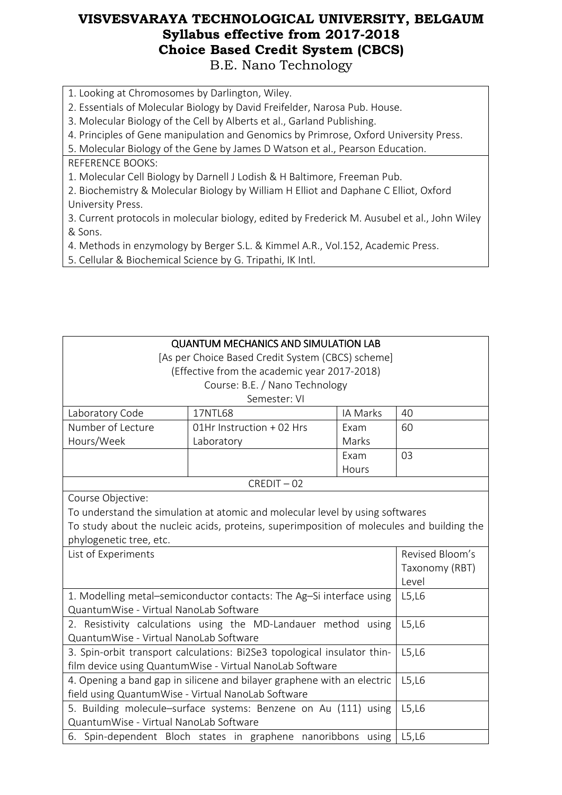- 1. Looking at Chromosomes by Darlington, Wiley.
- 2. Essentials of Molecular Biology by David Freifelder, Narosa Pub. House.
- 3. Molecular Biology of the Cell by Alberts et al., Garland Publishing.
- 4. Principles of Gene manipulation and Genomics by Primrose, Oxford University Press.

5. Molecular Biology of the Gene by James D Watson et al., Pearson Education.

- REFERENCE BOOKS:
- 1. Molecular Cell Biology by Darnell J Lodish & H Baltimore, Freeman Pub.
- 2. Biochemistry & Molecular Biology by William H Elliot and Daphane C Elliot, Oxford University Press.
- 3. Current protocols in molecular biology, edited by Frederick M. Ausubel et al., John Wiley & Sons.
- 4. Methods in enzymology by Berger S.L. & Kimmel A.R., Vol.152, Academic Press.
- 5. Cellular & Biochemical Science by G. Tripathi, IK Intl.

| <b>QUANTUM MECHANICS AND SIMULATION LAB</b><br>[As per Choice Based Credit System (CBCS) scheme]<br>(Effective from the academic year 2017-2018)<br>Course: B.E. / Nano Technology<br>Semester: VI                         |                                                              |          |                         |
|----------------------------------------------------------------------------------------------------------------------------------------------------------------------------------------------------------------------------|--------------------------------------------------------------|----------|-------------------------|
| Laboratory Code                                                                                                                                                                                                            | 17NTL68                                                      | IA Marks | 40                      |
| Number of Lecture                                                                                                                                                                                                          | 01Hr Instruction + 02 Hrs                                    | Exam     | 60                      |
| Hours/Week                                                                                                                                                                                                                 | Laboratory                                                   | Marks    |                         |
|                                                                                                                                                                                                                            |                                                              | Exam     | 03                      |
|                                                                                                                                                                                                                            |                                                              | Hours    |                         |
|                                                                                                                                                                                                                            | $CREDIT - 02$                                                |          |                         |
| Course Objective:<br>To understand the simulation at atomic and molecular level by using softwares<br>To study about the nucleic acids, proteins, superimposition of molecules and building the<br>phylogenetic tree, etc. |                                                              |          |                         |
| List of Experiments                                                                                                                                                                                                        |                                                              |          | Revised Bloom's         |
|                                                                                                                                                                                                                            |                                                              |          | Taxonomy (RBT)<br>Level |
| 1. Modelling metal-semiconductor contacts: The Ag-Si interface using<br>QuantumWise - Virtual NanoLab Software                                                                                                             | L5,L6                                                        |          |                         |
| 2. Resistivity calculations using the MD-Landauer method using<br>QuantumWise - Virtual NanoLab Software                                                                                                                   |                                                              |          | L5,L6                   |
| 3. Spin-orbit transport calculations: Bi2Se3 topological insulator thin-<br>film device using QuantumWise - Virtual NanoLab Software                                                                                       |                                                              |          | L5,L6                   |
| 4. Opening a band gap in silicene and bilayer graphene with an electric<br>field using QuantumWise - Virtual NanoLab Software                                                                                              |                                                              |          | L5,L6                   |
| 5. Building molecule-surface systems: Benzene on Au (111) using<br>QuantumWise - Virtual NanoLab Software                                                                                                                  |                                                              |          | L5,L6                   |
|                                                                                                                                                                                                                            | 6. Spin-dependent Bloch states in graphene nanoribbons using |          | L5,L6                   |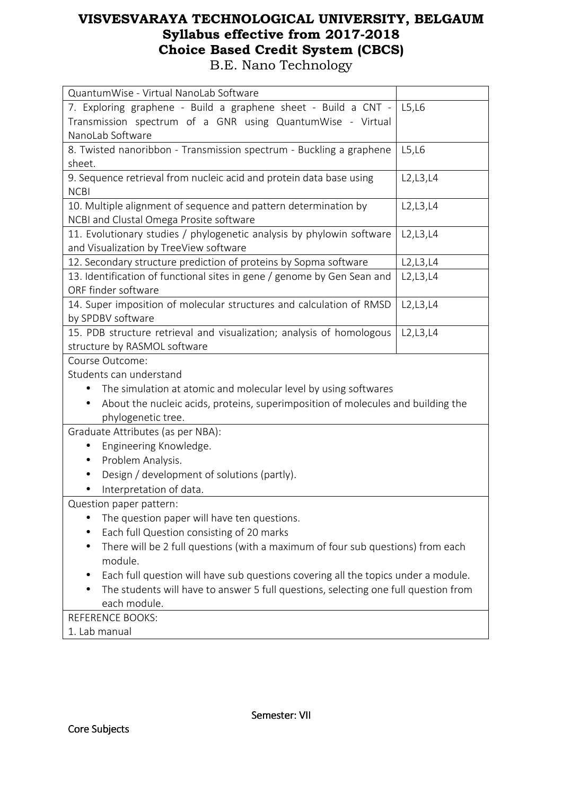| QuantumWise - Virtual NanoLab Software                                              |            |
|-------------------------------------------------------------------------------------|------------|
|                                                                                     |            |
| 7. Exploring graphene - Build a graphene sheet - Build a CNT -                      | L5,L6      |
| Transmission spectrum of a GNR using QuantumWise - Virtual                          |            |
| NanoLab Software                                                                    |            |
| 8. Twisted nanoribbon - Transmission spectrum - Buckling a graphene                 | L5,L6      |
| sheet.                                                                              |            |
| 9. Sequence retrieval from nucleic acid and protein data base using                 | L2, L3, L4 |
| <b>NCBI</b>                                                                         |            |
| 10. Multiple alignment of sequence and pattern determination by                     | L2, L3, L4 |
| NCBI and Clustal Omega Prosite software                                             |            |
| 11. Evolutionary studies / phylogenetic analysis by phylowin software               | L2, L3, L4 |
| and Visualization by TreeView software                                              |            |
| 12. Secondary structure prediction of proteins by Sopma software                    | L2, L3, L4 |
| 13. Identification of functional sites in gene / genome by Gen Sean and             | L2, L3, L4 |
| ORF finder software                                                                 |            |
| 14. Super imposition of molecular structures and calculation of RMSD                | L2, L3, L4 |
| by SPDBV software                                                                   |            |
| 15. PDB structure retrieval and visualization; analysis of homologous               | L2, L3, L4 |
| structure by RASMOL software                                                        |            |
| Course Outcome:                                                                     |            |
| Students can understand                                                             |            |
| The simulation at atomic and molecular level by using softwares                     |            |
| About the nucleic acids, proteins, superimposition of molecules and building the    |            |
| phylogenetic tree.                                                                  |            |
| Graduate Attributes (as per NBA):                                                   |            |
| Engineering Knowledge.                                                              |            |
| Problem Analysis.                                                                   |            |
| Design / development of solutions (partly).                                         |            |
| Interpretation of data.                                                             |            |
| Question paper pattern:                                                             |            |
| The question paper will have ten questions.                                         |            |
| Each full Question consisting of 20 marks                                           |            |
| There will be 2 full questions (with a maximum of four sub questions) from each     |            |
| module.                                                                             |            |
| Each full question will have sub questions covering all the topics under a module.  |            |
| The students will have to answer 5 full questions, selecting one full question from |            |
| each module.                                                                        |            |
| <b>REFERENCE BOOKS:</b>                                                             |            |
| 1. Lab manual                                                                       |            |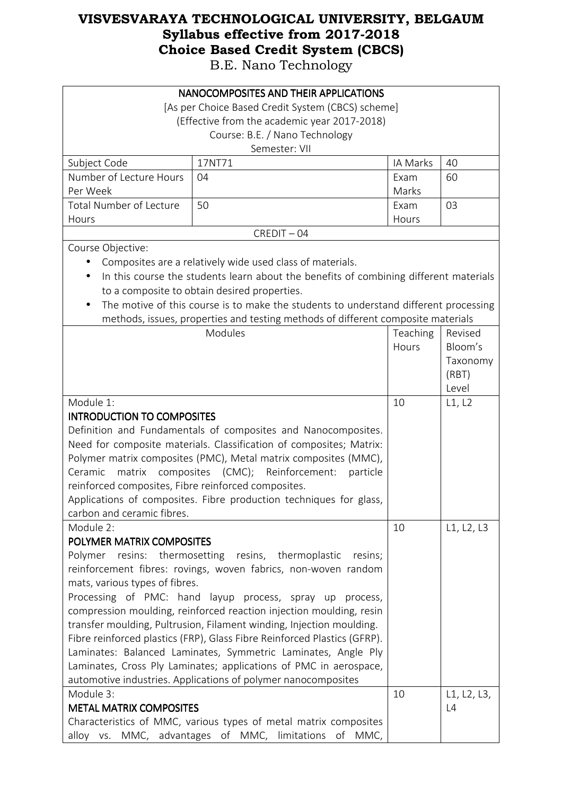|                                                                          | NANOCOMPOSITES AND THEIR APPLICATIONS                                                 |          |             |
|--------------------------------------------------------------------------|---------------------------------------------------------------------------------------|----------|-------------|
|                                                                          | [As per Choice Based Credit System (CBCS) scheme]                                     |          |             |
|                                                                          | (Effective from the academic year 2017-2018)                                          |          |             |
|                                                                          | Course: B.E. / Nano Technology                                                        |          |             |
|                                                                          | Semester: VII                                                                         |          |             |
| Subject Code                                                             | 17NT71                                                                                | IA Marks | 40          |
| Number of Lecture Hours                                                  | 04                                                                                    | Exam     | 60          |
| Per Week                                                                 |                                                                                       | Marks    |             |
| <b>Total Number of Lecture</b>                                           | 50                                                                                    | Exam     | 03          |
| Hours                                                                    |                                                                                       | Hours    |             |
|                                                                          | $CREDIT - 04$                                                                         |          |             |
| Course Objective:                                                        |                                                                                       |          |             |
|                                                                          | Composites are a relatively wide used class of materials.                             |          |             |
| $\bullet$                                                                | In this course the students learn about the benefits of combining different materials |          |             |
|                                                                          | to a composite to obtain desired properties.                                          |          |             |
| $\bullet$                                                                | The motive of this course is to make the students to understand different processing  |          |             |
|                                                                          | methods, issues, properties and testing methods of different composite materials      |          |             |
|                                                                          | Modules                                                                               | Teaching | Revised     |
|                                                                          |                                                                                       | Hours    | Bloom's     |
|                                                                          |                                                                                       |          | Taxonomy    |
|                                                                          |                                                                                       |          | (RBT)       |
|                                                                          |                                                                                       |          | Level       |
| Module 1:                                                                | 10                                                                                    | L1, L2   |             |
| <b>INTRODUCTION TO COMPOSITES</b>                                        |                                                                                       |          |             |
|                                                                          | Definition and Fundamentals of composites and Nanocomposites.                         |          |             |
| Need for composite materials. Classification of composites; Matrix:      |                                                                                       |          |             |
| Polymer matrix composites (PMC), Metal matrix composites (MMC),          |                                                                                       |          |             |
| Ceramic                                                                  | matrix composites (CMC); Reinforcement:<br>particle                                   |          |             |
| reinforced composites, Fibre reinforced composites.                      |                                                                                       |          |             |
|                                                                          | Applications of composites. Fibre production techniques for glass,                    |          |             |
| carbon and ceramic fibres.                                               |                                                                                       |          |             |
| Module 2:                                                                |                                                                                       | 10       | L1, L2, L3  |
| POLYMER MATRIX COMPOSITES                                                |                                                                                       |          |             |
|                                                                          | Polymer resins: thermosetting resins, thermoplastic<br>resins;                        |          |             |
|                                                                          | reinforcement fibres: rovings, woven fabrics, non-woven random                        |          |             |
| mats, various types of fibres.                                           |                                                                                       |          |             |
|                                                                          | Processing of PMC: hand layup process, spray up<br>process,                           |          |             |
|                                                                          | compression moulding, reinforced reaction injection moulding, resin                   |          |             |
|                                                                          | transfer moulding, Pultrusion, Filament winding, Injection moulding.                  |          |             |
| Fibre reinforced plastics (FRP), Glass Fibre Reinforced Plastics (GFRP). |                                                                                       |          |             |
| Laminates: Balanced Laminates, Symmetric Laminates, Angle Ply            |                                                                                       |          |             |
|                                                                          | Laminates, Cross Ply Laminates; applications of PMC in aerospace,                     |          |             |
|                                                                          | automotive industries. Applications of polymer nanocomposites                         |          |             |
| Module 3:                                                                |                                                                                       | 10       | L1, L2, L3, |
| <b>METAL MATRIX COMPOSITES</b>                                           |                                                                                       |          | L4          |
|                                                                          | Characteristics of MMC, various types of metal matrix composites                      |          |             |
|                                                                          | alloy vs. MMC, advantages of MMC, limitations of MMC,                                 |          |             |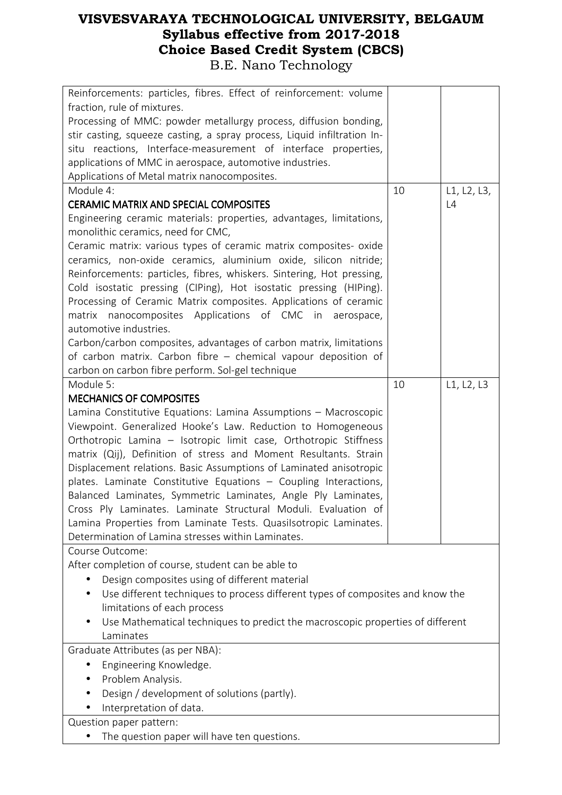| Reinforcements: particles, fibres. Effect of reinforcement: volume<br>fraction, rule of mixtures.<br>Processing of MMC: powder metallurgy process, diffusion bonding,<br>stir casting, squeeze casting, a spray process, Liquid infiltration In-<br>situ reactions, Interface-measurement of interface properties, |    |             |
|--------------------------------------------------------------------------------------------------------------------------------------------------------------------------------------------------------------------------------------------------------------------------------------------------------------------|----|-------------|
| applications of MMC in aerospace, automotive industries.                                                                                                                                                                                                                                                           |    |             |
| Applications of Metal matrix nanocomposites.                                                                                                                                                                                                                                                                       |    |             |
| Module 4:                                                                                                                                                                                                                                                                                                          | 10 | L1, L2, L3, |
| <b>CERAMIC MATRIX AND SPECIAL COMPOSITES</b>                                                                                                                                                                                                                                                                       |    | L4          |
| Engineering ceramic materials: properties, advantages, limitations,                                                                                                                                                                                                                                                |    |             |
| monolithic ceramics, need for CMC,                                                                                                                                                                                                                                                                                 |    |             |
| Ceramic matrix: various types of ceramic matrix composites- oxide                                                                                                                                                                                                                                                  |    |             |
| ceramics, non-oxide ceramics, aluminium oxide, silicon nitride;                                                                                                                                                                                                                                                    |    |             |
| Reinforcements: particles, fibres, whiskers. Sintering, Hot pressing,                                                                                                                                                                                                                                              |    |             |
| Cold isostatic pressing (CIPing), Hot isostatic pressing (HIPing).<br>Processing of Ceramic Matrix composites. Applications of ceramic                                                                                                                                                                             |    |             |
| matrix nanocomposites Applications of CMC in<br>aerospace,                                                                                                                                                                                                                                                         |    |             |
| automotive industries.                                                                                                                                                                                                                                                                                             |    |             |
| Carbon/carbon composites, advantages of carbon matrix, limitations                                                                                                                                                                                                                                                 |    |             |
| of carbon matrix. Carbon fibre - chemical vapour deposition of                                                                                                                                                                                                                                                     |    |             |
| carbon on carbon fibre perform. Sol-gel technique                                                                                                                                                                                                                                                                  |    |             |
| Module 5:                                                                                                                                                                                                                                                                                                          | 10 | L1, L2, L3  |
| <b>MECHANICS OF COMPOSITES</b>                                                                                                                                                                                                                                                                                     |    |             |
| Lamina Constitutive Equations: Lamina Assumptions - Macroscopic                                                                                                                                                                                                                                                    |    |             |
| Viewpoint. Generalized Hooke's Law. Reduction to Homogeneous                                                                                                                                                                                                                                                       |    |             |
| Orthotropic Lamina - Isotropic limit case, Orthotropic Stiffness                                                                                                                                                                                                                                                   |    |             |
| matrix (Qij), Definition of stress and Moment Resultants. Strain                                                                                                                                                                                                                                                   |    |             |
| Displacement relations. Basic Assumptions of Laminated anisotropic                                                                                                                                                                                                                                                 |    |             |
| plates. Laminate Constitutive Equations - Coupling Interactions,                                                                                                                                                                                                                                                   |    |             |
| Balanced Laminates, Symmetric Laminates, Angle Ply Laminates,                                                                                                                                                                                                                                                      |    |             |
| Cross Ply Laminates. Laminate Structural Moduli. Evaluation of                                                                                                                                                                                                                                                     |    |             |
| Lamina Properties from Laminate Tests. Quasilsotropic Laminates.<br>Determination of Lamina stresses within Laminates.                                                                                                                                                                                             |    |             |
| Course Outcome:                                                                                                                                                                                                                                                                                                    |    |             |
| After completion of course, student can be able to                                                                                                                                                                                                                                                                 |    |             |
| Design composites using of different material                                                                                                                                                                                                                                                                      |    |             |
| Use different techniques to process different types of composites and know the<br>$\bullet$                                                                                                                                                                                                                        |    |             |
| limitations of each process                                                                                                                                                                                                                                                                                        |    |             |
| Use Mathematical techniques to predict the macroscopic properties of different                                                                                                                                                                                                                                     |    |             |
| Laminates                                                                                                                                                                                                                                                                                                          |    |             |
| Graduate Attributes (as per NBA):                                                                                                                                                                                                                                                                                  |    |             |
| Engineering Knowledge.                                                                                                                                                                                                                                                                                             |    |             |
| Problem Analysis.                                                                                                                                                                                                                                                                                                  |    |             |
| Design / development of solutions (partly).                                                                                                                                                                                                                                                                        |    |             |
| Interpretation of data.                                                                                                                                                                                                                                                                                            |    |             |
| Question paper pattern:                                                                                                                                                                                                                                                                                            |    |             |
| The question paper will have ten questions.                                                                                                                                                                                                                                                                        |    |             |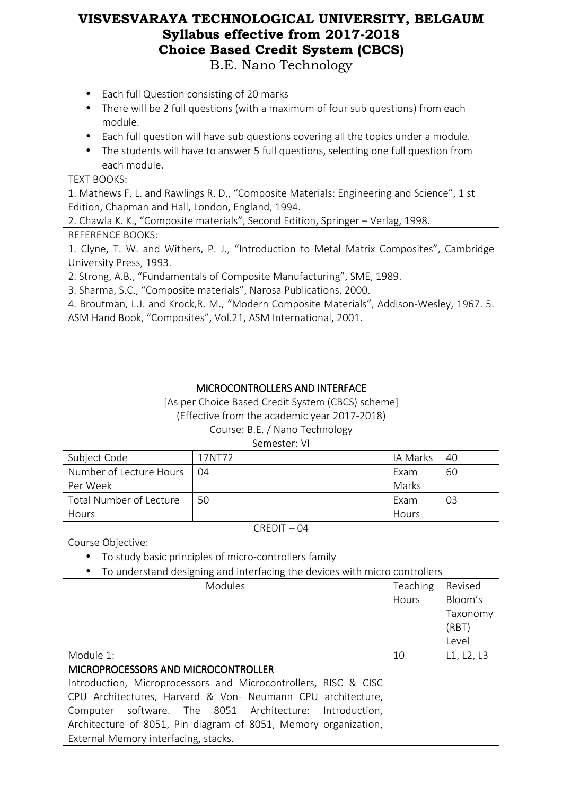- Each full Question consisting of 20 marks
- There will be 2 full questions (with a maximum of four sub questions) from each module.
- Each full question will have sub questions covering all the topics under a module.
- The students will have to answer 5 full questions, selecting one full question from each module.

#### TEXT BOOKS:

1. Mathews F. L. and Rawlings R. D., "Composite Materials: Engineering and Science", 1 st Edition, Chapman and Hall, London, England, 1994.

2. Chawla K. K., "Composite materials", Second Edition, Springer – Verlag, 1998.

#### REFERENCE BOOKS:

1. Clyne, T. W. and Withers, P. J., "Introduction to Metal Matrix Composites", Cambridge University Press, 1993.

2. Strong, A.B., "Fundamentals of Composite Manufacturing", SME, 1989.

3. Sharma, S.C., "Composite materials", Narosa Publications, 2000.

4. Broutman, L.J. and Krock,R. M., "Modern Composite Materials", Addison-Wesley, 1967. 5. ASM Hand Book, "Composites", Vol.21, ASM International, 2001.

## MICROCONTROLLERS AND INTERFACE

[As per Choice Based Credit System (CBCS) scheme] (Effective from the academic year 2017-2018)

#### Course: B.E. / Nano Technology

#### Semester: VI

| Subject Code            | 17NT72 | IA Marks | 40 |
|-------------------------|--------|----------|----|
| Number of Lecture Hours | 04     | Exam     | 60 |
| Per Week                |        | Marks    |    |
| Total Number of Lecture | 50     | Exam     | 03 |
| <b>Hours</b>            |        | Hours    |    |

#### CREDIT – 04

Course Objective:

• To study basic principles of micro-controllers family

• To understand designing and interfacing the devices with micro controllers

| <b>Modules</b>                                                  | <b>Teaching</b> | Revised    |
|-----------------------------------------------------------------|-----------------|------------|
|                                                                 | Hours           | Bloom's    |
|                                                                 |                 | Taxonomy   |
|                                                                 |                 | (RBT)      |
|                                                                 |                 | Level      |
| Module 1:                                                       | 10              | L1, L2, L3 |
| MICROPROCESSORS AND MICROCONTROLLER                             |                 |            |
| Introduction, Microprocessors and Microcontrollers, RISC & CISC |                 |            |
| CPU Architectures, Harvard & Von- Neumann CPU architecture,     |                 |            |
| Computer software. The 8051 Architecture: Introduction,         |                 |            |
| Architecture of 8051, Pin diagram of 8051, Memory organization, |                 |            |
| External Memory interfacing, stacks.                            |                 |            |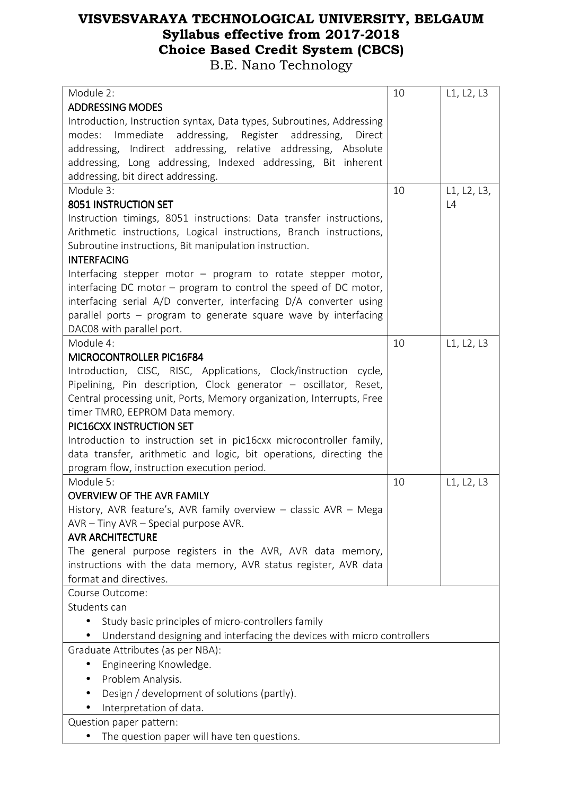| Module 2:                                                               | 10 | L1, L2, L3  |
|-------------------------------------------------------------------------|----|-------------|
| <b>ADDRESSING MODES</b>                                                 |    |             |
| Introduction, Instruction syntax, Data types, Subroutines, Addressing   |    |             |
| modes: Immediate addressing, Register addressing,<br>Direct             |    |             |
| addressing, Indirect addressing, relative addressing, Absolute          |    |             |
| addressing, Long addressing, Indexed addressing, Bit inherent           |    |             |
| addressing, bit direct addressing.                                      |    |             |
| Module 3:                                                               | 10 | L1, L2, L3, |
| 8051 INSTRUCTION SET                                                    |    | L4          |
| Instruction timings, 8051 instructions: Data transfer instructions,     |    |             |
| Arithmetic instructions, Logical instructions, Branch instructions,     |    |             |
| Subroutine instructions, Bit manipulation instruction.                  |    |             |
| <b>INTERFACING</b>                                                      |    |             |
| Interfacing stepper motor – program to rotate stepper motor,            |    |             |
| interfacing DC motor - program to control the speed of DC motor,        |    |             |
| interfacing serial A/D converter, interfacing D/A converter using       |    |             |
| parallel ports - program to generate square wave by interfacing         |    |             |
| DAC08 with parallel port.                                               |    |             |
| Module 4:                                                               | 10 | L1, L2, L3  |
| MICROCONTROLLER PIC16F84                                                |    |             |
| Introduction, CISC, RISC, Applications, Clock/instruction cycle,        |    |             |
| Pipelining, Pin description, Clock generator - oscillator, Reset,       |    |             |
| Central processing unit, Ports, Memory organization, Interrupts, Free   |    |             |
| timer TMRO, EEPROM Data memory.                                         |    |             |
| PIC16CXX INSTRUCTION SET                                                |    |             |
| Introduction to instruction set in pic16cxx microcontroller family,     |    |             |
| data transfer, arithmetic and logic, bit operations, directing the      |    |             |
| program flow, instruction execution period.                             |    |             |
| Module 5:<br><b>OVERVIEW OF THE AVR FAMILY</b>                          | 10 | L1, L2, L3  |
|                                                                         |    |             |
| History, AVR feature's, AVR family overview - classic AVR - Mega        |    |             |
| $AVR - Tiny AVR - Special purpose AVR.$<br><b>AVR ARCHITECTURE</b>      |    |             |
| The general purpose registers in the AVR, AVR data memory,              |    |             |
| instructions with the data memory, AVR status register, AVR data        |    |             |
| format and directives.                                                  |    |             |
| Course Outcome:                                                         |    |             |
| Students can                                                            |    |             |
| Study basic principles of micro-controllers family<br>$\bullet$         |    |             |
| Understand designing and interfacing the devices with micro controllers |    |             |
| Graduate Attributes (as per NBA):                                       |    |             |
| Engineering Knowledge.                                                  |    |             |
| Problem Analysis.                                                       |    |             |
|                                                                         |    |             |
| Design / development of solutions (partly).                             |    |             |
| Interpretation of data.                                                 |    |             |
| Question paper pattern:                                                 |    |             |
| The question paper will have ten questions.                             |    |             |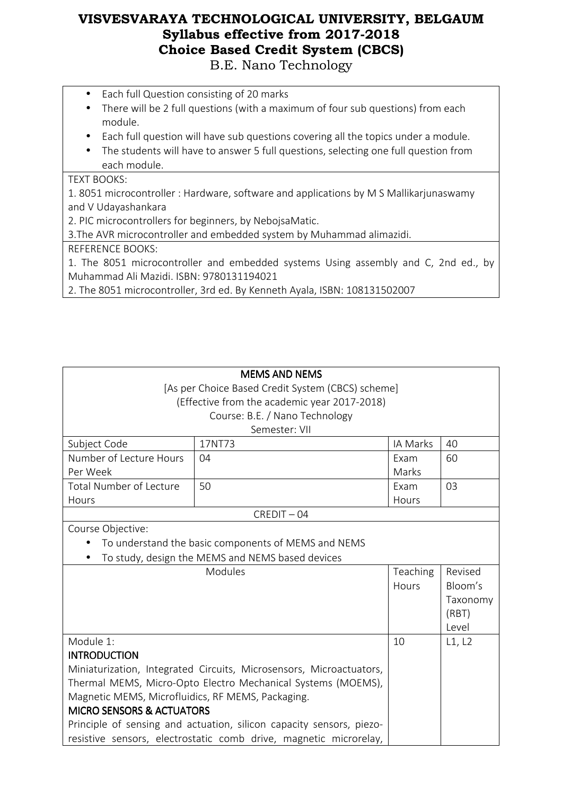- Each full Question consisting of 20 marks
- There will be 2 full questions (with a maximum of four sub questions) from each module.
- Each full question will have sub questions covering all the topics under a module.
- The students will have to answer 5 full questions, selecting one full question from each module.

#### TEXT BOOKS:

1. 8051 microcontroller : Hardware, software and applications by M S Mallikarjunaswamy and V Udayashankara

2. PIC microcontrollers for beginners, by NebojsaMatic.

3.The AVR microcontroller and embedded system by Muhammad alimazidi.

REFERENCE BOOKS:

1. The 8051 microcontroller and embedded systems Using assembly and C, 2nd ed., by Muhammad Ali Mazidi. ISBN: 9780131194021

2. The 8051 microcontroller, 3rd ed. By Kenneth Ayala, ISBN: 108131502007

| <b>MEMS AND NEMS</b>                                                 |                                                                   |          |          |
|----------------------------------------------------------------------|-------------------------------------------------------------------|----------|----------|
| [As per Choice Based Credit System (CBCS) scheme]                    |                                                                   |          |          |
|                                                                      | (Effective from the academic year 2017-2018)                      |          |          |
|                                                                      | Course: B.E. / Nano Technology                                    |          |          |
|                                                                      | Semester: VII                                                     |          |          |
| Subject Code                                                         | 17NT73                                                            | IA Marks | 40       |
| Number of Lecture Hours                                              | 04                                                                | Exam     | 60       |
| Per Week                                                             |                                                                   | Marks    |          |
| <b>Total Number of Lecture</b>                                       | 50                                                                | Exam     | 03       |
| Hours                                                                |                                                                   | Hours    |          |
|                                                                      | $CREDIT - 04$                                                     |          |          |
| Course Objective:                                                    |                                                                   |          |          |
|                                                                      | To understand the basic components of MEMS and NEMS               |          |          |
|                                                                      | To study, design the MEMS and NEMS based devices                  |          |          |
|                                                                      | Modules                                                           | Teaching | Revised  |
|                                                                      |                                                                   | Hours    | Bloom's  |
|                                                                      |                                                                   |          | Taxonomy |
|                                                                      |                                                                   |          | (RBT)    |
|                                                                      |                                                                   |          | Level    |
| Module 1:                                                            |                                                                   | 10       | L1, L2   |
| <b>INTRODUCTION</b>                                                  |                                                                   |          |          |
| Miniaturization, Integrated Circuits, Microsensors, Microactuators,  |                                                                   |          |          |
| Thermal MEMS, Micro-Opto Electro Mechanical Systems (MOEMS),         |                                                                   |          |          |
| Magnetic MEMS, Microfluidics, RF MEMS, Packaging.                    |                                                                   |          |          |
| <b>MICRO SENSORS &amp; ACTUATORS</b>                                 |                                                                   |          |          |
| Principle of sensing and actuation, silicon capacity sensors, piezo- |                                                                   |          |          |
|                                                                      | resistive sensors, electrostatic comb drive, magnetic microrelay, |          |          |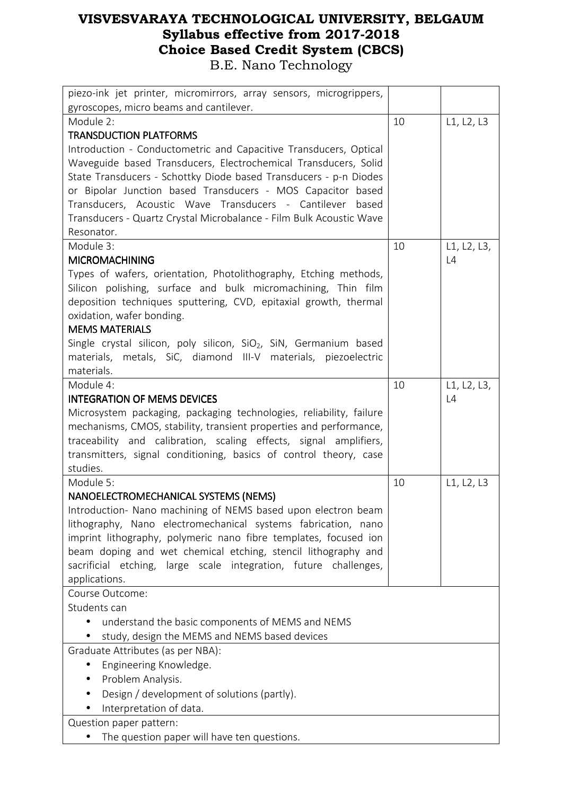| piezo-ink jet printer, micromirrors, array sensors, microgrippers,            |    |             |
|-------------------------------------------------------------------------------|----|-------------|
| gyroscopes, micro beams and cantilever.                                       |    |             |
| Module 2:                                                                     | 10 | L1, L2, L3  |
| <b>TRANSDUCTION PLATFORMS</b>                                                 |    |             |
| Introduction - Conductometric and Capacitive Transducers, Optical             |    |             |
| Waveguide based Transducers, Electrochemical Transducers, Solid               |    |             |
| State Transducers - Schottky Diode based Transducers - p-n Diodes             |    |             |
| or Bipolar Junction based Transducers - MOS Capacitor based                   |    |             |
| Transducers, Acoustic Wave Transducers - Cantilever based                     |    |             |
| Transducers - Quartz Crystal Microbalance - Film Bulk Acoustic Wave           |    |             |
| Resonator.                                                                    |    |             |
| Module 3:                                                                     | 10 | L1, L2, L3, |
| <b>MICROMACHINING</b>                                                         |    | L4          |
| Types of wafers, orientation, Photolithography, Etching methods,              |    |             |
| Silicon polishing, surface and bulk micromachining, Thin film                 |    |             |
| deposition techniques sputtering, CVD, epitaxial growth, thermal              |    |             |
| oxidation, wafer bonding.<br><b>MEMS MATERIALS</b>                            |    |             |
| Single crystal silicon, poly silicon, SiO <sub>2</sub> , SiN, Germanium based |    |             |
| materials, metals, SiC, diamond III-V materials, piezoelectric                |    |             |
| materials.                                                                    |    |             |
| Module 4:                                                                     | 10 | L1, L2, L3, |
| <b>INTEGRATION OF MEMS DEVICES</b>                                            |    | L4          |
| Microsystem packaging, packaging technologies, reliability, failure           |    |             |
| mechanisms, CMOS, stability, transient properties and performance,            |    |             |
| traceability and calibration, scaling effects, signal amplifiers,             |    |             |
| transmitters, signal conditioning, basics of control theory, case             |    |             |
| studies.                                                                      |    |             |
| Module 5:                                                                     | 10 | L1, L2, L3  |
| NANOELECTROMECHANICAL SYSTEMS (NEMS)                                          |    |             |
| Introduction- Nano machining of NEMS based upon electron beam                 |    |             |
| lithography, Nano electromechanical systems fabrication, nano                 |    |             |
| imprint lithography, polymeric nano fibre templates, focused ion              |    |             |
| beam doping and wet chemical etching, stencil lithography and                 |    |             |
| sacrificial etching, large scale integration, future challenges,              |    |             |
| applications.                                                                 |    |             |
| Course Outcome:                                                               |    |             |
| Students can                                                                  |    |             |
| understand the basic components of MEMS and NEMS<br>$\bullet$                 |    |             |
| study, design the MEMS and NEMS based devices                                 |    |             |
| Graduate Attributes (as per NBA):                                             |    |             |
| Engineering Knowledge.                                                        |    |             |
| Problem Analysis.<br>$\bullet$                                                |    |             |
| Design / development of solutions (partly).                                   |    |             |
| Interpretation of data.                                                       |    |             |
| Question paper pattern:                                                       |    |             |
| The question paper will have ten questions.                                   |    |             |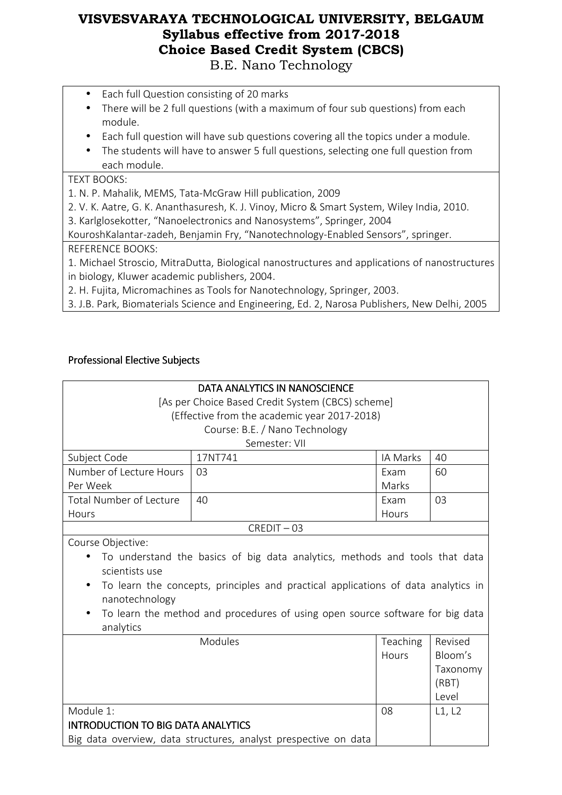- Each full Question consisting of 20 marks
- There will be 2 full questions (with a maximum of four sub questions) from each module.
- Each full question will have sub questions covering all the topics under a module.
- The students will have to answer 5 full questions, selecting one full question from each module.

#### TEXT BOOKS:

1. N. P. Mahalik, MEMS, Tata-McGraw Hill publication, 2009

2. V. K. Aatre, G. K. Ananthasuresh, K. J. Vinoy, Micro & Smart System, Wiley India, 2010.

3. Karlglosekotter, "Nanoelectronics and Nanosystems", Springer, 2004

KouroshKalantar-zadeh, Benjamin Fry, "Nanotechnology-Enabled Sensors", springer.

#### REFERENCE BOOKS:

1. Michael Stroscio, MitraDutta, Biological nanostructures and applications of nanostructures in biology, Kluwer academic publishers, 2004.

2. H. Fujita, Micromachines as Tools for Nanotechnology, Springer, 2003.

3. J.B. Park, Biomaterials Science and Engineering, Ed. 2, Narosa Publishers, New Delhi, 2005

#### Professional Elective Subjects

| <b>DATA ANALYTICS IN NANOSCIENCE</b>                                                           |                                                                             |          |          |
|------------------------------------------------------------------------------------------------|-----------------------------------------------------------------------------|----------|----------|
|                                                                                                | [As per Choice Based Credit System (CBCS) scheme]                           |          |          |
|                                                                                                | (Effective from the academic year 2017-2018)                                |          |          |
|                                                                                                | Course: B.E. / Nano Technology                                              |          |          |
|                                                                                                | Semester: VII                                                               |          |          |
| Subject Code                                                                                   | 17NT741                                                                     | IA Marks | 40       |
| Number of Lecture Hours                                                                        | 03                                                                          | Exam     | 60       |
| Per Week                                                                                       |                                                                             | Marks    |          |
| <b>Total Number of Lecture</b>                                                                 | 40                                                                          | Exam     | 03       |
| Hours                                                                                          |                                                                             | Hours    |          |
|                                                                                                | $CREDIT - 03$                                                               |          |          |
| Course Objective:                                                                              |                                                                             |          |          |
|                                                                                                | To understand the basics of big data analytics, methods and tools that data |          |          |
| scientists use                                                                                 |                                                                             |          |          |
| To learn the concepts, principles and practical applications of data analytics in<br>$\bullet$ |                                                                             |          |          |
| nanotechnology                                                                                 |                                                                             |          |          |
| To learn the method and procedures of using open source software for big data                  |                                                                             |          |          |
| analytics                                                                                      |                                                                             |          |          |
|                                                                                                | Modules<br>Teaching<br>Revised                                              |          |          |
|                                                                                                |                                                                             | Hours    | Bloom's  |
|                                                                                                |                                                                             |          | Taxonomy |
|                                                                                                |                                                                             |          | (RBT)    |
|                                                                                                |                                                                             |          | Level    |
| Module 1:                                                                                      |                                                                             | 08       | L1, L2   |
| <b>INTRODUCTION TO BIG DATA ANALYTICS</b>                                                      |                                                                             |          |          |
| Big data overview, data structures, analyst prespective on data                                |                                                                             |          |          |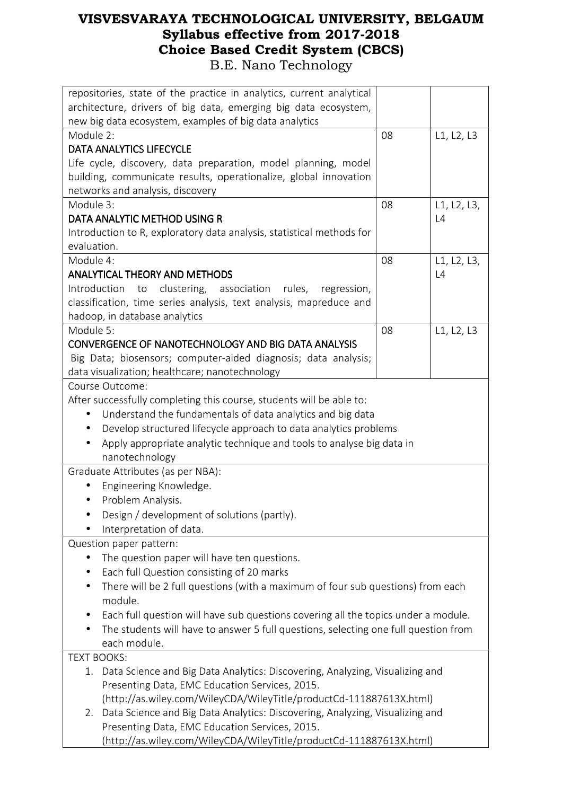| repositories, state of the practice in analytics, current analytical                         |    |             |  |
|----------------------------------------------------------------------------------------------|----|-------------|--|
| architecture, drivers of big data, emerging big data ecosystem,                              |    |             |  |
| new big data ecosystem, examples of big data analytics                                       |    |             |  |
| Module 2:                                                                                    | 08 | L1, L2, L3  |  |
| <b>DATA ANALYTICS LIFECYCLE</b>                                                              |    |             |  |
| Life cycle, discovery, data preparation, model planning, model                               |    |             |  |
| building, communicate results, operationalize, global innovation                             |    |             |  |
| networks and analysis, discovery                                                             |    |             |  |
| Module 3:                                                                                    | 08 | L1, L2, L3, |  |
| DATA ANALYTIC METHOD USING R                                                                 |    | L4          |  |
| Introduction to R, exploratory data analysis, statistical methods for                        |    |             |  |
| evaluation.                                                                                  |    |             |  |
| Module 4:                                                                                    | 08 | L1, L2, L3, |  |
| <b>ANALYTICAL THEORY AND METHODS</b>                                                         |    | L4          |  |
| Introduction<br>clustering, association<br>rules,<br>regression,<br>to                       |    |             |  |
| classification, time series analysis, text analysis, mapreduce and                           |    |             |  |
| hadoop, in database analytics                                                                |    |             |  |
| Module 5:                                                                                    | 08 | L1, L2, L3  |  |
| CONVERGENCE OF NANOTECHNOLOGY AND BIG DATA ANALYSIS                                          |    |             |  |
| Big Data; biosensors; computer-aided diagnosis; data analysis;                               |    |             |  |
| data visualization; healthcare; nanotechnology                                               |    |             |  |
| Course Outcome:                                                                              |    |             |  |
| After successfully completing this course, students will be able to:                         |    |             |  |
| Understand the fundamentals of data analytics and big data<br>$\bullet$                      |    |             |  |
| Develop structured lifecycle approach to data analytics problems<br>$\bullet$                |    |             |  |
| Apply appropriate analytic technique and tools to analyse big data in<br>$\bullet$           |    |             |  |
| nanotechnology                                                                               |    |             |  |
| Graduate Attributes (as per NBA):                                                            |    |             |  |
| Engineering Knowledge.                                                                       |    |             |  |
| Problem Analysis.<br>$\bullet$                                                               |    |             |  |
| Design / development of solutions (partly).                                                  |    |             |  |
| Interpretation of data.                                                                      |    |             |  |
| Question paper pattern:                                                                      |    |             |  |
| The question paper will have ten questions.<br>$\bullet$                                     |    |             |  |
| Each full Question consisting of 20 marks<br>$\bullet$                                       |    |             |  |
| There will be 2 full questions (with a maximum of four sub questions) from each<br>$\bullet$ |    |             |  |
| module.                                                                                      |    |             |  |
| Each full question will have sub questions covering all the topics under a module.           |    |             |  |
| The students will have to answer 5 full questions, selecting one full question from          |    |             |  |
| each module.                                                                                 |    |             |  |
| <b>TEXT BOOKS:</b>                                                                           |    |             |  |
| Data Science and Big Data Analytics: Discovering, Analyzing, Visualizing and<br>1.           |    |             |  |
| Presenting Data, EMC Education Services, 2015.                                               |    |             |  |
| (http://as.wiley.com/WileyCDA/WileyTitle/productCd-111887613X.html)                          |    |             |  |
| Data Science and Big Data Analytics: Discovering, Analyzing, Visualizing and<br>2.           |    |             |  |
| Presenting Data, EMC Education Services, 2015.                                               |    |             |  |
| (http://as.wiley.com/WileyCDA/WileyTitle/productCd-111887613X.html)                          |    |             |  |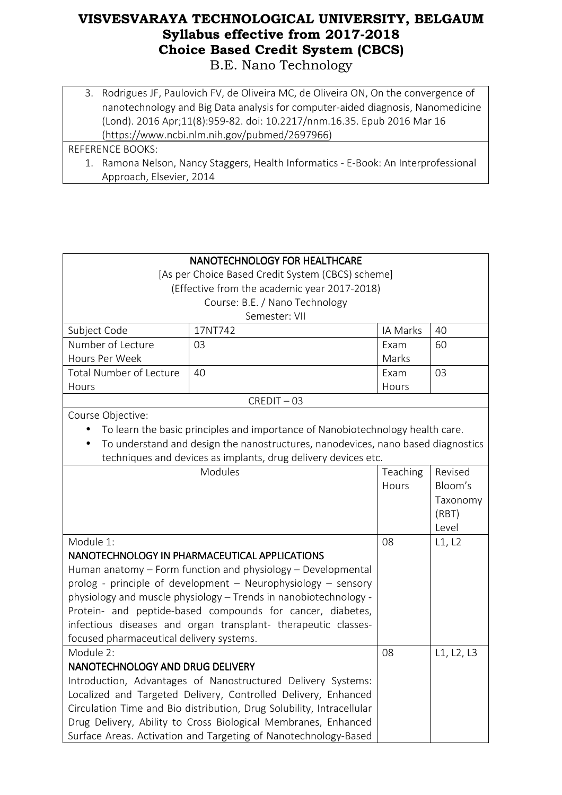3. Rodrigues JF, Paulovich FV, de Oliveira MC, de Oliveira ON, On the convergence of nanotechnology and Big Data analysis for computer-aided diagnosis, Nanomedicine (Lond). 2016 Apr;11(8):959-82. doi: 10.2217/nnm.16.35. Epub 2016 Mar 16 (https://www.ncbi.nlm.nih.gov/pubmed/2697966)

#### REFERENCE BOOKS:

1. Ramona Nelson, Nancy Staggers, Health Informatics - E-Book: An Interprofessional Approach, Elsevier, 2014

| NANOTECHNOLOGY FOR HEALTHCARE                                |                                                                                  |          |            |  |
|--------------------------------------------------------------|----------------------------------------------------------------------------------|----------|------------|--|
| [As per Choice Based Credit System (CBCS) scheme]            |                                                                                  |          |            |  |
|                                                              | (Effective from the academic year 2017-2018)                                     |          |            |  |
|                                                              | Course: B.E. / Nano Technology                                                   |          |            |  |
|                                                              | Semester: VII                                                                    |          |            |  |
| Subject Code                                                 | 17NT742                                                                          | IA Marks | 40         |  |
| Number of Lecture                                            | 03                                                                               | Exam     | 60         |  |
| Hours Per Week                                               |                                                                                  | Marks    |            |  |
| <b>Total Number of Lecture</b>                               | 40                                                                               | Exam     | 03         |  |
| Hours                                                        |                                                                                  | Hours    |            |  |
|                                                              | $CREDIT - 03$                                                                    |          |            |  |
| Course Objective:                                            |                                                                                  |          |            |  |
|                                                              | To learn the basic principles and importance of Nanobiotechnology health care.   |          |            |  |
|                                                              | To understand and design the nanostructures, nanodevices, nano based diagnostics |          |            |  |
|                                                              | techniques and devices as implants, drug delivery devices etc.                   |          |            |  |
|                                                              | <b>Modules</b>                                                                   | Teaching | Revised    |  |
|                                                              |                                                                                  | Hours    | Bloom's    |  |
|                                                              |                                                                                  |          | Taxonomy   |  |
|                                                              |                                                                                  |          | (RBT)      |  |
|                                                              |                                                                                  |          | Level      |  |
| Module 1:                                                    |                                                                                  | 08       | L1, L2     |  |
|                                                              | NANOTECHNOLOGY IN PHARMACEUTICAL APPLICATIONS                                    |          |            |  |
| Human anatomy - Form function and physiology - Developmental |                                                                                  |          |            |  |
|                                                              | prolog - principle of development - Neurophysiology - sensory                    |          |            |  |
|                                                              | physiology and muscle physiology - Trends in nanobiotechnology -                 |          |            |  |
|                                                              | Protein- and peptide-based compounds for cancer, diabetes,                       |          |            |  |
|                                                              | infectious diseases and organ transplant- therapeutic classes-                   |          |            |  |
| focused pharmaceutical delivery systems.                     |                                                                                  |          |            |  |
| Module 2:                                                    |                                                                                  | 08       | L1, L2, L3 |  |
| NANOTECHNOLOGY AND DRUG DELIVERY                             |                                                                                  |          |            |  |
|                                                              | Introduction, Advantages of Nanostructured Delivery Systems:                     |          |            |  |
|                                                              | Localized and Targeted Delivery, Controlled Delivery, Enhanced                   |          |            |  |
|                                                              | Circulation Time and Bio distribution, Drug Solubility, Intracellular            |          |            |  |
|                                                              | Drug Delivery, Ability to Cross Biological Membranes, Enhanced                   |          |            |  |

Surface Areas. Activation and Targeting of Nanotechnology-Based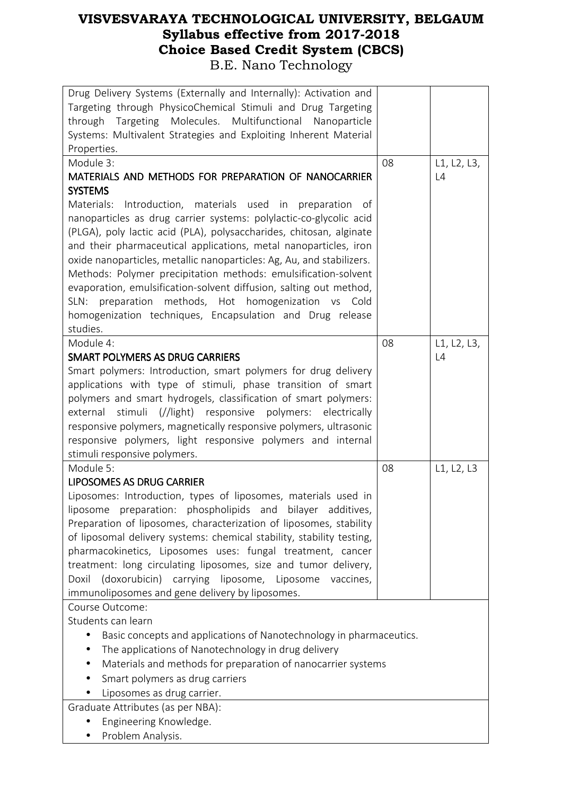| Drug Delivery Systems (Externally and Internally): Activation and<br>Targeting through PhysicoChemical Stimuli and Drug Targeting<br>through Targeting Molecules. Multifunctional Nanoparticle<br>Systems: Multivalent Strategies and Exploiting Inherent Material<br>Properties.                                                                                                                                                                                                                                                                                                                                            |    |             |
|------------------------------------------------------------------------------------------------------------------------------------------------------------------------------------------------------------------------------------------------------------------------------------------------------------------------------------------------------------------------------------------------------------------------------------------------------------------------------------------------------------------------------------------------------------------------------------------------------------------------------|----|-------------|
| Module 3:                                                                                                                                                                                                                                                                                                                                                                                                                                                                                                                                                                                                                    | 08 | L1, L2, L3, |
|                                                                                                                                                                                                                                                                                                                                                                                                                                                                                                                                                                                                                              |    |             |
| MATERIALS AND METHODS FOR PREPARATION OF NANOCARRIER                                                                                                                                                                                                                                                                                                                                                                                                                                                                                                                                                                         |    | L4          |
| <b>SYSTEMS</b>                                                                                                                                                                                                                                                                                                                                                                                                                                                                                                                                                                                                               |    |             |
| Materials: Introduction, materials used in preparation of<br>nanoparticles as drug carrier systems: polylactic-co-glycolic acid<br>(PLGA), poly lactic acid (PLA), polysaccharides, chitosan, alginate<br>and their pharmaceutical applications, metal nanoparticles, iron<br>oxide nanoparticles, metallic nanoparticles: Ag, Au, and stabilizers.<br>Methods: Polymer precipitation methods: emulsification-solvent<br>evaporation, emulsification-solvent diffusion, salting out method,<br>SLN: preparation methods, Hot homogenization vs Cold<br>homogenization techniques, Encapsulation and Drug release<br>studies. |    |             |
| Module 4:                                                                                                                                                                                                                                                                                                                                                                                                                                                                                                                                                                                                                    | 08 | L1, L2, L3, |
| <b>SMART POLYMERS AS DRUG CARRIERS</b>                                                                                                                                                                                                                                                                                                                                                                                                                                                                                                                                                                                       |    | L4          |
|                                                                                                                                                                                                                                                                                                                                                                                                                                                                                                                                                                                                                              |    |             |
| Smart polymers: Introduction, smart polymers for drug delivery                                                                                                                                                                                                                                                                                                                                                                                                                                                                                                                                                               |    |             |
| applications with type of stimuli, phase transition of smart                                                                                                                                                                                                                                                                                                                                                                                                                                                                                                                                                                 |    |             |
| polymers and smart hydrogels, classification of smart polymers:                                                                                                                                                                                                                                                                                                                                                                                                                                                                                                                                                              |    |             |
| external stimuli (//light) responsive polymers: electrically                                                                                                                                                                                                                                                                                                                                                                                                                                                                                                                                                                 |    |             |
| responsive polymers, magnetically responsive polymers, ultrasonic                                                                                                                                                                                                                                                                                                                                                                                                                                                                                                                                                            |    |             |
|                                                                                                                                                                                                                                                                                                                                                                                                                                                                                                                                                                                                                              |    |             |
| responsive polymers, light responsive polymers and internal                                                                                                                                                                                                                                                                                                                                                                                                                                                                                                                                                                  |    |             |
| stimuli responsive polymers.                                                                                                                                                                                                                                                                                                                                                                                                                                                                                                                                                                                                 |    |             |
| Module 5:                                                                                                                                                                                                                                                                                                                                                                                                                                                                                                                                                                                                                    | 08 | L1, L2, L3  |
| <b>LIPOSOMES AS DRUG CARRIER</b>                                                                                                                                                                                                                                                                                                                                                                                                                                                                                                                                                                                             |    |             |
| Liposomes: Introduction, types of liposomes, materials used in                                                                                                                                                                                                                                                                                                                                                                                                                                                                                                                                                               |    |             |
| preparation: phospholipids and bilayer additives,<br>liposome                                                                                                                                                                                                                                                                                                                                                                                                                                                                                                                                                                |    |             |
| Preparation of liposomes, characterization of liposomes, stability                                                                                                                                                                                                                                                                                                                                                                                                                                                                                                                                                           |    |             |
| of liposomal delivery systems: chemical stability, stability testing,                                                                                                                                                                                                                                                                                                                                                                                                                                                                                                                                                        |    |             |
| pharmacokinetics, Liposomes uses: fungal treatment, cancer                                                                                                                                                                                                                                                                                                                                                                                                                                                                                                                                                                   |    |             |
|                                                                                                                                                                                                                                                                                                                                                                                                                                                                                                                                                                                                                              |    |             |
| treatment: long circulating liposomes, size and tumor delivery,                                                                                                                                                                                                                                                                                                                                                                                                                                                                                                                                                              |    |             |
| (doxorubicin) carrying liposome, Liposome<br>vaccines,<br>Doxil                                                                                                                                                                                                                                                                                                                                                                                                                                                                                                                                                              |    |             |
| immunoliposomes and gene delivery by liposomes.                                                                                                                                                                                                                                                                                                                                                                                                                                                                                                                                                                              |    |             |
| Course Outcome:                                                                                                                                                                                                                                                                                                                                                                                                                                                                                                                                                                                                              |    |             |
| Students can learn                                                                                                                                                                                                                                                                                                                                                                                                                                                                                                                                                                                                           |    |             |
| Basic concepts and applications of Nanotechnology in pharmaceutics.                                                                                                                                                                                                                                                                                                                                                                                                                                                                                                                                                          |    |             |
| The applications of Nanotechnology in drug delivery                                                                                                                                                                                                                                                                                                                                                                                                                                                                                                                                                                          |    |             |
| Materials and methods for preparation of nanocarrier systems                                                                                                                                                                                                                                                                                                                                                                                                                                                                                                                                                                 |    |             |
| Smart polymers as drug carriers                                                                                                                                                                                                                                                                                                                                                                                                                                                                                                                                                                                              |    |             |
|                                                                                                                                                                                                                                                                                                                                                                                                                                                                                                                                                                                                                              |    |             |
| Liposomes as drug carrier.                                                                                                                                                                                                                                                                                                                                                                                                                                                                                                                                                                                                   |    |             |
| Graduate Attributes (as per NBA):                                                                                                                                                                                                                                                                                                                                                                                                                                                                                                                                                                                            |    |             |
| Engineering Knowledge.                                                                                                                                                                                                                                                                                                                                                                                                                                                                                                                                                                                                       |    |             |

• Problem Analysis.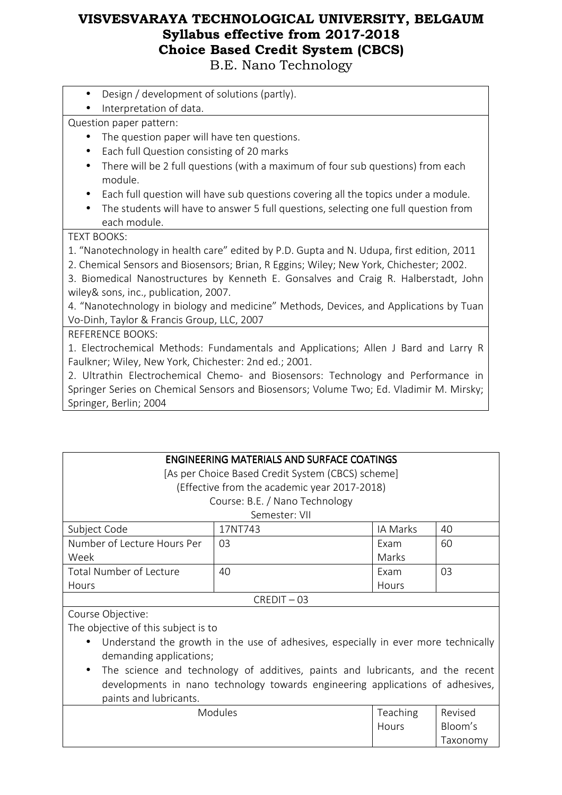B.E. Nano Technology

- Design / development of solutions (partly).
- Interpretation of data.

Question paper pattern:

- The question paper will have ten questions.
- Each full Question consisting of 20 marks
- There will be 2 full questions (with a maximum of four sub questions) from each module.
- Each full question will have sub questions covering all the topics under a module.
- The students will have to answer 5 full questions, selecting one full question from each module.

#### TEXT BOOKS:

1. "Nanotechnology in health care" edited by P.D. Gupta and N. Udupa, first edition, 2011

2. Chemical Sensors and Biosensors; Brian, R Eggins; Wiley; New York, Chichester; 2002.

3. Biomedical Nanostructures by Kenneth E. Gonsalves and Craig R. Halberstadt, John wiley& sons, inc., publication, 2007.

4. "Nanotechnology in biology and medicine" Methods, Devices, and Applications by Tuan Vo-Dinh, Taylor & Francis Group, LLC, 2007

#### REFERENCE BOOKS:

1. Electrochemical Methods: Fundamentals and Applications; Allen J Bard and Larry R Faulkner; Wiley, New York, Chichester: 2nd ed.; 2001.

2. Ultrathin Electrochemical Chemo- and Biosensors: Technology and Performance in Springer Series on Chemical Sensors and Biosensors; Volume Two; Ed. Vladimir M. Mirsky; Springer, Berlin; 2004

| ENGINEERING MATERIALS AND SURFACE COATINGS                                         |                                                   |          |    |
|------------------------------------------------------------------------------------|---------------------------------------------------|----------|----|
|                                                                                    | [As per Choice Based Credit System (CBCS) scheme] |          |    |
|                                                                                    | (Effective from the academic year 2017-2018)      |          |    |
|                                                                                    | Course: B.E. / Nano Technology                    |          |    |
|                                                                                    | Semester: VII                                     |          |    |
| Subject Code                                                                       | 17NT743                                           | IA Marks | 40 |
| Number of Lecture Hours Per                                                        | 03                                                | Exam     | 60 |
| Week                                                                               |                                                   | Marks    |    |
| Total Number of Lecture                                                            | 40                                                | Exam     | 03 |
| Hours                                                                              |                                                   | Hours    |    |
| $CREDIT - 03$                                                                      |                                                   |          |    |
| Course Objective:                                                                  |                                                   |          |    |
| The objective of this subject is to                                                |                                                   |          |    |
| Understand the growth in the use of adhesives, especially in ever more technically |                                                   |          |    |

demanding applications; • The science and technology of additives, paints and lubricants, and the recent developments in nano technology towards engineering applications of adhesives, paints and lubricants.

| DUITLY UITU TUDITUUTLY. |                 |          |
|-------------------------|-----------------|----------|
| <b>Modules</b>          | <b>Teaching</b> | Revised  |
|                         | Hours           | Bloom's  |
|                         |                 | Taxonomy |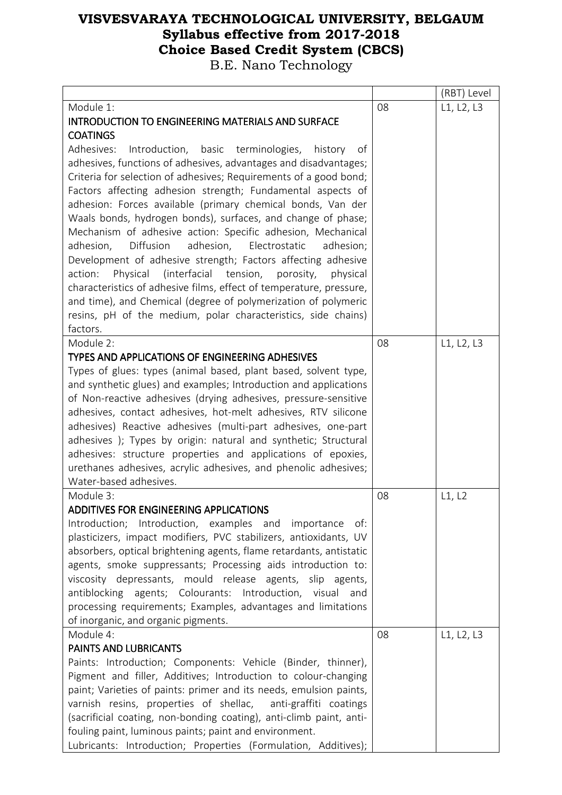|                                                                                                                                   |    | (RBT) Level |
|-----------------------------------------------------------------------------------------------------------------------------------|----|-------------|
| Module 1:<br><b>INTRODUCTION TO ENGINEERING MATERIALS AND SURFACE</b><br><b>COATINGS</b>                                          | 08 | L1, L2, L3  |
| Adhesives: Introduction, basic terminologies, history<br>of                                                                       |    |             |
| adhesives, functions of adhesives, advantages and disadvantages;                                                                  |    |             |
| Criteria for selection of adhesives; Requirements of a good bond;                                                                 |    |             |
| Factors affecting adhesion strength; Fundamental aspects of                                                                       |    |             |
| adhesion: Forces available (primary chemical bonds, Van der                                                                       |    |             |
| Waals bonds, hydrogen bonds), surfaces, and change of phase;                                                                      |    |             |
| Mechanism of adhesive action: Specific adhesion, Mechanical                                                                       |    |             |
| Diffusion<br>adhesion,<br>Electrostatic<br>adhesion,<br>adhesion;<br>Development of adhesive strength; Factors affecting adhesive |    |             |
| Physical (interfacial tension, porosity,<br>action:<br>physical                                                                   |    |             |
| characteristics of adhesive films, effect of temperature, pressure,                                                               |    |             |
| and time), and Chemical (degree of polymerization of polymeric                                                                    |    |             |
| resins, pH of the medium, polar characteristics, side chains)                                                                     |    |             |
| factors.                                                                                                                          |    |             |
| Module 2:                                                                                                                         | 08 | L1, L2, L3  |
| <b>TYPES AND APPLICATIONS OF ENGINEERING ADHESIVES</b>                                                                            |    |             |
| Types of glues: types (animal based, plant based, solvent type,                                                                   |    |             |
| and synthetic glues) and examples; Introduction and applications                                                                  |    |             |
| of Non-reactive adhesives (drying adhesives, pressure-sensitive                                                                   |    |             |
| adhesives, contact adhesives, hot-melt adhesives, RTV silicone                                                                    |    |             |
| adhesives) Reactive adhesives (multi-part adhesives, one-part                                                                     |    |             |
| adhesives ); Types by origin: natural and synthetic; Structural<br>adhesives: structure properties and applications of epoxies,   |    |             |
| urethanes adhesives, acrylic adhesives, and phenolic adhesives;                                                                   |    |             |
| Water-based adhesives.                                                                                                            |    |             |
| Module 3:                                                                                                                         | 08 | L1, L2      |
| <b>ADDITIVES FOR ENGINEERING APPLICATIONS</b>                                                                                     |    |             |
| Introduction; Introduction, examples and importance<br>of:                                                                        |    |             |
| plasticizers, impact modifiers, PVC stabilizers, antioxidants, UV                                                                 |    |             |
| absorbers, optical brightening agents, flame retardants, antistatic                                                               |    |             |
| agents, smoke suppressants; Processing aids introduction to:                                                                      |    |             |
| viscosity depressants, mould release agents, slip agents,                                                                         |    |             |
| antiblocking agents; Colourants: Introduction, visual and                                                                         |    |             |
| processing requirements; Examples, advantages and limitations                                                                     |    |             |
| of inorganic, and organic pigments.                                                                                               |    |             |
| Module 4:<br>PAINTS AND LUBRICANTS                                                                                                | 08 | L1, L2, L3  |
| Paints: Introduction; Components: Vehicle (Binder, thinner),                                                                      |    |             |
| Pigment and filler, Additives; Introduction to colour-changing                                                                    |    |             |
| paint; Varieties of paints: primer and its needs, emulsion paints,                                                                |    |             |
| varnish resins, properties of shellac, anti-graffiti coatings                                                                     |    |             |
| (sacrificial coating, non-bonding coating), anti-climb paint, anti-                                                               |    |             |
| fouling paint, luminous paints; paint and environment.                                                                            |    |             |
| Lubricants: Introduction; Properties (Formulation, Additives);                                                                    |    |             |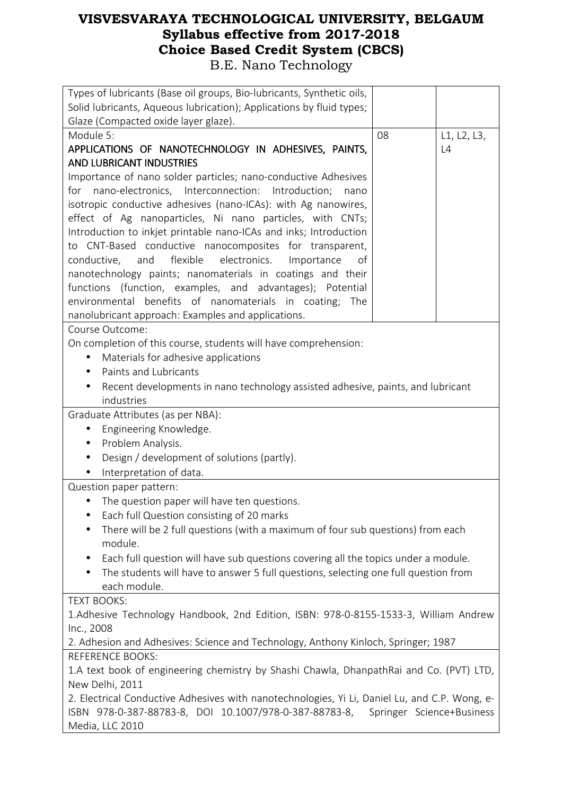| Types of lubricants (Base oil groups, Bio-lubricants, Synthetic oils,                                                          |    |             |  |
|--------------------------------------------------------------------------------------------------------------------------------|----|-------------|--|
| Solid lubricants, Aqueous lubrication); Applications by fluid types;                                                           |    |             |  |
| Glaze (Compacted oxide layer glaze).                                                                                           |    |             |  |
| Module 5:                                                                                                                      | 08 | L1, L2, L3, |  |
| APPLICATIONS OF NANOTECHNOLOGY IN ADHESIVES, PAINTS,                                                                           |    | L4          |  |
| <b>AND LUBRICANT INDUSTRIES</b>                                                                                                |    |             |  |
| Importance of nano solder particles; nano-conductive Adhesives                                                                 |    |             |  |
| for nano-electronics, Interconnection:<br>Introduction;<br>nano                                                                |    |             |  |
| isotropic conductive adhesives (nano-ICAs): with Ag nanowires,                                                                 |    |             |  |
| effect of Ag nanoparticles, Ni nano particles, with CNTs;<br>Introduction to inkjet printable nano-ICAs and inks; Introduction |    |             |  |
| to CNT-Based conductive nanocomposites for transparent,                                                                        |    |             |  |
| flexible electronics.<br>conductive, and<br>Importance<br>of                                                                   |    |             |  |
| nanotechnology paints; nanomaterials in coatings and their                                                                     |    |             |  |
| functions (function, examples, and advantages); Potential                                                                      |    |             |  |
| environmental benefits of nanomaterials in coating; The                                                                        |    |             |  |
| nanolubricant approach: Examples and applications.                                                                             |    |             |  |
| Course Outcome:                                                                                                                |    |             |  |
| On completion of this course, students will have comprehension:                                                                |    |             |  |
| Materials for adhesive applications                                                                                            |    |             |  |
| Paints and Lubricants<br>$\bullet$                                                                                             |    |             |  |
| Recent developments in nano technology assisted adhesive, paints, and lubricant                                                |    |             |  |
| industries                                                                                                                     |    |             |  |
| Graduate Attributes (as per NBA):                                                                                              |    |             |  |
| Engineering Knowledge.<br>$\bullet$                                                                                            |    |             |  |
| Problem Analysis.<br>$\bullet$                                                                                                 |    |             |  |
| Design / development of solutions (partly).<br>$\bullet$                                                                       |    |             |  |
| Interpretation of data.                                                                                                        |    |             |  |
| Question paper pattern:                                                                                                        |    |             |  |
| The question paper will have ten questions.                                                                                    |    |             |  |
| Each full Question consisting of 20 marks                                                                                      |    |             |  |
| There will be 2 full questions (with a maximum of four sub questions) from each<br>$\bullet$                                   |    |             |  |
| module.                                                                                                                        |    |             |  |
| Each full question will have sub questions covering all the topics under a module.<br>$\bullet$                                |    |             |  |
| The students will have to answer 5 full questions, selecting one full question from<br>$\bullet$                               |    |             |  |
| each module.                                                                                                                   |    |             |  |
| <b>TEXT BOOKS:</b>                                                                                                             |    |             |  |
| 1.Adhesive Technology Handbook, 2nd Edition, ISBN: 978-0-8155-1533-3, William Andrew                                           |    |             |  |
| Inc., 2008                                                                                                                     |    |             |  |
| 2. Adhesion and Adhesives: Science and Technology, Anthony Kinloch, Springer; 1987                                             |    |             |  |
| <b>REFERENCE BOOKS:</b>                                                                                                        |    |             |  |
| 1.A text book of engineering chemistry by Shashi Chawla, DhanpathRai and Co. (PVT) LTD,                                        |    |             |  |
| New Delhi, 2011                                                                                                                |    |             |  |
| 2. Electrical Conductive Adhesives with nanotechnologies, Yi Li, Daniel Lu, and C.P. Wong, e-                                  |    |             |  |
| ISBN 978-0-387-88783-8, DOI 10.1007/978-0-387-88783-8, Springer Science+Business                                               |    |             |  |

Media, LLC 2010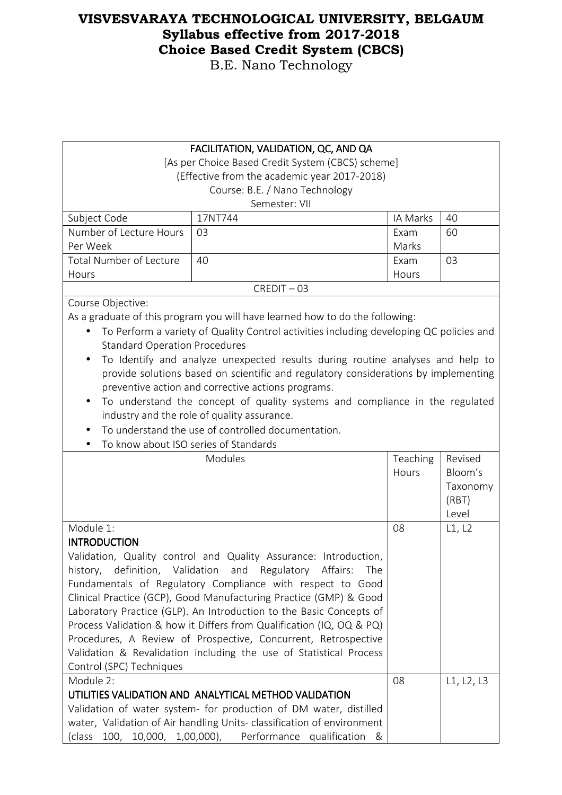B.E. Nano Technology

#### FACILITATION, VALIDATION, QC, AND QA

[As per Choice Based Credit System (CBCS) scheme] (Effective from the academic year 2017-2018) Course: B.E. / Nano Technology Semester: VII

| Semester: VII                |         |          |    |  |
|------------------------------|---------|----------|----|--|
| Subject Code                 | 17NT744 | IA Marks | 40 |  |
| Number of Lecture Hours   03 |         | Exam     | 60 |  |
| Per Week                     |         | Marks    |    |  |

03

**Hours** 

Hours 40 Exam CREDIT – 03

Course Objective:

Total Number of Lecture

As a graduate of this program you will have learned how to do the following:

- To Perform a variety of Quality Control activities including developing QC policies and Standard Operation Procedures
- To Identify and analyze unexpected results during routine analyses and help to provide solutions based on scientific and regulatory considerations by implementing preventive action and corrective actions programs.
- To understand the concept of quality systems and compliance in the regulated industry and the role of quality assurance.
- To understand the use of controlled documentation.
- To know about ISO series of Standards

| TO MIOW QDOQL IJO JEHEJ OF JIQHQQI UJ                                  |          |            |
|------------------------------------------------------------------------|----------|------------|
| Modules                                                                | Teaching | Revised    |
|                                                                        | Hours    | Bloom's    |
|                                                                        |          | Taxonomy   |
|                                                                        |          | (RBT)      |
|                                                                        |          | Level      |
| Module 1:                                                              | 08       | L1, L2     |
| <b>INTRODUCTION</b>                                                    |          |            |
| Validation, Quality control and Quality Assurance: Introduction,       |          |            |
| history, definition, Validation and Regulatory Affairs:<br>The         |          |            |
| Fundamentals of Regulatory Compliance with respect to Good             |          |            |
| Clinical Practice (GCP), Good Manufacturing Practice (GMP) & Good      |          |            |
| Laboratory Practice (GLP). An Introduction to the Basic Concepts of    |          |            |
| Process Validation & how it Differs from Qualification (IQ, OQ & PQ)   |          |            |
| Procedures, A Review of Prospective, Concurrent, Retrospective         |          |            |
| Validation & Revalidation including the use of Statistical Process     |          |            |
| Control (SPC) Techniques                                               |          |            |
| Module 2:                                                              | 08       | L1, L2, L3 |
| UTILITIES VALIDATION AND ANALYTICAL METHOD VALIDATION                  |          |            |
| Validation of water system- for production of DM water, distilled      |          |            |
| water, Validation of Air handling Units- classification of environment |          |            |
| (class 100, 10,000, 1,00,000), Performance qualification &             |          |            |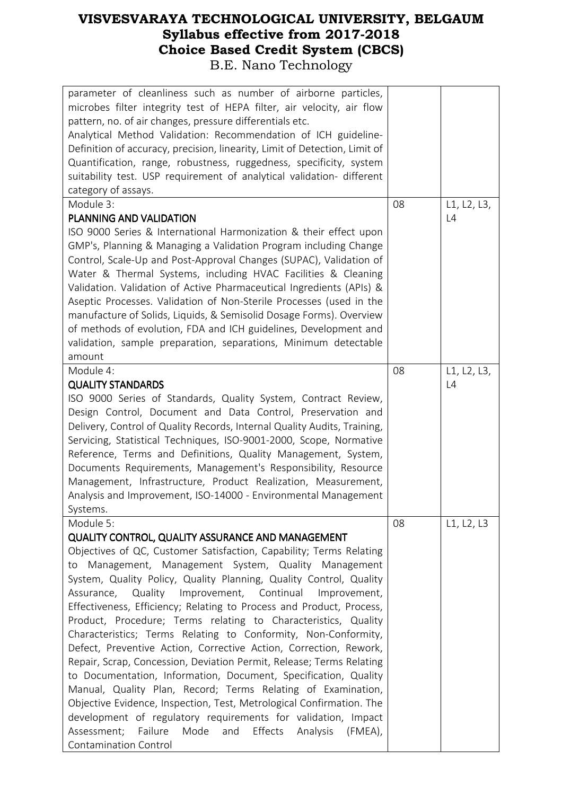| parameter of cleanliness such as number of airborne particles,<br>microbes filter integrity test of HEPA filter, air velocity, air flow<br>pattern, no. of air changes, pressure differentials etc.<br>Analytical Method Validation: Recommendation of ICH guideline-<br>Definition of accuracy, precision, linearity, Limit of Detection, Limit of<br>Quantification, range, robustness, ruggedness, specificity, system<br>suitability test. USP requirement of analytical validation- different<br>category of assays. |    |             |
|---------------------------------------------------------------------------------------------------------------------------------------------------------------------------------------------------------------------------------------------------------------------------------------------------------------------------------------------------------------------------------------------------------------------------------------------------------------------------------------------------------------------------|----|-------------|
| Module 3:                                                                                                                                                                                                                                                                                                                                                                                                                                                                                                                 | 08 | L1, L2, L3, |
| PLANNING AND VALIDATION                                                                                                                                                                                                                                                                                                                                                                                                                                                                                                   |    | L4          |
| ISO 9000 Series & International Harmonization & their effect upon                                                                                                                                                                                                                                                                                                                                                                                                                                                         |    |             |
| GMP's, Planning & Managing a Validation Program including Change                                                                                                                                                                                                                                                                                                                                                                                                                                                          |    |             |
| Control, Scale-Up and Post-Approval Changes (SUPAC), Validation of                                                                                                                                                                                                                                                                                                                                                                                                                                                        |    |             |
| Water & Thermal Systems, including HVAC Facilities & Cleaning                                                                                                                                                                                                                                                                                                                                                                                                                                                             |    |             |
| Validation. Validation of Active Pharmaceutical Ingredients (APIs) &                                                                                                                                                                                                                                                                                                                                                                                                                                                      |    |             |
| Aseptic Processes. Validation of Non-Sterile Processes (used in the                                                                                                                                                                                                                                                                                                                                                                                                                                                       |    |             |
| manufacture of Solids, Liquids, & Semisolid Dosage Forms). Overview                                                                                                                                                                                                                                                                                                                                                                                                                                                       |    |             |
| of methods of evolution, FDA and ICH guidelines, Development and                                                                                                                                                                                                                                                                                                                                                                                                                                                          |    |             |
| validation, sample preparation, separations, Minimum detectable                                                                                                                                                                                                                                                                                                                                                                                                                                                           |    |             |
| amount                                                                                                                                                                                                                                                                                                                                                                                                                                                                                                                    |    |             |
| Module 4:                                                                                                                                                                                                                                                                                                                                                                                                                                                                                                                 | 08 | L1, L2, L3, |
| <b>QUALITY STANDARDS</b>                                                                                                                                                                                                                                                                                                                                                                                                                                                                                                  |    | L4          |
| ISO 9000 Series of Standards, Quality System, Contract Review,                                                                                                                                                                                                                                                                                                                                                                                                                                                            |    |             |
| Design Control, Document and Data Control, Preservation and                                                                                                                                                                                                                                                                                                                                                                                                                                                               |    |             |
| Delivery, Control of Quality Records, Internal Quality Audits, Training,                                                                                                                                                                                                                                                                                                                                                                                                                                                  |    |             |
| Servicing, Statistical Techniques, ISO-9001-2000, Scope, Normative                                                                                                                                                                                                                                                                                                                                                                                                                                                        |    |             |
| Reference, Terms and Definitions, Quality Management, System,                                                                                                                                                                                                                                                                                                                                                                                                                                                             |    |             |
| Documents Requirements, Management's Responsibility, Resource                                                                                                                                                                                                                                                                                                                                                                                                                                                             |    |             |
| Management, Infrastructure, Product Realization, Measurement,                                                                                                                                                                                                                                                                                                                                                                                                                                                             |    |             |
| Analysis and Improvement, ISO-14000 - Environmental Management                                                                                                                                                                                                                                                                                                                                                                                                                                                            |    |             |
| Systems.                                                                                                                                                                                                                                                                                                                                                                                                                                                                                                                  |    |             |
| Module 5:                                                                                                                                                                                                                                                                                                                                                                                                                                                                                                                 | 08 | L1, L2, L3  |
| <b>QUALITY CONTROL, QUALITY ASSURANCE AND MANAGEMENT</b>                                                                                                                                                                                                                                                                                                                                                                                                                                                                  |    |             |
| Objectives of QC, Customer Satisfaction, Capability; Terms Relating                                                                                                                                                                                                                                                                                                                                                                                                                                                       |    |             |
| to Management, Management System, Quality Management                                                                                                                                                                                                                                                                                                                                                                                                                                                                      |    |             |
| System, Quality Policy, Quality Planning, Quality Control, Quality                                                                                                                                                                                                                                                                                                                                                                                                                                                        |    |             |
| Assurance, Quality<br>Improvement, Continual<br>Improvement,                                                                                                                                                                                                                                                                                                                                                                                                                                                              |    |             |
| Effectiveness, Efficiency; Relating to Process and Product, Process,                                                                                                                                                                                                                                                                                                                                                                                                                                                      |    |             |
| Product, Procedure; Terms relating to Characteristics, Quality                                                                                                                                                                                                                                                                                                                                                                                                                                                            |    |             |
| Characteristics; Terms Relating to Conformity, Non-Conformity,                                                                                                                                                                                                                                                                                                                                                                                                                                                            |    |             |
| Defect, Preventive Action, Corrective Action, Correction, Rework,                                                                                                                                                                                                                                                                                                                                                                                                                                                         |    |             |
| Repair, Scrap, Concession, Deviation Permit, Release; Terms Relating                                                                                                                                                                                                                                                                                                                                                                                                                                                      |    |             |
| to Documentation, Information, Document, Specification, Quality                                                                                                                                                                                                                                                                                                                                                                                                                                                           |    |             |
| Manual, Quality Plan, Record; Terms Relating of Examination,                                                                                                                                                                                                                                                                                                                                                                                                                                                              |    |             |
| Objective Evidence, Inspection, Test, Metrological Confirmation. The                                                                                                                                                                                                                                                                                                                                                                                                                                                      |    |             |
| development of regulatory requirements for validation, Impact                                                                                                                                                                                                                                                                                                                                                                                                                                                             |    |             |
| Failure<br>Mode<br>Effects<br>Assessment;<br>and<br>Analysis<br>$(FMA)$ ,                                                                                                                                                                                                                                                                                                                                                                                                                                                 |    |             |
| Contamination Control                                                                                                                                                                                                                                                                                                                                                                                                                                                                                                     |    |             |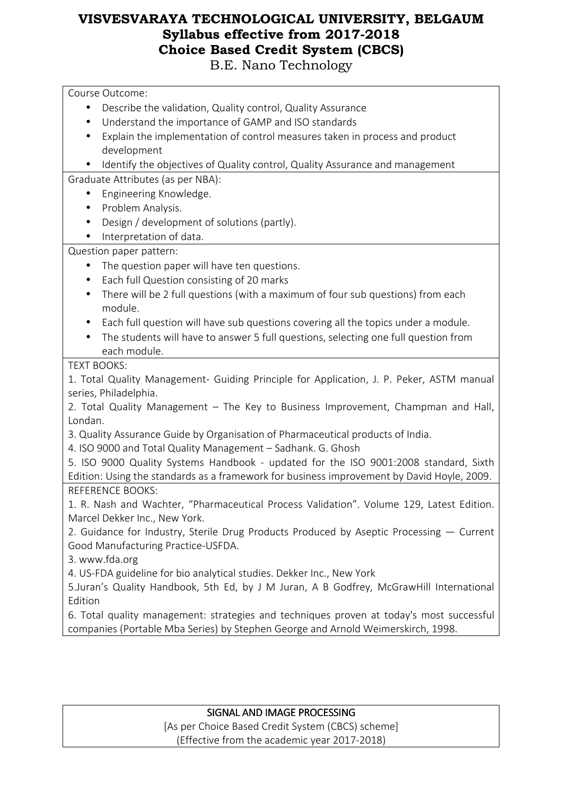Course Outcome: • Describe the validation, Quality control, Quality Assurance • Understand the importance of GAMP and ISO standards • Explain the implementation of control measures taken in process and product development • Identify the objectives of Quality control, Quality Assurance and management Graduate Attributes (as per NBA): • Engineering Knowledge. • Problem Analysis. • Design / development of solutions (partly). • Interpretation of data. Question paper pattern: • The question paper will have ten questions. • Each full Question consisting of 20 marks • There will be 2 full questions (with a maximum of four sub questions) from each module. • Each full question will have sub questions covering all the topics under a module. • The students will have to answer 5 full questions, selecting one full question from each module. TEXT BOOKS: 1. Total Quality Management- Guiding Principle for Application, J. P. Peker, ASTM manual series, Philadelphia. 2. Total Quality Management – The Key to Business Improvement, Champman and Hall, Londan. 3. Quality Assurance Guide by Organisation of Pharmaceutical products of India. 4. ISO 9000 and Total Quality Management – Sadhank. G. Ghosh 5. ISO 9000 Quality Systems Handbook - updated for the ISO 9001:2008 standard, Sixth Edition: Using the standards as a framework for business improvement by David Hoyle, 2009. REFERENCE BOOKS: 1. R. Nash and Wachter, "Pharmaceutical Process Validation". Volume 129, Latest Edition. Marcel Dekker Inc., New York. 2. Guidance for Industry, Sterile Drug Products Produced by Aseptic Processing — Current Good Manufacturing Practice-USFDA. 3. www.fda.org 4. US-FDA guideline for bio analytical studies. Dekker Inc., New York 5.Juran's Quality Handbook, 5th Ed, by J M Juran, A B Godfrey, McGrawHill International Edition 6. Total quality management: strategies and techniques proven at today's most successful companies (Portable Mba Series) by Stephen George and Arnold Weimerskirch, 1998.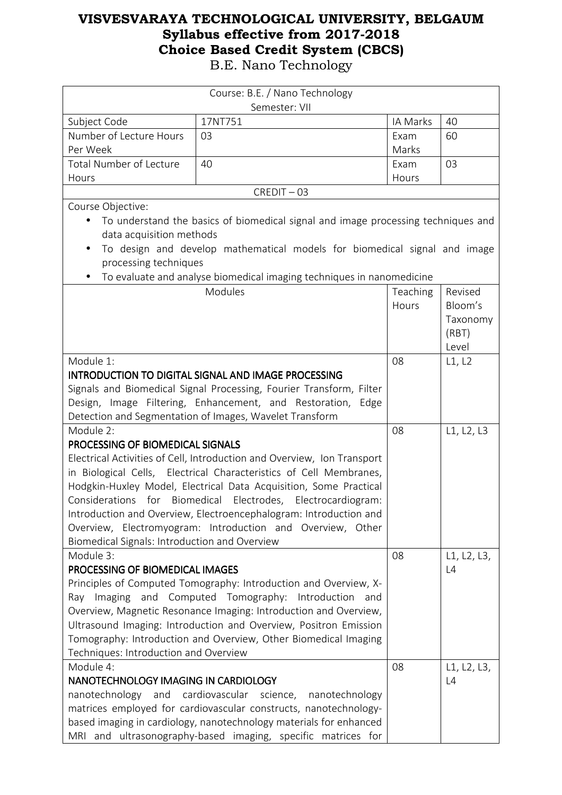| Course: B.E. / Nano Technology                                          |                                                                                   |          |             |
|-------------------------------------------------------------------------|-----------------------------------------------------------------------------------|----------|-------------|
| Semester: VII                                                           |                                                                                   |          |             |
| Subject Code                                                            | 17NT751                                                                           | IA Marks | 40          |
| Number of Lecture Hours                                                 | 03                                                                                | Exam     | 60          |
| Per Week                                                                |                                                                                   | Marks    |             |
| Total Number of Lecture                                                 | 40                                                                                | Exam     | 03          |
| Hours                                                                   |                                                                                   | Hours    |             |
|                                                                         | $CREDIT - 03$                                                                     |          |             |
| Course Objective:                                                       |                                                                                   |          |             |
| $\bullet$                                                               | To understand the basics of biomedical signal and image processing techniques and |          |             |
| data acquisition methods                                                |                                                                                   |          |             |
| $\bullet$                                                               | To design and develop mathematical models for biomedical signal and image         |          |             |
| processing techniques                                                   |                                                                                   |          |             |
| $\bullet$                                                               | To evaluate and analyse biomedical imaging techniques in nanomedicine             |          |             |
|                                                                         | Modules                                                                           | Teaching | Revised     |
|                                                                         |                                                                                   | Hours    | Bloom's     |
|                                                                         |                                                                                   |          | Taxonomy    |
|                                                                         |                                                                                   |          | (RBT)       |
|                                                                         |                                                                                   |          | Level       |
| Module 1:                                                               |                                                                                   | 08       | L1, L2      |
| <b>INTRODUCTION TO DIGITAL SIGNAL AND IMAGE PROCESSING</b>              |                                                                                   |          |             |
|                                                                         | Signals and Biomedical Signal Processing, Fourier Transform, Filter               |          |             |
|                                                                         | Design, Image Filtering, Enhancement, and Restoration, Edge                       |          |             |
|                                                                         | Detection and Segmentation of Images, Wavelet Transform                           |          |             |
| Module 2:                                                               |                                                                                   | 08       | L1, L2, L3  |
| PROCESSING OF BIOMEDICAL SIGNALS                                        |                                                                                   |          |             |
| Electrical Activities of Cell, Introduction and Overview, Ion Transport |                                                                                   |          |             |
|                                                                         | in Biological Cells, Electrical Characteristics of Cell Membranes,                |          |             |
|                                                                         | Hodgkin-Huxley Model, Electrical Data Acquisition, Some Practical                 |          |             |
| Considerations for Biomedical Electrodes, Electrocardiogram:            |                                                                                   |          |             |
|                                                                         | Introduction and Overview, Electroencephalogram: Introduction and                 |          |             |
|                                                                         | Overview, Electromyogram: Introduction and Overview, Other                        |          |             |
| Biomedical Signals: Introduction and Overview                           |                                                                                   |          |             |
| Module 3:                                                               |                                                                                   | 08       | L1, L2, L3, |
| PROCESSING OF BIOMEDICAL IMAGES                                         |                                                                                   |          | L4          |
|                                                                         | Principles of Computed Tomography: Introduction and Overview, X-                  |          |             |
|                                                                         | Ray Imaging and Computed Tomography: Introduction<br>and                          |          |             |
|                                                                         | Overview, Magnetic Resonance Imaging: Introduction and Overview,                  |          |             |
|                                                                         | Ultrasound Imaging: Introduction and Overview, Positron Emission                  |          |             |
|                                                                         | Tomography: Introduction and Overview, Other Biomedical Imaging                   |          |             |
| Techniques: Introduction and Overview                                   |                                                                                   |          |             |
| Module 4:                                                               |                                                                                   | 08       | L1, L2, L3, |
| NANOTECHNOLOGY IMAGING IN CARDIOLOGY                                    |                                                                                   |          | L4          |
| nanotechnology<br>cardiovascular science,<br>and<br>nanotechnology      |                                                                                   |          |             |
| matrices employed for cardiovascular constructs, nanotechnology-        |                                                                                   |          |             |
|                                                                         | based imaging in cardiology, nanotechnology materials for enhanced                |          |             |
|                                                                         | MRI and ultrasonography-based imaging, specific matrices for                      |          |             |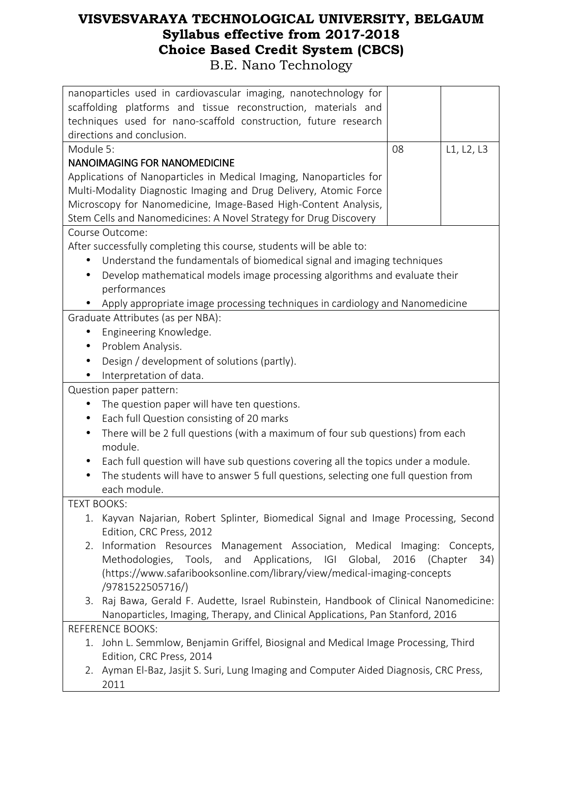| nanoparticles used in cardiovascular imaging, nanotechnology for<br>scaffolding platforms and tissue reconstruction, materials and<br>techniques used for nano-scaffold construction, future research<br>directions and conclusion. |    |                 |  |
|-------------------------------------------------------------------------------------------------------------------------------------------------------------------------------------------------------------------------------------|----|-----------------|--|
| Module 5:                                                                                                                                                                                                                           | 08 | L1, L2, L3      |  |
| <b>NANOIMAGING FOR NANOMEDICINE</b>                                                                                                                                                                                                 |    |                 |  |
| Applications of Nanoparticles in Medical Imaging, Nanoparticles for                                                                                                                                                                 |    |                 |  |
| Multi-Modality Diagnostic Imaging and Drug Delivery, Atomic Force                                                                                                                                                                   |    |                 |  |
| Microscopy for Nanomedicine, Image-Based High-Content Analysis,                                                                                                                                                                     |    |                 |  |
| Stem Cells and Nanomedicines: A Novel Strategy for Drug Discovery                                                                                                                                                                   |    |                 |  |
| Course Outcome:                                                                                                                                                                                                                     |    |                 |  |
| After successfully completing this course, students will be able to:                                                                                                                                                                |    |                 |  |
| Understand the fundamentals of biomedical signal and imaging techniques<br>$\bullet$                                                                                                                                                |    |                 |  |
| Develop mathematical models image processing algorithms and evaluate their                                                                                                                                                          |    |                 |  |
| performances                                                                                                                                                                                                                        |    |                 |  |
| Apply appropriate image processing techniques in cardiology and Nanomedicine                                                                                                                                                        |    |                 |  |
| Graduate Attributes (as per NBA):                                                                                                                                                                                                   |    |                 |  |
| Engineering Knowledge.<br>$\bullet$                                                                                                                                                                                                 |    |                 |  |
| Problem Analysis.<br>$\bullet$                                                                                                                                                                                                      |    |                 |  |
| Design / development of solutions (partly).                                                                                                                                                                                         |    |                 |  |
| Interpretation of data.<br>٠                                                                                                                                                                                                        |    |                 |  |
| Question paper pattern:                                                                                                                                                                                                             |    |                 |  |
| The question paper will have ten questions.<br>$\bullet$                                                                                                                                                                            |    |                 |  |
| Each full Question consisting of 20 marks<br>$\bullet$                                                                                                                                                                              |    |                 |  |
| There will be 2 full questions (with a maximum of four sub questions) from each<br>$\bullet$                                                                                                                                        |    |                 |  |
| module.                                                                                                                                                                                                                             |    |                 |  |
| Each full question will have sub questions covering all the topics under a module.                                                                                                                                                  |    |                 |  |
| The students will have to answer 5 full questions, selecting one full question from                                                                                                                                                 |    |                 |  |
| each module.                                                                                                                                                                                                                        |    |                 |  |
| <b>TEXT BOOKS:</b>                                                                                                                                                                                                                  |    |                 |  |
| Kayvan Najarian, Robert Splinter, Biomedical Signal and Image Processing, Second<br>1.                                                                                                                                              |    |                 |  |
| Edition, CRC Press, 2012<br>Information Resources Management Association, Medical Imaging: Concepts,<br>2.                                                                                                                          |    |                 |  |
| Methodologies, Tools, and<br>Applications, IGI Global, 2016                                                                                                                                                                         |    | (Chapter<br>34) |  |
| (https://www.safaribooksonline.com/library/view/medical-imaging-concepts                                                                                                                                                            |    |                 |  |
| /9781522505716/)                                                                                                                                                                                                                    |    |                 |  |
| Raj Bawa, Gerald F. Audette, Israel Rubinstein, Handbook of Clinical Nanomedicine:<br>3.                                                                                                                                            |    |                 |  |
| Nanoparticles, Imaging, Therapy, and Clinical Applications, Pan Stanford, 2016                                                                                                                                                      |    |                 |  |
| <b>REFERENCE BOOKS:</b>                                                                                                                                                                                                             |    |                 |  |
| 1. John L. Semmlow, Benjamin Griffel, Biosignal and Medical Image Processing, Third                                                                                                                                                 |    |                 |  |
| Edition, CRC Press, 2014                                                                                                                                                                                                            |    |                 |  |
| Ayman El-Baz, Jasjit S. Suri, Lung Imaging and Computer Aided Diagnosis, CRC Press,<br>2.                                                                                                                                           |    |                 |  |
| 2011                                                                                                                                                                                                                                |    |                 |  |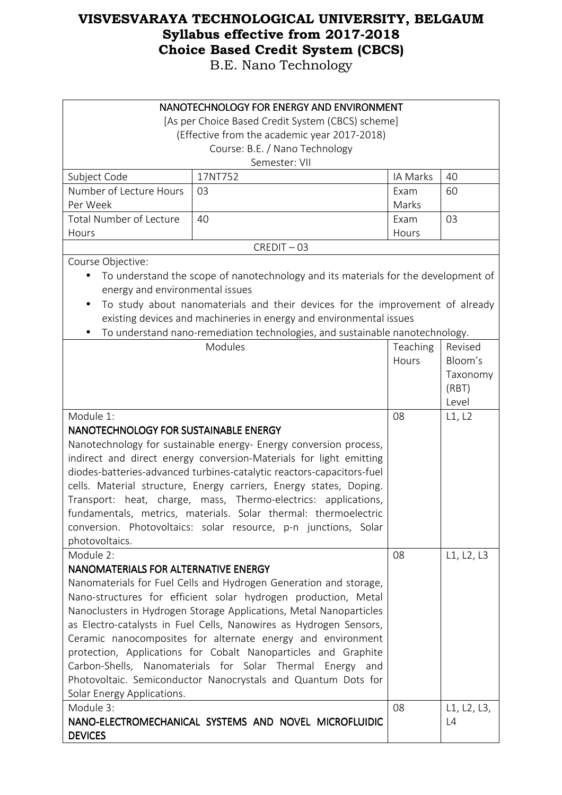| NANOTECHNOLOGY FOR ENERGY AND ENVIRONMENT                             |                                                                                    |          |             |
|-----------------------------------------------------------------------|------------------------------------------------------------------------------------|----------|-------------|
|                                                                       | [As per Choice Based Credit System (CBCS) scheme]                                  |          |             |
|                                                                       | (Effective from the academic year 2017-2018)                                       |          |             |
|                                                                       | Course: B.E. / Nano Technology<br>Semester: VII                                    |          |             |
|                                                                       | 17NT752                                                                            | IA Marks | 40          |
| Subject Code<br>Number of Lecture Hours                               | 03                                                                                 | Exam     | 60          |
| Per Week                                                              |                                                                                    | Marks    |             |
| Total Number of Lecture                                               | 40                                                                                 | Exam     | 03          |
| Hours                                                                 |                                                                                    | Hours    |             |
|                                                                       | $CREDIT - 03$                                                                      |          |             |
| Course Objective:                                                     |                                                                                    |          |             |
|                                                                       |                                                                                    |          |             |
| $\bullet$                                                             | To understand the scope of nanotechnology and its materials for the development of |          |             |
| energy and environmental issues                                       |                                                                                    |          |             |
| $\bullet$                                                             | To study about nanomaterials and their devices for the improvement of already      |          |             |
|                                                                       | existing devices and machineries in energy and environmental issues                |          |             |
|                                                                       | To understand nano-remediation technologies, and sustainable nanotechnology.       |          |             |
|                                                                       | Modules                                                                            | Teaching | Revised     |
|                                                                       |                                                                                    | Hours    | Bloom's     |
|                                                                       |                                                                                    |          | Taxonomy    |
|                                                                       |                                                                                    |          | (RBT)       |
|                                                                       |                                                                                    |          | Level       |
| Module 1:                                                             |                                                                                    | 08       | L1, L2      |
| NANOTECHNOLOGY FOR SUSTAINABLE ENERGY                                 |                                                                                    |          |             |
| Nanotechnology for sustainable energy- Energy conversion process,     |                                                                                    |          |             |
| indirect and direct energy conversion-Materials for light emitting    |                                                                                    |          |             |
| diodes-batteries-advanced turbines-catalytic reactors-capacitors-fuel |                                                                                    |          |             |
| cells. Material structure, Energy carriers, Energy states, Doping.    |                                                                                    |          |             |
| Transport: heat, charge, mass, Thermo-electrics: applications,        |                                                                                    |          |             |
| fundamentals, metrics, materials. Solar thermal: thermoelectric       |                                                                                    |          |             |
|                                                                       | conversion. Photovoltaics: solar resource, p-n junctions, Solar                    |          |             |
| photovoltaics.                                                        |                                                                                    |          |             |
| Module 2:                                                             |                                                                                    | 08       | L1, L2, L3  |
| NANOMATERIALS FOR ALTERNATIVE ENERGY                                  |                                                                                    |          |             |
|                                                                       | Nanomaterials for Fuel Cells and Hydrogen Generation and storage,                  |          |             |
|                                                                       | Nano-structures for efficient solar hydrogen production, Metal                     |          |             |
|                                                                       | Nanoclusters in Hydrogen Storage Applications, Metal Nanoparticles                 |          |             |
|                                                                       | as Electro-catalysts in Fuel Cells, Nanowires as Hydrogen Sensors,                 |          |             |
|                                                                       | Ceramic nanocomposites for alternate energy and environment                        |          |             |
|                                                                       | protection, Applications for Cobalt Nanoparticles and Graphite                     |          |             |
|                                                                       | Carbon-Shells, Nanomaterials for Solar Thermal Energy and                          |          |             |
| Photovoltaic. Semiconductor Nanocrystals and Quantum Dots for         |                                                                                    |          |             |
| Solar Energy Applications.                                            |                                                                                    |          |             |
| Module 3:                                                             |                                                                                    | 08       | L1, L2, L3, |
|                                                                       | NANO-ELECTROMECHANICAL SYSTEMS AND NOVEL MICROFLUIDIC                              |          | L4          |
| <b>DEVICES</b>                                                        |                                                                                    |          |             |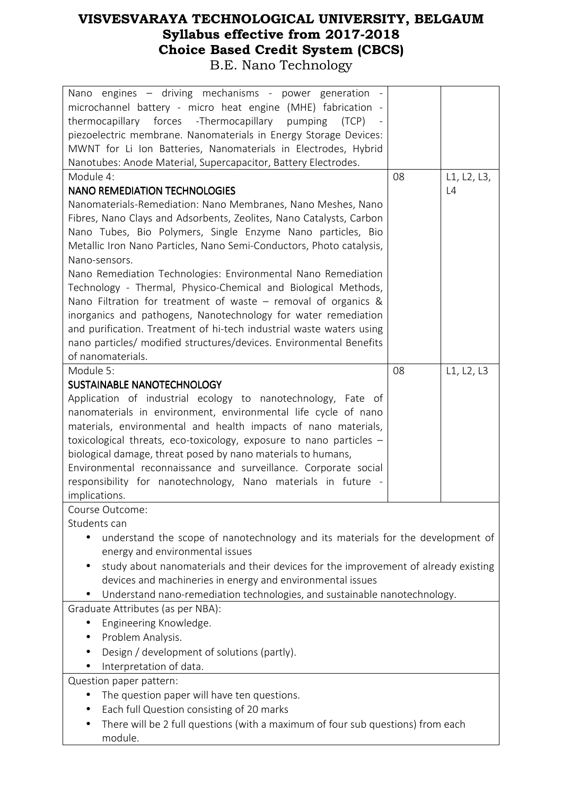| Nano engines - driving mechanisms - power generation -                              |    |             |
|-------------------------------------------------------------------------------------|----|-------------|
| microchannel battery - micro heat engine (MHE) fabrication -                        |    |             |
| thermocapillary forces -Thermocapillary<br>pumping<br>(TCP)                         |    |             |
| piezoelectric membrane. Nanomaterials in Energy Storage Devices:                    |    |             |
| MWNT for Li Ion Batteries, Nanomaterials in Electrodes, Hybrid                      |    |             |
| Nanotubes: Anode Material, Supercapacitor, Battery Electrodes.                      |    |             |
| Module 4:                                                                           | 08 | L1, L2, L3, |
| <b>NANO REMEDIATION TECHNOLOGIES</b>                                                |    | L4          |
| Nanomaterials-Remediation: Nano Membranes, Nano Meshes, Nano                        |    |             |
| Fibres, Nano Clays and Adsorbents, Zeolites, Nano Catalysts, Carbon                 |    |             |
| Nano Tubes, Bio Polymers, Single Enzyme Nano particles, Bio                         |    |             |
| Metallic Iron Nano Particles, Nano Semi-Conductors, Photo catalysis,                |    |             |
| Nano-sensors.                                                                       |    |             |
| Nano Remediation Technologies: Environmental Nano Remediation                       |    |             |
| Technology - Thermal, Physico-Chemical and Biological Methods,                      |    |             |
| Nano Filtration for treatment of waste $-$ removal of organics &                    |    |             |
| inorganics and pathogens, Nanotechnology for water remediation                      |    |             |
| and purification. Treatment of hi-tech industrial waste waters using                |    |             |
| nano particles/ modified structures/devices. Environmental Benefits                 |    |             |
| of nanomaterials.                                                                   |    |             |
| Module 5:                                                                           | 08 | L1, L2, L3  |
| SUSTAINABLE NANOTECHNOLOGY                                                          |    |             |
| Application of industrial ecology to nanotechnology, Fate of                        |    |             |
| nanomaterials in environment, environmental life cycle of nano                      |    |             |
| materials, environmental and health impacts of nano materials,                      |    |             |
| toxicological threats, eco-toxicology, exposure to nano particles -                 |    |             |
| biological damage, threat posed by nano materials to humans,                        |    |             |
| Environmental reconnaissance and surveillance. Corporate social                     |    |             |
| responsibility for nanotechnology, Nano materials in future -                       |    |             |
| implications.                                                                       |    |             |
| Course Outcome:                                                                     |    |             |
| Students can                                                                        |    |             |
| understand the scope of nanotechnology and its materials for the development of     |    |             |
| energy and environmental issues                                                     |    |             |
| study about nanomaterials and their devices for the improvement of already existing |    |             |
| devices and machineries in energy and environmental issues                          |    |             |
| Understand nano-remediation technologies, and sustainable nanotechnology.           |    |             |
| Graduate Attributes (as per NBA):                                                   |    |             |
| Engineering Knowledge.                                                              |    |             |
| Problem Analysis.                                                                   |    |             |
| Design / development of solutions (partly).                                         |    |             |
| Interpretation of data.                                                             |    |             |
|                                                                                     |    |             |
| Question paper pattern:                                                             |    |             |
| The question paper will have ten questions.                                         |    |             |
| Each full Question consisting of 20 marks                                           |    |             |
| There will be 2 full questions (with a maximum of four sub questions) from each     |    |             |
| module.                                                                             |    |             |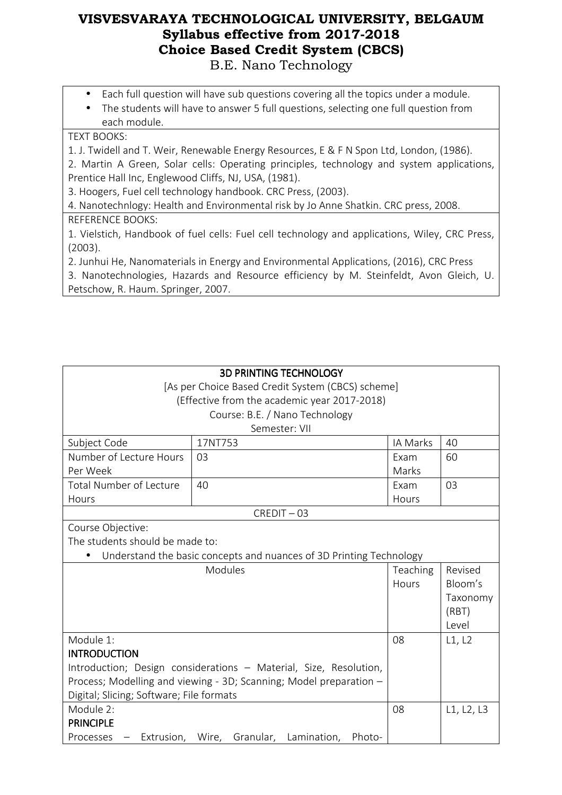- Each full question will have sub questions covering all the topics under a module.
- The students will have to answer 5 full questions, selecting one full question from each module.

#### TEXT BOOKS:

1. J. Twidell and T. Weir, Renewable Energy Resources, E & F N Spon Ltd, London, (1986).

2. Martin A Green, Solar cells: Operating principles, technology and system applications, Prentice Hall Inc, Englewood Cliffs, NJ, USA, (1981).

3. Hoogers, Fuel cell technology handbook. CRC Press, (2003).

4. Nanotechnlogy: Health and Environmental risk by Jo Anne Shatkin. CRC press, 2008.

REFERENCE BOOKS:

1. Vielstich, Handbook of fuel cells: Fuel cell technology and applications, Wiley, CRC Press, (2003).

2. Junhui He, Nanomaterials in Energy and Environmental Applications, (2016), CRC Press

3. Nanotechnologies, Hazards and Resource efficiency by M. Steinfeldt, Avon Gleich, U. Petschow, R. Haum. Springer, 2007.

| <b>3D PRINTING TECHNOLOGY</b>                                      |                                                                     |          |            |
|--------------------------------------------------------------------|---------------------------------------------------------------------|----------|------------|
|                                                                    | [As per Choice Based Credit System (CBCS) scheme]                   |          |            |
|                                                                    | (Effective from the academic year 2017-2018)                        |          |            |
|                                                                    | Course: B.E. / Nano Technology                                      |          |            |
|                                                                    | Semester: VII                                                       |          |            |
| Subject Code                                                       | 17NT753                                                             | IA Marks | 40         |
| Number of Lecture Hours                                            | 03                                                                  | Exam     | 60         |
| Per Week                                                           |                                                                     | Marks    |            |
| Total Number of Lecture                                            | 40                                                                  | Exam     | 03         |
| Hours                                                              |                                                                     | Hours    |            |
|                                                                    | CREDIT-03                                                           |          |            |
| Course Objective:                                                  |                                                                     |          |            |
| The students should be made to:                                    |                                                                     |          |            |
|                                                                    | Understand the basic concepts and nuances of 3D Printing Technology |          |            |
| Modules                                                            |                                                                     |          | Revised    |
|                                                                    |                                                                     | Hours    | Bloom's    |
|                                                                    |                                                                     |          | Taxonomy   |
|                                                                    |                                                                     |          | (RBT)      |
|                                                                    |                                                                     |          | Level      |
| Module 1:                                                          |                                                                     | 08       | L1, L2     |
| <b>INTRODUCTION</b>                                                |                                                                     |          |            |
|                                                                    | Introduction; Design considerations - Material, Size, Resolution,   |          |            |
| Process; Modelling and viewing - 3D; Scanning; Model preparation - |                                                                     |          |            |
| Digital; Slicing; Software; File formats                           |                                                                     |          |            |
| Module 2:                                                          |                                                                     |          | L1, L2, L3 |
| <b>PRINCIPLE</b>                                                   |                                                                     |          |            |
| Processes                                                          | Extrusion, Wire, Granular,<br>Lamination,<br>Photo-                 |          |            |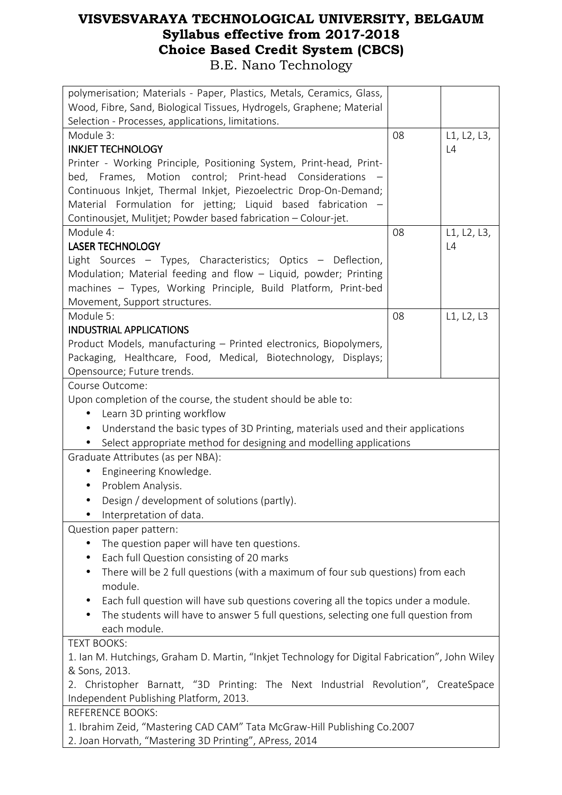| polymerisation; Materials - Paper, Plastics, Metals, Ceramics, Glass,                          |    |             |  |
|------------------------------------------------------------------------------------------------|----|-------------|--|
| Wood, Fibre, Sand, Biological Tissues, Hydrogels, Graphene; Material                           |    |             |  |
| Selection - Processes, applications, limitations.                                              |    |             |  |
| Module 3:                                                                                      | 08 | L1, L2, L3, |  |
| <b>INKJET TECHNOLOGY</b>                                                                       |    | L4          |  |
| Printer - Working Principle, Positioning System, Print-head, Print-                            |    |             |  |
| bed, Frames, Motion control; Print-head Considerations                                         |    |             |  |
| Continuous Inkjet, Thermal Inkjet, Piezoelectric Drop-On-Demand;                               |    |             |  |
| Material Formulation for jetting; Liquid based fabrication -                                   |    |             |  |
| Continousjet, Mulitjet; Powder based fabrication - Colour-jet.                                 |    |             |  |
| Module 4:                                                                                      | 08 | L1, L2, L3, |  |
| <b>LASER TECHNOLOGY</b>                                                                        |    | L4          |  |
| Light Sources - Types, Characteristics; Optics - Deflection,                                   |    |             |  |
| Modulation; Material feeding and flow - Liquid, powder; Printing                               |    |             |  |
| machines - Types, Working Principle, Build Platform, Print-bed                                 |    |             |  |
| Movement, Support structures.<br>Module 5:                                                     | 08 | L1, L2, L3  |  |
| <b>INDUSTRIAL APPLICATIONS</b>                                                                 |    |             |  |
| Product Models, manufacturing - Printed electronics, Biopolymers,                              |    |             |  |
| Packaging, Healthcare, Food, Medical, Biotechnology, Displays;                                 |    |             |  |
| Opensource; Future trends.                                                                     |    |             |  |
| Course Outcome:                                                                                |    |             |  |
| Upon completion of the course, the student should be able to:                                  |    |             |  |
| Learn 3D printing workflow<br>$\bullet$                                                        |    |             |  |
| Understand the basic types of 3D Printing, materials used and their applications<br>$\bullet$  |    |             |  |
| Select appropriate method for designing and modelling applications                             |    |             |  |
| Graduate Attributes (as per NBA):                                                              |    |             |  |
| Engineering Knowledge.                                                                         |    |             |  |
| Problem Analysis.                                                                              |    |             |  |
| Design / development of solutions (partly).                                                    |    |             |  |
| Interpretation of data.                                                                        |    |             |  |
| Question paper pattern:                                                                        |    |             |  |
| The question paper will have ten questions.                                                    |    |             |  |
| Each full Question consisting of 20 marks                                                      |    |             |  |
| There will be 2 full questions (with a maximum of four sub questions) from each<br>$\bullet$   |    |             |  |
| module.                                                                                        |    |             |  |
| Each full question will have sub questions covering all the topics under a module.             |    |             |  |
| The students will have to answer 5 full questions, selecting one full question from            |    |             |  |
| each module.                                                                                   |    |             |  |
| <b>TEXT BOOKS:</b>                                                                             |    |             |  |
| 1. Ian M. Hutchings, Graham D. Martin, "Inkjet Technology for Digital Fabrication", John Wiley |    |             |  |
| & Sons, 2013.                                                                                  |    |             |  |
| 2. Christopher Barnatt, "3D Printing: The Next Industrial Revolution", CreateSpace             |    |             |  |
| Independent Publishing Platform, 2013.                                                         |    |             |  |
| <b>REFERENCE BOOKS:</b>                                                                        |    |             |  |
| 1. Ibrahim Zeid, "Mastering CAD CAM" Tata McGraw-Hill Publishing Co.2007                       |    |             |  |
| 2. Joan Horvath, "Mastering 3D Printing", APress, 2014                                         |    |             |  |
|                                                                                                |    |             |  |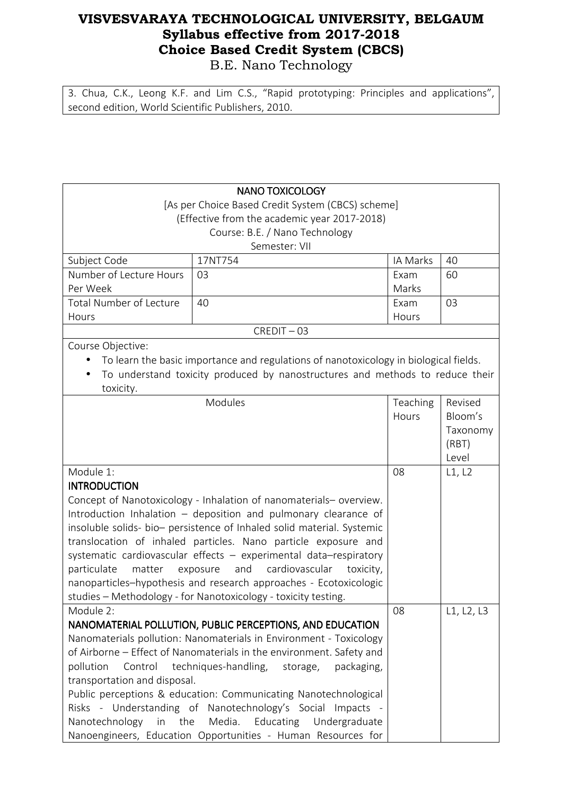3. Chua, C.K., Leong K.F. and Lim C.S., "Rapid prototyping: Principles and applications",

second edition, World Scientific Publishers, 2010.

| <b>NANO TOXICOLOGY</b>                                                 |                                                                                                           |          |            |
|------------------------------------------------------------------------|-----------------------------------------------------------------------------------------------------------|----------|------------|
|                                                                        | [As per Choice Based Credit System (CBCS) scheme]                                                         |          |            |
|                                                                        | (Effective from the academic year 2017-2018)                                                              |          |            |
|                                                                        | Course: B.E. / Nano Technology                                                                            |          |            |
|                                                                        | Semester: VII                                                                                             |          |            |
| Subject Code                                                           | 17NT754                                                                                                   | IA Marks | 40         |
| Number of Lecture Hours                                                | 03                                                                                                        | Exam     | 60         |
| Per Week                                                               |                                                                                                           | Marks    |            |
| <b>Total Number of Lecture</b>                                         | 40                                                                                                        | Exam     | 03         |
| Hours                                                                  |                                                                                                           | Hours    |            |
|                                                                        | $CREDIT - 03$                                                                                             |          |            |
| Course Objective:                                                      |                                                                                                           |          |            |
|                                                                        | To learn the basic importance and regulations of nanotoxicology in biological fields.                     |          |            |
|                                                                        | To understand toxicity produced by nanostructures and methods to reduce their                             |          |            |
| toxicity.                                                              |                                                                                                           |          |            |
|                                                                        | Modules                                                                                                   | Teaching | Revised    |
|                                                                        |                                                                                                           | Hours    | Bloom's    |
|                                                                        |                                                                                                           |          | Taxonomy   |
|                                                                        |                                                                                                           |          | (RBT)      |
|                                                                        |                                                                                                           |          | Level      |
| Module 1:                                                              |                                                                                                           | 08       | L1, L2     |
| <b>INTRODUCTION</b>                                                    |                                                                                                           |          |            |
| Concept of Nanotoxicology - Inhalation of nanomaterials- overview.     |                                                                                                           |          |            |
| Introduction Inhalation - deposition and pulmonary clearance of        |                                                                                                           |          |            |
| insoluble solids- bio- persistence of Inhaled solid material. Systemic |                                                                                                           |          |            |
| translocation of inhaled particles. Nano particle exposure and         |                                                                                                           |          |            |
|                                                                        | systematic cardiovascular effects - experimental data-respiratory                                         |          |            |
| particulate<br>matter                                                  | and<br>cardiovascular<br>exposure<br>toxicity,                                                            |          |            |
|                                                                        | nanoparticles-hypothesis and research approaches - Ecotoxicologic                                         |          |            |
|                                                                        | studies - Methodology - for Nanotoxicology - toxicity testing.                                            |          |            |
| Module 2:                                                              |                                                                                                           | 08       | L1, L2, L3 |
|                                                                        | NANOMATERIAL POLLUTION, PUBLIC PERCEPTIONS, AND EDUCATION                                                 |          |            |
|                                                                        | Nanomaterials pollution: Nanomaterials in Environment - Toxicology                                        |          |            |
|                                                                        | of Airborne - Effect of Nanomaterials in the environment. Safety and                                      |          |            |
| pollution<br>Control                                                   | techniques-handling,<br>packaging,<br>storage,                                                            |          |            |
| transportation and disposal.                                           |                                                                                                           |          |            |
|                                                                        | Public perceptions & education: Communicating Nanotechnological                                           |          |            |
|                                                                        |                                                                                                           |          |            |
| Nanotechnology<br>in                                                   | Risks - Understanding of Nanotechnology's Social Impacts -<br>the<br>Media.<br>Educating<br>Undergraduate |          |            |
|                                                                        | Nanoengineers, Education Opportunities - Human Resources for                                              |          |            |
|                                                                        |                                                                                                           |          |            |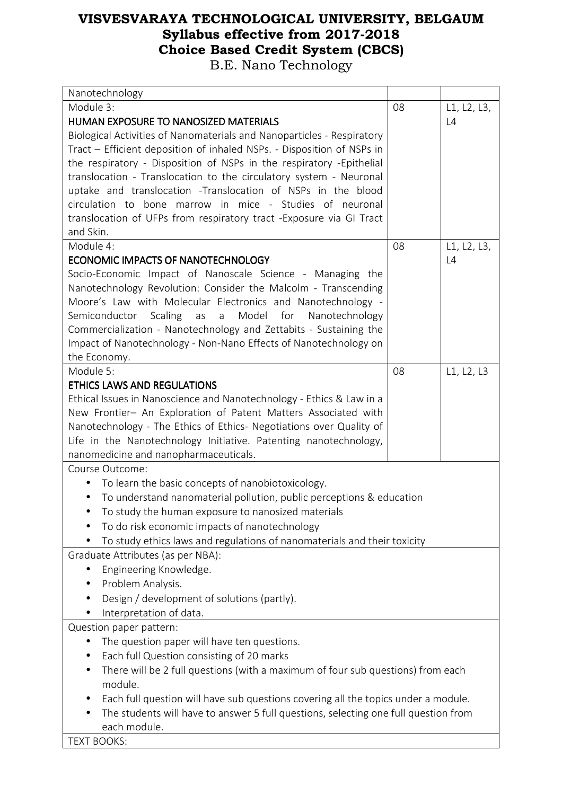| Nanotechnology                                                                      |    |             |
|-------------------------------------------------------------------------------------|----|-------------|
| Module 3:                                                                           | 08 | L1, L2, L3, |
| HUMAN EXPOSURE TO NANOSIZED MATERIALS                                               |    | L4          |
| Biological Activities of Nanomaterials and Nanoparticles - Respiratory              |    |             |
| Tract - Efficient deposition of inhaled NSPs. - Disposition of NSPs in              |    |             |
| the respiratory - Disposition of NSPs in the respiratory - Epithelial               |    |             |
| translocation - Translocation to the circulatory system - Neuronal                  |    |             |
| uptake and translocation -Translocation of NSPs in the blood                        |    |             |
| circulation to bone marrow in mice - Studies of neuronal                            |    |             |
| translocation of UFPs from respiratory tract - Exposure via GI Tract                |    |             |
| and Skin.                                                                           |    |             |
| Module 4:                                                                           | 08 | L1, L2, L3, |
| ECONOMIC IMPACTS OF NANOTECHNOLOGY                                                  |    | L4          |
| Socio-Economic Impact of Nanoscale Science - Managing the                           |    |             |
| Nanotechnology Revolution: Consider the Malcolm - Transcending                      |    |             |
| Moore's Law with Molecular Electronics and Nanotechnology -                         |    |             |
| Scaling<br>Model for Nanotechnology<br>Semiconductor<br>as<br>a                     |    |             |
| Commercialization - Nanotechnology and Zettabits - Sustaining the                   |    |             |
| Impact of Nanotechnology - Non-Nano Effects of Nanotechnology on                    |    |             |
| the Economy.                                                                        |    |             |
| Module 5:                                                                           | 08 | L1, L2, L3  |
| <b>ETHICS LAWS AND REGULATIONS</b>                                                  |    |             |
| Ethical Issues in Nanoscience and Nanotechnology - Ethics & Law in a                |    |             |
| New Frontier- An Exploration of Patent Matters Associated with                      |    |             |
| Nanotechnology - The Ethics of Ethics- Negotiations over Quality of                 |    |             |
| Life in the Nanotechnology Initiative. Patenting nanotechnology,                    |    |             |
| nanomedicine and nanopharmaceuticals.                                               |    |             |
| Course Outcome:                                                                     |    |             |
| To learn the basic concepts of nanobiotoxicology.<br>$\bullet$                      |    |             |
| To understand nanomaterial pollution, public perceptions & education                |    |             |
| To study the human exposure to nanosized materials                                  |    |             |
| To do risk economic impacts of nanotechnology                                       |    |             |
| To study ethics laws and regulations of nanomaterials and their toxicity            |    |             |
| Graduate Attributes (as per NBA):                                                   |    |             |
| Engineering Knowledge.                                                              |    |             |
| Problem Analysis.                                                                   |    |             |
| Design / development of solutions (partly).                                         |    |             |
| Interpretation of data.                                                             |    |             |
| Question paper pattern:                                                             |    |             |
| The question paper will have ten questions.<br>$\bullet$                            |    |             |
| Each full Question consisting of 20 marks                                           |    |             |
| There will be 2 full questions (with a maximum of four sub questions) from each     |    |             |
| module.                                                                             |    |             |
| Each full question will have sub questions covering all the topics under a module.  |    |             |
| The students will have to answer 5 full questions, selecting one full question from |    |             |
| each module.                                                                        |    |             |
| <b>TEXT BOOKS:</b>                                                                  |    |             |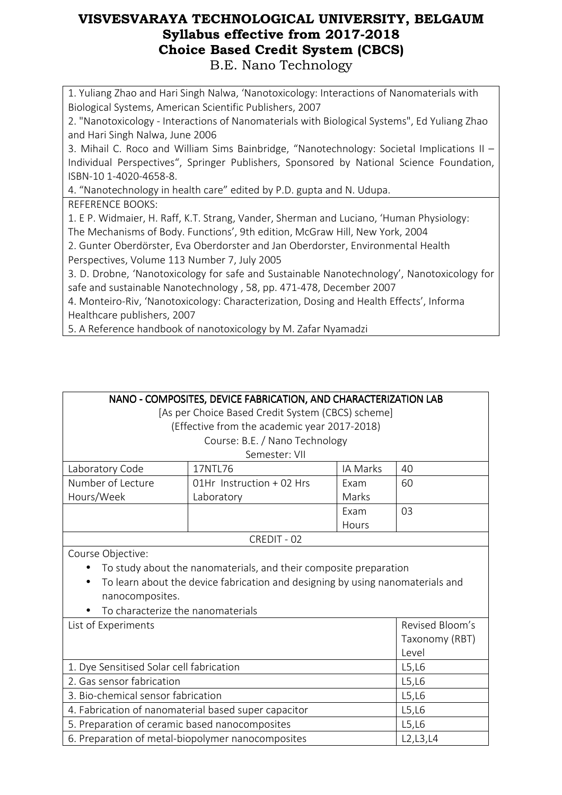1. Yuliang Zhao and Hari Singh Nalwa, 'Nanotoxicology: Interactions of Nanomaterials with Biological Systems, American Scientific Publishers, 2007

2. "Nanotoxicology - Interactions of Nanomaterials with Biological Systems", Ed Yuliang Zhao and Hari Singh Nalwa, June 2006

3. Mihail C. Roco and William Sims Bainbridge, "Nanotechnology: Societal Implications II – Individual Perspectives", Springer Publishers, Sponsored by National Science Foundation, ISBN-10 1-4020-4658-8.

4. "Nanotechnology in health care" edited by P.D. gupta and N. Udupa.

REFERENCE BOOKS:

1. E P. Widmaier, H. Raff, K.T. Strang, Vander, Sherman and Luciano, 'Human Physiology: The Mechanisms of Body. Functions', 9th edition, McGraw Hill, New York, 2004

2. Gunter Oberdörster, Eva Oberdorster and Jan Oberdorster, Environmental Health Perspectives, Volume 113 Number 7, July 2005

3. D. Drobne, 'Nanotoxicology for safe and Sustainable Nanotechnology', Nanotoxicology for safe and sustainable Nanotechnology , 58, pp. 471-478, December 2007

4. Monteiro-Riv, 'Nanotoxicology: Characterization, Dosing and Health Effects', Informa Healthcare publishers, 2007

5. A Reference handbook of nanotoxicology by M. Zafar Nyamadzi

| NANO - COMPOSITES, DEVICE FABRICATION, AND CHARACTERIZATION LAB |  |
|-----------------------------------------------------------------|--|
|                                                                 |  |

[As per Choice Based Credit System (CBCS) scheme]

(Effective from the academic year 2017-2018)

Course: B.E. / Nano Technology

| Semester: VII     |                              |          |    |
|-------------------|------------------------------|----------|----|
| Laboratory Code   | 17NTL76                      | IA Marks | 40 |
| Number of Lecture | $01$ Hr Instruction + 02 Hrs | Exam     | 60 |
| Hours/Week        | Laboratory                   | Marks    |    |
|                   |                              | Exam     | 03 |
|                   |                              | Hours    |    |
| CREDIT - 02       |                              |          |    |

Course Objective:

- To study about the nanomaterials, and their composite preparation
- To learn about the device fabrication and designing by using nanomaterials and nanocomposites.
- To characterize the nanomaterials

| List of Experiments                                  | Revised Bloom's |
|------------------------------------------------------|-----------------|
|                                                      | Taxonomy (RBT)  |
|                                                      | Level           |
| 1. Dye Sensitised Solar cell fabrication             | L5,L6           |
| 2. Gas sensor fabrication                            | L5,L6           |
| 3. Bio-chemical sensor fabrication                   | L5,L6           |
| 4. Fabrication of nanomaterial based super capacitor | L5,L6           |
| 5. Preparation of ceramic based nanocomposites       | L5,L6           |
| 6. Preparation of metal-biopolymer nanocomposites    | L2, L3, L4      |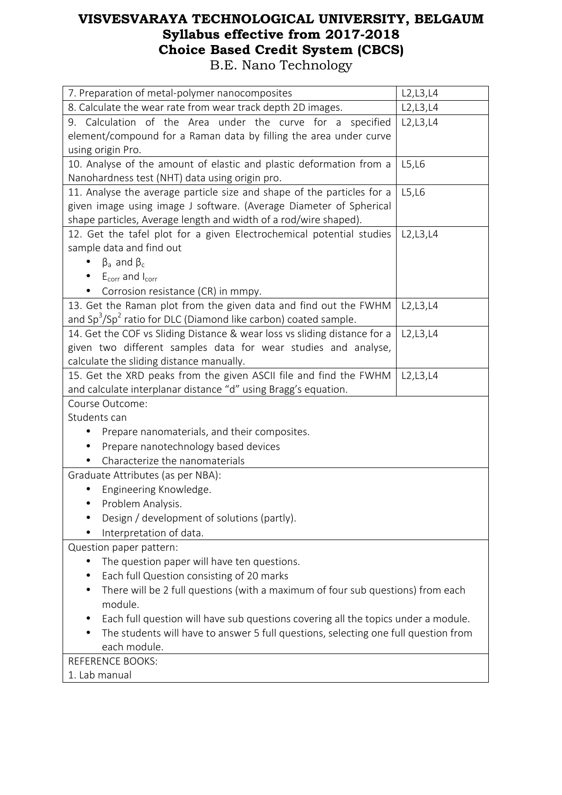| 7. Preparation of metal-polymer nanocomposites                                      | L2,L3,L4   |  |
|-------------------------------------------------------------------------------------|------------|--|
| 8. Calculate the wear rate from wear track depth 2D images.                         | L2, L3, L4 |  |
| 9. Calculation of the Area under the curve for a specified                          | L2,L3,L4   |  |
| element/compound for a Raman data by filling the area under curve                   |            |  |
| using origin Pro.                                                                   |            |  |
| 10. Analyse of the amount of elastic and plastic deformation from a                 | L5,L6      |  |
| Nanohardness test (NHT) data using origin pro.                                      |            |  |
| 11. Analyse the average particle size and shape of the particles for a              | L5,L6      |  |
| given image using image J software. (Average Diameter of Spherical                  |            |  |
| shape particles, Average length and width of a rod/wire shaped).                    |            |  |
| 12. Get the tafel plot for a given Electrochemical potential studies                | L2, L3, L4 |  |
| sample data and find out                                                            |            |  |
| $\beta_a$ and $\beta_c$                                                             |            |  |
| $E_{corr}$ and $I_{corr}$                                                           |            |  |
| Corrosion resistance (CR) in mmpy.                                                  |            |  |
| 13. Get the Raman plot from the given data and find out the FWHM                    | L2, L3, L4 |  |
| and $Sp3/Sp2$ ratio for DLC (Diamond like carbon) coated sample.                    |            |  |
| 14. Get the COF vs Sliding Distance & wear loss vs sliding distance for a           | L2, L3, L4 |  |
| given two different samples data for wear studies and analyse,                      |            |  |
| calculate the sliding distance manually.                                            |            |  |
| 15. Get the XRD peaks from the given ASCII file and find the FWHM                   | L2, L3, L4 |  |
| and calculate interplanar distance "d" using Bragg's equation.                      |            |  |
| Course Outcome:                                                                     |            |  |
| Students can                                                                        |            |  |
| Prepare nanomaterials, and their composites.                                        |            |  |
| Prepare nanotechnology based devices                                                |            |  |
| Characterize the nanomaterials                                                      |            |  |
| Graduate Attributes (as per NBA):                                                   |            |  |
| Engineering Knowledge.                                                              |            |  |
| Problem Analysis.                                                                   |            |  |
| Design / development of solutions (partly).                                         |            |  |
| Interpretation of data.                                                             |            |  |
| Question paper pattern:                                                             |            |  |
| The question paper will have ten questions.                                         |            |  |
| Each full Question consisting of 20 marks                                           |            |  |
| There will be 2 full questions (with a maximum of four sub questions) from each     |            |  |
| module.                                                                             |            |  |
| Each full question will have sub questions covering all the topics under a module.  |            |  |
| The students will have to answer 5 full questions, selecting one full question from |            |  |
| each module.                                                                        |            |  |
| <b>REFERENCE BOOKS:</b>                                                             |            |  |
| 1. Lab manual                                                                       |            |  |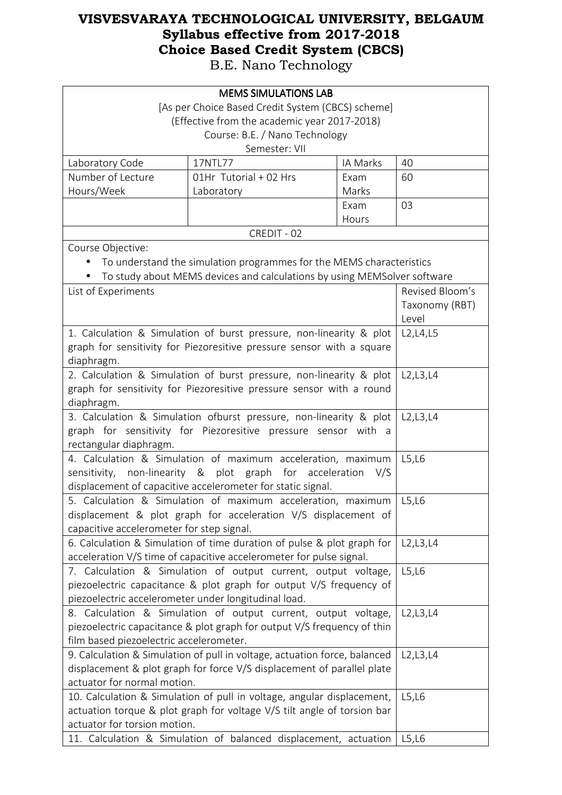| <b>MEMS SIMULATIONS LAB</b>                                                                                                                   |                                                                          |          |                 |  |
|-----------------------------------------------------------------------------------------------------------------------------------------------|--------------------------------------------------------------------------|----------|-----------------|--|
|                                                                                                                                               | [As per Choice Based Credit System (CBCS) scheme]                        |          |                 |  |
|                                                                                                                                               | (Effective from the academic year 2017-2018)                             |          |                 |  |
|                                                                                                                                               | Course: B.E. / Nano Technology                                           |          |                 |  |
|                                                                                                                                               | Semester: VII                                                            |          |                 |  |
| Laboratory Code                                                                                                                               | 17NTL77                                                                  | IA Marks | 40              |  |
| Number of Lecture                                                                                                                             | 01Hr Tutorial + 02 Hrs                                                   | Exam     | 60              |  |
| Hours/Week                                                                                                                                    | Laboratory                                                               | Marks    |                 |  |
|                                                                                                                                               |                                                                          | Exam     | 03              |  |
|                                                                                                                                               |                                                                          | Hours    |                 |  |
|                                                                                                                                               | CREDIT - 02                                                              |          |                 |  |
| Course Objective:                                                                                                                             |                                                                          |          |                 |  |
|                                                                                                                                               | To understand the simulation programmes for the MEMS characteristics     |          |                 |  |
|                                                                                                                                               | To study about MEMS devices and calculations by using MEMSolver software |          |                 |  |
| List of Experiments                                                                                                                           |                                                                          |          | Revised Bloom's |  |
|                                                                                                                                               |                                                                          |          | Taxonomy (RBT)  |  |
|                                                                                                                                               |                                                                          |          | Level           |  |
|                                                                                                                                               | 1. Calculation & Simulation of burst pressure, non-linearity & plot      |          | L2, L4, L5      |  |
|                                                                                                                                               | graph for sensitivity for Piezoresitive pressure sensor with a square    |          |                 |  |
| diaphragm.                                                                                                                                    |                                                                          |          |                 |  |
|                                                                                                                                               | 2. Calculation & Simulation of burst pressure, non-linearity & plot      |          | L2, L3, L4      |  |
| graph for sensitivity for Piezoresitive pressure sensor with a round                                                                          |                                                                          |          |                 |  |
| diaphragm.                                                                                                                                    |                                                                          |          |                 |  |
| 3. Calculation & Simulation ofburst pressure, non-linearity & plot                                                                            |                                                                          |          | L2, L3, L4      |  |
|                                                                                                                                               | graph for sensitivity for Piezoresitive pressure sensor with a           |          |                 |  |
| rectangular diaphragm.                                                                                                                        |                                                                          |          |                 |  |
| 4. Calculation & Simulation of maximum acceleration, maximum                                                                                  |                                                                          |          | L5,L6           |  |
| for<br>sensitivity,<br>non-linearity & plot graph<br>acceleration<br>V/S                                                                      |                                                                          |          |                 |  |
| displacement of capacitive accelerometer for static signal.                                                                                   |                                                                          |          |                 |  |
| 5. Calculation & Simulation of maximum acceleration, maximum                                                                                  |                                                                          |          | L5,L6           |  |
| displacement & plot graph for acceleration V/S displacement of                                                                                |                                                                          |          |                 |  |
| capacitive accelerometer for step signal.                                                                                                     |                                                                          |          |                 |  |
| 6. Calculation & Simulation of time duration of pulse & plot graph for<br>acceleration V/S time of capacitive accelerometer for pulse signal. |                                                                          |          | L2, L3, L4      |  |
|                                                                                                                                               | 7. Calculation & Simulation of output current, output voltage,           |          | L5,L6           |  |
|                                                                                                                                               | piezoelectric capacitance & plot graph for output V/S frequency of       |          |                 |  |
|                                                                                                                                               |                                                                          |          |                 |  |
| piezoelectric accelerometer under longitudinal load.<br>8. Calculation & Simulation of output current, output voltage,                        |                                                                          |          | L2, L3, L4      |  |
|                                                                                                                                               |                                                                          |          |                 |  |
| piezoelectric capacitance & plot graph for output V/S frequency of thin<br>film based piezoelectric accelerometer.                            |                                                                          |          |                 |  |
| 9. Calculation & Simulation of pull in voltage, actuation force, balanced                                                                     |                                                                          |          | L2, L3, L4      |  |
| displacement & plot graph for force V/S displacement of parallel plate                                                                        |                                                                          |          |                 |  |
| actuator for normal motion.                                                                                                                   |                                                                          |          |                 |  |
|                                                                                                                                               | 10. Calculation & Simulation of pull in voltage, angular displacement,   |          | L5,L6           |  |
| actuation torque & plot graph for voltage V/S tilt angle of torsion bar                                                                       |                                                                          |          |                 |  |
|                                                                                                                                               | actuator for torsion motion.                                             |          |                 |  |
| 11. Calculation & Simulation of balanced displacement, actuation                                                                              |                                                                          |          | L5,L6           |  |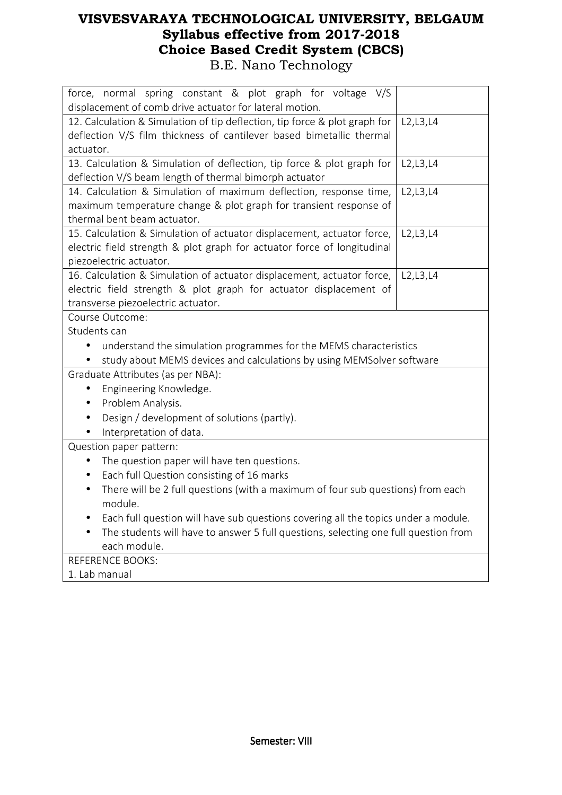| force, normal spring constant & plot graph for voltage V/S                          |            |  |
|-------------------------------------------------------------------------------------|------------|--|
| displacement of comb drive actuator for lateral motion.                             |            |  |
| 12. Calculation & Simulation of tip deflection, tip force & plot graph for          | L2, L3, L4 |  |
| deflection V/S film thickness of cantilever based bimetallic thermal                |            |  |
| actuator.                                                                           |            |  |
| 13. Calculation & Simulation of deflection, tip force & plot graph for              | L2, L3, L4 |  |
| deflection V/S beam length of thermal bimorph actuator                              |            |  |
| 14. Calculation & Simulation of maximum deflection, response time,                  | L2, L3, L4 |  |
| maximum temperature change & plot graph for transient response of                   |            |  |
| thermal bent beam actuator.                                                         |            |  |
| 15. Calculation & Simulation of actuator displacement, actuator force,              | L2, L3, L4 |  |
| electric field strength & plot graph for actuator force of longitudinal             |            |  |
| piezoelectric actuator.                                                             |            |  |
| 16. Calculation & Simulation of actuator displacement, actuator force,              | L2, L3, L4 |  |
| electric field strength & plot graph for actuator displacement of                   |            |  |
| transverse piezoelectric actuator.                                                  |            |  |
| Course Outcome:                                                                     |            |  |
| Students can                                                                        |            |  |
| understand the simulation programmes for the MEMS characteristics                   |            |  |
| study about MEMS devices and calculations by using MEMSolver software               |            |  |
| Graduate Attributes (as per NBA):                                                   |            |  |
| Engineering Knowledge.<br>$\bullet$                                                 |            |  |
| Problem Analysis.<br>$\bullet$                                                      |            |  |
| Design / development of solutions (partly).<br>$\bullet$                            |            |  |
| Interpretation of data.                                                             |            |  |
| Question paper pattern:                                                             |            |  |
| The question paper will have ten questions.                                         |            |  |
| Each full Question consisting of 16 marks<br>$\bullet$                              |            |  |
| There will be 2 full questions (with a maximum of four sub questions) from each     |            |  |
| module.                                                                             |            |  |
| Each full question will have sub questions covering all the topics under a module.  |            |  |
| The students will have to answer 5 full questions, selecting one full question from |            |  |
| each module.                                                                        |            |  |
| <b>REFERENCE BOOKS:</b>                                                             |            |  |
| 1. Lab manual                                                                       |            |  |
|                                                                                     |            |  |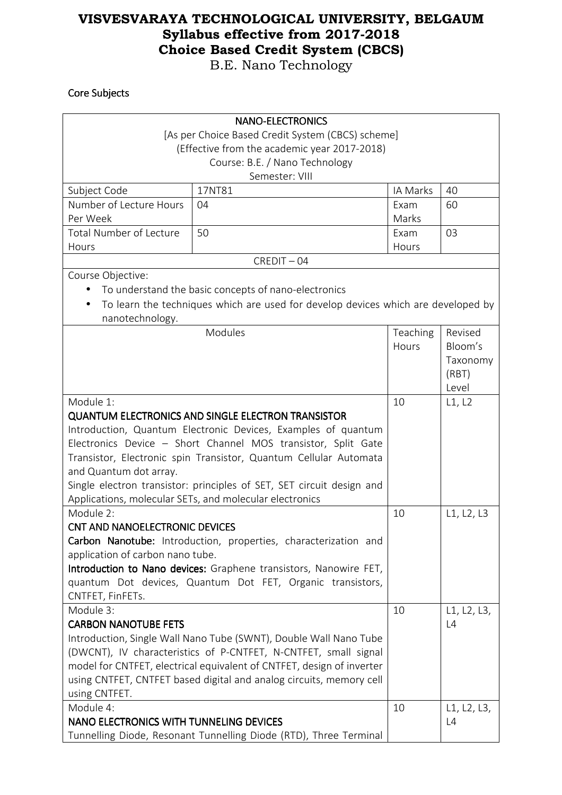B.E. Nano Technology

#### Core Subjects

|                                                                                                 | <b>NANO-ELECTRONICS</b>                                                           |          |             |  |
|-------------------------------------------------------------------------------------------------|-----------------------------------------------------------------------------------|----------|-------------|--|
|                                                                                                 | [As per Choice Based Credit System (CBCS) scheme]                                 |          |             |  |
| (Effective from the academic year 2017-2018)                                                    |                                                                                   |          |             |  |
|                                                                                                 | Course: B.E. / Nano Technology                                                    |          |             |  |
|                                                                                                 | Semester: VIII                                                                    |          |             |  |
| Subject Code                                                                                    | 17NT81                                                                            | IA Marks | 40          |  |
| Number of Lecture Hours                                                                         | 04                                                                                | Exam     | 60          |  |
| Per Week                                                                                        |                                                                                   | Marks    |             |  |
| <b>Total Number of Lecture</b>                                                                  | 50                                                                                | Exam     | 03          |  |
| Hours                                                                                           |                                                                                   | Hours    |             |  |
|                                                                                                 | $CREDIT - 04$                                                                     |          |             |  |
| Course Objective:                                                                               |                                                                                   |          |             |  |
|                                                                                                 | To understand the basic concepts of nano-electronics                              |          |             |  |
|                                                                                                 | To learn the techniques which are used for develop devices which are developed by |          |             |  |
| nanotechnology.                                                                                 |                                                                                   |          |             |  |
|                                                                                                 | Modules                                                                           | Teaching | Revised     |  |
|                                                                                                 |                                                                                   | Hours    | Bloom's     |  |
|                                                                                                 |                                                                                   |          | Taxonomy    |  |
|                                                                                                 |                                                                                   |          | (RBT)       |  |
| Module 1:                                                                                       |                                                                                   |          | Level       |  |
|                                                                                                 |                                                                                   | 10       | L1, L2      |  |
|                                                                                                 | <b>QUANTUM ELECTRONICS AND SINGLE ELECTRON TRANSISTOR</b>                         |          |             |  |
| Introduction, Quantum Electronic Devices, Examples of quantum                                   |                                                                                   |          |             |  |
| Electronics Device - Short Channel MOS transistor, Split Gate                                   |                                                                                   |          |             |  |
| Transistor, Electronic spin Transistor, Quantum Cellular Automata                               |                                                                                   |          |             |  |
| and Quantum dot array.<br>Single electron transistor: principles of SET, SET circuit design and |                                                                                   |          |             |  |
| Applications, molecular SETs, and molecular electronics                                         |                                                                                   |          |             |  |
| Module 2:                                                                                       |                                                                                   | 10       | L1, L2, L3  |  |
| <b>CNT AND NANOELECTRONIC DEVICES</b>                                                           |                                                                                   |          |             |  |
| Carbon Nanotube: Introduction, properties, characterization and                                 |                                                                                   |          |             |  |
| application of carbon nano tube.                                                                |                                                                                   |          |             |  |
|                                                                                                 | Introduction to Nano devices: Graphene transistors, Nanowire FET,                 |          |             |  |
| quantum Dot devices, Quantum Dot FET, Organic transistors,                                      |                                                                                   |          |             |  |
| CNTFET, FinFETs.                                                                                |                                                                                   |          |             |  |
| Module 3:                                                                                       |                                                                                   | 10       | L1, L2, L3, |  |
| <b>CARBON NANOTUBE FETS</b>                                                                     |                                                                                   |          | L4          |  |
| Introduction, Single Wall Nano Tube (SWNT), Double Wall Nano Tube                               |                                                                                   |          |             |  |
| (DWCNT), IV characteristics of P-CNTFET, N-CNTFET, small signal                                 |                                                                                   |          |             |  |
|                                                                                                 | model for CNTFET, electrical equivalent of CNTFET, design of inverter             |          |             |  |
|                                                                                                 | using CNTFET, CNTFET based digital and analog circuits, memory cell               |          |             |  |
| using CNTFET.                                                                                   |                                                                                   |          |             |  |
| Module 4:                                                                                       |                                                                                   | 10       | L1, L2, L3, |  |
| NANO ELECTRONICS WITH TUNNELING DEVICES                                                         |                                                                                   |          | L4          |  |
| Tunnelling Diode, Resonant Tunnelling Diode (RTD), Three Terminal                               |                                                                                   |          |             |  |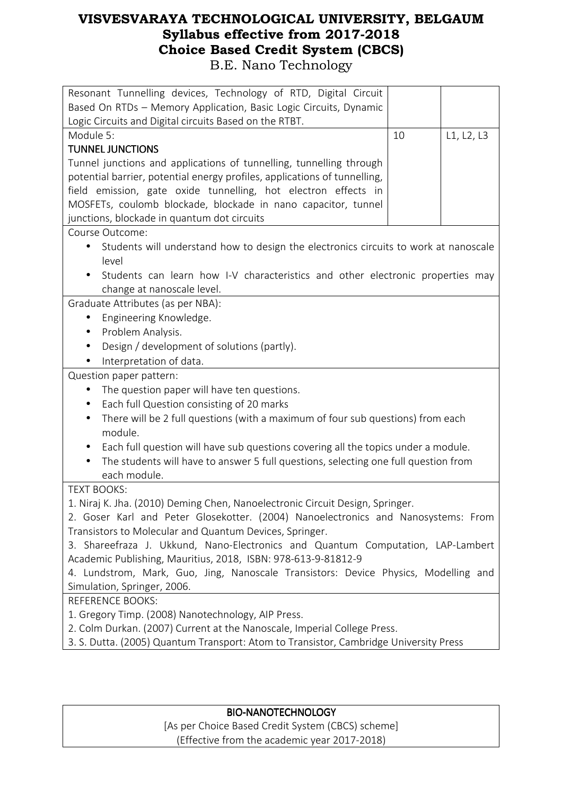| Resonant Tunnelling devices, Technology of RTD, Digital Circuit                                   |    |            |  |
|---------------------------------------------------------------------------------------------------|----|------------|--|
| Based On RTDs - Memory Application, Basic Logic Circuits, Dynamic                                 |    |            |  |
| Logic Circuits and Digital circuits Based on the RTBT.                                            |    |            |  |
| Module 5:                                                                                         | 10 | L1, L2, L3 |  |
| <b>TUNNEL JUNCTIONS</b>                                                                           |    |            |  |
| Tunnel junctions and applications of tunnelling, tunnelling through                               |    |            |  |
| potential barrier, potential energy profiles, applications of tunnelling,                         |    |            |  |
| field emission, gate oxide tunnelling, hot electron effects in                                    |    |            |  |
| MOSFETs, coulomb blockade, blockade in nano capacitor, tunnel                                     |    |            |  |
| junctions, blockade in quantum dot circuits                                                       |    |            |  |
| Course Outcome:                                                                                   |    |            |  |
| Students will understand how to design the electronics circuits to work at nanoscale<br>$\bullet$ |    |            |  |
| level                                                                                             |    |            |  |
| Students can learn how I-V characteristics and other electronic properties may                    |    |            |  |
| change at nanoscale level.                                                                        |    |            |  |
| Graduate Attributes (as per NBA):                                                                 |    |            |  |
| Engineering Knowledge.<br>$\bullet$                                                               |    |            |  |
| Problem Analysis.<br>٠                                                                            |    |            |  |
| Design / development of solutions (partly).<br>$\bullet$                                          |    |            |  |
| Interpretation of data.                                                                           |    |            |  |
| Question paper pattern:                                                                           |    |            |  |
| The question paper will have ten questions.                                                       |    |            |  |
| Each full Question consisting of 20 marks<br>$\bullet$                                            |    |            |  |
| There will be 2 full questions (with a maximum of four sub questions) from each<br>$\bullet$      |    |            |  |
| module.                                                                                           |    |            |  |
| Each full question will have sub questions covering all the topics under a module.                |    |            |  |
| The students will have to answer 5 full questions, selecting one full question from               |    |            |  |
| each module.                                                                                      |    |            |  |
| <b>TEXT BOOKS:</b>                                                                                |    |            |  |
| 1. Niraj K. Jha. (2010) Deming Chen, Nanoelectronic Circuit Design, Springer.                     |    |            |  |
| 2. Goser Karl and Peter Glosekotter. (2004) Nanoelectronics and Nanosystems: From                 |    |            |  |
| Transistors to Molecular and Quantum Devices, Springer.                                           |    |            |  |
| 3. Shareefraza J. Ukkund, Nano-Electronics and Quantum Computation, LAP-Lambert                   |    |            |  |
| Academic Publishing, Mauritius, 2018, ISBN: 978-613-9-81812-9                                     |    |            |  |
| 4. Lundstrom, Mark, Guo, Jing, Nanoscale Transistors: Device Physics, Modelling and               |    |            |  |
| Simulation, Springer, 2006.                                                                       |    |            |  |
| <b>REFERENCE BOOKS:</b>                                                                           |    |            |  |
| 1. Gregory Timp. (2008) Nanotechnology, AIP Press.                                                |    |            |  |
| 2. Colm Durkan. (2007) Current at the Nanoscale, Imperial College Press.                          |    |            |  |
| 3. S. Dutta. (2005) Quantum Transport: Atom to Transistor, Cambridge University Press             |    |            |  |

#### BIO-NANOTECHNOLOGY

[As per Choice Based Credit System (CBCS) scheme] (Effective from the academic year 2017-2018)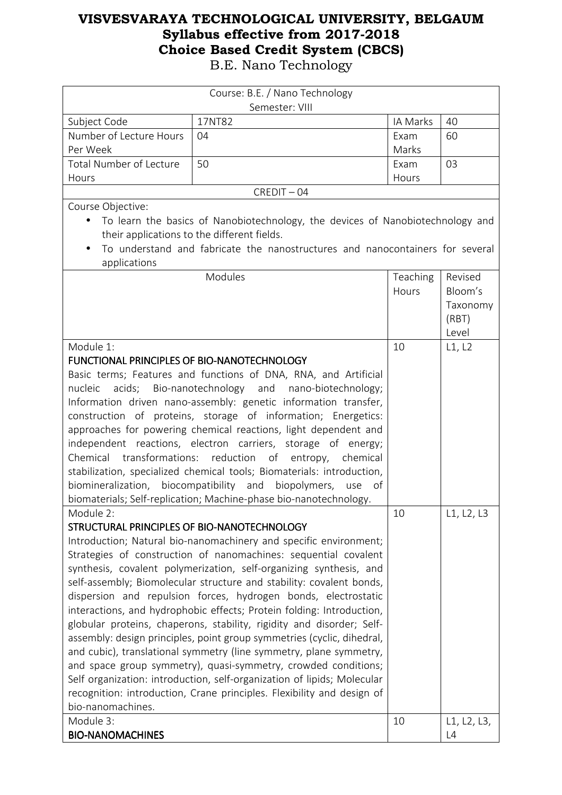| Course: B.E. / Nano Technology                               |                                                                                |          |               |
|--------------------------------------------------------------|--------------------------------------------------------------------------------|----------|---------------|
|                                                              | Semester: VIII                                                                 |          |               |
| Subject Code                                                 | 17NT82                                                                         | IA Marks | 40            |
| Number of Lecture Hours                                      | 04                                                                             | Exam     | 60            |
| Per Week                                                     |                                                                                | Marks    |               |
| <b>Total Number of Lecture</b>                               | 50                                                                             | Exam     | 03            |
| Hours                                                        |                                                                                | Hours    |               |
|                                                              | $CREDIT - 04$                                                                  |          |               |
| Course Objective:                                            |                                                                                |          |               |
| $\bullet$                                                    | To learn the basics of Nanobiotechnology, the devices of Nanobiotechnology and |          |               |
|                                                              | their applications to the different fields.                                    |          |               |
|                                                              | To understand and fabricate the nanostructures and nanocontainers for several  |          |               |
| applications                                                 |                                                                                |          |               |
|                                                              | Modules                                                                        | Teaching | Revised       |
|                                                              |                                                                                | Hours    | Bloom's       |
|                                                              |                                                                                |          | Taxonomy      |
|                                                              |                                                                                |          | (RBT)         |
|                                                              |                                                                                |          | Level         |
| Module 1:                                                    |                                                                                | 10       | L1, L2        |
| FUNCTIONAL PRINCIPLES OF BIO-NANOTECHNOLOGY                  |                                                                                |          |               |
|                                                              | Basic terms; Features and functions of DNA, RNA, and Artificial                |          |               |
| nucleic                                                      | acids; Bio-nanotechnology and nano-biotechnology;                              |          |               |
|                                                              | Information driven nano-assembly: genetic information transfer,                |          |               |
|                                                              | construction of proteins, storage of information; Energetics:                  |          |               |
|                                                              | approaches for powering chemical reactions, light dependent and                |          |               |
| independent reactions, electron carriers, storage of energy; |                                                                                |          |               |
| Chemical<br>transformations: reduction                       | of<br>entropy, chemical                                                        |          |               |
|                                                              | stabilization, specialized chemical tools; Biomaterials: introduction,         |          |               |
| biomineralization, biocompatibility and                      | biopolymers,<br>of<br>use                                                      |          |               |
|                                                              | biomaterials; Self-replication; Machine-phase bio-nanotechnology.              |          |               |
|                                                              |                                                                                |          |               |
| Module 2:                                                    |                                                                                | 10       | L1, L2, L3    |
| STRUCTURAL PRINCIPLES OF BIO-NANOTECHNOLOGY                  |                                                                                |          |               |
|                                                              | Introduction; Natural bio-nanomachinery and specific environment;              |          |               |
|                                                              | Strategies of construction of nanomachines: sequential covalent                |          |               |
|                                                              | synthesis, covalent polymerization, self-organizing synthesis, and             |          |               |
|                                                              | self-assembly; Biomolecular structure and stability: covalent bonds,           |          |               |
|                                                              | dispersion and repulsion forces, hydrogen bonds, electrostatic                 |          |               |
|                                                              | interactions, and hydrophobic effects; Protein folding: Introduction,          |          |               |
|                                                              | globular proteins, chaperons, stability, rigidity and disorder; Self-          |          |               |
|                                                              | assembly: design principles, point group symmetries (cyclic, dihedral,         |          |               |
|                                                              | and cubic), translational symmetry (line symmetry, plane symmetry,             |          |               |
|                                                              | and space group symmetry), quasi-symmetry, crowded conditions;                 |          |               |
|                                                              | Self organization: introduction, self-organization of lipids; Molecular        |          |               |
|                                                              | recognition: introduction, Crane principles. Flexibility and design of         |          |               |
| bio-nanomachines.                                            |                                                                                |          |               |
| Module 3:                                                    |                                                                                | 10       | L1, L2, L3,   |
| <b>BIO-NANOMACHINES</b>                                      |                                                                                |          | $\mathsf{L}4$ |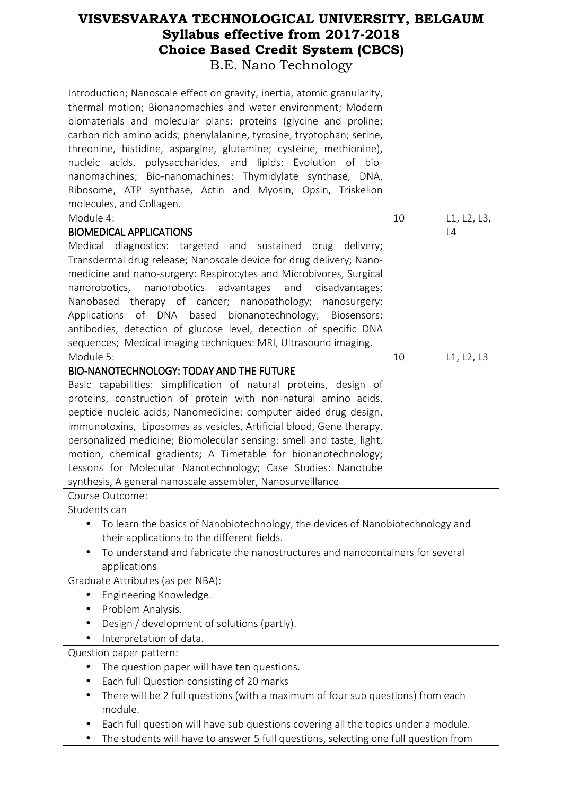| Introduction; Nanoscale effect on gravity, inertia, atomic granularity,<br>thermal motion; Bionanomachies and water environment; Modern<br>biomaterials and molecular plans: proteins (glycine and proline;<br>carbon rich amino acids; phenylalanine, tyrosine, tryptophan; serine,<br>threonine, histidine, aspargine, glutamine; cysteine, methionine),<br>nucleic acids, polysaccharides, and lipids; Evolution of bio-<br>nanomachines; Bio-nanomachines: Thymidylate synthase, DNA,<br>Ribosome, ATP synthase, Actin and Myosin, Opsin, Triskelion<br>molecules, and Collagen. |
|--------------------------------------------------------------------------------------------------------------------------------------------------------------------------------------------------------------------------------------------------------------------------------------------------------------------------------------------------------------------------------------------------------------------------------------------------------------------------------------------------------------------------------------------------------------------------------------|
| Module 4:<br>L1, L2, L3,<br>10                                                                                                                                                                                                                                                                                                                                                                                                                                                                                                                                                       |
| <b>BIOMEDICAL APPLICATIONS</b><br>L4                                                                                                                                                                                                                                                                                                                                                                                                                                                                                                                                                 |
| diagnostics: targeted and sustained drug delivery;<br>Medical                                                                                                                                                                                                                                                                                                                                                                                                                                                                                                                        |
|                                                                                                                                                                                                                                                                                                                                                                                                                                                                                                                                                                                      |
| Transdermal drug release; Nanoscale device for drug delivery; Nano-                                                                                                                                                                                                                                                                                                                                                                                                                                                                                                                  |
| medicine and nano-surgery: Respirocytes and Microbivores, Surgical                                                                                                                                                                                                                                                                                                                                                                                                                                                                                                                   |
| nanorobotics, nanorobotics advantages<br>and<br>disadvantages;                                                                                                                                                                                                                                                                                                                                                                                                                                                                                                                       |
| Nanobased therapy of cancer; nanopathology; nanosurgery;                                                                                                                                                                                                                                                                                                                                                                                                                                                                                                                             |
| Applications of DNA based bionanotechnology; Biosensors:                                                                                                                                                                                                                                                                                                                                                                                                                                                                                                                             |
| antibodies, detection of glucose level, detection of specific DNA                                                                                                                                                                                                                                                                                                                                                                                                                                                                                                                    |
|                                                                                                                                                                                                                                                                                                                                                                                                                                                                                                                                                                                      |
| sequences; Medical imaging techniques: MRI, Ultrasound imaging.                                                                                                                                                                                                                                                                                                                                                                                                                                                                                                                      |
| Module 5:<br>L1, L2, L3<br>10                                                                                                                                                                                                                                                                                                                                                                                                                                                                                                                                                        |
| <b>BIO-NANOTECHNOLOGY: TODAY AND THE FUTURE</b>                                                                                                                                                                                                                                                                                                                                                                                                                                                                                                                                      |
| Basic capabilities: simplification of natural proteins, design of                                                                                                                                                                                                                                                                                                                                                                                                                                                                                                                    |
| proteins, construction of protein with non-natural amino acids,                                                                                                                                                                                                                                                                                                                                                                                                                                                                                                                      |
| peptide nucleic acids; Nanomedicine: computer aided drug design,                                                                                                                                                                                                                                                                                                                                                                                                                                                                                                                     |
| immunotoxins, Liposomes as vesicles, Artificial blood, Gene therapy,                                                                                                                                                                                                                                                                                                                                                                                                                                                                                                                 |
| personalized medicine; Biomolecular sensing: smell and taste, light,                                                                                                                                                                                                                                                                                                                                                                                                                                                                                                                 |
|                                                                                                                                                                                                                                                                                                                                                                                                                                                                                                                                                                                      |
| motion, chemical gradients; A Timetable for bionanotechnology;                                                                                                                                                                                                                                                                                                                                                                                                                                                                                                                       |
| Lessons for Molecular Nanotechnology; Case Studies: Nanotube                                                                                                                                                                                                                                                                                                                                                                                                                                                                                                                         |
| synthesis, A general nanoscale assembler, Nanosurveillance                                                                                                                                                                                                                                                                                                                                                                                                                                                                                                                           |
| Course Outcome:                                                                                                                                                                                                                                                                                                                                                                                                                                                                                                                                                                      |
| Students can                                                                                                                                                                                                                                                                                                                                                                                                                                                                                                                                                                         |
| To learn the basics of Nanobiotechnology, the devices of Nanobiotechnology and                                                                                                                                                                                                                                                                                                                                                                                                                                                                                                       |
| their applications to the different fields.                                                                                                                                                                                                                                                                                                                                                                                                                                                                                                                                          |
| To understand and fabricate the nanostructures and nanocontainers for several                                                                                                                                                                                                                                                                                                                                                                                                                                                                                                        |
| applications                                                                                                                                                                                                                                                                                                                                                                                                                                                                                                                                                                         |
|                                                                                                                                                                                                                                                                                                                                                                                                                                                                                                                                                                                      |
| Graduate Attributes (as per NBA):                                                                                                                                                                                                                                                                                                                                                                                                                                                                                                                                                    |
| Engineering Knowledge.                                                                                                                                                                                                                                                                                                                                                                                                                                                                                                                                                               |
| Problem Analysis.<br>$\bullet$                                                                                                                                                                                                                                                                                                                                                                                                                                                                                                                                                       |
| Design / development of solutions (partly).                                                                                                                                                                                                                                                                                                                                                                                                                                                                                                                                          |
| Interpretation of data.                                                                                                                                                                                                                                                                                                                                                                                                                                                                                                                                                              |
| Question paper pattern:                                                                                                                                                                                                                                                                                                                                                                                                                                                                                                                                                              |
| The question paper will have ten questions.<br>$\bullet$                                                                                                                                                                                                                                                                                                                                                                                                                                                                                                                             |
|                                                                                                                                                                                                                                                                                                                                                                                                                                                                                                                                                                                      |
| Each full Question consisting of 20 marks                                                                                                                                                                                                                                                                                                                                                                                                                                                                                                                                            |
| There will be 2 full questions (with a maximum of four sub questions) from each<br>$\bullet$                                                                                                                                                                                                                                                                                                                                                                                                                                                                                         |
| module.                                                                                                                                                                                                                                                                                                                                                                                                                                                                                                                                                                              |
| Each full question will have sub questions covering all the topics under a module.                                                                                                                                                                                                                                                                                                                                                                                                                                                                                                   |
| The students will have to answer 5 full questions, selecting one full question from                                                                                                                                                                                                                                                                                                                                                                                                                                                                                                  |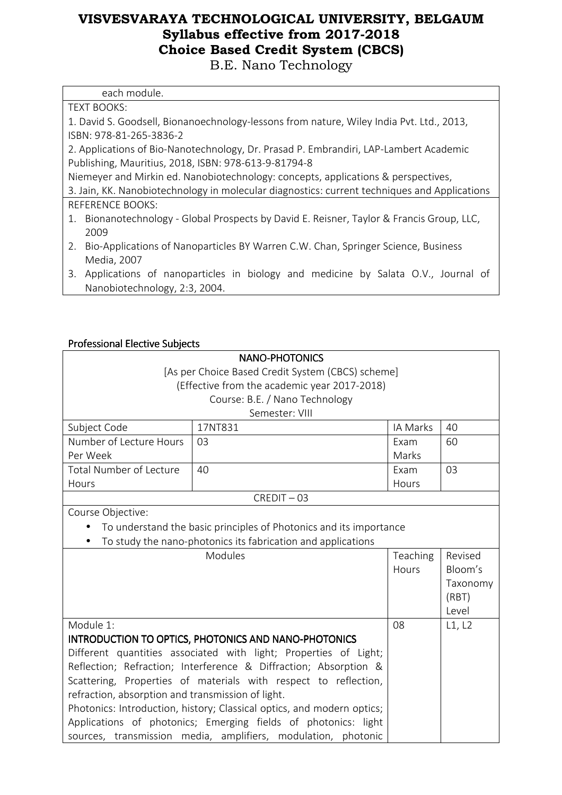B.E. Nano Technology

| each module.                                                                                 |
|----------------------------------------------------------------------------------------------|
| <b>TEXT BOOKS:</b>                                                                           |
| 1. David S. Goodsell, Bionanoechnology-lessons from nature, Wiley India Pvt. Ltd., 2013,     |
| ISBN: 978-81-265-3836-2                                                                      |
| 2. Applications of Bio-Nanotechnology, Dr. Prasad P. Embrandiri, LAP-Lambert Academic        |
| Publishing, Mauritius, 2018, ISBN: 978-613-9-81794-8                                         |
| Niemeyer and Mirkin ed. Nanobiotechnology: concepts, applications & perspectives,            |
| 3. Jain, KK. Nanobiotechnology in molecular diagnostics: current techniques and Applications |
| <b>REFERENCE BOOKS:</b>                                                                      |
| 1. Bionanotechnology - Global Prospects by David E. Reisner, Taylor & Francis Group, LLC,    |
| 2009                                                                                         |
| 2. Bio-Applications of Nanoparticles BY Warren C.W. Chan, Springer Science, Business         |
| Media, 2007                                                                                  |
| 3. Applications of nanoparticles in biology and medicine by Salata O.V., Journal of          |
| Nanobiotechnology, 2:3, 2004.                                                                |

#### Professional Elective Subjects

|                                                   | <b>NANO-PHOTONICS</b>                                                  |          |          |  |
|---------------------------------------------------|------------------------------------------------------------------------|----------|----------|--|
| [As per Choice Based Credit System (CBCS) scheme] |                                                                        |          |          |  |
|                                                   | (Effective from the academic year 2017-2018)                           |          |          |  |
|                                                   | Course: B.E. / Nano Technology                                         |          |          |  |
|                                                   | Semester: VIII                                                         |          |          |  |
| Subject Code                                      | 17NT831                                                                | IA Marks | 40       |  |
| Number of Lecture Hours                           | 03                                                                     | Exam     | 60       |  |
| Per Week                                          |                                                                        | Marks    |          |  |
| <b>Total Number of Lecture</b>                    | 40                                                                     | Exam     | 03       |  |
| Hours                                             |                                                                        | Hours    |          |  |
|                                                   | $CREDIT - 03$                                                          |          |          |  |
| Course Objective:                                 |                                                                        |          |          |  |
|                                                   | To understand the basic principles of Photonics and its importance     |          |          |  |
|                                                   | To study the nano-photonics its fabrication and applications           |          |          |  |
|                                                   |                                                                        |          |          |  |
|                                                   | Modules                                                                | Teaching | Revised  |  |
|                                                   |                                                                        | Hours    | Bloom's  |  |
|                                                   |                                                                        |          | Taxonomy |  |
|                                                   |                                                                        |          | (RBT)    |  |
|                                                   |                                                                        |          | Level    |  |
| Module 1:                                         |                                                                        | 08       | L1, L2   |  |
|                                                   | INTRODUCTION TO OPTICS, PHOTONICS AND NANO-PHOTONICS                   |          |          |  |
|                                                   | Different quantities associated with light; Properties of Light;       |          |          |  |
|                                                   | Reflection; Refraction; Interference & Diffraction; Absorption &       |          |          |  |
|                                                   | Scattering, Properties of materials with respect to reflection,        |          |          |  |
| refraction, absorption and transmission of light. |                                                                        |          |          |  |
|                                                   | Photonics: Introduction, history; Classical optics, and modern optics; |          |          |  |
|                                                   | Applications of photonics; Emerging fields of photonics: light         |          |          |  |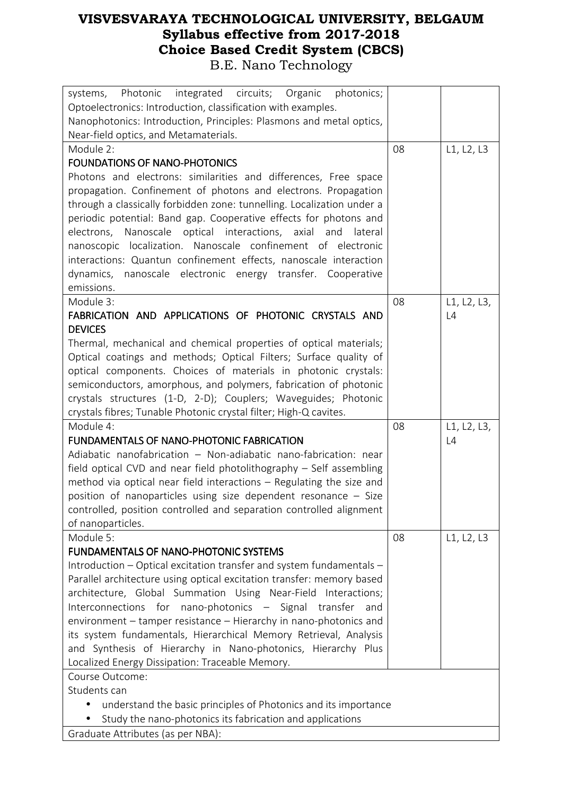| systems, Photonic integrated circuits; Organic<br>photonics;                                                                  |    |             |
|-------------------------------------------------------------------------------------------------------------------------------|----|-------------|
| Optoelectronics: Introduction, classification with examples.                                                                  |    |             |
| Nanophotonics: Introduction, Principles: Plasmons and metal optics,                                                           |    |             |
| Near-field optics, and Metamaterials.                                                                                         |    |             |
| Module 2:                                                                                                                     | 08 | L1, L2, L3  |
| <b>FOUNDATIONS OF NANO-PHOTONICS</b>                                                                                          |    |             |
| Photons and electrons: similarities and differences, Free space                                                               |    |             |
| propagation. Confinement of photons and electrons. Propagation                                                                |    |             |
| through a classically forbidden zone: tunnelling. Localization under a                                                        |    |             |
| periodic potential: Band gap. Cooperative effects for photons and                                                             |    |             |
| optical interactions, axial and<br>electrons, Nanoscale<br>lateral                                                            |    |             |
| nanoscopic localization. Nanoscale confinement of electronic                                                                  |    |             |
| interactions: Quantun confinement effects, nanoscale interaction                                                              |    |             |
| dynamics, nanoscale electronic energy transfer. Cooperative                                                                   |    |             |
| emissions.                                                                                                                    |    |             |
| Module 3:                                                                                                                     | 08 | L1, L2, L3, |
| FABRICATION AND APPLICATIONS OF PHOTONIC CRYSTALS AND                                                                         |    | L4          |
| <b>DEVICES</b>                                                                                                                |    |             |
| Thermal, mechanical and chemical properties of optical materials;                                                             |    |             |
| Optical coatings and methods; Optical Filters; Surface quality of                                                             |    |             |
| optical components. Choices of materials in photonic crystals:                                                                |    |             |
| semiconductors, amorphous, and polymers, fabrication of photonic                                                              |    |             |
| crystals structures (1-D, 2-D); Couplers; Waveguides; Photonic                                                                |    |             |
| crystals fibres; Tunable Photonic crystal filter; High-Q cavites.                                                             |    |             |
|                                                                                                                               |    |             |
| Module 4:                                                                                                                     | 08 | L1, L2, L3, |
| <b>FUNDAMENTALS OF NANO-PHOTONIC FABRICATION</b>                                                                              |    | L4          |
| Adiabatic nanofabrication - Non-adiabatic nano-fabrication: near                                                              |    |             |
| field optical CVD and near field photolithography - Self assembling                                                           |    |             |
| method via optical near field interactions - Regulating the size and                                                          |    |             |
| position of nanoparticles using size dependent resonance - Size                                                               |    |             |
| controlled, position controlled and separation controlled alignment                                                           |    |             |
| of nanoparticles.                                                                                                             |    |             |
| Module 5:<br><b>FUNDAMENTALS OF NANO-PHOTONIC SYSTEMS</b>                                                                     | 08 | L1, L2, L3  |
|                                                                                                                               |    |             |
| Introduction – Optical excitation transfer and system fundamentals –                                                          |    |             |
| Parallel architecture using optical excitation transfer: memory based                                                         |    |             |
| architecture, Global Summation Using Near-Field Interactions;<br>Interconnections for nano-photonics - Signal transfer<br>and |    |             |
| environment - tamper resistance - Hierarchy in nano-photonics and                                                             |    |             |
| its system fundamentals, Hierarchical Memory Retrieval, Analysis                                                              |    |             |
| and Synthesis of Hierarchy in Nano-photonics, Hierarchy Plus                                                                  |    |             |
| Localized Energy Dissipation: Traceable Memory.                                                                               |    |             |
| Course Outcome:                                                                                                               |    |             |
| Students can                                                                                                                  |    |             |
| understand the basic principles of Photonics and its importance                                                               |    |             |
| Study the nano-photonics its fabrication and applications                                                                     |    |             |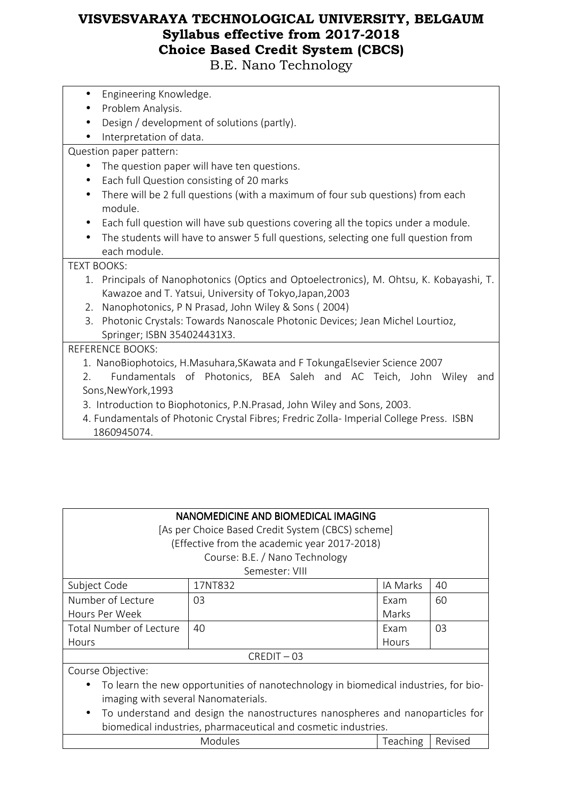B.E. Nano Technology

- Engineering Knowledge.
- Problem Analysis.
- Design / development of solutions (partly).
- Interpretation of data.

#### Question paper pattern:

- The question paper will have ten questions.
- Each full Question consisting of 20 marks
- There will be 2 full questions (with a maximum of four sub questions) from each module.
- Each full question will have sub questions covering all the topics under a module.
- The students will have to answer 5 full questions, selecting one full question from each module.

#### TEXT BOOKS:

- 1. Principals of Nanophotonics (Optics and Optoelectronics), M. Ohtsu, K. Kobayashi, T. Kawazoe and T. Yatsui, University of Tokyo,Japan,2003
- 2. Nanophotonics, P N Prasad, John Wiley & Sons ( 2004)
- 3. Photonic Crystals: Towards Nanoscale Photonic Devices; Jean Michel Lourtioz, Springer; ISBN 354024431X3.

#### REFERENCE BOOKS:

- 1. NanoBiophotoics, H.Masuhara,SKawata and F TokungaElsevier Science 2007
- 2. Fundamentals of Photonics, BEA Saleh and AC Teich, John Wiley and Sons,NewYork,1993
- 3. Introduction to Biophotonics, P.N.Prasad, John Wiley and Sons, 2003.
- 4. Fundamentals of Photonic Crystal Fibres; Fredric Zolla- Imperial College Press. ISBN 1860945074.

| NANOMEDICINE AND BIOMEDICAL IMAGING<br>[As per Choice Based Credit System (CBCS) scheme]<br>(Effective from the academic year 2017-2018)                                                                                              |         |          |    |
|---------------------------------------------------------------------------------------------------------------------------------------------------------------------------------------------------------------------------------------|---------|----------|----|
| Course: B.E. / Nano Technology<br>Semester: VIII                                                                                                                                                                                      |         |          |    |
| Subject Code                                                                                                                                                                                                                          | 17NT832 | IA Marks | 40 |
| Number of Lecture                                                                                                                                                                                                                     | 03      | Exam     | 60 |
| Hours Per Week<br>Marks                                                                                                                                                                                                               |         |          |    |
| Total Number of Lecture                                                                                                                                                                                                               | 40      | Exam     | 03 |
| Hours                                                                                                                                                                                                                                 |         | Hours    |    |
| $CREDIT - 03$                                                                                                                                                                                                                         |         |          |    |
| Course Objective:                                                                                                                                                                                                                     |         |          |    |
| To learn the new opportunities of nanotechnology in biomedical industries, for bio-<br>$\bullet$<br>imaging with several Nanomaterials.<br>To understand and design the nanostructures nanospheres and nanoparticles for<br>$\bullet$ |         |          |    |

biomedical industries, pharmaceutical and cosmetic industries. Modules **Teaching Revised**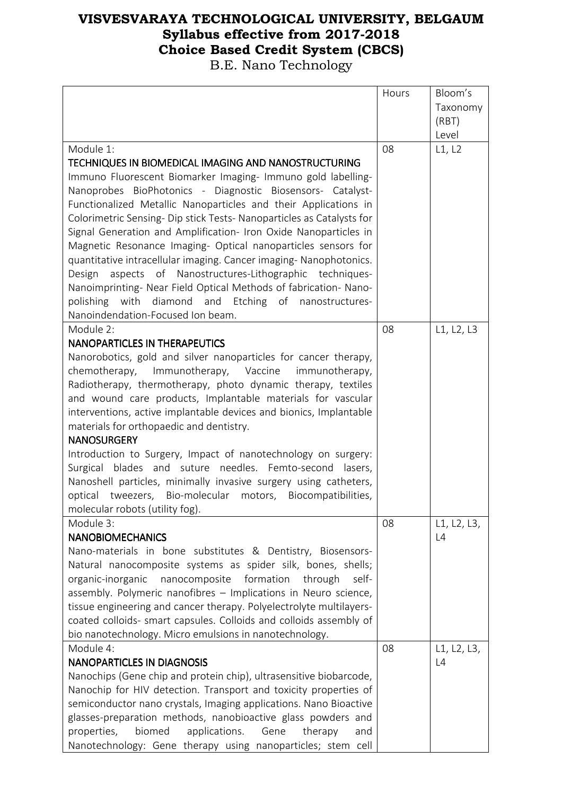|                                                                       | Hours | Bloom's     |
|-----------------------------------------------------------------------|-------|-------------|
|                                                                       |       | Taxonomy    |
|                                                                       |       | (RBT)       |
|                                                                       |       | Level       |
| Module 1:                                                             | 08    | L1, L2      |
| TECHNIQUES IN BIOMEDICAL IMAGING AND NANOSTRUCTURING                  |       |             |
| Immuno Fluorescent Biomarker Imaging- Immuno gold labelling-          |       |             |
| Nanoprobes BioPhotonics - Diagnostic Biosensors- Catalyst-            |       |             |
| Functionalized Metallic Nanoparticles and their Applications in       |       |             |
| Colorimetric Sensing- Dip stick Tests- Nanoparticles as Catalysts for |       |             |
| Signal Generation and Amplification- Iron Oxide Nanoparticles in      |       |             |
| Magnetic Resonance Imaging- Optical nanoparticles sensors for         |       |             |
| quantitative intracellular imaging. Cancer imaging-Nanophotonics.     |       |             |
| Design aspects of Nanostructures-Lithographic techniques-             |       |             |
| Nanoimprinting- Near Field Optical Methods of fabrication- Nano-      |       |             |
| polishing with diamond and Etching of nanostructures-                 |       |             |
| Nanoindendation-Focused Ion beam.                                     |       |             |
| Module 2:                                                             | 08    | L1, L2, L3  |
| <b>NANOPARTICLES IN THERAPEUTICS</b>                                  |       |             |
| Nanorobotics, gold and silver nanoparticles for cancer therapy,       |       |             |
| chemotherapy,<br>Immunotherapy, Vaccine<br>immunotherapy,             |       |             |
| Radiotherapy, thermotherapy, photo dynamic therapy, textiles          |       |             |
| and wound care products, Implantable materials for vascular           |       |             |
| interventions, active implantable devices and bionics, Implantable    |       |             |
| materials for orthopaedic and dentistry.                              |       |             |
| <b>NANOSURGERY</b>                                                    |       |             |
| Introduction to Surgery, Impact of nanotechnology on surgery:         |       |             |
| Surgical blades and suture needles. Femto-second lasers,              |       |             |
| Nanoshell particles, minimally invasive surgery using catheters,      |       |             |
| optical tweezers, Bio-molecular motors, Biocompatibilities,           |       |             |
| molecular robots (utility fog).                                       |       |             |
| Module 3:                                                             | 08    | L1, L2, L3, |
| <b>NANOBIOMECHANICS</b>                                               |       | L4          |
| Nano-materials in bone substitutes & Dentistry, Biosensors-           |       |             |
| Natural nanocomposite systems as spider silk, bones, shells;          |       |             |
| organic-inorganic<br>nanocomposite<br>formation<br>through<br>self-   |       |             |
| assembly. Polymeric nanofibres - Implications in Neuro science,       |       |             |
| tissue engineering and cancer therapy. Polyelectrolyte multilayers-   |       |             |
| coated colloids- smart capsules. Colloids and colloids assembly of    |       |             |
| bio nanotechnology. Micro emulsions in nanotechnology.                |       |             |
| Module 4:                                                             | 08    | L1, L2, L3, |
| <b>NANOPARTICLES IN DIAGNOSIS</b>                                     |       | L4          |
| Nanochips (Gene chip and protein chip), ultrasensitive biobarcode,    |       |             |
| Nanochip for HIV detection. Transport and toxicity properties of      |       |             |
| semiconductor nano crystals, Imaging applications. Nano Bioactive     |       |             |
| glasses-preparation methods, nanobioactive glass powders and          |       |             |
| biomed<br>applications.<br>properties,<br>Gene<br>therapy<br>and      |       |             |
| Nanotechnology: Gene therapy using nanoparticles; stem cell           |       |             |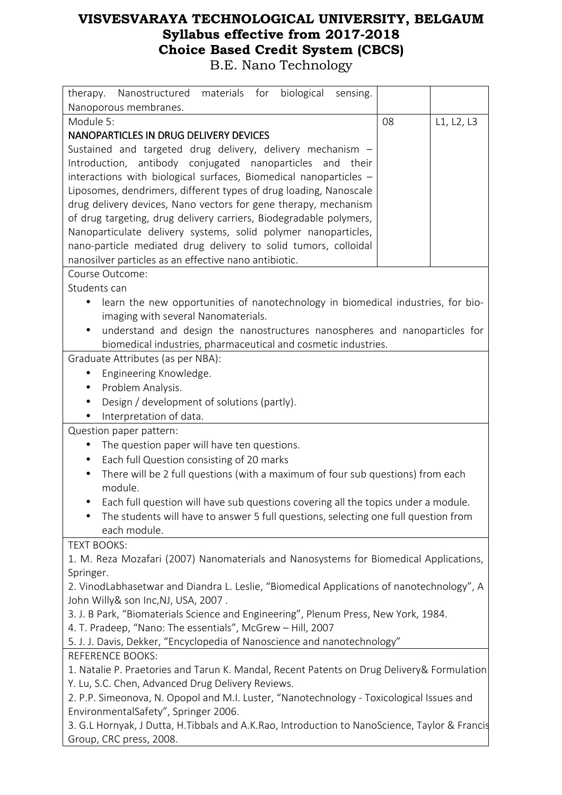| materials for biological<br>therapy. Nanostructured<br>sensing.                               |    |            |  |
|-----------------------------------------------------------------------------------------------|----|------------|--|
| Nanoporous membranes.                                                                         |    |            |  |
| Module 5:                                                                                     | 08 | L1, L2, L3 |  |
| NANOPARTICLES IN DRUG DELIVERY DEVICES                                                        |    |            |  |
| Sustained and targeted drug delivery, delivery mechanism -                                    |    |            |  |
| Introduction, antibody conjugated nanoparticles and their                                     |    |            |  |
| interactions with biological surfaces, Biomedical nanoparticles -                             |    |            |  |
| Liposomes, dendrimers, different types of drug loading, Nanoscale                             |    |            |  |
| drug delivery devices, Nano vectors for gene therapy, mechanism                               |    |            |  |
| of drug targeting, drug delivery carriers, Biodegradable polymers,                            |    |            |  |
| Nanoparticulate delivery systems, solid polymer nanoparticles,                                |    |            |  |
| nano-particle mediated drug delivery to solid tumors, colloidal                               |    |            |  |
| nanosilver particles as an effective nano antibiotic.                                         |    |            |  |
| Course Outcome:                                                                               |    |            |  |
| Students can                                                                                  |    |            |  |
| learn the new opportunities of nanotechnology in biomedical industries, for bio-              |    |            |  |
| imaging with several Nanomaterials.                                                           |    |            |  |
| understand and design the nanostructures nanospheres and nanoparticles for<br>$\bullet$       |    |            |  |
| biomedical industries, pharmaceutical and cosmetic industries.                                |    |            |  |
| Graduate Attributes (as per NBA):                                                             |    |            |  |
| Engineering Knowledge.<br>$\bullet$                                                           |    |            |  |
| Problem Analysis.<br>$\bullet$                                                                |    |            |  |
| Design / development of solutions (partly).                                                   |    |            |  |
| Interpretation of data.                                                                       |    |            |  |
| Question paper pattern:                                                                       |    |            |  |
| The question paper will have ten questions.<br>$\bullet$                                      |    |            |  |
| Each full Question consisting of 20 marks<br>$\bullet$                                        |    |            |  |
| There will be 2 full questions (with a maximum of four sub questions) from each               |    |            |  |
| module.                                                                                       |    |            |  |
| Each full question will have sub questions covering all the topics under a module.            |    |            |  |
| The students will have to answer 5 full questions, selecting one full question from           |    |            |  |
| each module.                                                                                  |    |            |  |
| <b>TEXT BOOKS:</b>                                                                            |    |            |  |
| 1. M. Reza Mozafari (2007) Nanomaterials and Nanosystems for Biomedical Applications,         |    |            |  |
| Springer.                                                                                     |    |            |  |
| 2. VinodLabhasetwar and Diandra L. Leslie, "Biomedical Applications of nanotechnology", A     |    |            |  |
| John Willy& son Inc, NJ, USA, 2007.                                                           |    |            |  |
| 3. J. B Park, "Biomaterials Science and Engineering", Plenum Press, New York, 1984.           |    |            |  |
| 4. T. Pradeep, "Nano: The essentials", McGrew - Hill, 2007                                    |    |            |  |
| 5. J. J. Davis, Dekker, "Encyclopedia of Nanoscience and nanotechnology"                      |    |            |  |
| <b>REFERENCE BOOKS:</b>                                                                       |    |            |  |
| 1. Natalie P. Praetories and Tarun K. Mandal, Recent Patents on Drug Delivery& Formulation    |    |            |  |
| Y. Lu, S.C. Chen, Advanced Drug Delivery Reviews.                                             |    |            |  |
| 2. P.P. Simeonova, N. Opopol and M.I. Luster, "Nanotechnology - Toxicological Issues and      |    |            |  |
| EnvironmentalSafety", Springer 2006.                                                          |    |            |  |
| 3. G.L Hornyak, J Dutta, H.Tibbals and A.K.Rao, Introduction to NanoScience, Taylor & Francis |    |            |  |
| Group, CRC press, 2008.                                                                       |    |            |  |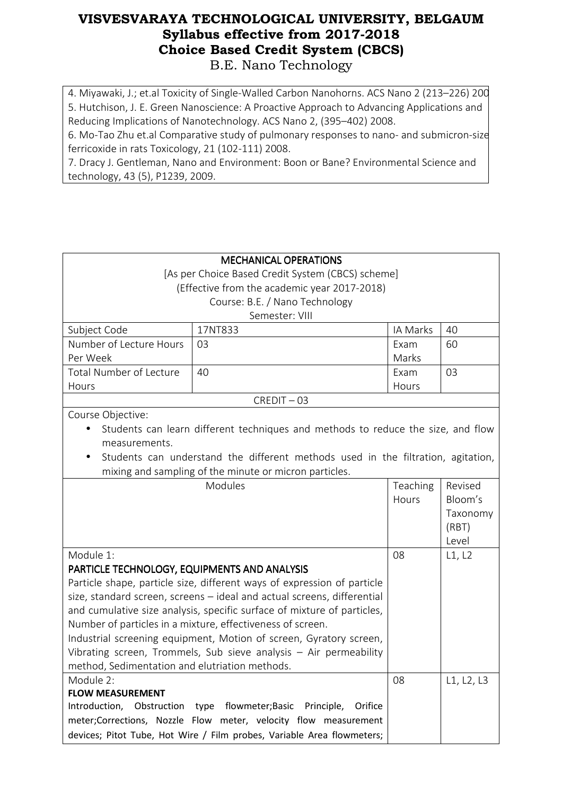4. Miyawaki, J.; et.al Toxicity of Single-Walled Carbon Nanohorns. ACS Nano 2 (213-226) 200 5. Hutchison, J. E. Green Nanoscience: A Proactive Approach to Advancing Applications and Reducing Implications of Nanotechnology. ACS Nano 2, (395–402) 2008.

6. Mo-Tao Zhu et.al Comparative study of pulmonary responses to nano- and submicron-sized ferricoxide in rats Toxicology, 21 (102-111) 2008.

7. Dracy J. Gentleman, Nano and Environment: Boon or Bane? Environmental Science and technology, 43 (5), P1239, 2009.

| [As per Choice Based Credit System (CBCS) scheme]<br>(Effective from the academic year 2017-2018)<br>Course: B.E. / Nano Technology<br>Semester: VIII<br>17NT833<br>IA Marks<br>Subject Code<br>40<br>Number of Lecture Hours<br>03<br>Exam<br>60<br>Per Week<br>Marks<br><b>Total Number of Lecture</b><br>40<br>03<br>Exam<br>Hours<br>Hours<br>$CREDIT - 03$<br>Course Objective:<br>Students can learn different techniques and methods to reduce the size, and flow<br>measurements.<br>Students can understand the different methods used in the filtration, agitation,<br>mixing and sampling of the minute or micron particles.<br>Modules<br>Teaching<br>Revised<br>Bloom's<br>Hours<br>Taxonomy<br>(RBT)<br>Level<br>Module 1:<br>08<br>L1, L2<br>PARTICLE TECHNOLOGY, EQUIPMENTS AND ANALYSIS<br>Particle shape, particle size, different ways of expression of particle<br>size, standard screen, screens - ideal and actual screens, differential<br>and cumulative size analysis, specific surface of mixture of particles,<br>Number of particles in a mixture, effectiveness of screen.<br>Industrial screening equipment, Motion of screen, Gyratory screen,<br>Vibrating screen, Trommels, Sub sieve analysis $-$ Air permeability<br>method, Sedimentation and elutriation methods.<br>08<br>Module 2:<br>L1, L2, L3<br><b>FLOW MEASUREMENT</b><br>flowmeter; Basic Principle,<br>Introduction, Obstruction<br>type<br>Orifice<br>meter;Corrections, Nozzle Flow meter, velocity flow measurement |                              |  |  |  |  |
|----------------------------------------------------------------------------------------------------------------------------------------------------------------------------------------------------------------------------------------------------------------------------------------------------------------------------------------------------------------------------------------------------------------------------------------------------------------------------------------------------------------------------------------------------------------------------------------------------------------------------------------------------------------------------------------------------------------------------------------------------------------------------------------------------------------------------------------------------------------------------------------------------------------------------------------------------------------------------------------------------------------------------------------------------------------------------------------------------------------------------------------------------------------------------------------------------------------------------------------------------------------------------------------------------------------------------------------------------------------------------------------------------------------------------------------------------------------------------------------------------------------------|------------------------------|--|--|--|--|
|                                                                                                                                                                                                                                                                                                                                                                                                                                                                                                                                                                                                                                                                                                                                                                                                                                                                                                                                                                                                                                                                                                                                                                                                                                                                                                                                                                                                                                                                                                                      | <b>MECHANICAL OPERATIONS</b> |  |  |  |  |
|                                                                                                                                                                                                                                                                                                                                                                                                                                                                                                                                                                                                                                                                                                                                                                                                                                                                                                                                                                                                                                                                                                                                                                                                                                                                                                                                                                                                                                                                                                                      |                              |  |  |  |  |
|                                                                                                                                                                                                                                                                                                                                                                                                                                                                                                                                                                                                                                                                                                                                                                                                                                                                                                                                                                                                                                                                                                                                                                                                                                                                                                                                                                                                                                                                                                                      |                              |  |  |  |  |
|                                                                                                                                                                                                                                                                                                                                                                                                                                                                                                                                                                                                                                                                                                                                                                                                                                                                                                                                                                                                                                                                                                                                                                                                                                                                                                                                                                                                                                                                                                                      |                              |  |  |  |  |
|                                                                                                                                                                                                                                                                                                                                                                                                                                                                                                                                                                                                                                                                                                                                                                                                                                                                                                                                                                                                                                                                                                                                                                                                                                                                                                                                                                                                                                                                                                                      |                              |  |  |  |  |
|                                                                                                                                                                                                                                                                                                                                                                                                                                                                                                                                                                                                                                                                                                                                                                                                                                                                                                                                                                                                                                                                                                                                                                                                                                                                                                                                                                                                                                                                                                                      |                              |  |  |  |  |
|                                                                                                                                                                                                                                                                                                                                                                                                                                                                                                                                                                                                                                                                                                                                                                                                                                                                                                                                                                                                                                                                                                                                                                                                                                                                                                                                                                                                                                                                                                                      |                              |  |  |  |  |
|                                                                                                                                                                                                                                                                                                                                                                                                                                                                                                                                                                                                                                                                                                                                                                                                                                                                                                                                                                                                                                                                                                                                                                                                                                                                                                                                                                                                                                                                                                                      |                              |  |  |  |  |
|                                                                                                                                                                                                                                                                                                                                                                                                                                                                                                                                                                                                                                                                                                                                                                                                                                                                                                                                                                                                                                                                                                                                                                                                                                                                                                                                                                                                                                                                                                                      |                              |  |  |  |  |
|                                                                                                                                                                                                                                                                                                                                                                                                                                                                                                                                                                                                                                                                                                                                                                                                                                                                                                                                                                                                                                                                                                                                                                                                                                                                                                                                                                                                                                                                                                                      |                              |  |  |  |  |
|                                                                                                                                                                                                                                                                                                                                                                                                                                                                                                                                                                                                                                                                                                                                                                                                                                                                                                                                                                                                                                                                                                                                                                                                                                                                                                                                                                                                                                                                                                                      |                              |  |  |  |  |
|                                                                                                                                                                                                                                                                                                                                                                                                                                                                                                                                                                                                                                                                                                                                                                                                                                                                                                                                                                                                                                                                                                                                                                                                                                                                                                                                                                                                                                                                                                                      |                              |  |  |  |  |
|                                                                                                                                                                                                                                                                                                                                                                                                                                                                                                                                                                                                                                                                                                                                                                                                                                                                                                                                                                                                                                                                                                                                                                                                                                                                                                                                                                                                                                                                                                                      |                              |  |  |  |  |
|                                                                                                                                                                                                                                                                                                                                                                                                                                                                                                                                                                                                                                                                                                                                                                                                                                                                                                                                                                                                                                                                                                                                                                                                                                                                                                                                                                                                                                                                                                                      |                              |  |  |  |  |
|                                                                                                                                                                                                                                                                                                                                                                                                                                                                                                                                                                                                                                                                                                                                                                                                                                                                                                                                                                                                                                                                                                                                                                                                                                                                                                                                                                                                                                                                                                                      |                              |  |  |  |  |
|                                                                                                                                                                                                                                                                                                                                                                                                                                                                                                                                                                                                                                                                                                                                                                                                                                                                                                                                                                                                                                                                                                                                                                                                                                                                                                                                                                                                                                                                                                                      |                              |  |  |  |  |
|                                                                                                                                                                                                                                                                                                                                                                                                                                                                                                                                                                                                                                                                                                                                                                                                                                                                                                                                                                                                                                                                                                                                                                                                                                                                                                                                                                                                                                                                                                                      |                              |  |  |  |  |
|                                                                                                                                                                                                                                                                                                                                                                                                                                                                                                                                                                                                                                                                                                                                                                                                                                                                                                                                                                                                                                                                                                                                                                                                                                                                                                                                                                                                                                                                                                                      |                              |  |  |  |  |
|                                                                                                                                                                                                                                                                                                                                                                                                                                                                                                                                                                                                                                                                                                                                                                                                                                                                                                                                                                                                                                                                                                                                                                                                                                                                                                                                                                                                                                                                                                                      |                              |  |  |  |  |
|                                                                                                                                                                                                                                                                                                                                                                                                                                                                                                                                                                                                                                                                                                                                                                                                                                                                                                                                                                                                                                                                                                                                                                                                                                                                                                                                                                                                                                                                                                                      |                              |  |  |  |  |
|                                                                                                                                                                                                                                                                                                                                                                                                                                                                                                                                                                                                                                                                                                                                                                                                                                                                                                                                                                                                                                                                                                                                                                                                                                                                                                                                                                                                                                                                                                                      |                              |  |  |  |  |
|                                                                                                                                                                                                                                                                                                                                                                                                                                                                                                                                                                                                                                                                                                                                                                                                                                                                                                                                                                                                                                                                                                                                                                                                                                                                                                                                                                                                                                                                                                                      |                              |  |  |  |  |
|                                                                                                                                                                                                                                                                                                                                                                                                                                                                                                                                                                                                                                                                                                                                                                                                                                                                                                                                                                                                                                                                                                                                                                                                                                                                                                                                                                                                                                                                                                                      |                              |  |  |  |  |
|                                                                                                                                                                                                                                                                                                                                                                                                                                                                                                                                                                                                                                                                                                                                                                                                                                                                                                                                                                                                                                                                                                                                                                                                                                                                                                                                                                                                                                                                                                                      |                              |  |  |  |  |
|                                                                                                                                                                                                                                                                                                                                                                                                                                                                                                                                                                                                                                                                                                                                                                                                                                                                                                                                                                                                                                                                                                                                                                                                                                                                                                                                                                                                                                                                                                                      |                              |  |  |  |  |
|                                                                                                                                                                                                                                                                                                                                                                                                                                                                                                                                                                                                                                                                                                                                                                                                                                                                                                                                                                                                                                                                                                                                                                                                                                                                                                                                                                                                                                                                                                                      |                              |  |  |  |  |
|                                                                                                                                                                                                                                                                                                                                                                                                                                                                                                                                                                                                                                                                                                                                                                                                                                                                                                                                                                                                                                                                                                                                                                                                                                                                                                                                                                                                                                                                                                                      |                              |  |  |  |  |
|                                                                                                                                                                                                                                                                                                                                                                                                                                                                                                                                                                                                                                                                                                                                                                                                                                                                                                                                                                                                                                                                                                                                                                                                                                                                                                                                                                                                                                                                                                                      |                              |  |  |  |  |
|                                                                                                                                                                                                                                                                                                                                                                                                                                                                                                                                                                                                                                                                                                                                                                                                                                                                                                                                                                                                                                                                                                                                                                                                                                                                                                                                                                                                                                                                                                                      |                              |  |  |  |  |
|                                                                                                                                                                                                                                                                                                                                                                                                                                                                                                                                                                                                                                                                                                                                                                                                                                                                                                                                                                                                                                                                                                                                                                                                                                                                                                                                                                                                                                                                                                                      |                              |  |  |  |  |
|                                                                                                                                                                                                                                                                                                                                                                                                                                                                                                                                                                                                                                                                                                                                                                                                                                                                                                                                                                                                                                                                                                                                                                                                                                                                                                                                                                                                                                                                                                                      |                              |  |  |  |  |
|                                                                                                                                                                                                                                                                                                                                                                                                                                                                                                                                                                                                                                                                                                                                                                                                                                                                                                                                                                                                                                                                                                                                                                                                                                                                                                                                                                                                                                                                                                                      |                              |  |  |  |  |
|                                                                                                                                                                                                                                                                                                                                                                                                                                                                                                                                                                                                                                                                                                                                                                                                                                                                                                                                                                                                                                                                                                                                                                                                                                                                                                                                                                                                                                                                                                                      |                              |  |  |  |  |
|                                                                                                                                                                                                                                                                                                                                                                                                                                                                                                                                                                                                                                                                                                                                                                                                                                                                                                                                                                                                                                                                                                                                                                                                                                                                                                                                                                                                                                                                                                                      |                              |  |  |  |  |
| devices; Pitot Tube, Hot Wire / Film probes, Variable Area flowmeters;                                                                                                                                                                                                                                                                                                                                                                                                                                                                                                                                                                                                                                                                                                                                                                                                                                                                                                                                                                                                                                                                                                                                                                                                                                                                                                                                                                                                                                               |                              |  |  |  |  |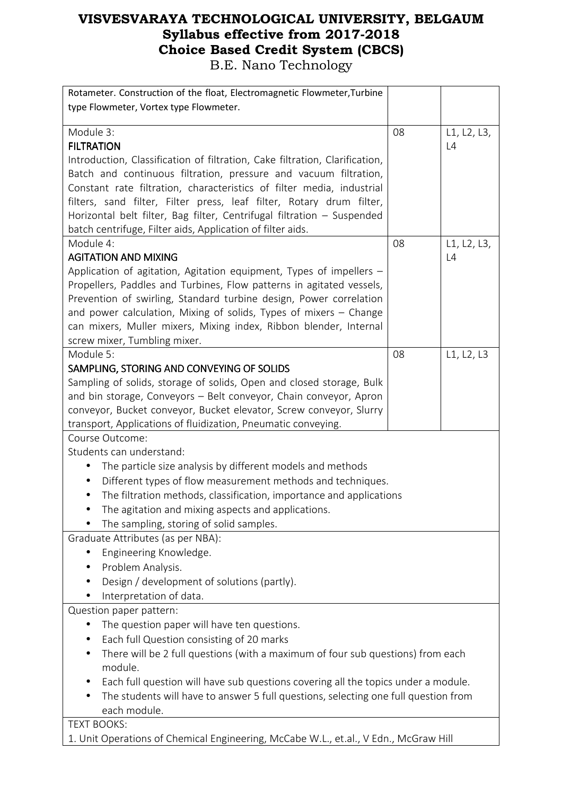| Rotameter. Construction of the float, Electromagnetic Flowmeter, Turbine             |    |             |
|--------------------------------------------------------------------------------------|----|-------------|
| type Flowmeter, Vortex type Flowmeter.                                               |    |             |
|                                                                                      |    |             |
| Module 3:                                                                            | 08 | L1, L2, L3, |
| <b>FILTRATION</b>                                                                    |    | L4          |
| Introduction, Classification of filtration, Cake filtration, Clarification,          |    |             |
| Batch and continuous filtration, pressure and vacuum filtration,                     |    |             |
| Constant rate filtration, characteristics of filter media, industrial                |    |             |
| filters, sand filter, Filter press, leaf filter, Rotary drum filter,                 |    |             |
| Horizontal belt filter, Bag filter, Centrifugal filtration - Suspended               |    |             |
| batch centrifuge, Filter aids, Application of filter aids.                           |    |             |
| Module 4:                                                                            | 08 | L1, L2, L3, |
| <b>AGITATION AND MIXING</b>                                                          |    | L4          |
| Application of agitation, Agitation equipment, Types of impellers -                  |    |             |
| Propellers, Paddles and Turbines, Flow patterns in agitated vessels,                 |    |             |
| Prevention of swirling, Standard turbine design, Power correlation                   |    |             |
| and power calculation, Mixing of solids, Types of mixers - Change                    |    |             |
| can mixers, Muller mixers, Mixing index, Ribbon blender, Internal                    |    |             |
| screw mixer, Tumbling mixer.                                                         |    |             |
| Module 5:                                                                            | 08 | L1, L2, L3  |
| SAMPLING, STORING AND CONVEYING OF SOLIDS                                            |    |             |
| Sampling of solids, storage of solids, Open and closed storage, Bulk                 |    |             |
| and bin storage, Conveyors - Belt conveyor, Chain conveyor, Apron                    |    |             |
| conveyor, Bucket conveyor, Bucket elevator, Screw conveyor, Slurry                   |    |             |
| transport, Applications of fluidization, Pneumatic conveying.                        |    |             |
| Course Outcome:                                                                      |    |             |
| Students can understand:                                                             |    |             |
| The particle size analysis by different models and methods                           |    |             |
| Different types of flow measurement methods and techniques.<br>$\bullet$             |    |             |
| The filtration methods, classification, importance and applications                  |    |             |
| The agitation and mixing aspects and applications.                                   |    |             |
| The sampling, storing of solid samples.                                              |    |             |
| Graduate Attributes (as per NBA):                                                    |    |             |
| Engineering Knowledge.                                                               |    |             |
| Problem Analysis.                                                                    |    |             |
| Design / development of solutions (partly).                                          |    |             |
| Interpretation of data.                                                              |    |             |
| Question paper pattern:                                                              |    |             |
| The question paper will have ten questions.                                          |    |             |
| Each full Question consisting of 20 marks                                            |    |             |
| There will be 2 full questions (with a maximum of four sub questions) from each      |    |             |
| module.                                                                              |    |             |
| Each full question will have sub questions covering all the topics under a module.   |    |             |
| The students will have to answer 5 full questions, selecting one full question from  |    |             |
| each module.                                                                         |    |             |
| <b>TEXT BOOKS:</b>                                                                   |    |             |
| 1. Unit Operations of Chemical Engineering, McCabe W.L., et.al., V Edn., McGraw Hill |    |             |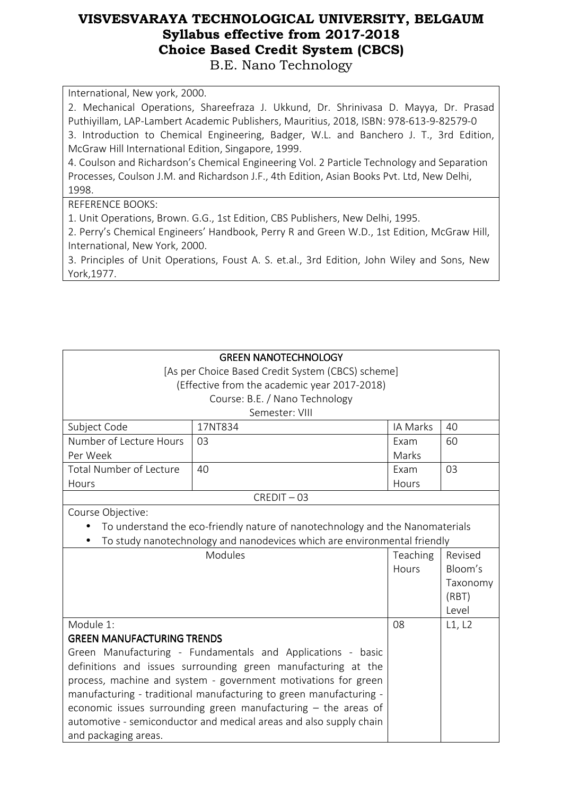International, New york, 2000.

2. Mechanical Operations, Shareefraza J. Ukkund, Dr. Shrinivasa D. Mayya, Dr. Prasad Puthiyillam, LAP-Lambert Academic Publishers, Mauritius, 2018, ISBN: 978-613-9-82579-0 3. Introduction to Chemical Engineering, Badger, W.L. and Banchero J. T., 3rd Edition, McGraw Hill International Edition, Singapore, 1999.

4. Coulson and Richardson's Chemical Engineering Vol. 2 Particle Technology and Separation Processes, Coulson J.M. and Richardson J.F., 4th Edition, Asian Books Pvt. Ltd, New Delhi, 1998.

REFERENCE BOOKS:

1. Unit Operations, Brown. G.G., 1st Edition, CBS Publishers, New Delhi, 1995.

2. Perry's Chemical Engineers' Handbook, Perry R and Green W.D., 1st Edition, McGraw Hill, International, New York, 2000.

3. Principles of Unit Operations, Foust A. S. et.al., 3rd Edition, John Wiley and Sons, New York,1977.

| <b>GREEN NANOTECHNOLOGY</b>                                                   |                                                                          |          |          |  |  |
|-------------------------------------------------------------------------------|--------------------------------------------------------------------------|----------|----------|--|--|
| [As per Choice Based Credit System (CBCS) scheme]                             |                                                                          |          |          |  |  |
| (Effective from the academic year 2017-2018)                                  |                                                                          |          |          |  |  |
| Course: B.E. / Nano Technology                                                |                                                                          |          |          |  |  |
| Semester: VIII                                                                |                                                                          |          |          |  |  |
| Subject Code                                                                  | 17NT834                                                                  | IA Marks | 40       |  |  |
| Number of Lecture Hours                                                       | 03                                                                       | Exam     | 60       |  |  |
| Per Week                                                                      |                                                                          | Marks    |          |  |  |
| <b>Total Number of Lecture</b>                                                | 40                                                                       | Exam     | 03       |  |  |
| Hours                                                                         |                                                                          | Hours    |          |  |  |
| $CREDIT - 03$                                                                 |                                                                          |          |          |  |  |
| Course Objective:                                                             |                                                                          |          |          |  |  |
| To understand the eco-friendly nature of nanotechnology and the Nanomaterials |                                                                          |          |          |  |  |
|                                                                               | To study nanotechnology and nanodevices which are environmental friendly |          |          |  |  |
| Modules                                                                       |                                                                          | Teaching | Revised  |  |  |
|                                                                               |                                                                          | Hours    | Bloom's  |  |  |
|                                                                               |                                                                          |          | Taxonomy |  |  |
|                                                                               |                                                                          |          | (RBT)    |  |  |
|                                                                               |                                                                          |          | Level    |  |  |
| Module 1:                                                                     |                                                                          | 08       | L1, L2   |  |  |
| <b>GREEN MANUFACTURING TRENDS</b>                                             |                                                                          |          |          |  |  |
| Green Manufacturing - Fundamentals and Applications - basic                   |                                                                          |          |          |  |  |
| definitions and issues surrounding green manufacturing at the                 |                                                                          |          |          |  |  |
| process, machine and system - government motivations for green                |                                                                          |          |          |  |  |
| manufacturing - traditional manufacturing to green manufacturing -            |                                                                          |          |          |  |  |
| economic issues surrounding green manufacturing $-$ the areas of              |                                                                          |          |          |  |  |
| automotive - semiconductor and medical areas and also supply chain            |                                                                          |          |          |  |  |
| and packaging areas.                                                          |                                                                          |          |          |  |  |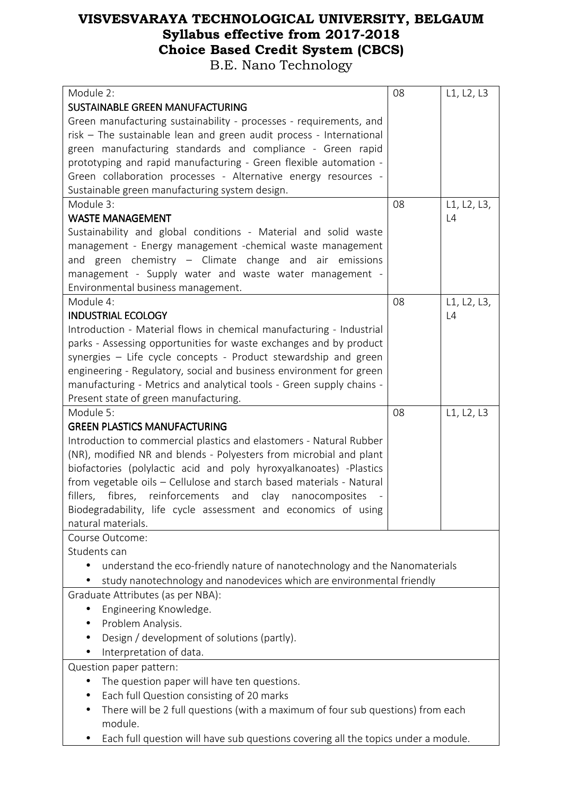| Module 2:                                                                               |    | L1, L2, L3  |  |  |
|-----------------------------------------------------------------------------------------|----|-------------|--|--|
| SUSTAINABLE GREEN MANUFACTURING                                                         |    |             |  |  |
| Green manufacturing sustainability - processes - requirements, and                      |    |             |  |  |
| risk - The sustainable lean and green audit process - International                     |    |             |  |  |
| green manufacturing standards and compliance - Green rapid                              |    |             |  |  |
| prototyping and rapid manufacturing - Green flexible automation -                       |    |             |  |  |
| Green collaboration processes - Alternative energy resources -                          |    |             |  |  |
| Sustainable green manufacturing system design.                                          |    |             |  |  |
| Module 3:                                                                               | 08 | L1, L2, L3, |  |  |
| <b>WASTE MANAGEMENT</b>                                                                 |    | L4          |  |  |
| Sustainability and global conditions - Material and solid waste                         |    |             |  |  |
| management - Energy management -chemical waste management                               |    |             |  |  |
| and green chemistry - Climate change and air emissions                                  |    |             |  |  |
| management - Supply water and waste water management -                                  |    |             |  |  |
| Environmental business management.                                                      |    |             |  |  |
| Module 4:                                                                               | 08 | L1, L2, L3, |  |  |
| <b>INDUSTRIAL ECOLOGY</b>                                                               |    | L4          |  |  |
| Introduction - Material flows in chemical manufacturing - Industrial                    |    |             |  |  |
| parks - Assessing opportunities for waste exchanges and by product                      |    |             |  |  |
| synergies - Life cycle concepts - Product stewardship and green                         |    |             |  |  |
| engineering - Regulatory, social and business environment for green                     |    |             |  |  |
| manufacturing - Metrics and analytical tools - Green supply chains -                    |    |             |  |  |
| Present state of green manufacturing.                                                   |    |             |  |  |
| Module 5:                                                                               | 08 | L1, L2, L3  |  |  |
| <b>GREEN PLASTICS MANUFACTURING</b>                                                     |    |             |  |  |
| Introduction to commercial plastics and elastomers - Natural Rubber                     |    |             |  |  |
| (NR), modified NR and blends - Polyesters from microbial and plant                      |    |             |  |  |
| biofactories (polylactic acid and poly hyroxyalkanoates) -Plastics                      |    |             |  |  |
| from vegetable oils - Cellulose and starch based materials - Natural                    |    |             |  |  |
| fillers,<br>fibres,<br>reinforcements<br>and<br>clay<br>nanocomposites                  |    |             |  |  |
| Biodegradability, life cycle assessment and economics of using                          |    |             |  |  |
| natural materials.                                                                      |    |             |  |  |
| Course Outcome:                                                                         |    |             |  |  |
| Students can                                                                            |    |             |  |  |
| understand the eco-friendly nature of nanotechnology and the Nanomaterials<br>$\bullet$ |    |             |  |  |
| study nanotechnology and nanodevices which are environmental friendly                   |    |             |  |  |
| Graduate Attributes (as per NBA):                                                       |    |             |  |  |
| Engineering Knowledge.                                                                  |    |             |  |  |
| Problem Analysis.<br>$\bullet$                                                          |    |             |  |  |
| Design / development of solutions (partly).<br>$\bullet$                                |    |             |  |  |
| Interpretation of data.                                                                 |    |             |  |  |
| Question paper pattern:                                                                 |    |             |  |  |
| The question paper will have ten questions.                                             |    |             |  |  |
| Each full Question consisting of 20 marks<br>$\bullet$                                  |    |             |  |  |
| There will be 2 full questions (with a maximum of four sub questions) from each         |    |             |  |  |
| module.                                                                                 |    |             |  |  |
| Each full question will have sub questions covering all the topics under a module.      |    |             |  |  |